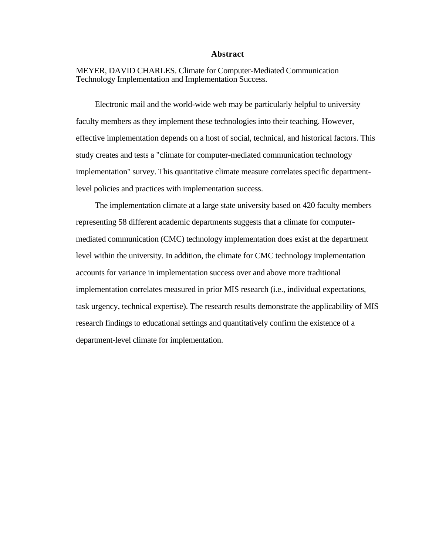## **Abstract**

MEYER, DAVID CHARLES. Climate for Computer-Mediated Communication Technology Implementation and Implementation Success.

Electronic mail and the world-wide web may be particularly helpful to university faculty members as they implement these technologies into their teaching. However, effective implementation depends on a host of social, technical, and historical factors. This study creates and tests a "climate for computer-mediated communication technology implementation" survey. This quantitative climate measure correlates specific departmentlevel policies and practices with implementation success.

The implementation climate at a large state university based on 420 faculty members representing 58 different academic departments suggests that a climate for computermediated communication (CMC) technology implementation does exist at the department level within the university. In addition, the climate for CMC technology implementation accounts for variance in implementation success over and above more traditional implementation correlates measured in prior MIS research (i.e., individual expectations, task urgency, technical expertise). The research results demonstrate the applicability of MIS research findings to educational settings and quantitatively confirm the existence of a department-level climate for implementation.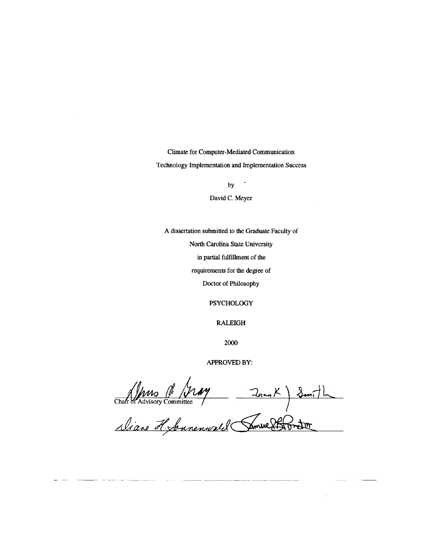Climate for Computer-Mediated Communication Technology Implementation and Implementation Success

by

 $\ddot{\phantom{0}}$ 

David C. Meyer

A dissertation submitted to the Graduate Faculty of

North Carolina State University

in partial fulfillment of the

requirements for the degree of

Doctor of Philosophy

**PSYCHOLOGY** 

**RALEIGH** 

2000

APPROVED BY:

Chatron Roussemann (1947) 2007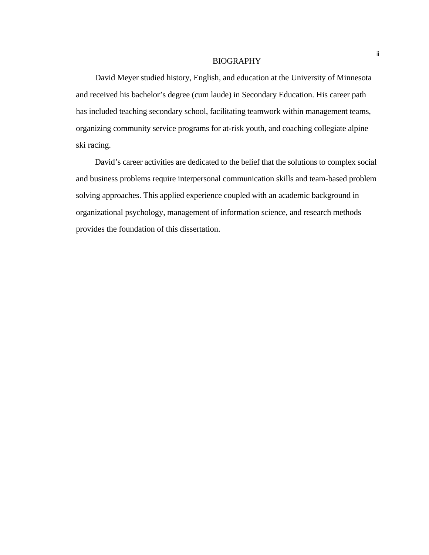#### BIOGRAPHY

David Meyer studied history, English, and education at the University of Minnesota and received his bachelor's degree (cum laude) in Secondary Education. His career path has included teaching secondary school, facilitating teamwork within management teams, organizing community service programs for at-risk youth, and coaching collegiate alpine ski racing.

David's career activities are dedicated to the belief that the solutions to complex social and business problems require interpersonal communication skills and team-based problem solving approaches. This applied experience coupled with an academic background in organizational psychology, management of information science, and research methods provides the foundation of this dissertation.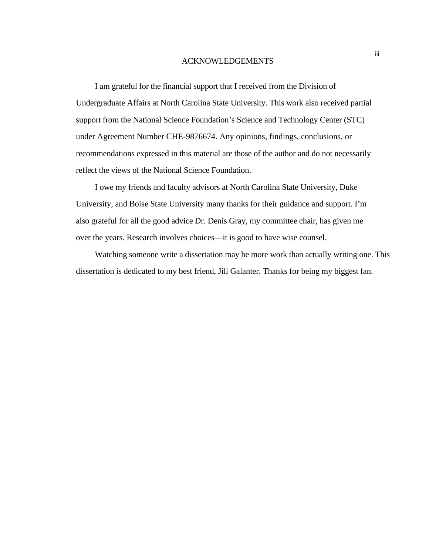#### ACKNOWLEDGEMENTS

I am grateful for the financial support that I received from the Division of Undergraduate Affairs at North Carolina State University. This work also received partial support from the National Science Foundation's Science and Technology Center (STC) under Agreement Number CHE-9876674. Any opinions, findings, conclusions, or recommendations expressed in this material are those of the author and do not necessarily reflect the views of the National Science Foundation.

I owe my friends and faculty advisors at North Carolina State University, Duke University, and Boise State University many thanks for their guidance and support. I'm also grateful for all the good advice Dr. Denis Gray, my committee chair, has given me over the years. Research involves choices—it is good to have wise counsel.

Watching someone write a dissertation may be more work than actually writing one. This dissertation is dedicated to my best friend, Jill Galanter. Thanks for being my biggest fan.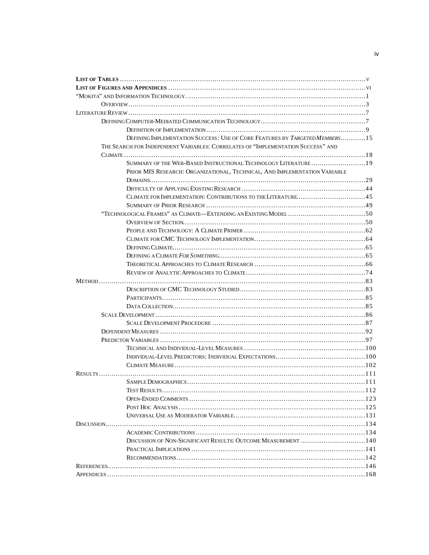| DEFINING IMPLEMENTATION SUCCESS: USE OF CORE FEATURES BY TARGETED MEMBERS15      |  |
|----------------------------------------------------------------------------------|--|
| THE SEARCH FOR INDEPENDENT VARIABLES: CORRELATES OF "IMPLEMENTATION SUCCESS" AND |  |
|                                                                                  |  |
| SUMMARY OF THE WEB-BASED INSTRUCTIONAL TECHNOLOGY LITERATURE19                   |  |
| PRIOR MIS RESEARCH: ORGANIZATIONAL, TECHNICAL, AND IMPLEMENTATION VARIABLE       |  |
|                                                                                  |  |
|                                                                                  |  |
|                                                                                  |  |
|                                                                                  |  |
|                                                                                  |  |
|                                                                                  |  |
|                                                                                  |  |
|                                                                                  |  |
|                                                                                  |  |
|                                                                                  |  |
|                                                                                  |  |
|                                                                                  |  |
|                                                                                  |  |
|                                                                                  |  |
|                                                                                  |  |
|                                                                                  |  |
|                                                                                  |  |
|                                                                                  |  |
|                                                                                  |  |
|                                                                                  |  |
|                                                                                  |  |
|                                                                                  |  |
|                                                                                  |  |
|                                                                                  |  |
|                                                                                  |  |
| TEST RESULTS<br>$\ldots \ldots \ldots \ldots 112$                                |  |
|                                                                                  |  |
|                                                                                  |  |
|                                                                                  |  |
|                                                                                  |  |
|                                                                                  |  |
|                                                                                  |  |
|                                                                                  |  |
|                                                                                  |  |
|                                                                                  |  |
|                                                                                  |  |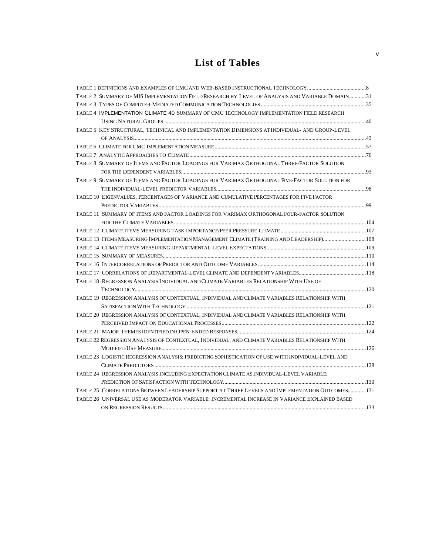## **List of Tables**

| TABLE 2 SUMMARY OF MIS IMPLEMENTATION FIELD RESEARCH BY LEVEL OF ANALYSIS AND VARIABLE DOMAIN31   |  |
|---------------------------------------------------------------------------------------------------|--|
|                                                                                                   |  |
| TABLE 4 IMPLEMENTATION CLIMATE 40 SUMMARY OF CMC TECHNOLOGY IMPLEMENTATION FIELD RESEARCH         |  |
|                                                                                                   |  |
| TABLE 5 KEY STRUCTURAL, TECHNICAL AND IMPLEMENTATION DIMENSIONS AT INDIVIDUAL-AND GROUP-LEVEL     |  |
|                                                                                                   |  |
|                                                                                                   |  |
|                                                                                                   |  |
| TABLE 8 SUMMARY OF ITEMS AND FACTOR LOADINGS FOR VARIMAX ORTHOGONAL THREE-FACTOR SOLUTION         |  |
|                                                                                                   |  |
| TABLE 9 SUMMARY OF ITEMS AND FACTOR LOADINGS FOR VARIMAX ORTHOGONAL FIVE-FACTOR SOLUTION FOR      |  |
|                                                                                                   |  |
| TABLE 10 EIGENVALUES, PERCENTAGES OF VARIANCE AND CUMULATIVE PERCENTAGES FOR FIVE FACTOR          |  |
|                                                                                                   |  |
| TABLE 11 SUMMARY OF ITEMS AND FACTOR LOADINGS FOR VARIMAX ORTHOGONAL FOUR-FACTOR SOLUTION         |  |
|                                                                                                   |  |
|                                                                                                   |  |
| TABLE 13 ITEMS MEASURING IMPLEMENTATION MANAGEMENT CLIMATE (TRAINING AND LEADERSHIP)108           |  |
|                                                                                                   |  |
|                                                                                                   |  |
|                                                                                                   |  |
|                                                                                                   |  |
| TABLE 18 REGRESSION ANALYSIS INDIVIDUAL AND CLIMATE VARIABLES RELATIONSHIP WITH USE OF            |  |
|                                                                                                   |  |
| TABLE 19 REGRESSION ANALYSIS OF CONTEXTUAL, INDIVIDUAL AND CLIMATE VARIABLES RELATIONSHIP WITH    |  |
|                                                                                                   |  |
| TABLE 20 REGRESSION ANALYSIS OF CONTEXTUAL, INDIVIDUAL AND CLIMATE VARIABLES RELATIONSHIP WITH    |  |
|                                                                                                   |  |
|                                                                                                   |  |
| TABLE 22 REGRESSION ANALYSIS OF CONTEXTUAL, INDIVIDUAL, AND CLIMATE VARIABLES RELATIONSHIP WITH   |  |
|                                                                                                   |  |
| TABLE 23 LOGISTIC REGRESSION ANALYSIS: PREDICTING SOPHISTICATION OF USE WITH INDIVIDUAL-LEVEL AND |  |
|                                                                                                   |  |
| TABLE 24 REGRESSION ANALYSIS INCLUDING EXPECTATION CLIMATE AS INDIVIDUAL-LEVEL VARIABLE:          |  |
|                                                                                                   |  |
| TABLE 25 CORRELATIONS BETWEEN LEADERSHIP SUPPORT AT THREE LEVELS AND IMPLEMENTATION OUTCOMES131   |  |
| TABLE 26 UNIVERSAL USE AS MODERATOR VARIABLE: INCREMENTAL INCREASE IN VARIANCE EXPLAINED BASED    |  |
|                                                                                                   |  |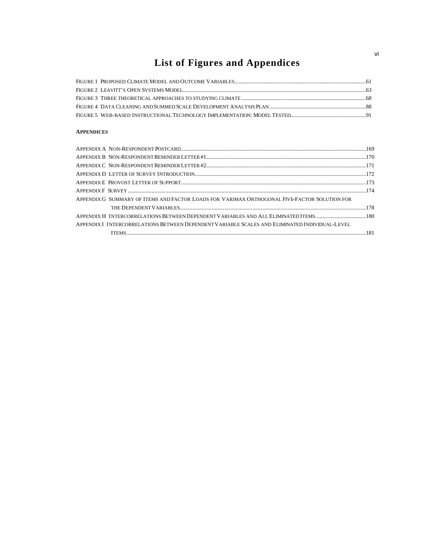# **List of Figures and Appendices**

## **APPENDICES**

| APPENDIX G SUMMARY OF ITEMS AND FACTOR LOADS FOR VARIMAX ORTHOGONAL FIVE-FACTOR SOLUTION FOR   |  |
|------------------------------------------------------------------------------------------------|--|
|                                                                                                |  |
| APPENDIX H INTERCORRELATIONS BETWEEN DEPENDENT VARIABLES AND ALL ELIMINATED ITEMS180           |  |
| APPENDIX I INTERCORRELATIONS BETWEEN DEPENDENT VARIABLE SCALES AND ELIMINATED INDIVIDUAL-LEVEL |  |
|                                                                                                |  |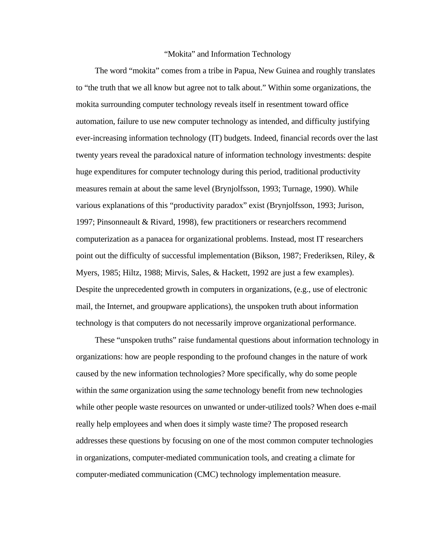#### "Mokita" and Information Technology

The word "mokita" comes from a tribe in Papua, New Guinea and roughly translates to "the truth that we all know but agree not to talk about." Within some organizations, the mokita surrounding computer technology reveals itself in resentment toward office automation, failure to use new computer technology as intended, and difficulty justifying ever-increasing information technology (IT) budgets. Indeed, financial records over the last twenty years reveal the paradoxical nature of information technology investments: despite huge expenditures for computer technology during this period, traditional productivity measures remain at about the same level (Brynjolfsson, 1993; Turnage, 1990). While various explanations of this "productivity paradox" exist (Brynjolfsson, 1993; Jurison, 1997; Pinsonneault & Rivard, 1998), few practitioners or researchers recommend computerization as a panacea for organizational problems. Instead, most IT researchers point out the difficulty of successful implementation (Bikson, 1987; Frederiksen, Riley, & Myers, 1985; Hiltz, 1988; Mirvis, Sales, & Hackett, 1992 are just a few examples). Despite the unprecedented growth in computers in organizations, (e.g., use of electronic mail, the Internet, and groupware applications), the unspoken truth about information technology is that computers do not necessarily improve organizational performance.

These "unspoken truths" raise fundamental questions about information technology in organizations: how are people responding to the profound changes in the nature of work caused by the new information technologies? More specifically, why do some people within the *same* organization using the *same* technology benefit from new technologies while other people waste resources on unwanted or under-utilized tools? When does e-mail really help employees and when does it simply waste time? The proposed research addresses these questions by focusing on one of the most common computer technologies in organizations, computer-mediated communication tools, and creating a climate for computer-mediated communication (CMC) technology implementation measure.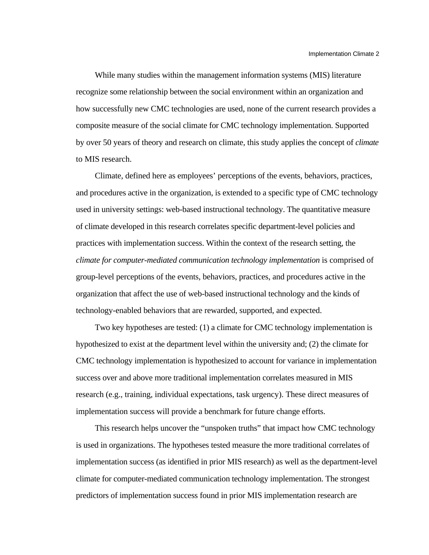While many studies within the management information systems (MIS) literature recognize some relationship between the social environment within an organization and how successfully new CMC technologies are used, none of the current research provides a composite measure of the social climate for CMC technology implementation. Supported by over 50 years of theory and research on climate, this study applies the concept of *climate* to MIS research.

Climate, defined here as employees' perceptions of the events, behaviors, practices, and procedures active in the organization, is extended to a specific type of CMC technology used in university settings: web-based instructional technology. The quantitative measure of climate developed in this research correlates specific department-level policies and practices with implementation success. Within the context of the research setting, the *climate for computer-mediated communication technology implementation* is comprised of group-level perceptions of the events, behaviors, practices, and procedures active in the organization that affect the use of web-based instructional technology and the kinds of technology-enabled behaviors that are rewarded, supported, and expected.

Two key hypotheses are tested: (1) a climate for CMC technology implementation is hypothesized to exist at the department level within the university and; (2) the climate for CMC technology implementation is hypothesized to account for variance in implementation success over and above more traditional implementation correlates measured in MIS research (e.g., training, individual expectations, task urgency). These direct measures of implementation success will provide a benchmark for future change efforts.

This research helps uncover the "unspoken truths" that impact how CMC technology is used in organizations. The hypotheses tested measure the more traditional correlates of implementation success (as identified in prior MIS research) as well as the department-level climate for computer-mediated communication technology implementation. The strongest predictors of implementation success found in prior MIS implementation research are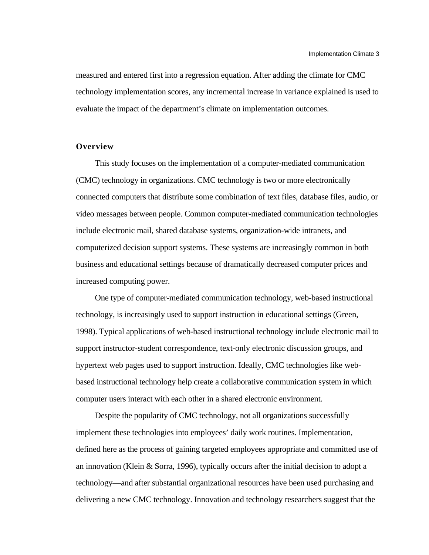measured and entered first into a regression equation. After adding the climate for CMC technology implementation scores, any incremental increase in variance explained is used to evaluate the impact of the department's climate on implementation outcomes.

## **Overview**

This study focuses on the implementation of a computer-mediated communication (CMC) technology in organizations. CMC technology is two or more electronically connected computers that distribute some combination of text files, database files, audio, or video messages between people. Common computer-mediated communication technologies include electronic mail, shared database systems, organization-wide intranets, and computerized decision support systems. These systems are increasingly common in both business and educational settings because of dramatically decreased computer prices and increased computing power.

One type of computer-mediated communication technology, web-based instructional technology, is increasingly used to support instruction in educational settings (Green, 1998). Typical applications of web-based instructional technology include electronic mail to support instructor-student correspondence, text-only electronic discussion groups, and hypertext web pages used to support instruction. Ideally, CMC technologies like webbased instructional technology help create a collaborative communication system in which computer users interact with each other in a shared electronic environment.

Despite the popularity of CMC technology, not all organizations successfully implement these technologies into employees' daily work routines. Implementation, defined here as the process of gaining targeted employees appropriate and committed use of an innovation (Klein & Sorra, 1996), typically occurs after the initial decision to adopt a technology—and after substantial organizational resources have been used purchasing and delivering a new CMC technology. Innovation and technology researchers suggest that the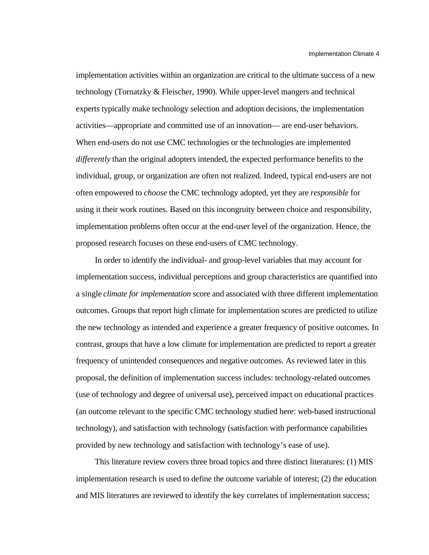implementation activities within an organization are critical to the ultimate success of a new technology (Tornatzky & Fleischer, 1990). While upper-level mangers and technical experts typically make technology selection and adoption decisions, the implementation activities—appropriate and committed use of an innovation— are end-user behaviors. When end-users do not use CMC technologies or the technologies are implemented *differently* than the original adopters intended, the expected performance benefits to the individual, group, or organization are often not realized. Indeed, typical end-users are not often empowered to *choose* the CMC technology adopted, yet they are *responsible* for using it their work routines. Based on this incongruity between choice and responsibility, implementation problems often occur at the end-user level of the organization. Hence, the proposed research focuses on these end-users of CMC technology.

In order to identify the individual- and group-level variables that may account for implementation success, individual perceptions and group characteristics are quantified into a single *climate for implementation* score and associated with three different implementation outcomes. Groups that report high climate for implementation scores are predicted to utilize the new technology as intended and experience a greater frequency of positive outcomes. In contrast, groups that have a low climate for implementation are predicted to report a greater frequency of unintended consequences and negative outcomes. As reviewed later in this proposal, the definition of implementation success includes: technology-related outcomes (use of technology and degree of universal use), perceived impact on educational practices (an outcome relevant to the specific CMC technology studied here: web-based instructional technology), and satisfaction with technology (satisfaction with performance capabilities provided by new technology and satisfaction with technology's ease of use).

This literature review covers three broad topics and three distinct literatures: (1) MIS implementation research is used to define the outcome variable of interest; (2) the education and MIS literatures are reviewed to identify the key correlates of implementation success;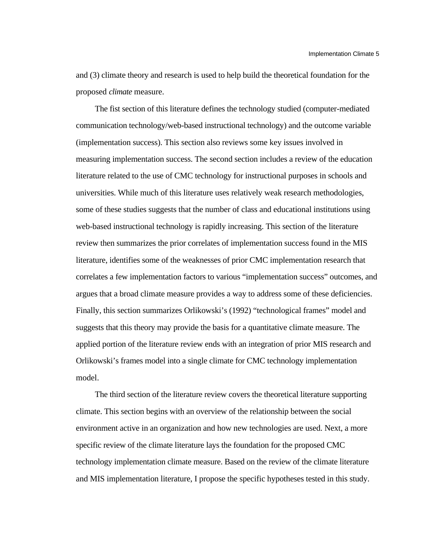and (3) climate theory and research is used to help build the theoretical foundation for the proposed *climate* measure.

The fist section of this literature defines the technology studied (computer-mediated communication technology/web-based instructional technology) and the outcome variable (implementation success). This section also reviews some key issues involved in measuring implementation success. The second section includes a review of the education literature related to the use of CMC technology for instructional purposes in schools and universities. While much of this literature uses relatively weak research methodologies, some of these studies suggests that the number of class and educational institutions using web-based instructional technology is rapidly increasing. This section of the literature review then summarizes the prior correlates of implementation success found in the MIS literature, identifies some of the weaknesses of prior CMC implementation research that correlates a few implementation factors to various "implementation success" outcomes, and argues that a broad climate measure provides a way to address some of these deficiencies. Finally, this section summarizes Orlikowski's (1992) "technological frames" model and suggests that this theory may provide the basis for a quantitative climate measure. The applied portion of the literature review ends with an integration of prior MIS research and Orlikowski's frames model into a single climate for CMC technology implementation model.

The third section of the literature review covers the theoretical literature supporting climate. This section begins with an overview of the relationship between the social environment active in an organization and how new technologies are used. Next, a more specific review of the climate literature lays the foundation for the proposed CMC technology implementation climate measure. Based on the review of the climate literature and MIS implementation literature, I propose the specific hypotheses tested in this study.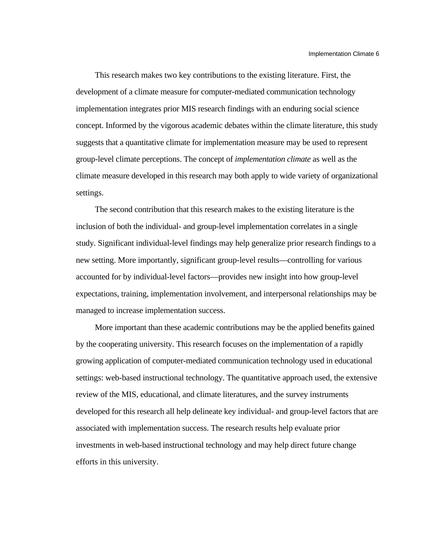This research makes two key contributions to the existing literature. First, the development of a climate measure for computer-mediated communication technology implementation integrates prior MIS research findings with an enduring social science concept. Informed by the vigorous academic debates within the climate literature, this study suggests that a quantitative climate for implementation measure may be used to represent group-level climate perceptions. The concept of *implementation climate* as well as the climate measure developed in this research may both apply to wide variety of organizational settings.

The second contribution that this research makes to the existing literature is the inclusion of both the individual- and group-level implementation correlates in a single study. Significant individual-level findings may help generalize prior research findings to a new setting. More importantly, significant group-level results—controlling for various accounted for by individual-level factors—provides new insight into how group-level expectations, training, implementation involvement, and interpersonal relationships may be managed to increase implementation success.

More important than these academic contributions may be the applied benefits gained by the cooperating university. This research focuses on the implementation of a rapidly growing application of computer-mediated communication technology used in educational settings: web-based instructional technology. The quantitative approach used, the extensive review of the MIS, educational, and climate literatures, and the survey instruments developed for this research all help delineate key individual- and group-level factors that are associated with implementation success. The research results help evaluate prior investments in web-based instructional technology and may help direct future change efforts in this university.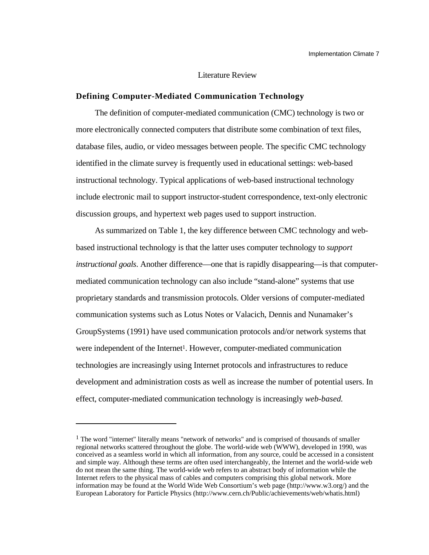## Literature Review

## **Defining Computer-Mediated Communication Technology**

The definition of computer-mediated communication (CMC) technology is two or more electronically connected computers that distribute some combination of text files, database files, audio, or video messages between people. The specific CMC technology identified in the climate survey is frequently used in educational settings: web-based instructional technology. Typical applications of web-based instructional technology include electronic mail to support instructor-student correspondence, text-only electronic discussion groups, and hypertext web pages used to support instruction.

As summarized on Table 1, the key difference between CMC technology and webbased instructional technology is that the latter uses computer technology to *support instructional goals*. Another difference—one that is rapidly disappearing—is that computermediated communication technology can also include "stand-alone" systems that use proprietary standards and transmission protocols. Older versions of computer-mediated communication systems such as Lotus Notes or Valacich, Dennis and Nunamaker's GroupSystems (1991) have used communication protocols and/or network systems that were independent of the Internet<sup>1</sup>. However, computer-mediated communication technologies are increasingly using Internet protocols and infrastructures to reduce development and administration costs as well as increase the number of potential users. In effect, computer-mediated communication technology is increasingly *web-based*.

l

<sup>&</sup>lt;sup>1</sup> The word "internet" literally means "network of networks" and is comprised of thousands of smaller regional networks scattered throughout the globe. The world-wide web (WWW), developed in 1990, was conceived as a seamless world in which all information, from any source, could be accessed in a consistent and simple way. Although these terms are often used interchangeably, the Internet and the world-wide web do not mean the same thing. The world-wide web refers to an abstract body of information while the Internet refers to the physical mass of cables and computers comprising this global network. More information may be found at the World Wide Web Consortium's web page (http://www.w3.org/) and the European Laboratory for Particle Physics (http://www.cern.ch/Public/achievements/web/whatis.html)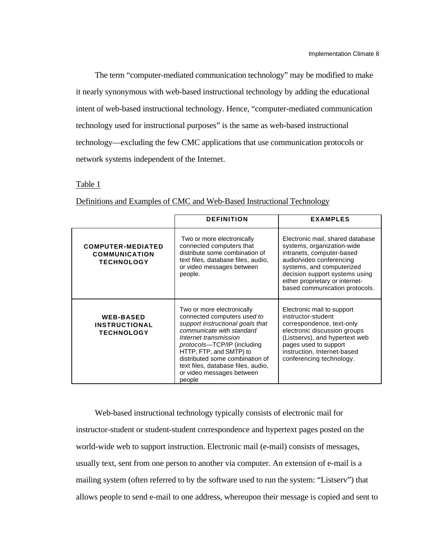The term "computer-mediated communication technology" may be modified to make it nearly synonymous with web-based instructional technology by adding the educational intent of web-based instructional technology. Hence, "computer-mediated communication technology used for instructional purposes" is the same as web-based instructional technology—excluding the few CMC applications that use communication protocols or network systems independent of the Internet.

Table 1

|                                                                       | <b>DEFINITION</b>                                                                                                                                                                                                                                                                                                             | <b>EXAMPLES</b>                                                                                                                                                                                                                                             |
|-----------------------------------------------------------------------|-------------------------------------------------------------------------------------------------------------------------------------------------------------------------------------------------------------------------------------------------------------------------------------------------------------------------------|-------------------------------------------------------------------------------------------------------------------------------------------------------------------------------------------------------------------------------------------------------------|
| <b>COMPUTER-MEDIATED</b><br><b>COMMUNICATION</b><br><b>TECHNOLOGY</b> | Two or more electronically<br>connected computers that<br>distribute some combination of<br>text files, database files, audio,<br>or video messages between<br>people.                                                                                                                                                        | Electronic mail, shared database<br>systems, organization-wide<br>intranets, computer-based<br>audio/video conferencing<br>systems, and computerized<br>decision support systems using<br>either proprietary or internet-<br>based communication protocols. |
| <b>WEB-BASED</b><br><b>INSTRUCTIONAL</b><br><b>TECHNOLOGY</b>         | Two or more electronically<br>connected computers used to<br>support instructional goals that<br>communicate with standard<br>Internet transmission<br>protocols-TCP/IP (including<br>HTTP, FTP, and SMTP) to<br>distributed some combination of<br>text files, database files, audio,<br>or video messages between<br>people | Electronic mail to support<br>instructor-student<br>correspondence, text-only<br>electronic discussion groups<br>(Listservs), and hypertext web<br>pages used to support<br>instruction, Internet-based<br>conferencing technology.                         |

Definitions and Examples of CMC and Web-Based Instructional Technology

Web-based instructional technology typically consists of electronic mail for instructor-student or student-student correspondence and hypertext pages posted on the world-wide web to support instruction. Electronic mail (e-mail) consists of messages, usually text, sent from one person to another via computer. An extension of e-mail is a mailing system (often referred to by the software used to run the system: "Listserv") that allows people to send e-mail to one address, whereupon their message is copied and sent to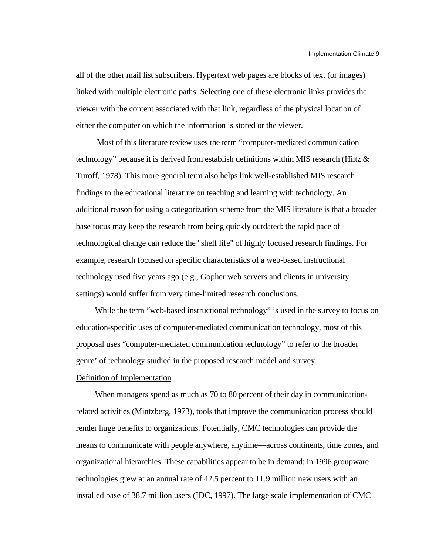all of the other mail list subscribers. Hypertext web pages are blocks of text (or images) linked with multiple electronic paths. Selecting one of these electronic links provides the viewer with the content associated with that link, regardless of the physical location of either the computer on which the information is stored or the viewer.

 Most of this literature review uses the term "computer-mediated communication technology" because it is derived from establish definitions within MIS research (Hiltz  $\&$ Turoff, 1978). This more general term also helps link well-established MIS research findings to the educational literature on teaching and learning with technology. An additional reason for using a categorization scheme from the MIS literature is that a broader base focus may keep the research from being quickly outdated: the rapid pace of technological change can reduce the "shelf life" of highly focused research findings. For example, research focused on specific characteristics of a web-based instructional technology used five years ago (e.g., Gopher web servers and clients in university settings) would suffer from very time-limited research conclusions.

While the term "web-based instructional technology" is used in the survey to focus on education-specific uses of computer-mediated communication technology, most of this proposal uses "computer-mediated communication technology" to refer to the broader genre' of technology studied in the proposed research model and survey.

## Definition of Implementation

When managers spend as much as 70 to 80 percent of their day in communicationrelated activities (Mintzberg, 1973), tools that improve the communication process should render huge benefits to organizations. Potentially, CMC technologies can provide the means to communicate with people anywhere, anytime—across continents, time zones, and organizational hierarchies. These capabilities appear to be in demand: in 1996 groupware technologies grew at an annual rate of 42.5 percent to 11.9 million new users with an installed base of 38.7 million users (IDC, 1997). The large scale implementation of CMC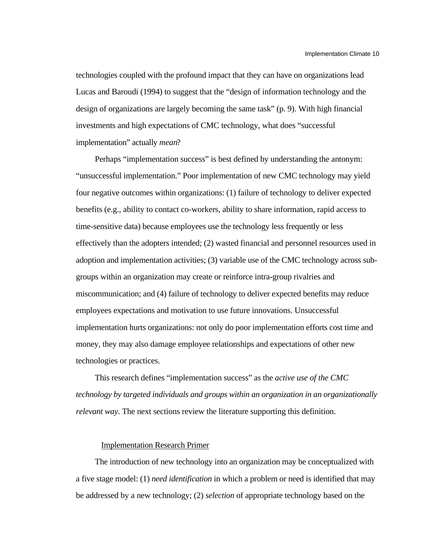technologies coupled with the profound impact that they can have on organizations lead Lucas and Baroudi (1994) to suggest that the "design of information technology and the design of organizations are largely becoming the same task" (p. 9). With high financial investments and high expectations of CMC technology, what does "successful implementation" actually *mean*?

Perhaps "implementation success" is best defined by understanding the antonym: "unsuccessful implementation." Poor implementation of new CMC technology may yield four negative outcomes within organizations: (1) failure of technology to deliver expected benefits (e.g., ability to contact co-workers, ability to share information, rapid access to time-sensitive data) because employees use the technology less frequently or less effectively than the adopters intended; (2) wasted financial and personnel resources used in adoption and implementation activities; (3) variable use of the CMC technology across subgroups within an organization may create or reinforce intra-group rivalries and miscommunication; and (4) failure of technology to deliver expected benefits may reduce employees expectations and motivation to use future innovations. Unsuccessful implementation hurts organizations: not only do poor implementation efforts cost time and money, they may also damage employee relationships and expectations of other new technologies or practices.

This research defines "implementation success" as the *active use of the CMC technology by targeted individuals and groups within an organization in an organizationally relevant way*. The next sections review the literature supporting this definition.

### Implementation Research Primer

The introduction of new technology into an organization may be conceptualized with a five stage model: (1) *need identification* in which a problem or need is identified that may be addressed by a new technology; (2) *selection* of appropriate technology based on the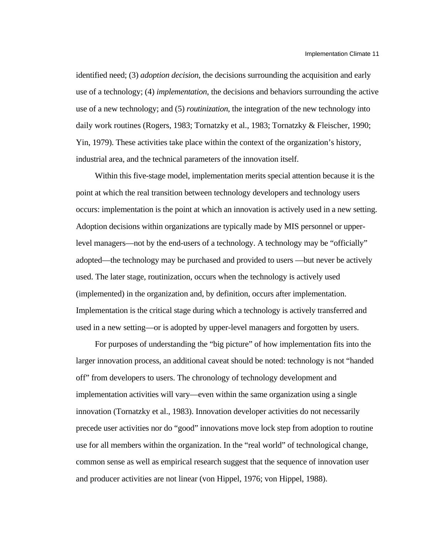identified need; (3) *adoption decision*, the decisions surrounding the acquisition and early use of a technology; (4) *implementation*, the decisions and behaviors surrounding the active use of a new technology; and (5) *routinization*, the integration of the new technology into daily work routines (Rogers, 1983; Tornatzky et al., 1983; Tornatzky & Fleischer, 1990; Yin, 1979). These activities take place within the context of the organization's history, industrial area, and the technical parameters of the innovation itself.

Within this five-stage model, implementation merits special attention because it is the point at which the real transition between technology developers and technology users occurs: implementation is the point at which an innovation is actively used in a new setting. Adoption decisions within organizations are typically made by MIS personnel or upperlevel managers—not by the end-users of a technology. A technology may be "officially" adopted—the technology may be purchased and provided to users —but never be actively used. The later stage, routinization, occurs when the technology is actively used (implemented) in the organization and, by definition, occurs after implementation. Implementation is the critical stage during which a technology is actively transferred and used in a new setting—or is adopted by upper-level managers and forgotten by users.

For purposes of understanding the "big picture" of how implementation fits into the larger innovation process, an additional caveat should be noted: technology is not "handed off" from developers to users. The chronology of technology development and implementation activities will vary—even within the same organization using a single innovation (Tornatzky et al., 1983). Innovation developer activities do not necessarily precede user activities nor do "good" innovations move lock step from adoption to routine use for all members within the organization. In the "real world" of technological change, common sense as well as empirical research suggest that the sequence of innovation user and producer activities are not linear (von Hippel, 1976; von Hippel, 1988).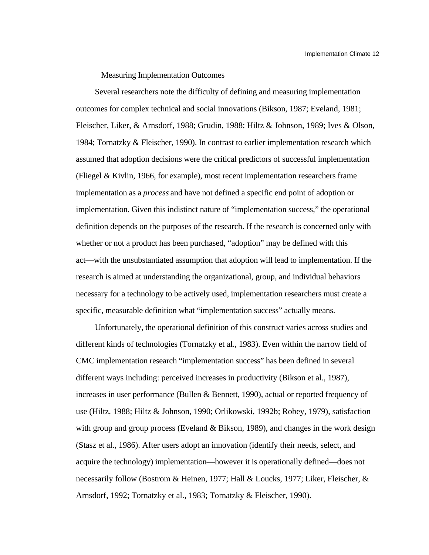#### Measuring Implementation Outcomes

Several researchers note the difficulty of defining and measuring implementation outcomes for complex technical and social innovations (Bikson, 1987; Eveland, 1981; Fleischer, Liker, & Arnsdorf, 1988; Grudin, 1988; Hiltz & Johnson, 1989; Ives & Olson, 1984; Tornatzky & Fleischer, 1990). In contrast to earlier implementation research which assumed that adoption decisions were the critical predictors of successful implementation (Fliegel & Kivlin, 1966, for example), most recent implementation researchers frame implementation as a *process* and have not defined a specific end point of adoption or implementation. Given this indistinct nature of "implementation success," the operational definition depends on the purposes of the research. If the research is concerned only with whether or not a product has been purchased, "adoption" may be defined with this act—with the unsubstantiated assumption that adoption will lead to implementation. If the research is aimed at understanding the organizational, group, and individual behaviors necessary for a technology to be actively used, implementation researchers must create a specific, measurable definition what "implementation success" actually means.

Unfortunately, the operational definition of this construct varies across studies and different kinds of technologies (Tornatzky et al., 1983). Even within the narrow field of CMC implementation research "implementation success" has been defined in several different ways including: perceived increases in productivity (Bikson et al., 1987), increases in user performance (Bullen & Bennett, 1990), actual or reported frequency of use (Hiltz, 1988; Hiltz & Johnson, 1990; Orlikowski, 1992b; Robey, 1979), satisfaction with group and group process (Eveland & Bikson, 1989), and changes in the work design (Stasz et al., 1986). After users adopt an innovation (identify their needs, select, and acquire the technology) implementation—however it is operationally defined—does not necessarily follow (Bostrom & Heinen, 1977; Hall & Loucks, 1977; Liker, Fleischer, & Arnsdorf, 1992; Tornatzky et al., 1983; Tornatzky & Fleischer, 1990).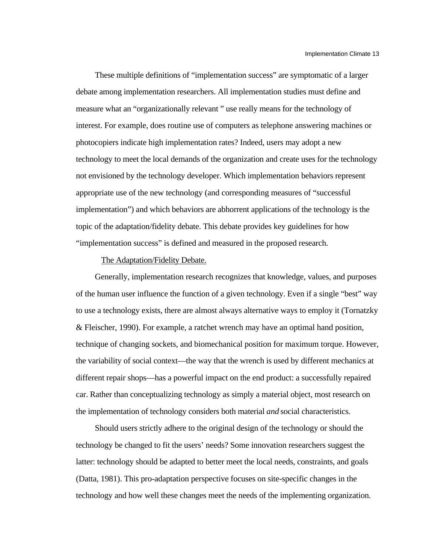These multiple definitions of "implementation success" are symptomatic of a larger debate among implementation researchers. All implementation studies must define and measure what an "organizationally relevant " use really means for the technology of interest. For example, does routine use of computers as telephone answering machines or photocopiers indicate high implementation rates? Indeed, users may adopt a new technology to meet the local demands of the organization and create uses for the technology not envisioned by the technology developer. Which implementation behaviors represent appropriate use of the new technology (and corresponding measures of "successful implementation") and which behaviors are abhorrent applications of the technology is the topic of the adaptation/fidelity debate. This debate provides key guidelines for how "implementation success" is defined and measured in the proposed research.

#### The Adaptation/Fidelity Debate.

Generally, implementation research recognizes that knowledge, values, and purposes of the human user influence the function of a given technology. Even if a single "best" way to use a technology exists, there are almost always alternative ways to employ it (Tornatzky & Fleischer, 1990). For example, a ratchet wrench may have an optimal hand position, technique of changing sockets, and biomechanical position for maximum torque. However, the variability of social context—the way that the wrench is used by different mechanics at different repair shops—has a powerful impact on the end product: a successfully repaired car. Rather than conceptualizing technology as simply a material object, most research on the implementation of technology considers both material *and* social characteristics.

Should users strictly adhere to the original design of the technology or should the technology be changed to fit the users' needs? Some innovation researchers suggest the latter: technology should be adapted to better meet the local needs, constraints, and goals (Datta, 1981). This pro-adaptation perspective focuses on site-specific changes in the technology and how well these changes meet the needs of the implementing organization.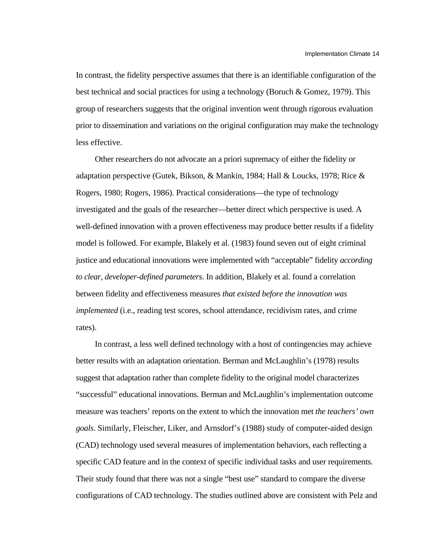In contrast, the fidelity perspective assumes that there is an identifiable configuration of the best technical and social practices for using a technology (Boruch & Gomez, 1979). This group of researchers suggests that the original invention went through rigorous evaluation prior to dissemination and variations on the original configuration may make the technology less effective.

Other researchers do not advocate an a priori supremacy of either the fidelity or adaptation perspective (Gutek, Bikson, & Mankin, 1984; Hall & Loucks, 1978; Rice & Rogers, 1980; Rogers, 1986). Practical considerations—the type of technology investigated and the goals of the researcher—better direct which perspective is used. A well-defined innovation with a proven effectiveness may produce better results if a fidelity model is followed. For example, Blakely et al. (1983) found seven out of eight criminal justice and educational innovations were implemented with "acceptable" fidelity *according to clear, developer-defined parameters*. In addition, Blakely et al. found a correlation between fidelity and effectiveness measures *that existed before the innovation was implemented* (i.e., reading test scores, school attendance, recidivism rates, and crime rates).

In contrast, a less well defined technology with a host of contingencies may achieve better results with an adaptation orientation. Berman and McLaughlin's (1978) results suggest that adaptation rather than complete fidelity to the original model characterizes "successful" educational innovations. Berman and McLaughlin's implementation outcome measure was teachers' reports on the extent to which the innovation met *the teachers' own goals*. Similarly, Fleischer, Liker, and Arnsdorf's (1988) study of computer-aided design (CAD) technology used several measures of implementation behaviors, each reflecting a specific CAD feature and in the context of specific individual tasks and user requirements. Their study found that there was not a single "best use" standard to compare the diverse configurations of CAD technology. The studies outlined above are consistent with Pelz and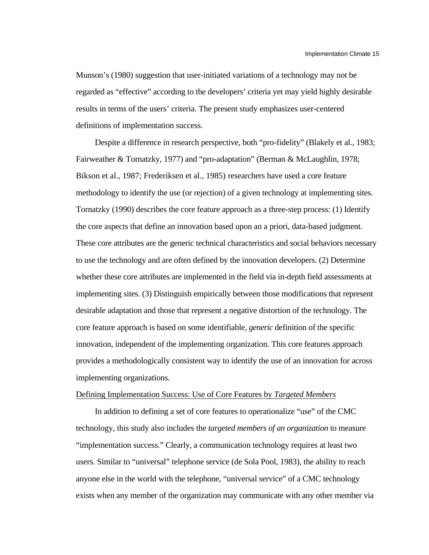Munson's (1980) suggestion that user-initiated variations of a technology may not be regarded as "effective" according to the developers' criteria yet may yield highly desirable results in terms of the users' criteria. The present study emphasizes user-centered definitions of implementation success.

Despite a difference in research perspective, both "pro-fidelity" (Blakely et al., 1983; Fairweather & Tornatzky, 1977) and "pro-adaptation" (Berman & McLaughlin, 1978; Bikson et al., 1987; Frederiksen et al., 1985) researchers have used a core feature methodology to identify the use (or rejection) of a given technology at implementing sites. Tornatzky (1990) describes the core feature approach as a three-step process: (1) Identify the core aspects that define an innovation based upon an a priori, data-based judgment. These core attributes are the generic technical characteristics and social behaviors necessary to use the technology and are often defined by the innovation developers. (2) Determine whether these core attributes are implemented in the field via in-depth field assessments at implementing sites. (3) Distinguish empirically between those modifications that represent desirable adaptation and those that represent a negative distortion of the technology. The core feature approach is based on some identifiable, *generic* definition of the specific innovation, independent of the implementing organization. This core features approach provides a methodologically consistent way to identify the use of an innovation for across implementing organizations.

#### Defining Implementation Success: Use of Core Features by *Targeted Members*

In addition to defining a set of core features to operationalize "use" of the CMC technology, this study also includes the *targeted members of an organization* to measure "implementation success." Clearly, a communication technology requires at least two users. Similar to "universal" telephone service (de Sola Pool, 1983), the ability to reach anyone else in the world with the telephone, "universal service" of a CMC technology exists when any member of the organization may communicate with any other member via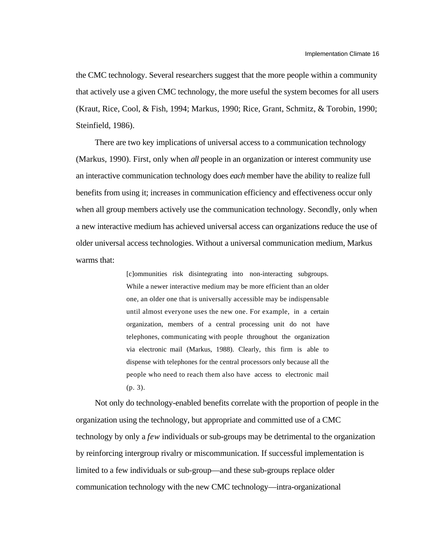the CMC technology. Several researchers suggest that the more people within a community that actively use a given CMC technology, the more useful the system becomes for all users (Kraut, Rice, Cool, & Fish, 1994; Markus, 1990; Rice, Grant, Schmitz, & Torobin, 1990; Steinfield, 1986).

There are two key implications of universal access to a communication technology (Markus, 1990). First, only when *all* people in an organization or interest community use an interactive communication technology does *each* member have the ability to realize full benefits from using it; increases in communication efficiency and effectiveness occur only when all group members actively use the communication technology. Secondly, only when a new interactive medium has achieved universal access can organizations reduce the use of older universal access technologies. Without a universal communication medium, Markus warms that:

> [c]ommunities risk disintegrating into non-interacting subgroups. While a newer interactive medium may be more efficient than an older one, an older one that is universally accessible may be indispensable until almost everyone uses the new one. For example, in a certain organization, members of a central processing unit do not have telephones, communicating with people throughout the organization via electronic mail (Markus, 1988). Clearly, this firm is able to dispense with telephones for the central processors only because all the people who need to reach them also have access to electronic mail (p. 3).

Not only do technology-enabled benefits correlate with the proportion of people in the organization using the technology, but appropriate and committed use of a CMC technology by only a *few* individuals or sub-groups may be detrimental to the organization by reinforcing intergroup rivalry or miscommunication. If successful implementation is limited to a few individuals or sub-group—and these sub-groups replace older communication technology with the new CMC technology—intra-organizational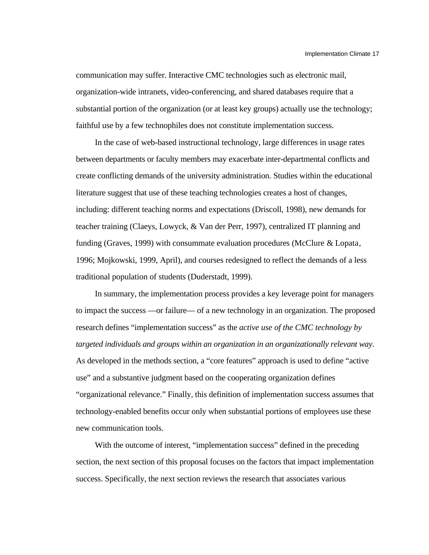communication may suffer. Interactive CMC technologies such as electronic mail, organization-wide intranets, video-conferencing, and shared databases require that a substantial portion of the organization (or at least key groups) actually use the technology; faithful use by a few technophiles does not constitute implementation success.

In the case of web-based instructional technology, large differences in usage rates between departments or faculty members may exacerbate inter-departmental conflicts and create conflicting demands of the university administration. Studies within the educational literature suggest that use of these teaching technologies creates a host of changes, including: different teaching norms and expectations (Driscoll, 1998), new demands for teacher training (Claeys, Lowyck, & Van der Perr, 1997), centralized IT planning and funding (Graves, 1999) with consummate evaluation procedures (McClure & Lopata, 1996; Mojkowski, 1999, April), and courses redesigned to reflect the demands of a less traditional population of students (Duderstadt, 1999).

In summary, the implementation process provides a key leverage point for managers to impact the success —or failure— of a new technology in an organization. The proposed research defines "implementation success" as the *active use of the CMC technology by targeted individuals and groups within an organization in an organizationally relevant way*. As developed in the methods section, a "core features" approach is used to define "active use" and a substantive judgment based on the cooperating organization defines "organizational relevance." Finally, this definition of implementation success assumes that technology-enabled benefits occur only when substantial portions of employees use these new communication tools.

With the outcome of interest, "implementation success" defined in the preceding section, the next section of this proposal focuses on the factors that impact implementation success. Specifically, the next section reviews the research that associates various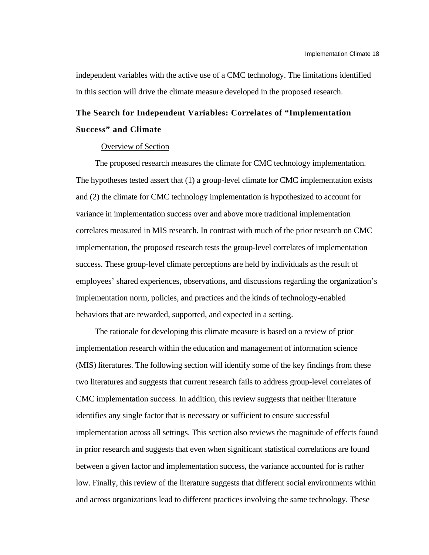independent variables with the active use of a CMC technology. The limitations identified in this section will drive the climate measure developed in the proposed research.

## **The Search for Independent Variables: Correlates of "Implementation Success" and Climate**

## Overview of Section

The proposed research measures the climate for CMC technology implementation. The hypotheses tested assert that (1) a group-level climate for CMC implementation exists and (2) the climate for CMC technology implementation is hypothesized to account for variance in implementation success over and above more traditional implementation correlates measured in MIS research. In contrast with much of the prior research on CMC implementation, the proposed research tests the group-level correlates of implementation success. These group-level climate perceptions are held by individuals as the result of employees' shared experiences, observations, and discussions regarding the organization's implementation norm, policies, and practices and the kinds of technology-enabled behaviors that are rewarded, supported, and expected in a setting.

The rationale for developing this climate measure is based on a review of prior implementation research within the education and management of information science (MIS) literatures. The following section will identify some of the key findings from these two literatures and suggests that current research fails to address group-level correlates of CMC implementation success. In addition, this review suggests that neither literature identifies any single factor that is necessary or sufficient to ensure successful implementation across all settings. This section also reviews the magnitude of effects found in prior research and suggests that even when significant statistical correlations are found between a given factor and implementation success, the variance accounted for is rather low. Finally, this review of the literature suggests that different social environments within and across organizations lead to different practices involving the same technology. These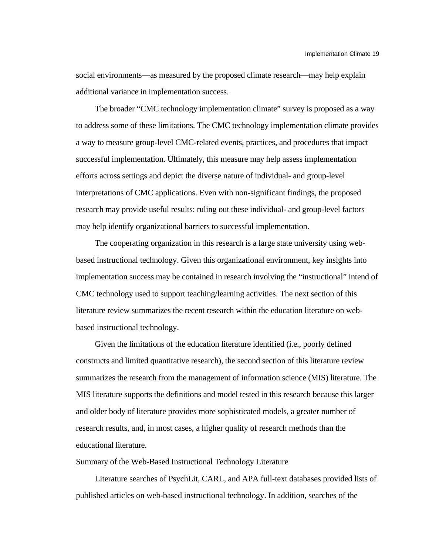social environments—as measured by the proposed climate research—may help explain additional variance in implementation success.

The broader "CMC technology implementation climate" survey is proposed as a way to address some of these limitations. The CMC technology implementation climate provides a way to measure group-level CMC-related events, practices, and procedures that impact successful implementation. Ultimately, this measure may help assess implementation efforts across settings and depict the diverse nature of individual- and group-level interpretations of CMC applications. Even with non-significant findings, the proposed research may provide useful results: ruling out these individual- and group-level factors may help identify organizational barriers to successful implementation.

The cooperating organization in this research is a large state university using webbased instructional technology. Given this organizational environment, key insights into implementation success may be contained in research involving the "instructional" intend of CMC technology used to support teaching/learning activities. The next section of this literature review summarizes the recent research within the education literature on webbased instructional technology.

Given the limitations of the education literature identified (i.e., poorly defined constructs and limited quantitative research), the second section of this literature review summarizes the research from the management of information science (MIS) literature. The MIS literature supports the definitions and model tested in this research because this larger and older body of literature provides more sophisticated models, a greater number of research results, and, in most cases, a higher quality of research methods than the educational literature.

#### Summary of the Web-Based Instructional Technology Literature

Literature searches of PsychLit, CARL, and APA full-text databases provided lists of published articles on web-based instructional technology. In addition, searches of the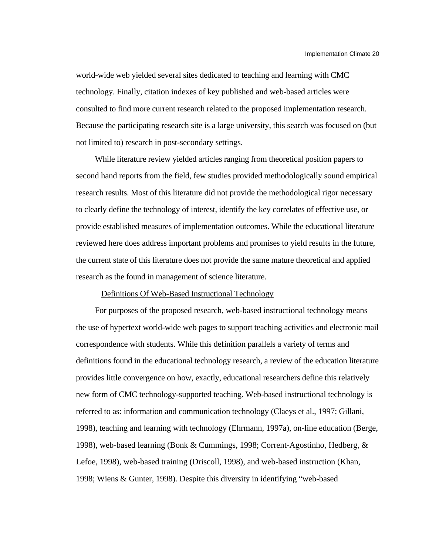world-wide web yielded several sites dedicated to teaching and learning with CMC technology. Finally, citation indexes of key published and web-based articles were consulted to find more current research related to the proposed implementation research. Because the participating research site is a large university, this search was focused on (but not limited to) research in post-secondary settings.

While literature review yielded articles ranging from theoretical position papers to second hand reports from the field, few studies provided methodologically sound empirical research results. Most of this literature did not provide the methodological rigor necessary to clearly define the technology of interest, identify the key correlates of effective use, or provide established measures of implementation outcomes. While the educational literature reviewed here does address important problems and promises to yield results in the future, the current state of this literature does not provide the same mature theoretical and applied research as the found in management of science literature.

#### Definitions Of Web-Based Instructional Technology

For purposes of the proposed research, web-based instructional technology means the use of hypertext world-wide web pages to support teaching activities and electronic mail correspondence with students. While this definition parallels a variety of terms and definitions found in the educational technology research, a review of the education literature provides little convergence on how, exactly, educational researchers define this relatively new form of CMC technology-supported teaching. Web-based instructional technology is referred to as: information and communication technology (Claeys et al., 1997; Gillani, 1998), teaching and learning with technology (Ehrmann, 1997a), on-line education (Berge, 1998), web-based learning (Bonk & Cummings, 1998; Corrent-Agostinho, Hedberg, & Lefoe, 1998), web-based training (Driscoll, 1998), and web-based instruction (Khan, 1998; Wiens & Gunter, 1998). Despite this diversity in identifying "web-based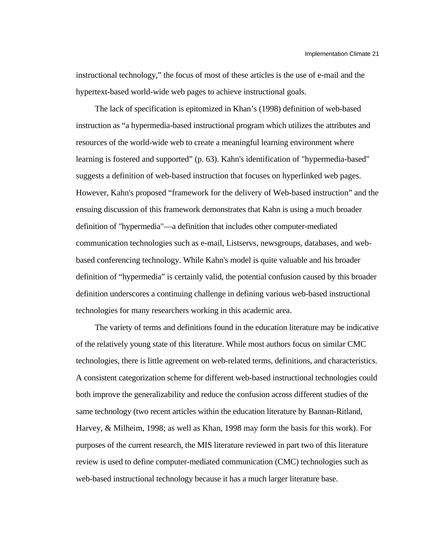instructional technology," the focus of most of these articles is the use of e-mail and the hypertext-based world-wide web pages to achieve instructional goals.

The lack of specification is epitomized in Khan's (1998) definition of web-based instruction as "a hypermedia-based instructional program which utilizes the attributes and resources of the world-wide web to create a meaningful learning environment where learning is fostered and supported" (p. 63). Kahn's identification of "hypermedia-based" suggests a definition of web-based instruction that focuses on hyperlinked web pages. However, Kahn's proposed "framework for the delivery of Web-based instruction" and the ensuing discussion of this framework demonstrates that Kahn is using a much broader definition of "hypermedia"—a definition that includes other computer-mediated communication technologies such as e-mail, Listservs, newsgroups, databases, and webbased conferencing technology. While Kahn's model is quite valuable and his broader definition of "hypermedia" is certainly valid, the potential confusion caused by this broader definition underscores a continuing challenge in defining various web-based instructional technologies for many researchers working in this academic area.

The variety of terms and definitions found in the education literature may be indicative of the relatively young state of this literature. While most authors focus on similar CMC technologies, there is little agreement on web-related terms, definitions, and characteristics. A consistent categorization scheme for different web-based instructional technologies could both improve the generalizability and reduce the confusion across different studies of the same technology (two recent articles within the education literature by Bannan-Ritland, Harvey, & Milheim, 1998; as well as Khan, 1998 may form the basis for this work). For purposes of the current research, the MIS literature reviewed in part two of this literature review is used to define computer-mediated communication (CMC) technologies such as web-based instructional technology because it has a much larger literature base.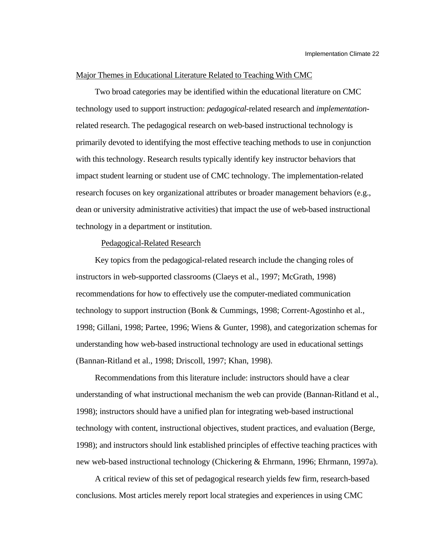## Major Themes in Educational Literature Related to Teaching With CMC

Two broad categories may be identified within the educational literature on CMC technology used to support instruction: *pedagogical*-related research and *implementation*related research. The pedagogical research on web-based instructional technology is primarily devoted to identifying the most effective teaching methods to use in conjunction with this technology. Research results typically identify key instructor behaviors that impact student learning or student use of CMC technology. The implementation-related research focuses on key organizational attributes or broader management behaviors (e.g., dean or university administrative activities) that impact the use of web-based instructional technology in a department or institution.

## Pedagogical-Related Research

Key topics from the pedagogical-related research include the changing roles of instructors in web-supported classrooms (Claeys et al., 1997; McGrath, 1998) recommendations for how to effectively use the computer-mediated communication technology to support instruction (Bonk & Cummings, 1998; Corrent-Agostinho et al., 1998; Gillani, 1998; Partee, 1996; Wiens & Gunter, 1998), and categorization schemas for understanding how web-based instructional technology are used in educational settings (Bannan-Ritland et al., 1998; Driscoll, 1997; Khan, 1998).

Recommendations from this literature include: instructors should have a clear understanding of what instructional mechanism the web can provide (Bannan-Ritland et al., 1998); instructors should have a unified plan for integrating web-based instructional technology with content, instructional objectives, student practices, and evaluation (Berge, 1998); and instructors should link established principles of effective teaching practices with new web-based instructional technology (Chickering & Ehrmann, 1996; Ehrmann, 1997a).

A critical review of this set of pedagogical research yields few firm, research-based conclusions. Most articles merely report local strategies and experiences in using CMC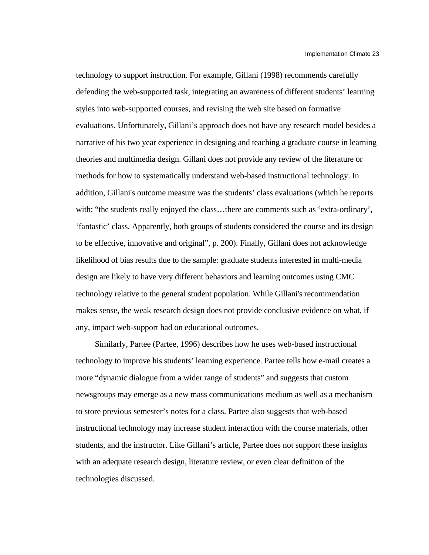technology to support instruction. For example, Gillani (1998) recommends carefully defending the web-supported task, integrating an awareness of different students' learning styles into web-supported courses, and revising the web site based on formative evaluations. Unfortunately, Gillani's approach does not have any research model besides a narrative of his two year experience in designing and teaching a graduate course in learning theories and multimedia design. Gillani does not provide any review of the literature or methods for how to systematically understand web-based instructional technology. In addition, Gillani's outcome measure was the students' class evaluations (which he reports with: "the students really enjoyed the class...there are comments such as 'extra-ordinary', 'fantastic' class. Apparently, both groups of students considered the course and its design to be effective, innovative and original", p. 200). Finally, Gillani does not acknowledge likelihood of bias results due to the sample: graduate students interested in multi-media design are likely to have very different behaviors and learning outcomes using CMC technology relative to the general student population. While Gillani's recommendation makes sense, the weak research design does not provide conclusive evidence on what, if any, impact web-support had on educational outcomes.

Similarly, Partee (Partee, 1996) describes how he uses web-based instructional technology to improve his students' learning experience. Partee tells how e-mail creates a more "dynamic dialogue from a wider range of students" and suggests that custom newsgroups may emerge as a new mass communications medium as well as a mechanism to store previous semester's notes for a class. Partee also suggests that web-based instructional technology may increase student interaction with the course materials, other students, and the instructor. Like Gillani's article, Partee does not support these insights with an adequate research design, literature review, or even clear definition of the technologies discussed.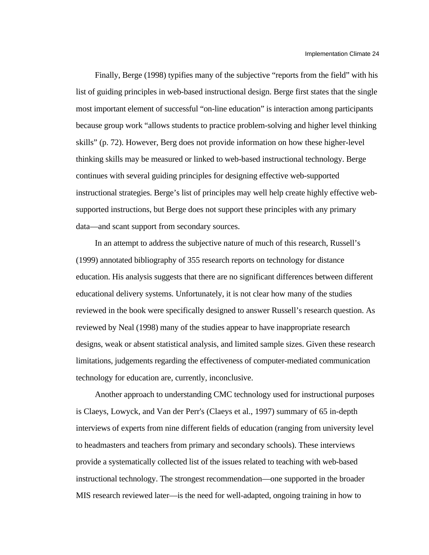Finally, Berge (1998) typifies many of the subjective "reports from the field" with his list of guiding principles in web-based instructional design. Berge first states that the single most important element of successful "on-line education" is interaction among participants because group work "allows students to practice problem-solving and higher level thinking skills" (p. 72). However, Berg does not provide information on how these higher-level thinking skills may be measured or linked to web-based instructional technology. Berge continues with several guiding principles for designing effective web-supported instructional strategies. Berge's list of principles may well help create highly effective websupported instructions, but Berge does not support these principles with any primary data—and scant support from secondary sources.

In an attempt to address the subjective nature of much of this research, Russell's (1999) annotated bibliography of 355 research reports on technology for distance education. His analysis suggests that there are no significant differences between different educational delivery systems. Unfortunately, it is not clear how many of the studies reviewed in the book were specifically designed to answer Russell's research question. As reviewed by Neal (1998) many of the studies appear to have inappropriate research designs, weak or absent statistical analysis, and limited sample sizes. Given these research limitations, judgements regarding the effectiveness of computer-mediated communication technology for education are, currently, inconclusive.

Another approach to understanding CMC technology used for instructional purposes is Claeys, Lowyck, and Van der Perr's (Claeys et al., 1997) summary of 65 in-depth interviews of experts from nine different fields of education (ranging from university level to headmasters and teachers from primary and secondary schools). These interviews provide a systematically collected list of the issues related to teaching with web-based instructional technology. The strongest recommendation—one supported in the broader MIS research reviewed later—is the need for well-adapted, ongoing training in how to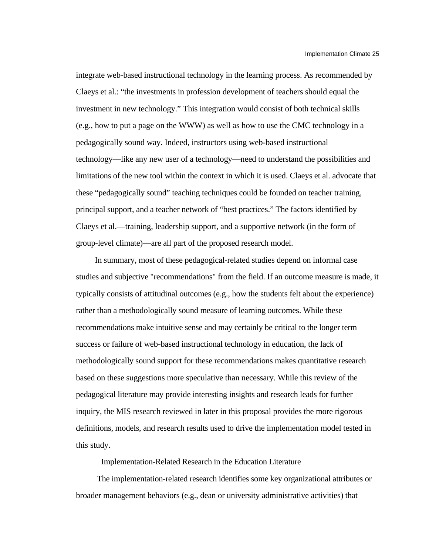integrate web-based instructional technology in the learning process. As recommended by Claeys et al.: "the investments in profession development of teachers should equal the investment in new technology." This integration would consist of both technical skills (e.g., how to put a page on the WWW) as well as how to use the CMC technology in a pedagogically sound way. Indeed, instructors using web-based instructional technology—like any new user of a technology—need to understand the possibilities and limitations of the new tool within the context in which it is used. Claeys et al. advocate that these "pedagogically sound" teaching techniques could be founded on teacher training, principal support, and a teacher network of "best practices." The factors identified by Claeys et al.—training, leadership support, and a supportive network (in the form of group-level climate)—are all part of the proposed research model.

In summary, most of these pedagogical-related studies depend on informal case studies and subjective "recommendations" from the field. If an outcome measure is made, it typically consists of attitudinal outcomes (e.g., how the students felt about the experience) rather than a methodologically sound measure of learning outcomes. While these recommendations make intuitive sense and may certainly be critical to the longer term success or failure of web-based instructional technology in education, the lack of methodologically sound support for these recommendations makes quantitative research based on these suggestions more speculative than necessary. While this review of the pedagogical literature may provide interesting insights and research leads for further inquiry, the MIS research reviewed in later in this proposal provides the more rigorous definitions, models, and research results used to drive the implementation model tested in this study.

## Implementation-Related Research in the Education Literature

 The implementation-related research identifies some key organizational attributes or broader management behaviors (e.g., dean or university administrative activities) that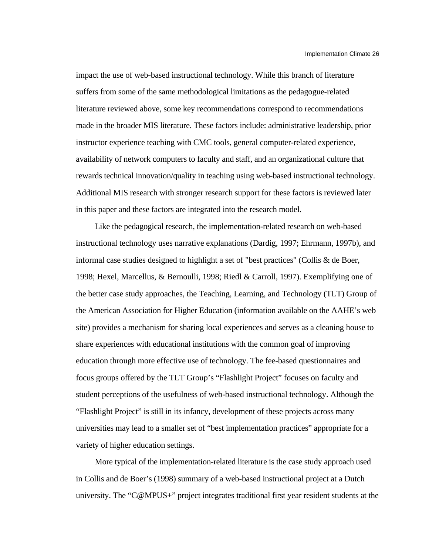impact the use of web-based instructional technology. While this branch of literature suffers from some of the same methodological limitations as the pedagogue-related literature reviewed above, some key recommendations correspond to recommendations made in the broader MIS literature. These factors include: administrative leadership, prior instructor experience teaching with CMC tools, general computer-related experience, availability of network computers to faculty and staff, and an organizational culture that rewards technical innovation/quality in teaching using web-based instructional technology. Additional MIS research with stronger research support for these factors is reviewed later in this paper and these factors are integrated into the research model.

Like the pedagogical research, the implementation-related research on web-based instructional technology uses narrative explanations (Dardig, 1997; Ehrmann, 1997b), and informal case studies designed to highlight a set of "best practices" (Collis & de Boer, 1998; Hexel, Marcellus, & Bernoulli, 1998; Riedl & Carroll, 1997). Exemplifying one of the better case study approaches, the Teaching, Learning, and Technology (TLT) Group of the American Association for Higher Education (information available on the AAHE's web site) provides a mechanism for sharing local experiences and serves as a cleaning house to share experiences with educational institutions with the common goal of improving education through more effective use of technology. The fee-based questionnaires and focus groups offered by the TLT Group's "Flashlight Project" focuses on faculty and student perceptions of the usefulness of web-based instructional technology. Although the "Flashlight Project" is still in its infancy, development of these projects across many universities may lead to a smaller set of "best implementation practices" appropriate for a variety of higher education settings.

More typical of the implementation-related literature is the case study approach used in Collis and de Boer's (1998) summary of a web-based instructional project at a Dutch university. The "C@MPUS+" project integrates traditional first year resident students at the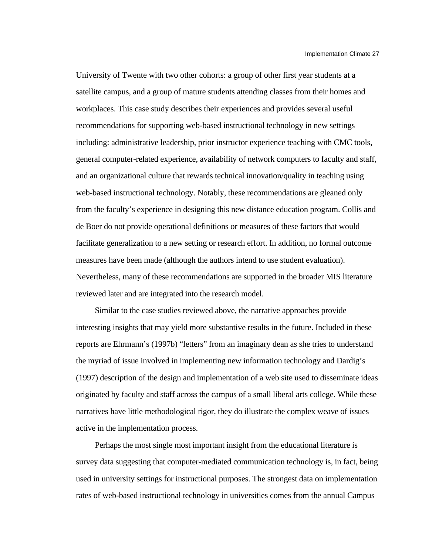University of Twente with two other cohorts: a group of other first year students at a satellite campus, and a group of mature students attending classes from their homes and workplaces. This case study describes their experiences and provides several useful recommendations for supporting web-based instructional technology in new settings including: administrative leadership, prior instructor experience teaching with CMC tools, general computer-related experience, availability of network computers to faculty and staff, and an organizational culture that rewards technical innovation/quality in teaching using web-based instructional technology. Notably, these recommendations are gleaned only from the faculty's experience in designing this new distance education program. Collis and de Boer do not provide operational definitions or measures of these factors that would facilitate generalization to a new setting or research effort. In addition, no formal outcome measures have been made (although the authors intend to use student evaluation). Nevertheless, many of these recommendations are supported in the broader MIS literature reviewed later and are integrated into the research model.

Similar to the case studies reviewed above, the narrative approaches provide interesting insights that may yield more substantive results in the future. Included in these reports are Ehrmann's (1997b) "letters" from an imaginary dean as she tries to understand the myriad of issue involved in implementing new information technology and Dardig's (1997) description of the design and implementation of a web site used to disseminate ideas originated by faculty and staff across the campus of a small liberal arts college. While these narratives have little methodological rigor, they do illustrate the complex weave of issues active in the implementation process.

Perhaps the most single most important insight from the educational literature is survey data suggesting that computer-mediated communication technology is, in fact, being used in university settings for instructional purposes. The strongest data on implementation rates of web-based instructional technology in universities comes from the annual Campus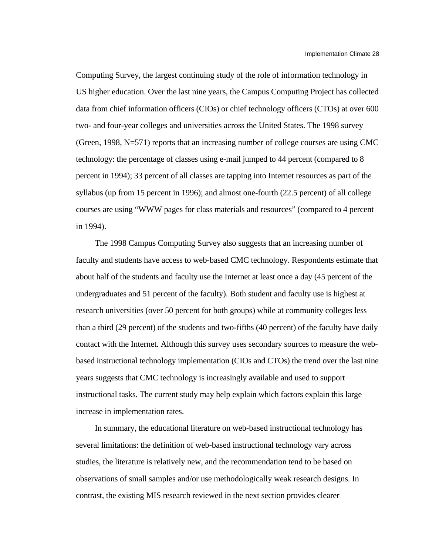Computing Survey, the largest continuing study of the role of information technology in US higher education. Over the last nine years, the Campus Computing Project has collected data from chief information officers (CIOs) or chief technology officers (CTOs) at over 600 two- and four-year colleges and universities across the United States. The 1998 survey (Green, 1998, N=571) reports that an increasing number of college courses are using CMC technology: the percentage of classes using e-mail jumped to 44 percent (compared to 8 percent in 1994); 33 percent of all classes are tapping into Internet resources as part of the syllabus (up from 15 percent in 1996); and almost one-fourth (22.5 percent) of all college courses are using "WWW pages for class materials and resources" (compared to 4 percent in 1994).

The 1998 Campus Computing Survey also suggests that an increasing number of faculty and students have access to web-based CMC technology. Respondents estimate that about half of the students and faculty use the Internet at least once a day (45 percent of the undergraduates and 51 percent of the faculty). Both student and faculty use is highest at research universities (over 50 percent for both groups) while at community colleges less than a third (29 percent) of the students and two-fifths (40 percent) of the faculty have daily contact with the Internet. Although this survey uses secondary sources to measure the webbased instructional technology implementation (CIOs and CTOs) the trend over the last nine years suggests that CMC technology is increasingly available and used to support instructional tasks. The current study may help explain which factors explain this large increase in implementation rates.

In summary, the educational literature on web-based instructional technology has several limitations: the definition of web-based instructional technology vary across studies, the literature is relatively new, and the recommendation tend to be based on observations of small samples and/or use methodologically weak research designs. In contrast, the existing MIS research reviewed in the next section provides clearer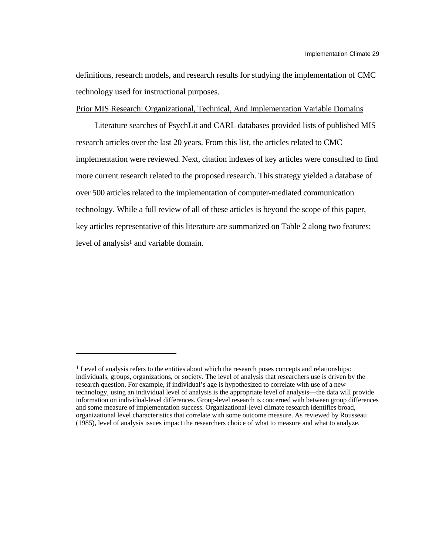definitions, research models, and research results for studying the implementation of CMC technology used for instructional purposes.

## Prior MIS Research: Organizational, Technical, And Implementation Variable Domains

Literature searches of PsychLit and CARL databases provided lists of published MIS research articles over the last 20 years. From this list, the articles related to CMC implementation were reviewed. Next, citation indexes of key articles were consulted to find more current research related to the proposed research. This strategy yielded a database of over 500 articles related to the implementation of computer-mediated communication technology. While a full review of all of these articles is beyond the scope of this paper, key articles representative of this literature are summarized on Table 2 along two features: level of analysis<sup>1</sup> and variable domain.

l

<sup>&</sup>lt;sup>1</sup> Level of analysis refers to the entities about which the research poses concepts and relationships: individuals, groups, organizations, or society. The level of analysis that researchers use is driven by the research question. For example, if individual's age is hypothesized to correlate with use of a new technology, using an individual level of analysis is the appropriate level of analysis—the data will provide information on individual-level differences. Group-level research is concerned with between group differences and some measure of implementation success. Organizational-level climate research identifies broad, organizational level characteristics that correlate with some outcome measure. As reviewed by Rousseau (1985), level of analysis issues impact the researchers choice of what to measure and what to analyze.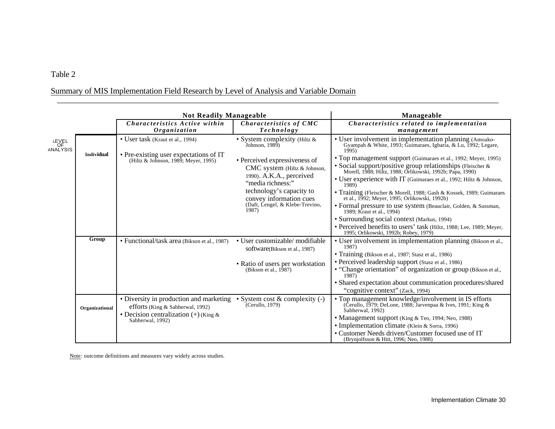# Table 2

# Summary of MIS Implementation Field Research by Level of Analysis and Variable Domain

|                         |                | <b>Not Readily Manageable</b>                                                  |                                                                                                                                                                                                                   | Manageable                                                                                                                                                                                                                                                       |  |  |  |
|-------------------------|----------------|--------------------------------------------------------------------------------|-------------------------------------------------------------------------------------------------------------------------------------------------------------------------------------------------------------------|------------------------------------------------------------------------------------------------------------------------------------------------------------------------------------------------------------------------------------------------------------------|--|--|--|
|                         |                | Characteristics Active within<br>Organization                                  | Characteristics of CMC<br>Technology                                                                                                                                                                              | Characteristics related to implementation<br>management                                                                                                                                                                                                          |  |  |  |
| LEVEL<br>OF<br>ANALYSIS | Individual     | • User task (Kraut et al., 1994)                                               | • System complexity (Hiltz &<br>Johnson, $1989$                                                                                                                                                                   | • User involvement in implementation planning (Amoako-<br>Gyampah & White, 1993; Guimaraes, Igbaria, & Lu, 1992; Legare,<br>1995                                                                                                                                 |  |  |  |
|                         |                | • Pre-existing user expectations of IT<br>(Hiltz & Johnson, 1989; Meyer, 1995) | • Perceived expressiveness of<br>CMC system (Hiltz & Johnson,<br>1990). A.K.A., perceived<br>"media richness:"<br>technology's capacity to<br>convey information cues<br>(Daft, Lengel, & Klebe-Trevino,<br>1987) | • Top management support (Guimaraes et al., 1992; Meyer, 1995)<br>· Social support/positive group relationships (Fleischer &<br>Morell, 1988; Hiltz, 1988; Orlikowski, 1992b; Papa, 1990)<br>• User experience with IT (Guimaraes et al., 1992; Hiltz & Johnson, |  |  |  |
|                         |                |                                                                                |                                                                                                                                                                                                                   | 1989)<br>• Training (Fleischer & Morell, 1988; Gash & Kossek, 1989; Guimaraes<br>et al., 1992; Meyer, 1995; Orlikowski, 1992b)                                                                                                                                   |  |  |  |
|                         |                |                                                                                |                                                                                                                                                                                                                   | • Formal pressure to use system (Beauclair, Golden, & Sussman,<br>1989; Kraut et al., 1994)                                                                                                                                                                      |  |  |  |
|                         |                |                                                                                |                                                                                                                                                                                                                   | • Surrounding social context (Markus, 1994)<br>· Perceived benefits to users' task (Hiltz, 1988; Lee, 1989; Meyer,<br>1995; Orlikowski, 1992b; Robey, 1979)                                                                                                      |  |  |  |
|                         | Group          | • Functional/task area (Bikson et al., 1987)                                   | • User customizable/modifiable<br>software(Bikson et al., 1987)                                                                                                                                                   | • User involvement in implementation planning (Bikson et al.,<br>1987)                                                                                                                                                                                           |  |  |  |
|                         |                |                                                                                | • Ratio of users per workstation<br>(Bikson et al., $1\overline{9}87$ )                                                                                                                                           | • Training (Bikson et al., 1987; Stasz et al., 1986)<br>• Perceived leadership support (Stasz et al., 1986)<br>• "Change orientation" of organization or group (Bikson et al.,<br>$1987$ )                                                                       |  |  |  |
|                         |                |                                                                                |                                                                                                                                                                                                                   | • Shared expectation about communication procedures/shared<br>"cognitive context" (Zack, 1994)                                                                                                                                                                   |  |  |  |
|                         | Organizational | • Diversity in production and marketing<br>efforts (King & Sabherwal, 1992)    | • System cost $&$ complexity $(-)$<br>Cerullo, 1979                                                                                                                                                               | • Top management knowledge/involvement in IS efforts<br>(Cerullo, 1979; DeLone, 1988; Jarvenpaa & Ives, 1991; King &<br>Sabherwal, 1992)                                                                                                                         |  |  |  |
|                         |                | • Decision centralization $(+)$ (King &<br>Sabherwal, 1992)                    |                                                                                                                                                                                                                   | • Management support (King & Teo, 1994; Neo, 1988)<br>• Implementation climate (Klein & Sorra, 1996)<br>• Customer Needs driven/Customer focused use of IT<br>(Brynjolfsson & Hitt, 1996; Neo, 1988)                                                             |  |  |  |

\_\_\_\_\_\_\_\_\_\_\_\_\_\_\_\_\_\_\_\_\_\_\_\_\_\_\_\_\_\_\_\_\_\_\_\_\_\_\_\_\_\_\_\_\_\_\_\_\_\_\_\_\_\_\_\_\_\_\_\_\_\_\_\_\_\_\_\_\_\_\_\_\_\_\_\_\_\_\_\_\_\_\_\_\_\_\_\_\_\_\_\_\_\_\_\_\_\_\_\_\_\_\_\_\_

Note: outcome definitions and measures vary widely across studies.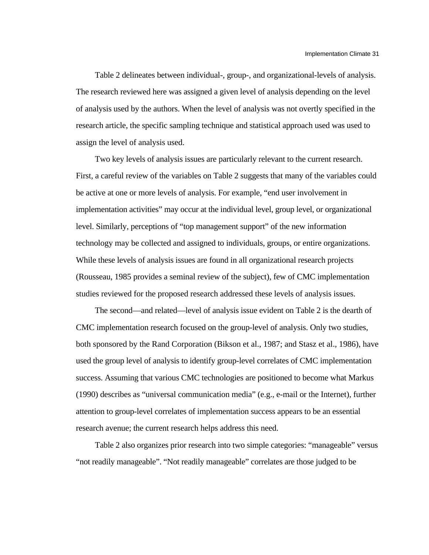Table 2 delineates between individual-, group-, and organizational-levels of analysis. The research reviewed here was assigned a given level of analysis depending on the level of analysis used by the authors. When the level of analysis was not overtly specified in the research article, the specific sampling technique and statistical approach used was used to assign the level of analysis used.

Two key levels of analysis issues are particularly relevant to the current research. First, a careful review of the variables on Table 2 suggests that many of the variables could be active at one or more levels of analysis. For example, "end user involvement in implementation activities" may occur at the individual level, group level, or organizational level. Similarly, perceptions of "top management support" of the new information technology may be collected and assigned to individuals, groups, or entire organizations. While these levels of analysis issues are found in all organizational research projects (Rousseau, 1985 provides a seminal review of the subject), few of CMC implementation studies reviewed for the proposed research addressed these levels of analysis issues.

The second—and related—level of analysis issue evident on Table 2 is the dearth of CMC implementation research focused on the group-level of analysis. Only two studies, both sponsored by the Rand Corporation (Bikson et al., 1987; and Stasz et al., 1986), have used the group level of analysis to identify group-level correlates of CMC implementation success. Assuming that various CMC technologies are positioned to become what Markus (1990) describes as "universal communication media" (e.g., e-mail or the Internet), further attention to group-level correlates of implementation success appears to be an essential research avenue; the current research helps address this need.

Table 2 also organizes prior research into two simple categories: "manageable" versus "not readily manageable". "Not readily manageable" correlates are those judged to be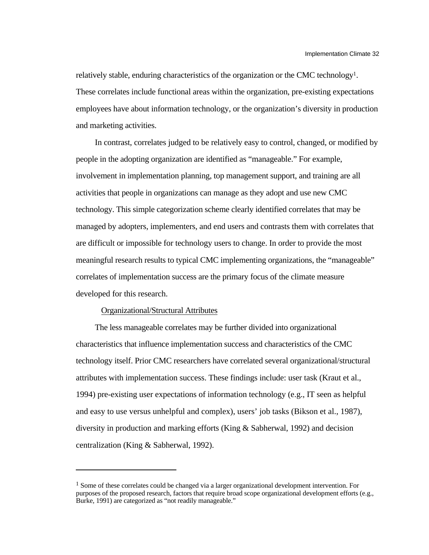relatively stable, enduring characteristics of the organization or the CMC technology<sup>1</sup>. These correlates include functional areas within the organization, pre-existing expectations employees have about information technology, or the organization's diversity in production and marketing activities.

In contrast, correlates judged to be relatively easy to control, changed, or modified by people in the adopting organization are identified as "manageable." For example, involvement in implementation planning, top management support, and training are all activities that people in organizations can manage as they adopt and use new CMC technology. This simple categorization scheme clearly identified correlates that may be managed by adopters, implementers, and end users and contrasts them with correlates that are difficult or impossible for technology users to change. In order to provide the most meaningful research results to typical CMC implementing organizations, the "manageable" correlates of implementation success are the primary focus of the climate measure developed for this research.

#### Organizational/Structural Attributes

l

The less manageable correlates may be further divided into organizational characteristics that influence implementation success and characteristics of the CMC technology itself. Prior CMC researchers have correlated several organizational/structural attributes with implementation success. These findings include: user task (Kraut et al., 1994) pre-existing user expectations of information technology (e.g., IT seen as helpful and easy to use versus unhelpful and complex), users' job tasks (Bikson et al., 1987), diversity in production and marking efforts (King & Sabherwal, 1992) and decision centralization (King & Sabherwal, 1992).

<sup>&</sup>lt;sup>1</sup> Some of these correlates could be changed via a larger organizational development intervention. For purposes of the proposed research, factors that require broad scope organizational development efforts (e.g., Burke, 1991) are categorized as "not readily manageable."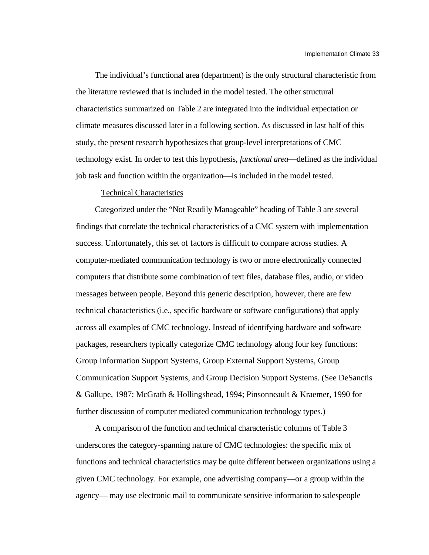The individual's functional area (department) is the only structural characteristic from the literature reviewed that is included in the model tested. The other structural characteristics summarized on Table 2 are integrated into the individual expectation or climate measures discussed later in a following section. As discussed in last half of this study, the present research hypothesizes that group-level interpretations of CMC technology exist. In order to test this hypothesis, *functional area*—defined as the individual job task and function within the organization—is included in the model tested.

## Technical Characteristics

Categorized under the "Not Readily Manageable" heading of Table 3 are several findings that correlate the technical characteristics of a CMC system with implementation success. Unfortunately, this set of factors is difficult to compare across studies. A computer-mediated communication technology is two or more electronically connected computers that distribute some combination of text files, database files, audio, or video messages between people. Beyond this generic description, however, there are few technical characteristics (i.e., specific hardware or software configurations) that apply across all examples of CMC technology. Instead of identifying hardware and software packages, researchers typically categorize CMC technology along four key functions: Group Information Support Systems, Group External Support Systems, Group Communication Support Systems, and Group Decision Support Systems. (See DeSanctis & Gallupe, 1987; McGrath & Hollingshead, 1994; Pinsonneault & Kraemer, 1990 for further discussion of computer mediated communication technology types.)

A comparison of the function and technical characteristic columns of Table 3 underscores the category-spanning nature of CMC technologies: the specific mix of functions and technical characteristics may be quite different between organizations using a given CMC technology. For example, one advertising company—or a group within the agency— may use electronic mail to communicate sensitive information to salespeople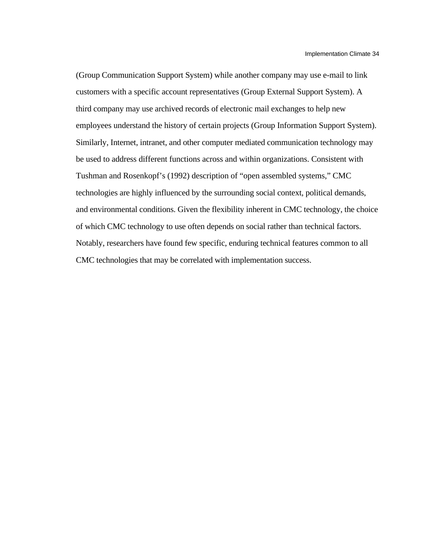(Group Communication Support System) while another company may use e-mail to link customers with a specific account representatives (Group External Support System). A third company may use archived records of electronic mail exchanges to help new employees understand the history of certain projects (Group Information Support System). Similarly, Internet, intranet, and other computer mediated communication technology may be used to address different functions across and within organizations. Consistent with Tushman and Rosenkopf's (1992) description of "open assembled systems," CMC technologies are highly influenced by the surrounding social context, political demands, and environmental conditions. Given the flexibility inherent in CMC technology, the choice of which CMC technology to use often depends on social rather than technical factors. Notably, researchers have found few specific, enduring technical features common to all CMC technologies that may be correlated with implementation success.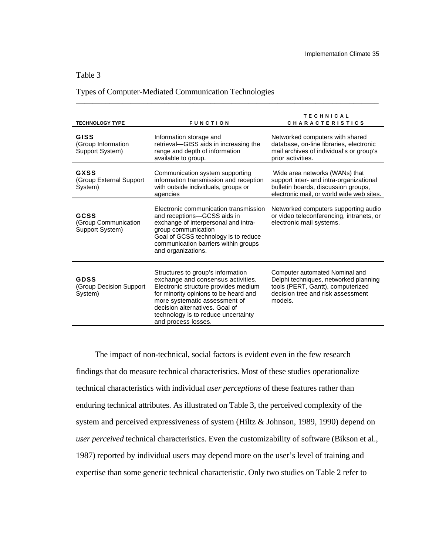# Table 3

### Types of Computer-Mediated Communication Technologies

| <b>TECHNOLOGY TYPE</b>                                 | <b>FUNCTION</b>                                                                                                                                                                                                                                                                           | <b>TECHNICAL</b><br><b>CHARACTERISTICS</b>                                                                                                                    |
|--------------------------------------------------------|-------------------------------------------------------------------------------------------------------------------------------------------------------------------------------------------------------------------------------------------------------------------------------------------|---------------------------------------------------------------------------------------------------------------------------------------------------------------|
| <b>GISS</b><br>(Group Information<br>Support System)   | Information storage and<br>retrieval-GISS aids in increasing the<br>range and depth of information<br>available to group.                                                                                                                                                                 | Networked computers with shared<br>database, on-line libraries, electronic<br>mail archives of individual's or group's<br>prior activities.                   |
| <b>GXSS</b><br>(Group External Support<br>System)      | Communication system supporting<br>information transmission and reception<br>with outside individuals, groups or<br>agencies                                                                                                                                                              | Wide area networks (WANs) that<br>support inter- and intra-organizational<br>bulletin boards, discussion groups,<br>electronic mail, or world wide web sites. |
| <b>GCSS</b><br>(Group Communication<br>Support System) | Electronic communication transmission<br>and receptions-GCSS aids in<br>exchange of interpersonal and intra-<br>group communication<br>Goal of GCSS technology is to reduce<br>communication barriers within groups<br>and organizations.                                                 | Networked computers supporting audio<br>or video teleconferencing, intranets, or<br>electronic mail systems.                                                  |
| <b>GDSS</b><br>(Group Decision Support<br>System)      | Structures to group's information<br>exchange and consensus activities.<br>Electronic structure provides medium<br>for minority opinions to be heard and<br>more systematic assessment of<br>decision alternatives. Goal of<br>technology is to reduce uncertainty<br>and process losses. | Computer automated Nominal and<br>Delphi techniques, networked planning<br>tools (PERT, Gantt), computerized<br>decision tree and risk assessment<br>models.  |

\_\_\_\_\_\_\_\_\_\_\_\_\_\_\_\_\_\_\_\_\_\_\_\_\_\_\_\_\_\_\_\_\_\_\_\_\_\_\_\_\_\_\_\_\_\_\_\_\_\_\_\_\_\_\_\_\_\_\_\_\_\_\_\_\_\_\_\_\_\_\_\_

The impact of non-technical, social factors is evident even in the few research findings that do measure technical characteristics. Most of these studies operationalize technical characteristics with individual *user perceptions* of these features rather than enduring technical attributes. As illustrated on Table 3, the perceived complexity of the system and perceived expressiveness of system (Hiltz & Johnson, 1989, 1990) depend on *user perceived* technical characteristics. Even the customizability of software (Bikson et al., 1987) reported by individual users may depend more on the user's level of training and expertise than some generic technical characteristic. Only two studies on Table 2 refer to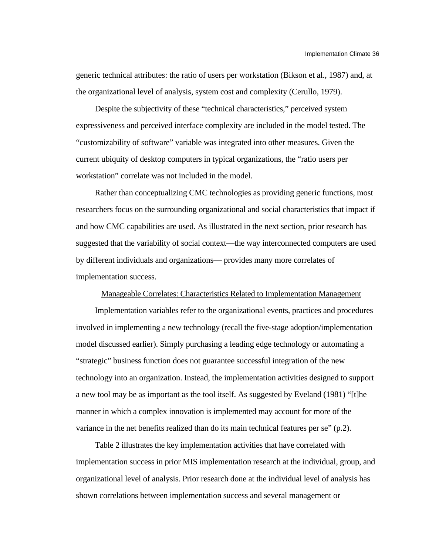generic technical attributes: the ratio of users per workstation (Bikson et al., 1987) and, at the organizational level of analysis, system cost and complexity (Cerullo, 1979).

Despite the subjectivity of these "technical characteristics," perceived system expressiveness and perceived interface complexity are included in the model tested. The "customizability of software" variable was integrated into other measures. Given the current ubiquity of desktop computers in typical organizations, the "ratio users per workstation" correlate was not included in the model.

Rather than conceptualizing CMC technologies as providing generic functions, most researchers focus on the surrounding organizational and social characteristics that impact if and how CMC capabilities are used. As illustrated in the next section, prior research has suggested that the variability of social context—the way interconnected computers are used by different individuals and organizations— provides many more correlates of implementation success.

### Manageable Correlates: Characteristics Related to Implementation Management

Implementation variables refer to the organizational events, practices and procedures involved in implementing a new technology (recall the five-stage adoption/implementation model discussed earlier). Simply purchasing a leading edge technology or automating a "strategic" business function does not guarantee successful integration of the new technology into an organization. Instead, the implementation activities designed to support a new tool may be as important as the tool itself. As suggested by Eveland (1981) "[t]he manner in which a complex innovation is implemented may account for more of the variance in the net benefits realized than do its main technical features per se" (p.2).

Table 2 illustrates the key implementation activities that have correlated with implementation success in prior MIS implementation research at the individual, group, and organizational level of analysis. Prior research done at the individual level of analysis has shown correlations between implementation success and several management or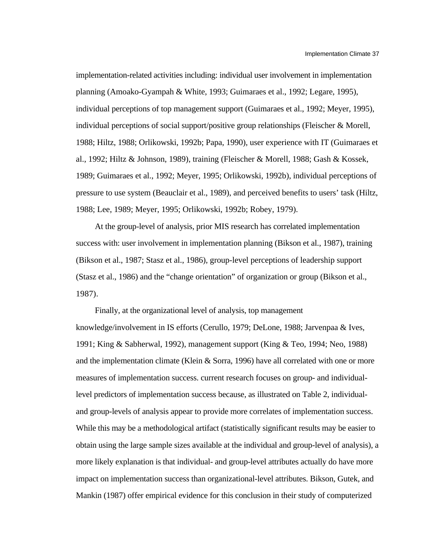implementation-related activities including: individual user involvement in implementation planning (Amoako-Gyampah & White, 1993; Guimaraes et al., 1992; Legare, 1995), individual perceptions of top management support (Guimaraes et al., 1992; Meyer, 1995), individual perceptions of social support/positive group relationships (Fleischer & Morell, 1988; Hiltz, 1988; Orlikowski, 1992b; Papa, 1990), user experience with IT (Guimaraes et al., 1992; Hiltz & Johnson, 1989), training (Fleischer & Morell, 1988; Gash & Kossek, 1989; Guimaraes et al., 1992; Meyer, 1995; Orlikowski, 1992b), individual perceptions of pressure to use system (Beauclair et al., 1989), and perceived benefits to users' task (Hiltz, 1988; Lee, 1989; Meyer, 1995; Orlikowski, 1992b; Robey, 1979).

At the group-level of analysis, prior MIS research has correlated implementation success with: user involvement in implementation planning (Bikson et al., 1987), training (Bikson et al., 1987; Stasz et al., 1986), group-level perceptions of leadership support (Stasz et al., 1986) and the "change orientation" of organization or group (Bikson et al., 1987).

Finally, at the organizational level of analysis, top management knowledge/involvement in IS efforts (Cerullo, 1979; DeLone, 1988; Jarvenpaa & Ives, 1991; King & Sabherwal, 1992), management support (King & Teo, 1994; Neo, 1988) and the implementation climate (Klein & Sorra, 1996) have all correlated with one or more measures of implementation success. current research focuses on group- and individuallevel predictors of implementation success because, as illustrated on Table 2, individualand group-levels of analysis appear to provide more correlates of implementation success. While this may be a methodological artifact (statistically significant results may be easier to obtain using the large sample sizes available at the individual and group-level of analysis), a more likely explanation is that individual- and group-level attributes actually do have more impact on implementation success than organizational-level attributes. Bikson, Gutek, and Mankin (1987) offer empirical evidence for this conclusion in their study of computerized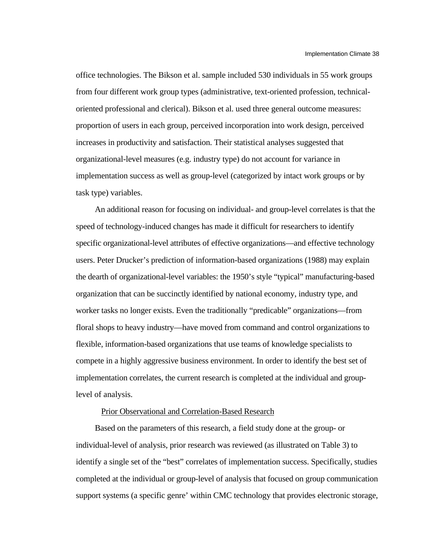office technologies. The Bikson et al. sample included 530 individuals in 55 work groups from four different work group types (administrative, text-oriented profession, technicaloriented professional and clerical). Bikson et al. used three general outcome measures: proportion of users in each group, perceived incorporation into work design, perceived increases in productivity and satisfaction. Their statistical analyses suggested that organizational-level measures (e.g. industry type) do not account for variance in implementation success as well as group-level (categorized by intact work groups or by task type) variables.

An additional reason for focusing on individual- and group-level correlates is that the speed of technology-induced changes has made it difficult for researchers to identify specific organizational-level attributes of effective organizations—and effective technology users. Peter Drucker's prediction of information-based organizations (1988) may explain the dearth of organizational-level variables: the 1950's style "typical" manufacturing-based organization that can be succinctly identified by national economy, industry type, and worker tasks no longer exists. Even the traditionally "predicable" organizations—from floral shops to heavy industry—have moved from command and control organizations to flexible, information-based organizations that use teams of knowledge specialists to compete in a highly aggressive business environment. In order to identify the best set of implementation correlates, the current research is completed at the individual and grouplevel of analysis.

### Prior Observational and Correlation-Based Research

Based on the parameters of this research, a field study done at the group- or individual-level of analysis, prior research was reviewed (as illustrated on Table 3) to identify a single set of the "best" correlates of implementation success. Specifically, studies completed at the individual or group-level of analysis that focused on group communication support systems (a specific genre' within CMC technology that provides electronic storage,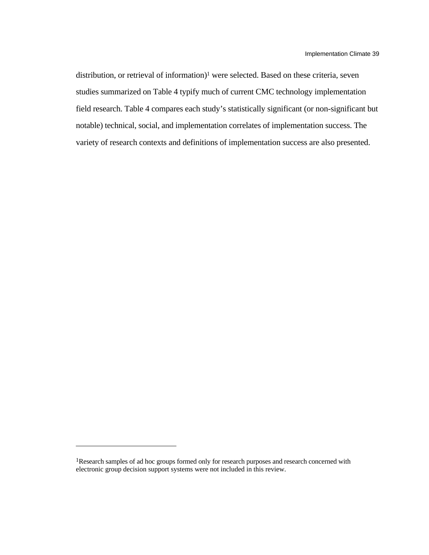distribution, or retrieval of information)<sup>1</sup> were selected. Based on these criteria, seven studies summarized on Table 4 typify much of current CMC technology implementation field research. Table 4 compares each study's statistically significant (or non-significant but notable) technical, social, and implementation correlates of implementation success. The variety of research contexts and definitions of implementation success are also presented.

l

<sup>1</sup>Research samples of ad hoc groups formed only for research purposes and research concerned with electronic group decision support systems were not included in this review.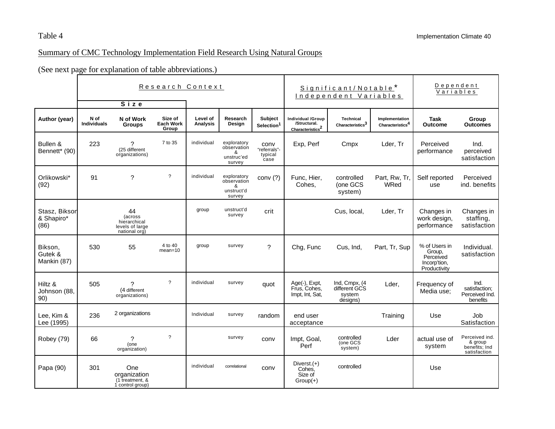# Summary of CMC Technology Implementation Field Research Using Natural Groups

(See next page for explanation of table abbreviations.)

|                                     | Research Context<br>Size   |                                                                   |                                      |                             |                                                         | Significant/Notable*<br>Independent Variables |                                                         | Dependent<br>Variables                               |                                       |                                                                      |                                                            |
|-------------------------------------|----------------------------|-------------------------------------------------------------------|--------------------------------------|-----------------------------|---------------------------------------------------------|-----------------------------------------------|---------------------------------------------------------|------------------------------------------------------|---------------------------------------|----------------------------------------------------------------------|------------------------------------------------------------|
| Author (year)                       | N of<br><b>Individuals</b> | N of Work<br><b>Groups</b>                                        | Size of<br><b>Each Work</b><br>Group | Level of<br><b>Analysis</b> | Research<br>Design                                      | <b>Subject</b><br>Selection <sup>1</sup>      | Individual /Group<br>/Structural.<br>$Characteristics2$ | <b>Technical</b><br>Characteristics $^3$             | Implementation<br>Characteristics $4$ | Task<br>Outcome                                                      | Group<br><b>Outcomes</b>                                   |
| Bullen &<br>Bennett* (90)           | 223                        | っ<br>(25 different<br>organizations)                              | 7 to 35                              | individual                  | exploratory<br>observation<br>&<br>unstruc'ed<br>survey | conv<br>"referrals"-<br>typical<br>case       | Exp, Perf                                               | Cmpx                                                 | Lder, Tr                              | Perceived<br>performance                                             | Ind.<br>perceived<br>satisfaction                          |
| Orlikowski*<br>(92)                 | 91                         | ?                                                                 | $\overline{\cdot}$                   | individual                  | exploratory<br>observation<br>&<br>unstruct'd<br>survey | conv $(?)$                                    | Func, Hier,<br>Cohes.                                   | controlled<br>(one GCS<br>system)                    | Part, Rw, Tr.<br>WRed                 | Self reported<br>use                                                 | Perceived<br>ind. benefits                                 |
| Stasz, Bikson<br>& Shapiro*<br>(86) |                            | 44<br>(across<br>hierarchical<br>levels of large<br>national org) |                                      | group                       | unstruct'd<br>survey                                    | crit                                          |                                                         | Cus, local,                                          | Lder, Tr                              | Changes in<br>work design,<br>performance                            | Changes in<br>staffing,<br>satisfaction                    |
| Bikson,<br>Gutek &<br>Mankin (87)   | 530                        | 55                                                                | 4 to 40<br>$mean = 10$               | group                       | survey                                                  | $\gamma$                                      | Chg, Func                                               | Cus, Ind,                                            | Part, Tr, Sup                         | % of Users in<br>Group,<br>Perceived<br>Incorp'tion,<br>Productivity | Individual.<br>satisfaction                                |
| Hiltz &<br>Johnson (88,<br>90)      | 505                        | ?<br>(4 different<br>organizations)                               | $\overline{\cdot}$                   | individual                  | survey                                                  | quot                                          | Age(-), Expt,<br>Frus, Cohes,<br>Impt, Int, Sat,        | Ind, Cmpx, (4<br>different GCS<br>system<br>designs) | Lder,                                 | Frequency of<br>Media use:                                           | Ind.<br>satisfaction;<br>Perceived Ind.<br>benefits        |
| Lee, Kim &<br>Lee (1995)            | 236                        | 2 organizations                                                   |                                      | Individual                  | survey                                                  | random                                        | end user<br>acceptance                                  |                                                      | Training                              | Use                                                                  | Job<br>Satisfaction                                        |
| Robey (79)                          | 66                         | ?<br>(one<br>organization)                                        | $\gamma$                             |                             | survey                                                  | conv                                          | Impt, Goal,<br>Perf                                     | controlled<br>(one GCS<br>system)                    | Lder                                  | actual use of<br>system                                              | Perceived ind.<br>& group<br>benefits; Ind<br>satisfaction |
| Papa (90)                           | 301                        | One<br>organization<br>(1 treatment, &<br>1 control group)        |                                      | individual                  | correlational                                           | conv                                          | Diverst. $(+)$<br>Cohes,<br>Size of<br>$Group(+)$       | controlled                                           |                                       | Use                                                                  |                                                            |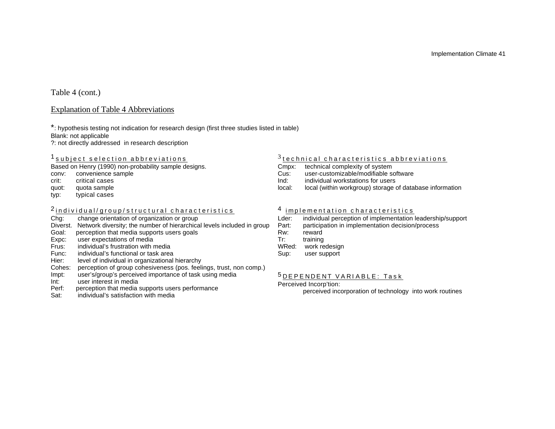# Table 4 (cont.)

### Explanation of Table 4 Abbreviations

\*: hypothesis testing not indication for research design (first three studies listed in table) Blank: not applicable

?: not directly addressed in research description

## <sup>1</sup> subject selection abbreviations

Based on Henry (1990) non-probability sample designs.

- conv: convenience sample
- crit: critical cases
- quot: quota sample
- typ: typical cases

# 2 <u>individual/group/structural characteristics</u>

- Chg: change orientation of organization or group
- Diverst. Network diversity; the number of hierarchical levels included in group
- Goal: perception that media supports users goals
- Expc: user expectations of media<br>Frus: individual's frustration with r
- individual's frustration with media
- Func: individual's functional or task area
- Hier: level of individual in organizational hierarchy
- Cohes: perception of group cohesiveness (pos. feelings, trust, non comp.)
- Impt: user's/group's perceived importance of task using media
- Int: user interest in media<br>Perf: perception that media
- perception that media supports users performance
- Sat: individual's satisfaction with media

# $^3$ <u>technical characteristics abbreviations</u>

- Cmpx: technical complexity of system
- Cus: user-customizable/modifiable software
- Ind: individual workstations for users
- local: local (within workgroup) storage of database information

## <sup>4</sup> implementation characteristics

- Lder: individual perception of implementation leadership/support<br>Part: participation in implementation decision/process
- participation in implementation decision/process
- Rw: reward
- Tr: training
- WRed: work redesign
- Sup: user support

# 5 D E P E N D E N T V A R I A B L E : T a s k

#### Perceived Incorp'tion:

perceived incorporation of technology into work routines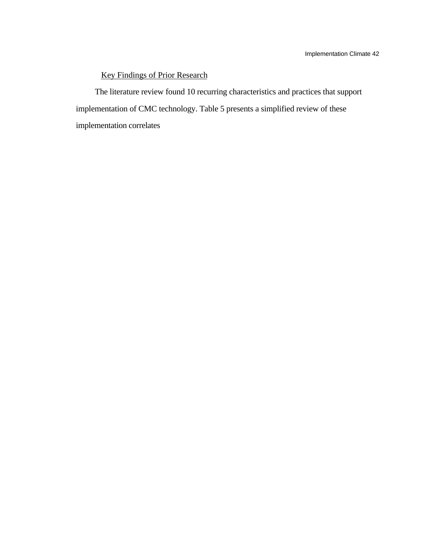# Key Findings of Prior Research

The literature review found 10 recurring characteristics and practices that support implementation of CMC technology. Table 5 presents a simplified review of these implementation correlates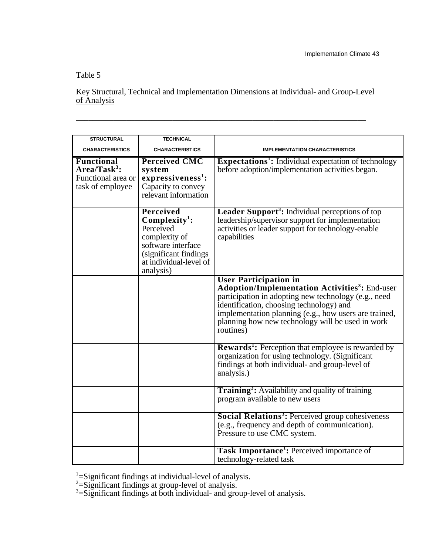# Table 5

# Key Structural, Technical and Implementation Dimensions at Individual- and Group-Level of Analysis

\_\_\_\_\_\_\_\_\_\_\_\_\_\_\_\_\_\_\_\_\_\_\_\_\_\_\_\_\_\_\_\_\_\_\_\_\_\_\_\_\_\_\_\_\_\_\_\_\_\_\_\_\_\_\_\_\_\_\_\_\_\_\_\_\_\_\_\_\_

| <b>STRUCTURAL</b>                                                              | <b>TECHNICAL</b>                                                                                                                                         |                                                                                                                                                                                                                                                                                                                               |  |  |  |  |
|--------------------------------------------------------------------------------|----------------------------------------------------------------------------------------------------------------------------------------------------------|-------------------------------------------------------------------------------------------------------------------------------------------------------------------------------------------------------------------------------------------------------------------------------------------------------------------------------|--|--|--|--|
| <b>CHARACTERISTICS</b>                                                         | <b>CHARACTERISTICS</b>                                                                                                                                   | <b>IMPLEMENTATION CHARACTERISTICS</b>                                                                                                                                                                                                                                                                                         |  |  |  |  |
| <b>Functional</b><br>$Area/Task^3$ :<br>Functional area or<br>task of employee | <b>Perceived CMC</b><br>system<br>expressiveness <sup>1</sup> :<br>Capacity to convey<br>relevant information                                            | <b>Expectations<sup>1</sup>:</b> Individual expectation of technology<br>before adoption/implementation activities began.                                                                                                                                                                                                     |  |  |  |  |
|                                                                                | <b>Perceived</b><br>$Complexity1$ :<br>Perceived<br>complexity of<br>software interface<br>(significant findings)<br>at individual-level of<br>analysis) | <b>Leader Support<sup>3</sup>:</b> Individual perceptions of top<br>leadership/supervisor support for implementation<br>activities or leader support for technology-enable<br>capabilities                                                                                                                                    |  |  |  |  |
|                                                                                |                                                                                                                                                          | <b>User Participation in</b><br><b>Adoption/Implementation Activities<sup>3</sup>:</b> End-user<br>participation in adopting new technology (e.g., need<br>identification, choosing technology) and<br>implementation planning (e.g., how users are trained,<br>planning how new technology will be used in work<br>routines) |  |  |  |  |
|                                                                                |                                                                                                                                                          | <b>Rewards<sup>1</sup>:</b> Perception that employee is rewarded by<br>organization for using technology. (Significant<br>findings at both individual- and group-level of<br>analysis.)                                                                                                                                       |  |  |  |  |
|                                                                                |                                                                                                                                                          | Training <sup>3</sup> : Availability and quality of training<br>program available to new users                                                                                                                                                                                                                                |  |  |  |  |
|                                                                                |                                                                                                                                                          | <b>Social Relations<sup>3</sup>: Perceived group cohesiveness</b><br>(e.g., frequency and depth of communication).<br>Pressure to use CMC system.                                                                                                                                                                             |  |  |  |  |
|                                                                                |                                                                                                                                                          | <b>Task Importance</b> <sup>1</sup> : Perceived importance of<br>technology-related task                                                                                                                                                                                                                                      |  |  |  |  |

 $1 =$ Significant findings at individual-level of analysis.

 $2$ =Significant findings at group-level of analysis.

 $3 =$ Significant findings at both individual- and group-level of analysis.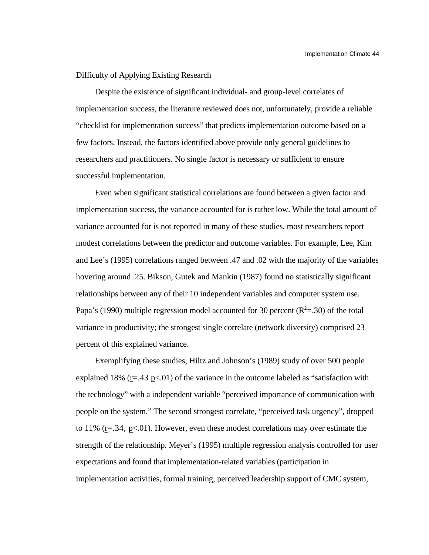### Difficulty of Applying Existing Research

Despite the existence of significant individual- and group-level correlates of implementation success, the literature reviewed does not, unfortunately, provide a reliable "checklist for implementation success" that predicts implementation outcome based on a few factors. Instead, the factors identified above provide only general guidelines to researchers and practitioners. No single factor is necessary or sufficient to ensure successful implementation.

Even when significant statistical correlations are found between a given factor and implementation success, the variance accounted for is rather low. While the total amount of variance accounted for is not reported in many of these studies, most researchers report modest correlations between the predictor and outcome variables. For example, Lee, Kim and Lee's (1995) correlations ranged between .47 and .02 with the majority of the variables hovering around .25. Bikson, Gutek and Mankin (1987) found no statistically significant relationships between any of their 10 independent variables and computer system use. Papa's (1990) multiple regression model accounted for 30 percent ( $R^2$ =.30) of the total variance in productivity; the strongest single correlate (network diversity) comprised 23 percent of this explained variance.

Exemplifying these studies, Hiltz and Johnson's (1989) study of over 500 people explained 18% ( $r = .43$  p<.01) of the variance in the outcome labeled as "satisfaction with the technology" with a independent variable "perceived importance of communication with people on the system." The second strongest correlate, "perceived task urgency", dropped to 11% ( $r = .34$ ,  $p < .01$ ). However, even these modest correlations may over estimate the strength of the relationship. Meyer's (1995) multiple regression analysis controlled for user expectations and found that implementation-related variables (participation in implementation activities, formal training, perceived leadership support of CMC system,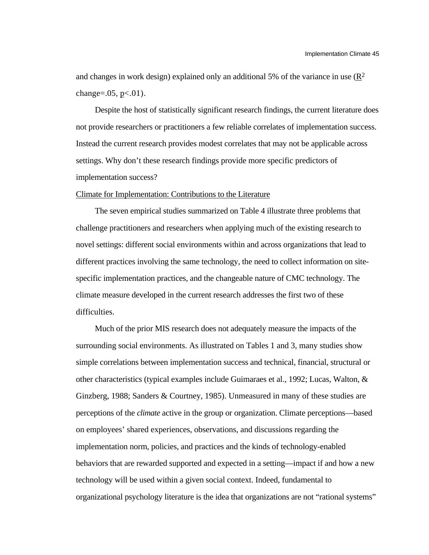and changes in work design) explained only an additional 5% of the variance in use  $(R^2)$ change= $.05, p<.01$ ).

Despite the host of statistically significant research findings, the current literature does not provide researchers or practitioners a few reliable correlates of implementation success. Instead the current research provides modest correlates that may not be applicable across settings. Why don't these research findings provide more specific predictors of implementation success?

#### Climate for Implementation: Contributions to the Literature

The seven empirical studies summarized on Table 4 illustrate three problems that challenge practitioners and researchers when applying much of the existing research to novel settings: different social environments within and across organizations that lead to different practices involving the same technology, the need to collect information on sitespecific implementation practices, and the changeable nature of CMC technology. The climate measure developed in the current research addresses the first two of these difficulties.

Much of the prior MIS research does not adequately measure the impacts of the surrounding social environments. As illustrated on Tables 1 and 3, many studies show simple correlations between implementation success and technical, financial, structural or other characteristics (typical examples include Guimaraes et al., 1992; Lucas, Walton, & Ginzberg, 1988; Sanders & Courtney, 1985). Unmeasured in many of these studies are perceptions of the *climate* active in the group or organization. Climate perceptions—based on employees' shared experiences, observations, and discussions regarding the implementation norm, policies, and practices and the kinds of technology-enabled behaviors that are rewarded supported and expected in a setting—impact if and how a new technology will be used within a given social context. Indeed, fundamental to organizational psychology literature is the idea that organizations are not "rational systems"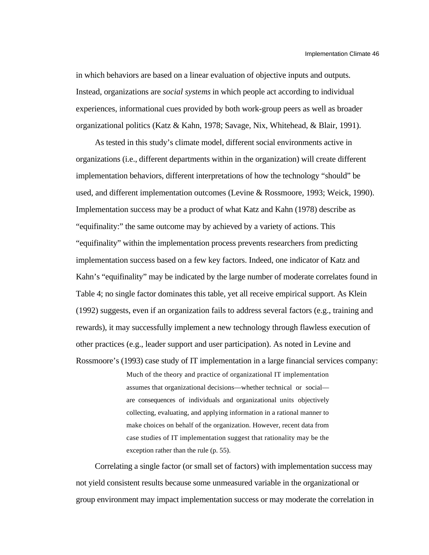in which behaviors are based on a linear evaluation of objective inputs and outputs. Instead, organizations are *social systems* in which people act according to individual experiences, informational cues provided by both work-group peers as well as broader organizational politics (Katz & Kahn, 1978; Savage, Nix, Whitehead, & Blair, 1991).

As tested in this study's climate model, different social environments active in organizations (i.e., different departments within in the organization) will create different implementation behaviors, different interpretations of how the technology "should" be used, and different implementation outcomes (Levine & Rossmoore, 1993; Weick, 1990). Implementation success may be a product of what Katz and Kahn (1978) describe as "equifinality:" the same outcome may by achieved by a variety of actions. This "equifinality" within the implementation process prevents researchers from predicting implementation success based on a few key factors. Indeed, one indicator of Katz and Kahn's "equifinality" may be indicated by the large number of moderate correlates found in Table 4; no single factor dominates this table, yet all receive empirical support. As Klein (1992) suggests, even if an organization fails to address several factors (e.g., training and rewards), it may successfully implement a new technology through flawless execution of other practices (e.g., leader support and user participation). As noted in Levine and Rossmoore's (1993) case study of IT implementation in a large financial services company:

> Much of the theory and practice of organizational IT implementation assumes that organizational decisions—whether technical or social are consequences of individuals and organizational units objectively collecting, evaluating, and applying information in a rational manner to make choices on behalf of the organization. However, recent data from case studies of IT implementation suggest that rationality may be the exception rather than the rule (p. 55).

Correlating a single factor (or small set of factors) with implementation success may not yield consistent results because some unmeasured variable in the organizational or group environment may impact implementation success or may moderate the correlation in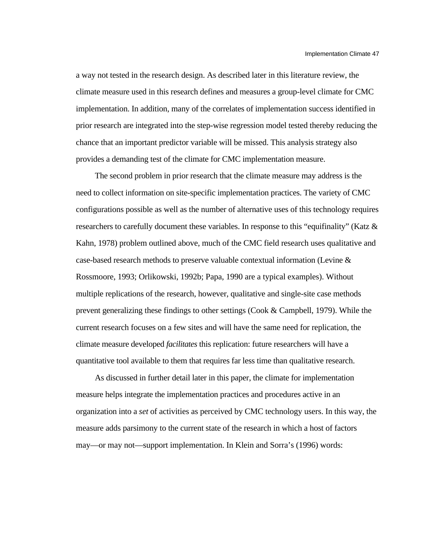a way not tested in the research design. As described later in this literature review, the climate measure used in this research defines and measures a group-level climate for CMC implementation. In addition, many of the correlates of implementation success identified in prior research are integrated into the step-wise regression model tested thereby reducing the chance that an important predictor variable will be missed. This analysis strategy also provides a demanding test of the climate for CMC implementation measure.

The second problem in prior research that the climate measure may address is the need to collect information on site-specific implementation practices. The variety of CMC configurations possible as well as the number of alternative uses of this technology requires researchers to carefully document these variables. In response to this "equifinality" (Katz & Kahn, 1978) problem outlined above, much of the CMC field research uses qualitative and case-based research methods to preserve valuable contextual information (Levine & Rossmoore, 1993; Orlikowski, 1992b; Papa, 1990 are a typical examples). Without multiple replications of the research, however, qualitative and single-site case methods prevent generalizing these findings to other settings (Cook & Campbell, 1979). While the current research focuses on a few sites and will have the same need for replication, the climate measure developed *facilitates* this replication: future researchers will have a quantitative tool available to them that requires far less time than qualitative research.

As discussed in further detail later in this paper, the climate for implementation measure helps integrate the implementation practices and procedures active in an organization into a *set* of activities as perceived by CMC technology users. In this way, the measure adds parsimony to the current state of the research in which a host of factors may—or may not—support implementation. In Klein and Sorra's (1996) words: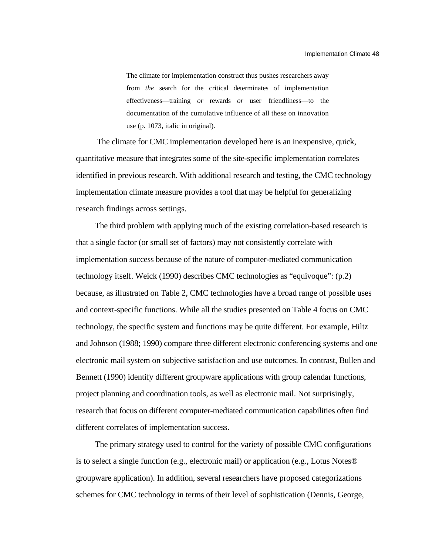The climate for implementation construct thus pushes researchers away from *the* search for the critical determinates of implementation effectiveness—training *or* rewards *or* user friendliness—to the documentation of the cumulative influence of all these on innovation use (p. 1073, italic in original).

 The climate for CMC implementation developed here is an inexpensive, quick, quantitative measure that integrates some of the site-specific implementation correlates identified in previous research. With additional research and testing, the CMC technology implementation climate measure provides a tool that may be helpful for generalizing research findings across settings.

The third problem with applying much of the existing correlation-based research is that a single factor (or small set of factors) may not consistently correlate with implementation success because of the nature of computer-mediated communication technology itself. Weick (1990) describes CMC technologies as "equivoque": (p.2) because, as illustrated on Table 2, CMC technologies have a broad range of possible uses and context-specific functions. While all the studies presented on Table 4 focus on CMC technology, the specific system and functions may be quite different. For example, Hiltz and Johnson (1988; 1990) compare three different electronic conferencing systems and one electronic mail system on subjective satisfaction and use outcomes. In contrast, Bullen and Bennett (1990) identify different groupware applications with group calendar functions, project planning and coordination tools, as well as electronic mail. Not surprisingly, research that focus on different computer-mediated communication capabilities often find different correlates of implementation success.

The primary strategy used to control for the variety of possible CMC configurations is to select a single function (e.g., electronic mail) or application (e.g., Lotus Notes® groupware application). In addition, several researchers have proposed categorizations schemes for CMC technology in terms of their level of sophistication (Dennis, George,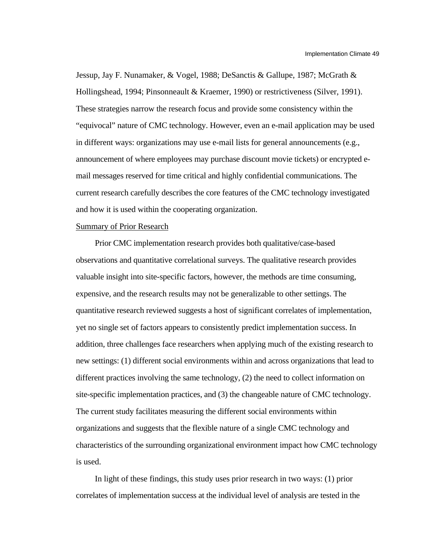Jessup, Jay F. Nunamaker, & Vogel, 1988; DeSanctis & Gallupe, 1987; McGrath & Hollingshead, 1994; Pinsonneault & Kraemer, 1990) or restrictiveness (Silver, 1991). These strategies narrow the research focus and provide some consistency within the "equivocal" nature of CMC technology. However, even an e-mail application may be used in different ways: organizations may use e-mail lists for general announcements (e.g., announcement of where employees may purchase discount movie tickets) or encrypted email messages reserved for time critical and highly confidential communications. The current research carefully describes the core features of the CMC technology investigated and how it is used within the cooperating organization.

#### Summary of Prior Research

Prior CMC implementation research provides both qualitative/case-based observations and quantitative correlational surveys. The qualitative research provides valuable insight into site-specific factors, however, the methods are time consuming, expensive, and the research results may not be generalizable to other settings. The quantitative research reviewed suggests a host of significant correlates of implementation, yet no single set of factors appears to consistently predict implementation success. In addition, three challenges face researchers when applying much of the existing research to new settings: (1) different social environments within and across organizations that lead to different practices involving the same technology, (2) the need to collect information on site-specific implementation practices, and (3) the changeable nature of CMC technology. The current study facilitates measuring the different social environments within organizations and suggests that the flexible nature of a single CMC technology and characteristics of the surrounding organizational environment impact how CMC technology is used.

In light of these findings, this study uses prior research in two ways: (1) prior correlates of implementation success at the individual level of analysis are tested in the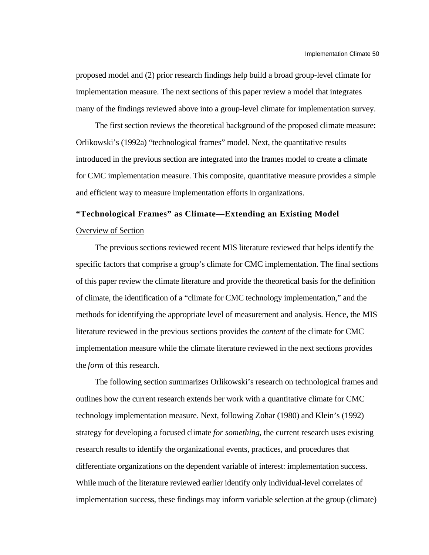proposed model and (2) prior research findings help build a broad group-level climate for implementation measure. The next sections of this paper review a model that integrates many of the findings reviewed above into a group-level climate for implementation survey.

The first section reviews the theoretical background of the proposed climate measure: Orlikowski's (1992a) "technological frames" model. Next, the quantitative results introduced in the previous section are integrated into the frames model to create a climate for CMC implementation measure. This composite, quantitative measure provides a simple and efficient way to measure implementation efforts in organizations.

# **"Technological Frames" as Climate—Extending an Existing Model** Overview of Section

The previous sections reviewed recent MIS literature reviewed that helps identify the specific factors that comprise a group's climate for CMC implementation. The final sections of this paper review the climate literature and provide the theoretical basis for the definition of climate, the identification of a "climate for CMC technology implementation," and the methods for identifying the appropriate level of measurement and analysis. Hence, the MIS literature reviewed in the previous sections provides the *content* of the climate for CMC implementation measure while the climate literature reviewed in the next sections provides the *form* of this research.

The following section summarizes Orlikowski's research on technological frames and outlines how the current research extends her work with a quantitative climate for CMC technology implementation measure. Next, following Zohar (1980) and Klein's (1992) strategy for developing a focused climate *for something*, the current research uses existing research results to identify the organizational events, practices, and procedures that differentiate organizations on the dependent variable of interest: implementation success. While much of the literature reviewed earlier identify only individual-level correlates of implementation success, these findings may inform variable selection at the group (climate)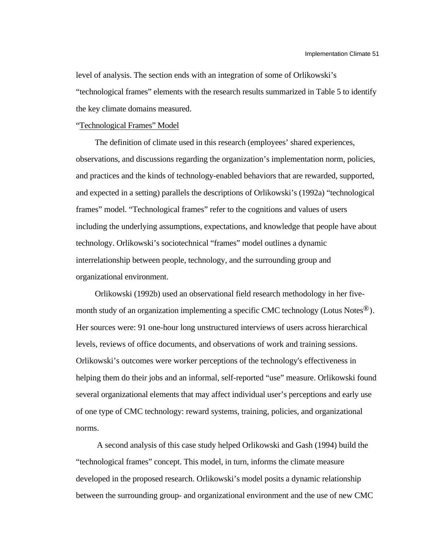level of analysis. The section ends with an integration of some of Orlikowski's "technological frames" elements with the research results summarized in Table 5 to identify the key climate domains measured.

" Technological Frames" Model

The definition of climate used in this research (employees' shared experiences, observations, and discussions regarding the organization's implementation norm, policies, and practices and the kinds of technology-enabled behaviors that are rewarded, supported, and expected in a setting) parallels the descriptions of Orlikowski's (1992a) "technological frames" model. "Technological frames" refer to the cognitions and values of users including the underlying assumptions, expectations, and knowledge that people have about technology. Orlikowski's sociotechnical "frames" model outlines a dynamic interrelationship between people, technology, and the surrounding group and organizational environment.

Orlikowski (1992b) used an observational field research methodology in her fivemonth study of an organization implementing a specific CMC technology (Lotus Notes<sup>®</sup>). Her sources were: 91 one-hour long unstructured interviews of users across hierarchical levels, reviews of office documents, and observations of work and training sessions. Orlikowski's outcomes were worker perceptions of the technology's effectiveness in helping them do their jobs and an informal, self-reported "use" measure. Orlikowski found several organizational elements that may affect individual user's perceptions and early use of one type of CMC technology: reward systems, training, policies, and organizational norms.

 A second analysis of this case study helped Orlikowski and Gash (1994) build the "technological frames" concept. This model, in turn, informs the climate measure developed in the proposed research. Orlikowski's model posits a dynamic relationship between the surrounding group- and organizational environment and the use of new CMC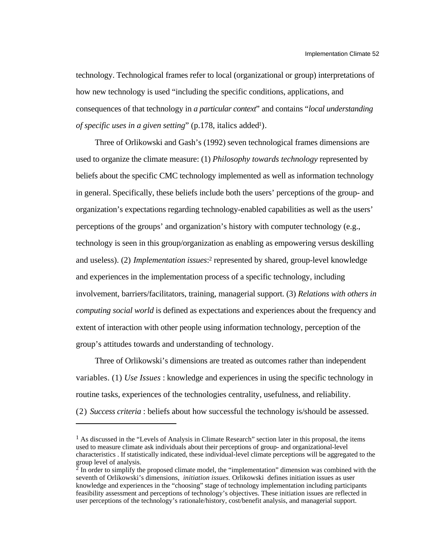technology. Technological frames refer to local (organizational or group) interpretations of how new technology is used "including the specific conditions, applications, and consequences of that technology in *a particular context*" and contains "*local understanding of specific uses in a given setting*" (p.178, italics added<sup>1</sup>).

Three of Orlikowski and Gash's (1992) seven technological frames dimensions are used to organize the climate measure: (1) *Philosophy towards technology* represented by beliefs about the specific CMC technology implemented as well as information technology in general. Specifically, these beliefs include both the users' perceptions of the group- and organization's expectations regarding technology-enabled capabilities as well as the users' perceptions of the groups' and organization's history with computer technology (e.g., technology is seen in this group/organization as enabling as empowering versus deskilling and useless). (2) *Implementation issues*: <sup>2</sup> represented by shared, group-level knowledge and experiences in the implementation process of a specific technology, including involvement, barriers/facilitators, training, managerial support. (3) *Relations with others in computing social world* is defined as expectations and experiences about the frequency and extent of interaction with other people using information technology, perception of the group's attitudes towards and understanding of technology.

Three of Orlikowski's dimensions are treated as outcomes rather than independent variables. (1) *Use Issues* : knowledge and experiences in using the specific technology in routine tasks, experiences of the technologies centrality, usefulness, and reliability. (2) *Success criteria* : beliefs about how successful the technology is/should be assessed.

l

<sup>&</sup>lt;sup>1</sup> As discussed in the "Levels of Analysis in Climate Research" section later in this proposal, the items used to measure climate ask individuals about their perceptions of group- and organizational-level characteristics . If statistically indicated, these individual-level climate perceptions will be aggregated to the group level of analysis.

 $^{2}$  In order to simplify the proposed climate model, the "implementation" dimension was combined with the seventh of Orlikowski's dimensions, *initiation issues.* Orlikowski defines initiation issues as user knowledge and experiences in the "choosing" stage of technology implementation including participants feasibility assessment and perceptions of technology's objectives. These initiation issues are reflected in user perceptions of the technology's rationale/history, cost/benefit analysis, and managerial support.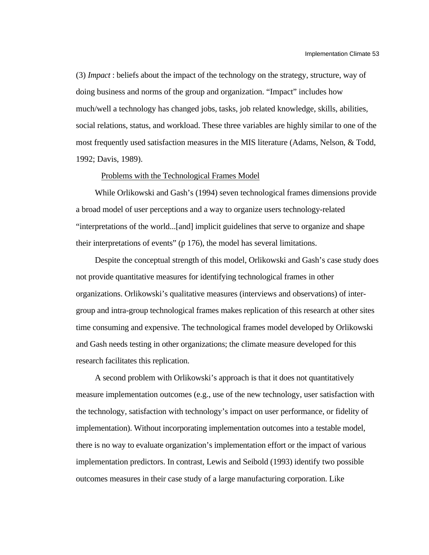(3) *Impact* : beliefs about the impact of the technology on the strategy, structure, way of doing business and norms of the group and organization. "Impact" includes how much/well a technology has changed jobs, tasks, job related knowledge, skills, abilities, social relations, status, and workload. These three variables are highly similar to one of the most frequently used satisfaction measures in the MIS literature (Adams, Nelson, & Todd, 1992; Davis, 1989).

### Problems with the Technological Frames Model

While Orlikowski and Gash's (1994) seven technological frames dimensions provide a broad model of user perceptions and a way to organize users technology-related "interpretations of the world...[and] implicit guidelines that serve to organize and shape their interpretations of events" (p 176), the model has several limitations.

Despite the conceptual strength of this model, Orlikowski and Gash's case study does not provide quantitative measures for identifying technological frames in other organizations. Orlikowski's qualitative measures (interviews and observations) of intergroup and intra-group technological frames makes replication of this research at other sites time consuming and expensive. The technological frames model developed by Orlikowski and Gash needs testing in other organizations; the climate measure developed for this research facilitates this replication.

A second problem with Orlikowski's approach is that it does not quantitatively measure implementation outcomes (e.g., use of the new technology, user satisfaction with the technology, satisfaction with technology's impact on user performance, or fidelity of implementation). Without incorporating implementation outcomes into a testable model, there is no way to evaluate organization's implementation effort or the impact of various implementation predictors. In contrast, Lewis and Seibold (1993) identify two possible outcomes measures in their case study of a large manufacturing corporation. Like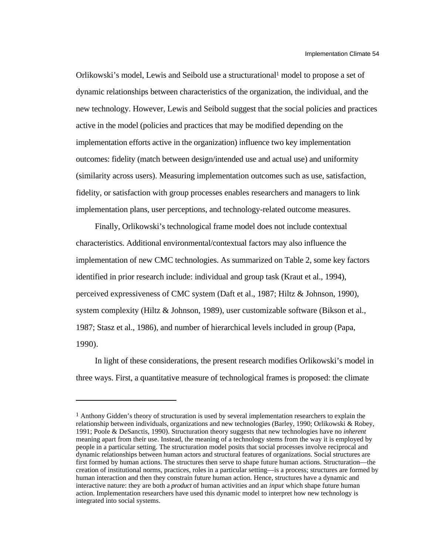Orlikowski's model, Lewis and Seibold use a structurational1 model to propose a set of dynamic relationships between characteristics of the organization, the individual, and the new technology. However, Lewis and Seibold suggest that the social policies and practices active in the model (policies and practices that may be modified depending on the implementation efforts active in the organization) influence two key implementation outcomes: fidelity (match between design/intended use and actual use) and uniformity (similarity across users). Measuring implementation outcomes such as use, satisfaction, fidelity, or satisfaction with group processes enables researchers and managers to link implementation plans, user perceptions, and technology-related outcome measures.

Finally, Orlikowski's technological frame model does not include contextual characteristics. Additional environmental/contextual factors may also influence the implementation of new CMC technologies. As summarized on Table 2, some key factors identified in prior research include: individual and group task (Kraut et al., 1994), perceived expressiveness of CMC system (Daft et al., 1987; Hiltz & Johnson, 1990), system complexity (Hiltz & Johnson, 1989), user customizable software (Bikson et al., 1987; Stasz et al., 1986), and number of hierarchical levels included in group (Papa, 1990).

In light of these considerations, the present research modifies Orlikowski's model in three ways. First, a quantitative measure of technological frames is proposed: the climate

l

<sup>1</sup> Anthony Gidden's theory of structuration is used by several implementation researchers to explain the relationship between individuals, organizations and new technologies (Barley, 1990; Orlikowski & Robey, 1991; Poole & DeSanctis, 1990). Structuration theory suggests that new technologies have no *inherent* meaning apart from their use. Instead, the meaning of a technology stems from the way it is employed by people in a particular setting. The structuration model posits that social processes involve reciprocal and dynamic relationships between human actors and structural features of organizations. Social structures are first formed by human actions. The structures then serve to shape future human actions. Structuration—the creation of institutional norms, practices, roles in a particular setting—is a process; structures are formed by human interaction and then they constrain future human action. Hence, structures have a dynamic and interactive nature: they are both a *product* of human activities and an *input* which shape future human action. Implementation researchers have used this dynamic model to interpret how new technology is integrated into social systems.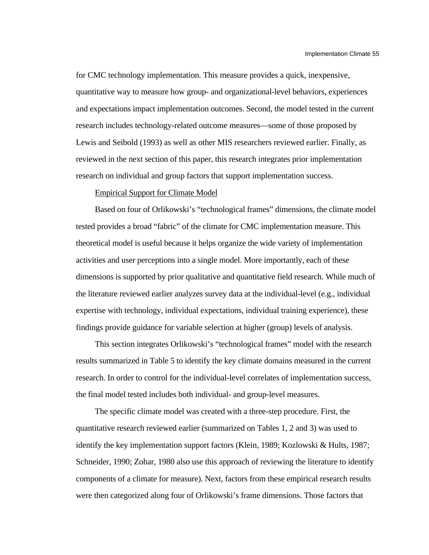for CMC technology implementation. This measure provides a quick, inexpensive, quantitative way to measure how group- and organizational-level behaviors, experiences and expectations impact implementation outcomes. Second, the model tested in the current research includes technology-related outcome measures—some of those proposed by Lewis and Seibold (1993) as well as other MIS researchers reviewed earlier. Finally, as reviewed in the next section of this paper, this research integrates prior implementation research on individual and group factors that support implementation success.

### Empirical Support for Climate Model

Based on four of Orlikowski's "technological frames" dimensions, the climate model tested provides a broad "fabric" of the climate for CMC implementation measure. This theoretical model is useful because it helps organize the wide variety of implementation activities and user perceptions into a single model. More importantly, each of these dimensions is supported by prior qualitative and quantitative field research. While much of the literature reviewed earlier analyzes survey data at the individual-level (e.g., individual expertise with technology, individual expectations, individual training experience), these findings provide guidance for variable selection at higher (group) levels of analysis.

This section integrates Orlikowski's "technological frames" model with the research results summarized in Table 5 to identify the key climate domains measured in the current research. In order to control for the individual-level correlates of implementation success, the final model tested includes both individual- and group-level measures.

The specific climate model was created with a three-step procedure. First, the quantitative research reviewed earlier (summarized on Tables 1, 2 and 3) was used to identify the key implementation support factors (Klein, 1989; Kozlowski & Hults, 1987; Schneider, 1990; Zohar, 1980 also use this approach of reviewing the literature to identify components of a climate for measure). Next, factors from these empirical research results were then categorized along four of Orlikowski's frame dimensions. Those factors that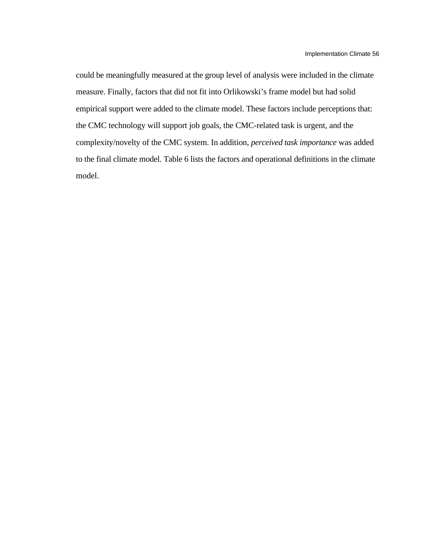could be meaningfully measured at the group level of analysis were included in the climate measure. Finally, factors that did not fit into Orlikowski's frame model but had solid empirical support were added to the climate model. These factors include perceptions that: the CMC technology will support job goals, the CMC-related task is urgent, and the complexity/novelty of the CMC system. In addition, *perceived task importance* was added to the final climate model. Table 6 lists the factors and operational definitions in the climate model.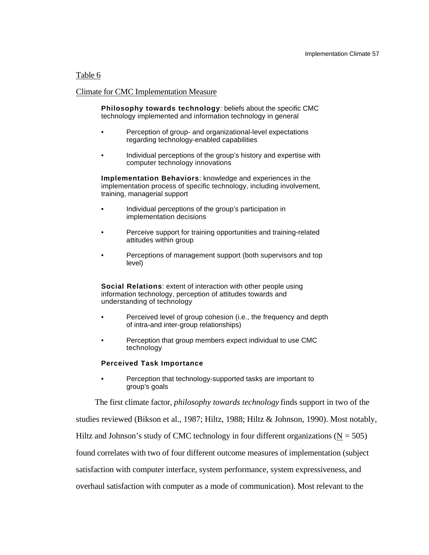### Table 6

### Climate for CMC Implementation Measure

**Philosophy towards technology**: beliefs about the specific CMC technology implemented and information technology in general

- Perception of group- and organizational-level expectations regarding technology-enabled capabilities
- Individual perceptions of the group's history and expertise with computer technology innovations

**Implementation Behaviors**: knowledge and experiences in the implementation process of specific technology, including involvement, training, managerial support

- Individual perceptions of the group's participation in implementation decisions
- Perceive support for training opportunities and training-related attitudes within group
- Perceptions of management support (both supervisors and top level)

**Social Relations**: extent of interaction with other people using information technology, perception of attitudes towards and understanding of technology

- Perceived level of group cohesion (i.e., the frequency and depth of intra-and inter-group relationships)
- Perception that group members expect individual to use CMC technology

#### **Perceived Task Importance**

• Perception that technology-supported tasks are important to group's goals

The first climate factor, *philosophy towards technology* finds support in two of the studies reviewed (Bikson et al., 1987; Hiltz, 1988; Hiltz & Johnson, 1990). Most notably, Hiltz and Johnson's study of CMC technology in four different organizations ( $N = 505$ ) found correlates with two of four different outcome measures of implementation (subject

satisfaction with computer interface, system performance, system expressiveness, and

overhaul satisfaction with computer as a mode of communication). Most relevant to the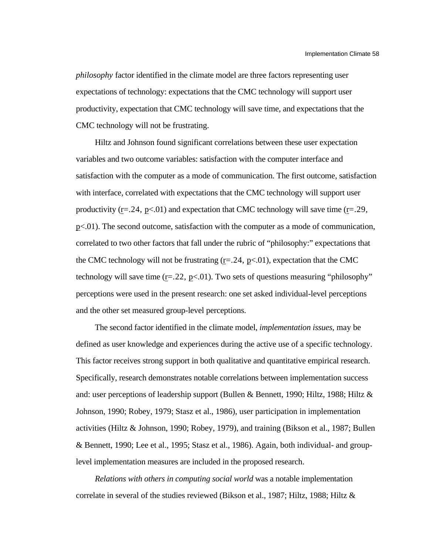*philosophy* factor identified in the climate model are three factors representing user expectations of technology: expectations that the CMC technology will support user productivity, expectation that CMC technology will save time, and expectations that the CMC technology will not be frustrating.

Hiltz and Johnson found significant correlations between these user expectation variables and two outcome variables: satisfaction with the computer interface and satisfaction with the computer as a mode of communication. The first outcome, satisfaction with interface, correlated with expectations that the CMC technology will support user productivity ( $r = 24$ ,  $p < 01$ ) and expectation that CMC technology will save time ( $r = 29$ ,  $p < 01$ ). The second outcome, satisfaction with the computer as a mode of communication, correlated to two other factors that fall under the rubric of "philosophy:" expectations that the CMC technology will not be frustrating  $(r=.24, p<.01)$ , expectation that the CMC technology will save time  $(r=.22, p<.01)$ . Two sets of questions measuring "philosophy" perceptions were used in the present research: one set asked individual-level perceptions and the other set measured group-level perceptions.

The second factor identified in the climate model, *implementation issues*, may be defined as user knowledge and experiences during the active use of a specific technology. This factor receives strong support in both qualitative and quantitative empirical research. Specifically, research demonstrates notable correlations between implementation success and: user perceptions of leadership support (Bullen & Bennett, 1990; Hiltz, 1988; Hiltz & Johnson, 1990; Robey, 1979; Stasz et al., 1986), user participation in implementation activities (Hiltz & Johnson, 1990; Robey, 1979), and training (Bikson et al., 1987; Bullen & Bennett, 1990; Lee et al., 1995; Stasz et al., 1986). Again, both individual- and grouplevel implementation measures are included in the proposed research.

*Relations with others in computing social world* was a notable implementation correlate in several of the studies reviewed (Bikson et al., 1987; Hiltz, 1988; Hiltz  $\&$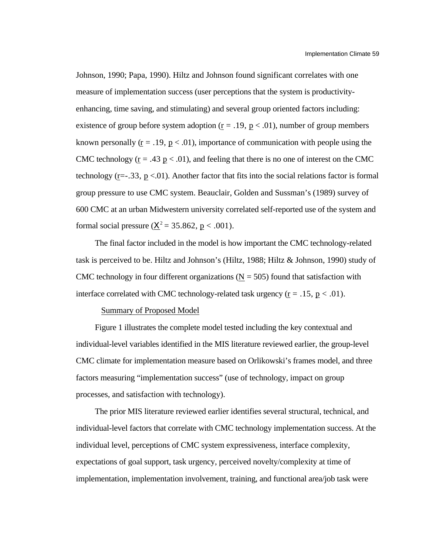Johnson, 1990; Papa, 1990). Hiltz and Johnson found significant correlates with one measure of implementation success (user perceptions that the system is productivityenhancing, time saving, and stimulating) and several group oriented factors including: existence of group before system adoption  $(r = .19, p < .01)$ , number of group members known personally  $(r = .19, p < .01)$ , importance of communication with people using the CMC technology ( $\underline{r} = .43 \underline{p} < .01$ ), and feeling that there is no one of interest on the CMC technology ( $r = -0.33$ ,  $p < 0.01$ ). Another factor that fits into the social relations factor is formal group pressure to use CMC system. Beauclair, Golden and Sussman's (1989) survey of 600 CMC at an urban Midwestern university correlated self-reported use of the system and formal social pressure ( $^{2}$  = 35.862, p < .001).

The final factor included in the model is how important the CMC technology-related task is perceived to be. Hiltz and Johnson's (Hiltz, 1988; Hiltz & Johnson, 1990) study of CMC technology in four different organizations ( $N = 505$ ) found that satisfaction with interface correlated with CMC technology-related task urgency  $(r = .15, p < .01)$ .

### Summary of Proposed Model

Figure 1 illustrates the complete model tested including the key contextual and individual-level variables identified in the MIS literature reviewed earlier, the group-level CMC climate for implementation measure based on Orlikowski's frames model, and three factors measuring "implementation success" (use of technology, impact on group processes, and satisfaction with technology).

The prior MIS literature reviewed earlier identifies several structural, technical, and individual-level factors that correlate with CMC technology implementation success. At the individual level, perceptions of CMC system expressiveness, interface complexity, expectations of goal support, task urgency, perceived novelty/complexity at time of implementation, implementation involvement, training, and functional area/job task were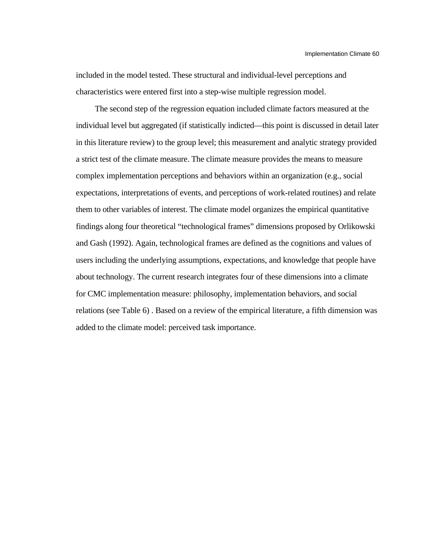included in the model tested. These structural and individual-level perceptions and characteristics were entered first into a step-wise multiple regression model.

The second step of the regression equation included climate factors measured at the individual level but aggregated (if statistically indicted—this point is discussed in detail later in this literature review) to the group level; this measurement and analytic strategy provided a strict test of the climate measure. The climate measure provides the means to measure complex implementation perceptions and behaviors within an organization (e.g., social expectations, interpretations of events, and perceptions of work-related routines) and relate them to other variables of interest. The climate model organizes the empirical quantitative findings along four theoretical "technological frames" dimensions proposed by Orlikowski and Gash (1992). Again, technological frames are defined as the cognitions and values of users including the underlying assumptions, expectations, and knowledge that people have about technology. The current research integrates four of these dimensions into a climate for CMC implementation measure: philosophy, implementation behaviors, and social relations (see Table 6) . Based on a review of the empirical literature, a fifth dimension was added to the climate model: perceived task importance.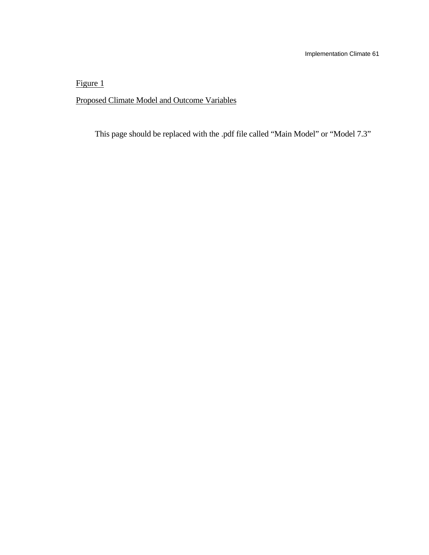Figure 1

Proposed Climate Model and Outcome Variables

This page should be replaced with the .pdf file called "Main Model" or "Model 7.3"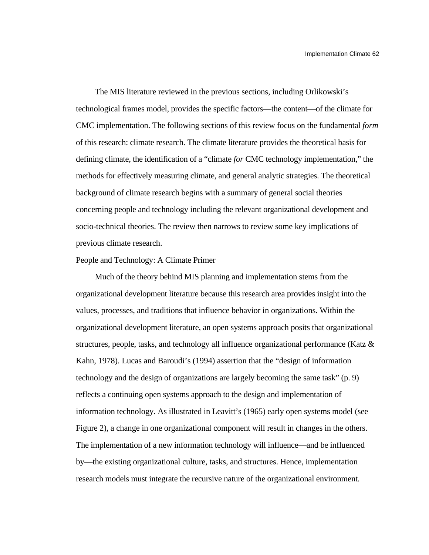The MIS literature reviewed in the previous sections, including Orlikowski's technological frames model, provides the specific factors—the content—of the climate for CMC implementation. The following sections of this review focus on the fundamental *form* of this research: climate research. The climate literature provides the theoretical basis for defining climate, the identification of a "climate *for* CMC technology implementation," the methods for effectively measuring climate, and general analytic strategies. The theoretical background of climate research begins with a summary of general social theories concerning people and technology including the relevant organizational development and socio-technical theories. The review then narrows to review some key implications of previous climate research.

### People and Technology: A Climate Primer

Much of the theory behind MIS planning and implementation stems from the organizational development literature because this research area provides insight into the values, processes, and traditions that influence behavior in organizations. Within the organizational development literature, an open systems approach posits that organizational structures, people, tasks, and technology all influence organizational performance (Katz & Kahn, 1978). Lucas and Baroudi's (1994) assertion that the "design of information technology and the design of organizations are largely becoming the same task" (p. 9) reflects a continuing open systems approach to the design and implementation of information technology. As illustrated in Leavitt's (1965) early open systems model (see Figure 2), a change in one organizational component will result in changes in the others. The implementation of a new information technology will influence—and be influenced by—the existing organizational culture, tasks, and structures. Hence, implementation research models must integrate the recursive nature of the organizational environment.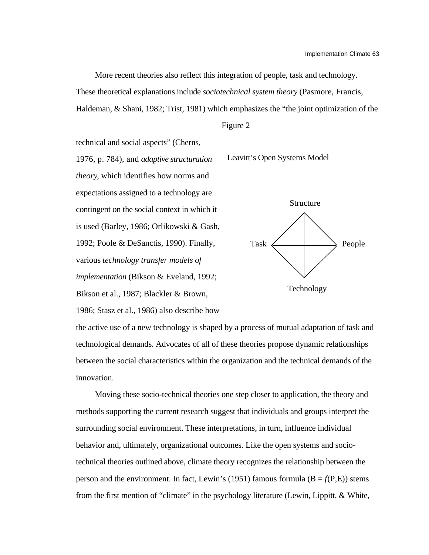More recent theories also reflect this integration of people, task and technology. These theoretical explanations include *sociotechnical system theory* (Pasmore, Francis, Haldeman, & Shani, 1982; Trist, 1981) which emphasizes the "the joint optimization of the

Figure 2

technical and social aspects" (Cherns, 1976, p. 784), and *adaptive structuration theory*, which identifies how norms and expectations assigned to a technology are contingent on the social context in which it is used (Barley, 1986; Orlikowski & Gash, 1992; Poole & DeSanctis, 1990). Finally, various *technology transfer models of implementation* (Bikson & Eveland, 1992; Bikson et al., 1987; Blackler & Brown,

1986; Stasz et al., 1986) also describe how



Leavitt's Open Systems Model



the active use of a new technology is shaped by a process of mutual adaptation of task and technological demands. Advocates of all of these theories propose dynamic relationships between the social characteristics within the organization and the technical demands of the innovation.

Moving these socio-technical theories one step closer to application, the theory and methods supporting the current research suggest that individuals and groups interpret the surrounding social environment. These interpretations, in turn, influence individual behavior and, ultimately, organizational outcomes. Like the open systems and sociotechnical theories outlined above, climate theory recognizes the relationship between the person and the environment. In fact, Lewin's (1951) famous formula ( $B = f(P,E)$ ) stems from the first mention of "climate" in the psychology literature (Lewin, Lippitt, & White,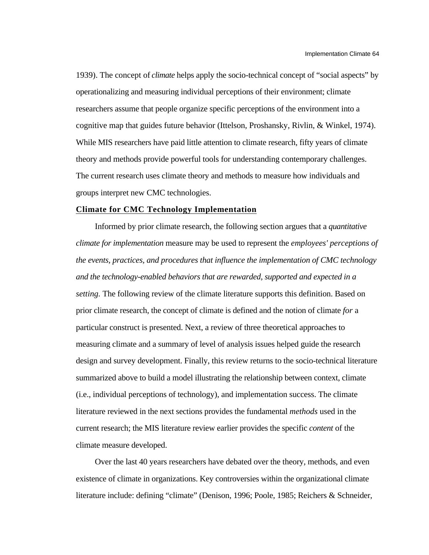1939). The concept of *climate* helps apply the socio-technical concept of "social aspects" by operationalizing and measuring individual perceptions of their environment; climate researchers assume that people organize specific perceptions of the environment into a cognitive map that guides future behavior (Ittelson, Proshansky, Rivlin, & Winkel, 1974). While MIS researchers have paid little attention to climate research, fifty years of climate theory and methods provide powerful tools for understanding contemporary challenges. The current research uses climate theory and methods to measure how individuals and groups interpret new CMC technologies.

### **Climate for CMC Technology Implementation**

Informed by prior climate research, the following section argues that a *quantitative climate for implementation* measure may be used to represent the *employees' perceptions of the events, practices, and procedures that influence the implementation of CMC technology and the technology-enabled behaviors that are rewarded, supported and expected in a setting.* The following review of the climate literature supports this definition. Based on prior climate research, the concept of climate is defined and the notion of climate *for* a particular construct is presented. Next, a review of three theoretical approaches to measuring climate and a summary of level of analysis issues helped guide the research design and survey development. Finally, this review returns to the socio-technical literature summarized above to build a model illustrating the relationship between context, climate (i.e., individual perceptions of technology), and implementation success. The climate literature reviewed in the next sections provides the fundamental *methods* used in the current research; the MIS literature review earlier provides the specific *content* of the climate measure developed.

Over the last 40 years researchers have debated over the theory, methods, and even existence of climate in organizations. Key controversies within the organizational climate literature include: defining "climate" (Denison, 1996; Poole, 1985; Reichers & Schneider,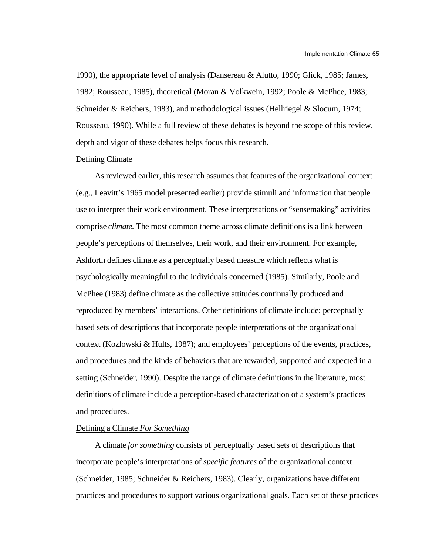1990), the appropriate level of analysis (Dansereau & Alutto, 1990; Glick, 1985; James, 1982; Rousseau, 1985), theoretical (Moran & Volkwein, 1992; Poole & McPhee, 1983; Schneider & Reichers, 1983), and methodological issues (Hellriegel & Slocum, 1974; Rousseau, 1990). While a full review of these debates is beyond the scope of this review, depth and vigor of these debates helps focus this research.

#### Defining Climate

As reviewed earlier, this research assumes that features of the organizational context (e.g., Leavitt's 1965 model presented earlier) provide stimuli and information that people use to interpret their work environment. These interpretations or "sensemaking" activities comprise *climate.* The most common theme across climate definitions is a link between people's perceptions of themselves, their work, and their environment. For example, Ashforth defines climate as a perceptually based measure which reflects what is psychologically meaningful to the individuals concerned (1985). Similarly, Poole and McPhee (1983) define climate as the collective attitudes continually produced and reproduced by members' interactions. Other definitions of climate include: perceptually based sets of descriptions that incorporate people interpretations of the organizational context (Kozlowski & Hults, 1987); and employees' perceptions of the events, practices, and procedures and the kinds of behaviors that are rewarded, supported and expected in a setting (Schneider, 1990). Despite the range of climate definitions in the literature, most definitions of climate include a perception-based characterization of a system's practices and procedures.

### Defining a Climate *For Something*

A climate *for something* consists of perceptually based sets of descriptions that incorporate people's interpretations of *specific features* of the organizational context (Schneider, 1985; Schneider & Reichers, 1983). Clearly, organizations have different practices and procedures to support various organizational goals. Each set of these practices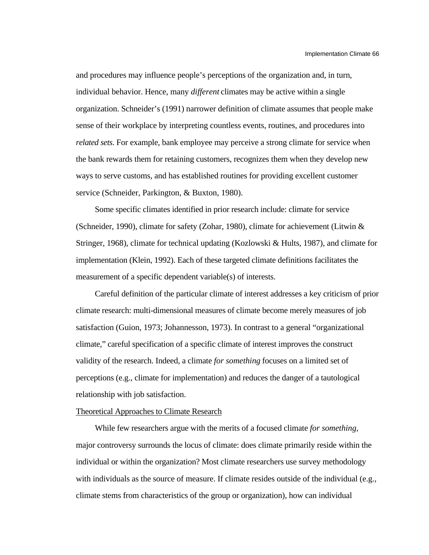and procedures may influence people's perceptions of the organization and, in turn, individual behavior. Hence, many *different* climates may be active within a single organization. Schneider's (1991) narrower definition of climate assumes that people make sense of their workplace by interpreting countless events, routines, and procedures into *related sets*. For example, bank employee may perceive a strong climate for service when the bank rewards them for retaining customers, recognizes them when they develop new ways to serve customs, and has established routines for providing excellent customer service (Schneider, Parkington, & Buxton, 1980).

Some specific climates identified in prior research include: climate for service (Schneider, 1990), climate for safety (Zohar, 1980), climate for achievement (Litwin & Stringer, 1968), climate for technical updating (Kozlowski & Hults, 1987), and climate for implementation (Klein, 1992). Each of these targeted climate definitions facilitates the measurement of a specific dependent variable(s) of interests.

Careful definition of the particular climate of interest addresses a key criticism of prior climate research: multi-dimensional measures of climate become merely measures of job satisfaction (Guion, 1973; Johannesson, 1973). In contrast to a general "organizational climate," careful specification of a specific climate of interest improves the construct validity of the research. Indeed, a climate *for something* focuses on a limited set of perceptions (e.g., climate for implementation) and reduces the danger of a tautological relationship with job satisfaction.

#### Theoretical Approaches to Climate Research

While few researchers argue with the merits of a focused climate *for something,* major controversy surrounds the locus of climate: does climate primarily reside within the individual or within the organization? Most climate researchers use survey methodology with individuals as the source of measure. If climate resides outside of the individual (e.g., climate stems from characteristics of the group or organization), how can individual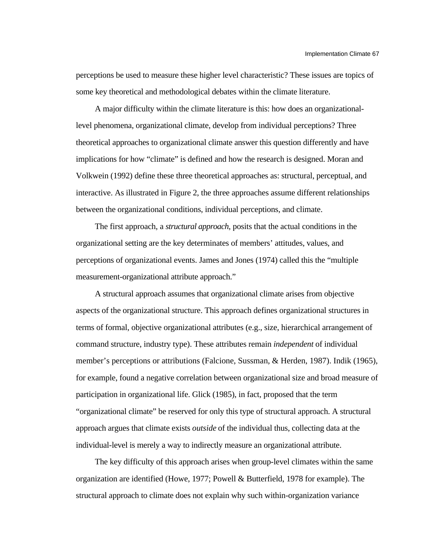perceptions be used to measure these higher level characteristic? These issues are topics of some key theoretical and methodological debates within the climate literature.

A major difficulty within the climate literature is this: how does an organizationallevel phenomena, organizational climate, develop from individual perceptions? Three theoretical approaches to organizational climate answer this question differently and have implications for how "climate" is defined and how the research is designed. Moran and Volkwein (1992) define these three theoretical approaches as: structural, perceptual, and interactive. As illustrated in Figure 2, the three approaches assume different relationships between the organizational conditions, individual perceptions, and climate.

The first approach, a *structural approach*, posits that the actual conditions in the organizational setting are the key determinates of members' attitudes, values, and perceptions of organizational events. James and Jones (1974) called this the "multiple measurement-organizational attribute approach."

A structural approach assumes that organizational climate arises from objective aspects of the organizational structure. This approach defines organizational structures in terms of formal, objective organizational attributes (e.g., size, hierarchical arrangement of command structure, industry type). These attributes remain *independent* of individual member's perceptions or attributions (Falcione, Sussman, & Herden, 1987). Indik (1965), for example, found a negative correlation between organizational size and broad measure of participation in organizational life. Glick (1985), in fact, proposed that the term "organizational climate" be reserved for only this type of structural approach. A structural approach argues that climate exists *outside* of the individual thus, collecting data at the individual-level is merely a way to indirectly measure an organizational attribute.

The key difficulty of this approach arises when group-level climates within the same organization are identified (Howe, 1977; Powell & Butterfield, 1978 for example). The structural approach to climate does not explain why such within-organization variance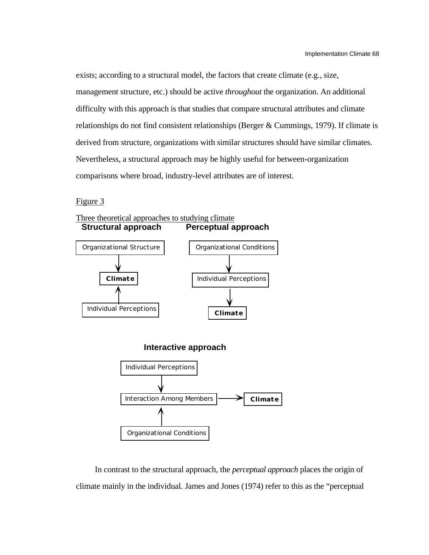exists; according to a structural model, the factors that create climate (e.g., size, management structure, etc.) should be active *throughout* the organization. An additional difficulty with this approach is that studies that compare structural attributes and climate relationships do not find consistent relationships (Berger & Cummings, 1979). If climate is derived from structure, organizations with similar structures should have similar climates. Nevertheless, a structural approach may be highly useful for between-organization comparisons where broad, industry-level attributes are of interest.

Figure 3



In contrast to the structural approach, the *perceptual approach* places the origin of climate mainly in the individual. James and Jones (1974) refer to this as the "perceptual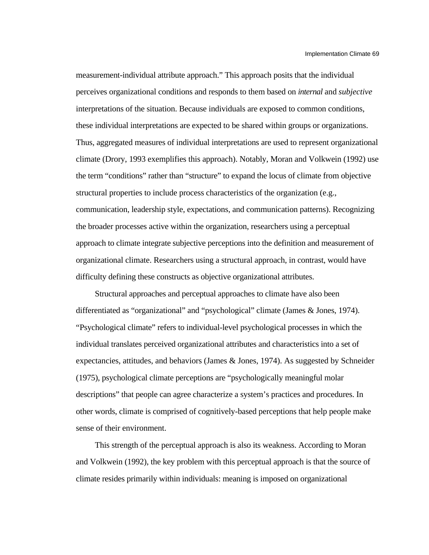measurement-individual attribute approach." This approach posits that the individual perceives organizational conditions and responds to them based on *internal* and *subjective* interpretations of the situation. Because individuals are exposed to common conditions, these individual interpretations are expected to be shared within groups or organizations. Thus, aggregated measures of individual interpretations are used to represent organizational climate (Drory, 1993 exemplifies this approach). Notably, Moran and Volkwein (1992) use the term "conditions" rather than "structure" to expand the locus of climate from objective structural properties to include process characteristics of the organization (e.g., communication, leadership style, expectations, and communication patterns). Recognizing the broader processes active within the organization, researchers using a perceptual approach to climate integrate subjective perceptions into the definition and measurement of organizational climate. Researchers using a structural approach, in contrast, would have difficulty defining these constructs as objective organizational attributes.

Structural approaches and perceptual approaches to climate have also been differentiated as "organizational" and "psychological" climate (James & Jones, 1974). "Psychological climate" refers to individual-level psychological processes in which the individual translates perceived organizational attributes and characteristics into a set of expectancies, attitudes, and behaviors (James & Jones, 1974). As suggested by Schneider (1975), psychological climate perceptions are "psychologically meaningful molar descriptions" that people can agree characterize a system's practices and procedures. In other words, climate is comprised of cognitively-based perceptions that help people make sense of their environment.

This strength of the perceptual approach is also its weakness. According to Moran and Volkwein (1992), the key problem with this perceptual approach is that the source of climate resides primarily within individuals: meaning is imposed on organizational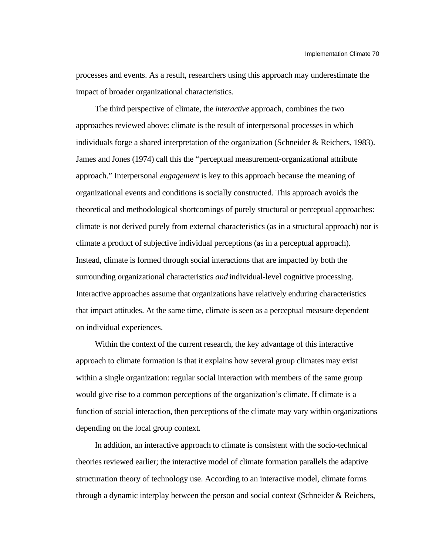processes and events. As a result, researchers using this approach may underestimate the impact of broader organizational characteristics.

The third perspective of climate, the *interactive* approach, combines the two approaches reviewed above: climate is the result of interpersonal processes in which individuals forge a shared interpretation of the organization (Schneider & Reichers, 1983). James and Jones (1974) call this the "perceptual measurement-organizational attribute approach." Interpersonal *engagement* is key to this approach because the meaning of organizational events and conditions is socially constructed. This approach avoids the theoretical and methodological shortcomings of purely structural or perceptual approaches: climate is not derived purely from external characteristics (as in a structural approach) nor is climate a product of subjective individual perceptions (as in a perceptual approach). Instead, climate is formed through social interactions that are impacted by both the surrounding organizational characteristics *and* individual-level cognitive processing. Interactive approaches assume that organizations have relatively enduring characteristics that impact attitudes. At the same time, climate is seen as a perceptual measure dependent on individual experiences.

Within the context of the current research, the key advantage of this interactive approach to climate formation is that it explains how several group climates may exist within a single organization: regular social interaction with members of the same group would give rise to a common perceptions of the organization's climate. If climate is a function of social interaction, then perceptions of the climate may vary within organizations depending on the local group context.

In addition, an interactive approach to climate is consistent with the socio-technical theories reviewed earlier; the interactive model of climate formation parallels the adaptive structuration theory of technology use. According to an interactive model, climate forms through a dynamic interplay between the person and social context (Schneider & Reichers,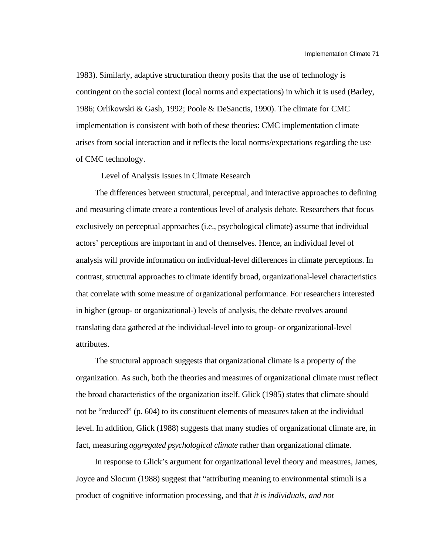1983). Similarly, adaptive structuration theory posits that the use of technology is contingent on the social context (local norms and expectations) in which it is used (Barley, 1986; Orlikowski & Gash, 1992; Poole & DeSanctis, 1990). The climate for CMC implementation is consistent with both of these theories: CMC implementation climate arises from social interaction and it reflects the local norms/expectations regarding the use of CMC technology.

### Level of Analysis Issues in Climate Research

The differences between structural, perceptual, and interactive approaches to defining and measuring climate create a contentious level of analysis debate. Researchers that focus exclusively on perceptual approaches (i.e., psychological climate) assume that individual actors' perceptions are important in and of themselves. Hence, an individual level of analysis will provide information on individual-level differences in climate perceptions. In contrast, structural approaches to climate identify broad, organizational-level characteristics that correlate with some measure of organizational performance. For researchers interested in higher (group- or organizational-) levels of analysis, the debate revolves around translating data gathered at the individual-level into to group- or organizational-level attributes.

The structural approach suggests that organizational climate is a property *of* the organization. As such, both the theories and measures of organizational climate must reflect the broad characteristics of the organization itself. Glick (1985) states that climate should not be "reduced" (p. 604) to its constituent elements of measures taken at the individual level. In addition, Glick (1988) suggests that many studies of organizational climate are, in fact, measuring *aggregated psychological climate* rather than organizational climate.

In response to Glick's argument for organizational level theory and measures, James, Joyce and Slocum (1988) suggest that "attributing meaning to environmental stimuli is a product of cognitive information processing, and that *it is individuals, and not*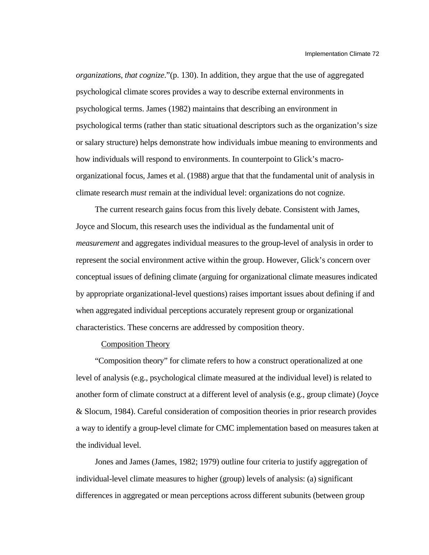*organizations, that cognize*."(p. 130). In addition, they argue that the use of aggregated psychological climate scores provides a way to describe external environments in psychological terms. James (1982) maintains that describing an environment in psychological terms (rather than static situational descriptors such as the organization's size or salary structure) helps demonstrate how individuals imbue meaning to environments and how individuals will respond to environments. In counterpoint to Glick's macroorganizational focus, James et al. (1988) argue that that the fundamental unit of analysis in climate research *must* remain at the individual level: organizations do not cognize.

The current research gains focus from this lively debate. Consistent with James, Joyce and Slocum, this research uses the individual as the fundamental unit of *measurement* and aggregates individual measures to the group-level of analysis in order to represent the social environment active within the group. However, Glick's concern over conceptual issues of defining climate (arguing for organizational climate measures indicated by appropriate organizational-level questions) raises important issues about defining if and when aggregated individual perceptions accurately represent group or organizational characteristics. These concerns are addressed by composition theory.

### Composition Theory

"Composition theory" for climate refers to how a construct operationalized at one level of analysis (e.g., psychological climate measured at the individual level) is related to another form of climate construct at a different level of analysis (e.g., group climate) (Joyce & Slocum, 1984). Careful consideration of composition theories in prior research provides a way to identify a group-level climate for CMC implementation based on measures taken at the individual level.

Jones and James (James, 1982; 1979) outline four criteria to justify aggregation of individual-level climate measures to higher (group) levels of analysis: (a) significant differences in aggregated or mean perceptions across different subunits (between group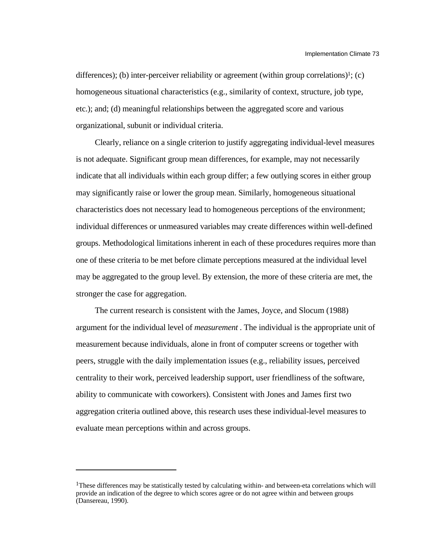differences); (b) inter-perceiver reliability or agreement (within group correlations)<sup>1</sup>; (c) homogeneous situational characteristics (e.g., similarity of context, structure, job type, etc.); and; (d) meaningful relationships between the aggregated score and various organizational, subunit or individual criteria.

Clearly, reliance on a single criterion to justify aggregating individual-level measures is not adequate. Significant group mean differences, for example, may not necessarily indicate that all individuals within each group differ; a few outlying scores in either group may significantly raise or lower the group mean. Similarly, homogeneous situational characteristics does not necessary lead to homogeneous perceptions of the environment; individual differences or unmeasured variables may create differences within well-defined groups. Methodological limitations inherent in each of these procedures requires more than one of these criteria to be met before climate perceptions measured at the individual level may be aggregated to the group level. By extension, the more of these criteria are met, the stronger the case for aggregation.

The current research is consistent with the James, Joyce, and Slocum (1988) argument for the individual level of *measurement* . The individual is the appropriate unit of measurement because individuals, alone in front of computer screens or together with peers, struggle with the daily implementation issues (e.g., reliability issues, perceived centrality to their work, perceived leadership support, user friendliness of the software, ability to communicate with coworkers). Consistent with Jones and James first two aggregation criteria outlined above, this research uses these individual-level measures to evaluate mean perceptions within and across groups.

l

<sup>&</sup>lt;sup>1</sup>These differences may be statistically tested by calculating within- and between-eta correlations which will provide an indication of the degree to which scores agree or do not agree within and between groups (Dansereau, 1990).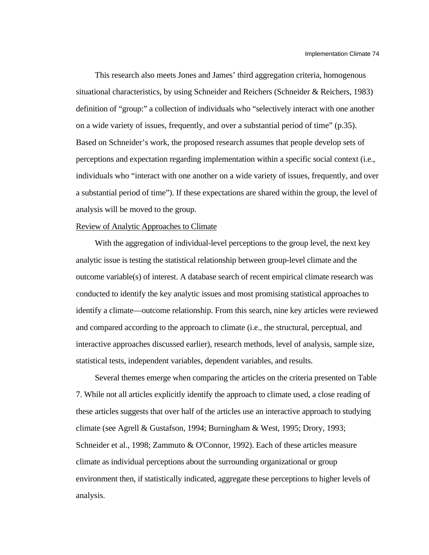This research also meets Jones and James' third aggregation criteria, homogenous situational characteristics, by using Schneider and Reichers (Schneider & Reichers, 1983) definition of "group:" a collection of individuals who "selectively interact with one another on a wide variety of issues, frequently, and over a substantial period of time" (p.35). Based on Schneider's work, the proposed research assumes that people develop sets of perceptions and expectation regarding implementation within a specific social context (i.e., individuals who "interact with one another on a wide variety of issues, frequently, and over a substantial period of time"). If these expectations are shared within the group, the level of analysis will be moved to the group.

#### Review of Analytic Approaches to Climate

With the aggregation of individual-level perceptions to the group level, the next key analytic issue is testing the statistical relationship between group-level climate and the outcome variable(s) of interest. A database search of recent empirical climate research was conducted to identify the key analytic issues and most promising statistical approaches to identify a climate—outcome relationship. From this search, nine key articles were reviewed and compared according to the approach to climate (i.e., the structural, perceptual, and interactive approaches discussed earlier), research methods, level of analysis, sample size, statistical tests, independent variables, dependent variables, and results.

Several themes emerge when comparing the articles on the criteria presented on Table 7. While not all articles explicitly identify the approach to climate used, a close reading of these articles suggests that over half of the articles use an interactive approach to studying climate (see Agrell & Gustafson, 1994; Burningham & West, 1995; Drory, 1993; Schneider et al., 1998; Zammuto & O'Connor, 1992). Each of these articles measure climate as individual perceptions about the surrounding organizational or group environment then, if statistically indicated, aggregate these perceptions to higher levels of analysis.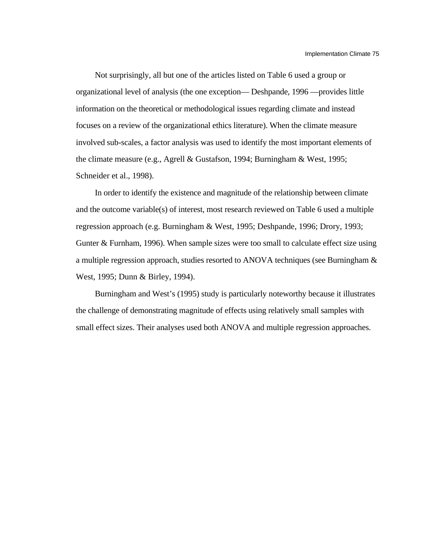Not surprisingly, all but one of the articles listed on Table 6 used a group or organizational level of analysis (the one exception— Deshpande, 1996 —provides little information on the theoretical or methodological issues regarding climate and instead focuses on a review of the organizational ethics literature). When the climate measure involved sub-scales, a factor analysis was used to identify the most important elements of the climate measure (e.g., Agrell & Gustafson, 1994; Burningham & West, 1995; Schneider et al., 1998).

In order to identify the existence and magnitude of the relationship between climate and the outcome variable(s) of interest, most research reviewed on Table 6 used a multiple regression approach (e.g. Burningham & West, 1995; Deshpande, 1996; Drory, 1993; Gunter & Furnham, 1996). When sample sizes were too small to calculate effect size using a multiple regression approach, studies resorted to ANOVA techniques (see Burningham & West, 1995; Dunn & Birley, 1994).

Burningham and West's (1995) study is particularly noteworthy because it illustrates the challenge of demonstrating magnitude of effects using relatively small samples with small effect sizes. Their analyses used both ANOVA and multiple regression approaches.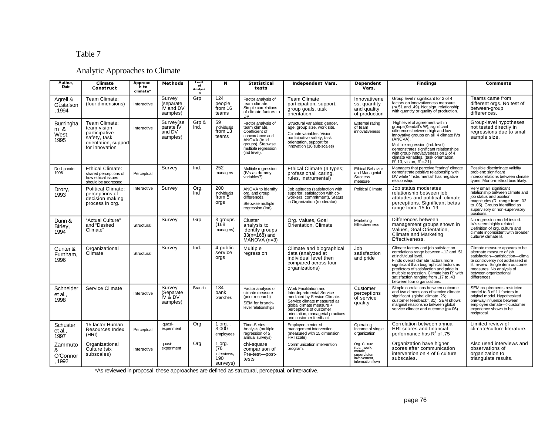# Table 7

# Analytic Approaches to Climate

| Author,<br>Date                    | Climate<br>Construct                                                                                     | Approac<br>h to<br>climate* | Methods                                      | Level<br>of<br>Analysi | N                                               | Statistical<br>tests                                                                                                                                 | Independent Vars.                                                                                                                                                                                                                      | Dependent<br>Vars.                                                                         | Findings                                                                                                                                                                                                                                                                                                                                                            | Comments                                                                                                                                                                                                                                  |
|------------------------------------|----------------------------------------------------------------------------------------------------------|-----------------------------|----------------------------------------------|------------------------|-------------------------------------------------|------------------------------------------------------------------------------------------------------------------------------------------------------|----------------------------------------------------------------------------------------------------------------------------------------------------------------------------------------------------------------------------------------|--------------------------------------------------------------------------------------------|---------------------------------------------------------------------------------------------------------------------------------------------------------------------------------------------------------------------------------------------------------------------------------------------------------------------------------------------------------------------|-------------------------------------------------------------------------------------------------------------------------------------------------------------------------------------------------------------------------------------------|
| Agrell &<br>Gustafson<br>.1994     | Team Climate:<br>(four dimensions)                                                                       | Interactive                 | Survey<br>(separate<br>IV and DV<br>samples) | Grp                    | 124<br>people<br>from 16<br>teams               | Factor analysis of<br>team climate.<br>Simple correlations<br>of climate factors to<br><b>DV</b>                                                     | <b>Team Climate</b><br>participation, support,<br>group goals, task<br>orientation.                                                                                                                                                    | Innovativene<br>ss, quantity<br>and quality<br>of production                               | Group level r significant for 2 of 4<br>factors on innovativeness measure.<br>(r=.51 and .49). Not sign. relationship<br>with quantity or quality of production.                                                                                                                                                                                                    | Teams came from<br>different orgs. No test of<br>between-group<br>differences.                                                                                                                                                            |
| Burningha<br>m &<br>West,<br>1995  | Team Climate:<br>team vision.<br>participative<br>safety, task<br>orientation, support<br>for innovation | Interactive                 | Survey(se<br>parate IV<br>and DV<br>samples) | Grp &<br>Ind.          | 59<br>individuals<br>from 13<br>teams           | Factor analysis of<br>team climate.<br>Coefficient of<br>concordance and<br>ANOVA (to id<br>groups). Stepwise<br>multiple regression<br>(ind level). | Structural variables: gender,<br>age, group size, work site.<br>Climate variables: Vision,<br>participative safety, task<br>orientation, support for<br>innovation (16 sub-scales)                                                     | <b>External rating</b><br>of team<br>innovativeness                                        | High level of agreement within<br>groups(Kendall's W), significant<br>differences between high and low<br>innovative groups on all 4 climate IVs<br>(ANOVA).<br>Multiple regression (ind. level)<br>demonstrates significant relationships<br>with group innovativeness on 2 of 4<br>climate variables. (task orientation.<br>$R^2$ .13, vision, $R^2 = 21$ ).      | Group-level hypotheses<br>not tested directly in<br>regressions due to small<br>sample size.                                                                                                                                              |
| Deshpande.<br>1996                 | <b>Ethical Climate:</b><br>shared perceptions of<br>how ethical issues<br>should be addressed            | Perceptual                  | Survey                                       | Ind.                   | 252<br>managers                                 | Multiple regression<br>(IVs as dummy)<br>variables?)                                                                                                 | Ethical Climate (4 types;<br>professional, caring,<br>rules. instrumental)                                                                                                                                                             | <b>Ethical Behavior</b><br>and Managerial<br><b>Success</b><br>measure                     | Managers that perceive "caring" climate<br>demonstrate positive relationship with<br>DV while "Instrumental" has negative<br>relationship.                                                                                                                                                                                                                          | Possible discriminate validity<br>problem: significant<br>intercorrelations between climate<br>types. Mono-method bias likely.                                                                                                            |
| Drory,<br>1993                     | <b>Political Climate:</b><br>perceptions of<br>decision making<br>process in org.                        | Interactive                 | Survey                                       | Org,<br>Ind            | 200<br>individuals<br>from 5<br>orgs            | ANOVA to identify<br>org. and group<br>differences.<br>Stepwise multiple<br>regression (Ind)                                                         | Job attitudes (satisfaction with<br>superior, satisfaction with co-<br>workers, commitment). Status<br>in Organization (moderator)                                                                                                     | <b>Political Climate</b>                                                                   | Job status moderates<br>relationship between job<br>attitudes and political climate<br>perceptions. Significant betas<br>range from .15 to .19.                                                                                                                                                                                                                     | Very small significant<br>relationship between climate and<br>job status and position<br>magnitudes ( $R^2$ range from .02<br>to .05). Groups identified as<br>supervisory or non-supervisory<br>positions.                               |
| Dunn &<br>Birley,<br>1994          | "Actual Culture"<br>and "Desired<br>Climate"                                                             | Structural                  | Survey                                       | Grp                    | 3 groups<br>(168<br>managers)                   | Cluster<br>analysis to<br>identify groups<br>$33(n=168)$ and<br>$MANOVA(n=3)$                                                                        | Org. Values, Goal<br>Orientation, Climate                                                                                                                                                                                              | Marketing<br>Effectiveness                                                                 | Differences between<br>management groups shown in<br>Values, Goal Orientation,<br>Climate and Marketing<br>Effectiveness.                                                                                                                                                                                                                                           | No regression model tested.<br>IV's seem highly related.<br>Definition of org. culture and<br>climate inconsistent with broader<br>culture/ climate lit.                                                                                  |
| Gunter &<br>Furnham,<br>1996       | Organizational<br>Climate                                                                                | Structural                  | Survey                                       | Ind.                   | 4 public<br>service<br>orgs                     | Multiple<br>regression                                                                                                                               | Climate and biographical<br>data (analyzed at<br>individual level then<br>compared across four<br>organizations)                                                                                                                       | Job<br>satisfaction<br>and pride                                                           | Climate factors and job satisfaction<br>correlations range between -.12 and .51<br>at individual level.<br>Finds overall climate factors more<br>significant than biographical factors as<br>predictors of satisfaction and pride in<br>multiple regression. Climate has R <sup>2</sup> with<br>satisfaction ranging from .17 to .43<br>between four organizations. | Climate measure appears to be<br>alternate measure of job<br>satisfaction-satisfaction-clima<br>te controversy not addressed in<br>lit. review. Single item outcome<br>measures. No analysis of<br>between organizational<br>differences. |
| Schneider<br>et al.<br>1998        | Service Climate                                                                                          | Interactive                 | Survey<br>(Separate<br>IV & DV<br>samples)   | Branch                 | 134<br>bank<br>branches                         | Factor analysis of<br>climate measure<br>(prior research)<br>SEM for branch-<br>level relationships                                                  | Work Facilitation and<br>Interdepartmental Service<br>mediated by Service Climate.<br>Service climate measured as<br>qlobal climate measure +<br>perceptions of customer<br>orientation, managerial practices<br>and customer feedback | Customer<br>perceptions<br>of service<br>quality                                           | Simple correlations between outcome<br>and two dimensions of service climate<br>significant (global climate .26;<br>customer feedback=.31). SEM shows<br>marginal relationship between global<br>service climate and outcome (p=.06)                                                                                                                                | SEM requirements restricted<br>model to 3 of 11 factors in<br>original model. Hypothesized<br>one-way influence between<br>employee climate->customer<br>experience shown to be<br>reciprocal.                                            |
| Schuster<br>et al.,<br>1997        | 15 factor Human<br>Resources Index<br>(HRI)                                                              | Perceptual                  | quasi-<br>experiment                         | Org                    | 1 org. $\colon$<br>3,000<br>employees           | <b>Time-Series</b><br>Analysis (multiple<br>regression of 5<br>annual surveys)                                                                       | Employee-centered<br>management intervention<br>(measured with 15 dimension<br>HRI scale)                                                                                                                                              | Operating<br>Income of single<br>organization                                              | Correlation between annual<br>HRI scores and financial<br>performance has $R^2$ of .75                                                                                                                                                                                                                                                                              | Limited review of<br>climate/culture literature.                                                                                                                                                                                          |
| Zammuto<br>&<br>O'Connor<br>, 1992 | Organizational<br>Culture (six<br>subscales)                                                             | Interactive                 | quasi-<br>experiment                         | Org                    | 1 org.<br>(76<br>interviews.<br>190<br>surveys) | chi-square<br>comparison of<br>Pre-test-post-<br>tests                                                                                               | Communication intervention<br>program.                                                                                                                                                                                                 | Org. Culture<br>(teamwork,<br>morale,<br>supervision.<br>involvement,<br>information flow) | Organization have higher<br>scores after communication<br>intervention on 4 of 6 culture<br>subscales.                                                                                                                                                                                                                                                              | Also used interviews and<br>observations of<br>organization to<br>triangulate results.                                                                                                                                                    |

\*As reviewed in proposal, these approaches are defined as structural, perceptual, or interactive.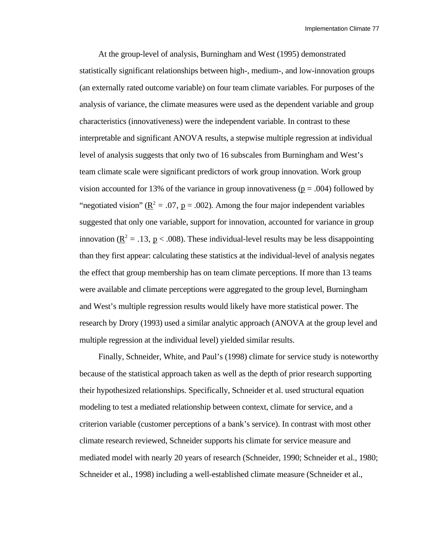At the group-level of analysis, Burningham and West (1995) demonstrated statistically significant relationships between high-, medium-, and low-innovation groups (an externally rated outcome variable) on four team climate variables. For purposes of the analysis of variance, the climate measures were used as the dependent variable and group characteristics (innovativeness) were the independent variable. In contrast to these interpretable and significant ANOVA results, a stepwise multiple regression at individual level of analysis suggests that only two of 16 subscales from Burningham and West's team climate scale were significant predictors of work group innovation. Work group vision accounted for 13% of the variance in group innovativeness ( $p = .004$ ) followed by "negotiated vision" ( $\mathbb{R}^2 = .07$ ,  $\mathbb{p} = .002$ ). Among the four major independent variables suggested that only one variable, support for innovation, accounted for variance in group innovation ( $\underline{R}^2 = .13$ ,  $\underline{p} < .008$ ). These individual-level results may be less disappointing than they first appear: calculating these statistics at the individual-level of analysis negates the effect that group membership has on team climate perceptions. If more than 13 teams were available and climate perceptions were aggregated to the group level, Burningham and West's multiple regression results would likely have more statistical power. The research by Drory (1993) used a similar analytic approach (ANOVA at the group level and multiple regression at the individual level) yielded similar results.

Finally, Schneider, White, and Paul's (1998) climate for service study is noteworthy because of the statistical approach taken as well as the depth of prior research supporting their hypothesized relationships. Specifically, Schneider et al. used structural equation modeling to test a mediated relationship between context, climate for service, and a criterion variable (customer perceptions of a bank's service). In contrast with most other climate research reviewed, Schneider supports his climate for service measure and mediated model with nearly 20 years of research (Schneider, 1990; Schneider et al., 1980; Schneider et al., 1998) including a well-established climate measure (Schneider et al.,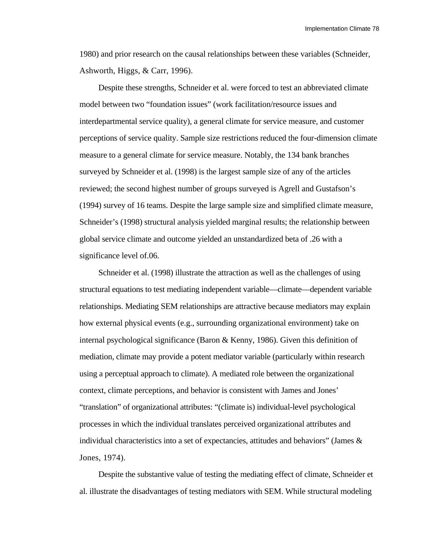1980) and prior research on the causal relationships between these variables (Schneider, Ashworth, Higgs, & Carr, 1996).

Despite these strengths, Schneider et al. were forced to test an abbreviated climate model between two "foundation issues" (work facilitation/resource issues and interdepartmental service quality), a general climate for service measure, and customer perceptions of service quality. Sample size restrictions reduced the four-dimension climate measure to a general climate for service measure. Notably, the 134 bank branches surveyed by Schneider et al. (1998) is the largest sample size of any of the articles reviewed; the second highest number of groups surveyed is Agrell and Gustafson's (1994) survey of 16 teams. Despite the large sample size and simplified climate measure, Schneider's (1998) structural analysis yielded marginal results; the relationship between global service climate and outcome yielded an unstandardized beta of .26 with a significance level of.06.

Schneider et al. (1998) illustrate the attraction as well as the challenges of using structural equations to test mediating independent variable—climate—dependent variable relationships. Mediating SEM relationships are attractive because mediators may explain how external physical events (e.g., surrounding organizational environment) take on internal psychological significance (Baron & Kenny, 1986). Given this definition of mediation, climate may provide a potent mediator variable (particularly within research using a perceptual approach to climate). A mediated role between the organizational context, climate perceptions, and behavior is consistent with James and Jones' "translation" of organizational attributes: "(climate is) individual-level psychological processes in which the individual translates perceived organizational attributes and individual characteristics into a set of expectancies, attitudes and behaviors" (James  $\&$ Jones, 1974).

Despite the substantive value of testing the mediating effect of climate, Schneider et al. illustrate the disadvantages of testing mediators with SEM. While structural modeling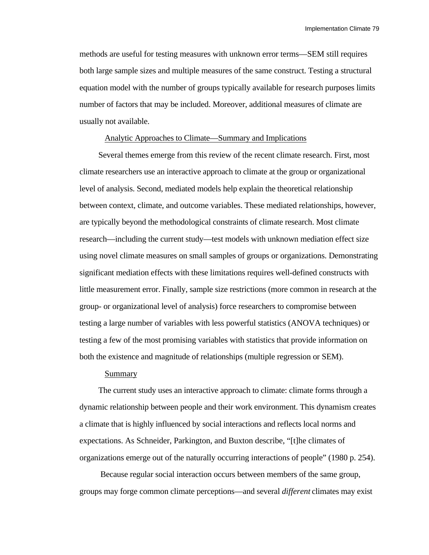methods are useful for testing measures with unknown error terms—SEM still requires both large sample sizes and multiple measures of the same construct. Testing a structural equation model with the number of groups typically available for research purposes limits number of factors that may be included. Moreover, additional measures of climate are usually not available.

### Analytic Approaches to Climate—Summary and Implications

Several themes emerge from this review of the recent climate research. First, most climate researchers use an interactive approach to climate at the group or organizational level of analysis. Second, mediated models help explain the theoretical relationship between context, climate, and outcome variables. These mediated relationships, however, are typically beyond the methodological constraints of climate research. Most climate research—including the current study—test models with unknown mediation effect size using novel climate measures on small samples of groups or organizations. Demonstrating significant mediation effects with these limitations requires well-defined constructs with little measurement error. Finally, sample size restrictions (more common in research at the group- or organizational level of analysis) force researchers to compromise between testing a large number of variables with less powerful statistics (ANOVA techniques) or testing a few of the most promising variables with statistics that provide information on both the existence and magnitude of relationships (multiple regression or SEM).

### Summary

The current study uses an interactive approach to climate: climate forms through a dynamic relationship between people and their work environment. This dynamism creates a climate that is highly influenced by social interactions and reflects local norms and expectations. As Schneider, Parkington, and Buxton describe, "[t]he climates of organizations emerge out of the naturally occurring interactions of people" (1980 p. 254).

 Because regular social interaction occurs between members of the same group, groups may forge common climate perceptions—and several *different* climates may exist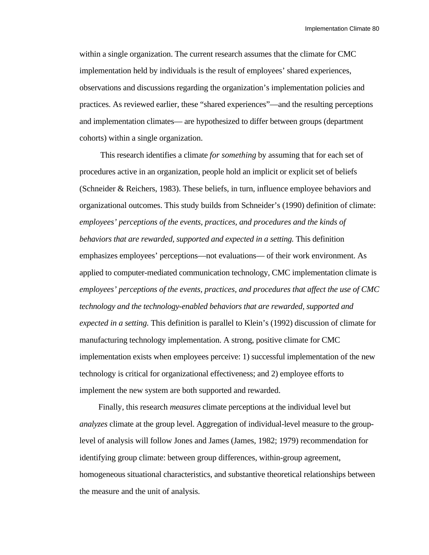within a single organization. The current research assumes that the climate for CMC implementation held by individuals is the result of employees' shared experiences, observations and discussions regarding the organization's implementation policies and practices. As reviewed earlier, these "shared experiences"—and the resulting perceptions and implementation climates— are hypothesized to differ between groups (department cohorts) within a single organization.

 This research identifies a climate *for something* by assuming that for each set of procedures active in an organization, people hold an implicit or explicit set of beliefs (Schneider & Reichers, 1983). These beliefs, in turn, influence employee behaviors and organizational outcomes. This study builds from Schneider's (1990) definition of climate: *employees' perceptions of the events, practices, and procedures and the kinds of behaviors that are rewarded, supported and expected in a setting.* This definition emphasizes employees' perceptions—not evaluations— of their work environment. As applied to computer-mediated communication technology, CMC implementation climate is *employees' perceptions of the events, practices, and procedures that affect the use of CMC technology and the technology-enabled behaviors that are rewarded, supported and expected in a setting.* This definition is parallel to Klein's (1992) discussion of climate for manufacturing technology implementation. A strong, positive climate for CMC implementation exists when employees perceive: 1) successful implementation of the new technology is critical for organizational effectiveness; and 2) employee efforts to implement the new system are both supported and rewarded.

Finally, this research *measures* climate perceptions at the individual level but *analyzes* climate at the group level. Aggregation of individual-level measure to the grouplevel of analysis will follow Jones and James (James, 1982; 1979) recommendation for identifying group climate: between group differences, within-group agreement, homogeneous situational characteristics, and substantive theoretical relationships between the measure and the unit of analysis.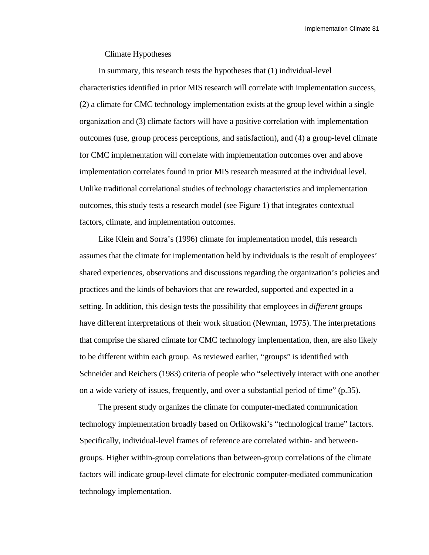Implementation Climate 81

### Climate Hypotheses

In summary, this research tests the hypotheses that (1) individual-level characteristics identified in prior MIS research will correlate with implementation success, (2) a climate for CMC technology implementation exists at the group level within a single organization and (3) climate factors will have a positive correlation with implementation outcomes (use, group process perceptions, and satisfaction), and (4) a group-level climate for CMC implementation will correlate with implementation outcomes over and above implementation correlates found in prior MIS research measured at the individual level. Unlike traditional correlational studies of technology characteristics and implementation outcomes, this study tests a research model (see Figure 1) that integrates contextual factors, climate, and implementation outcomes.

Like Klein and Sorra's (1996) climate for implementation model, this research assumes that the climate for implementation held by individuals is the result of employees' shared experiences, observations and discussions regarding the organization's policies and practices and the kinds of behaviors that are rewarded, supported and expected in a setting. In addition, this design tests the possibility that employees in *different* groups have different interpretations of their work situation (Newman, 1975). The interpretations that comprise the shared climate for CMC technology implementation, then, are also likely to be different within each group. As reviewed earlier, "groups" is identified with Schneider and Reichers (1983) criteria of people who "selectively interact with one another on a wide variety of issues, frequently, and over a substantial period of time" (p.35).

The present study organizes the climate for computer-mediated communication technology implementation broadly based on Orlikowski's "technological frame" factors. Specifically, individual-level frames of reference are correlated within- and betweengroups. Higher within-group correlations than between-group correlations of the climate factors will indicate group-level climate for electronic computer-mediated communication technology implementation.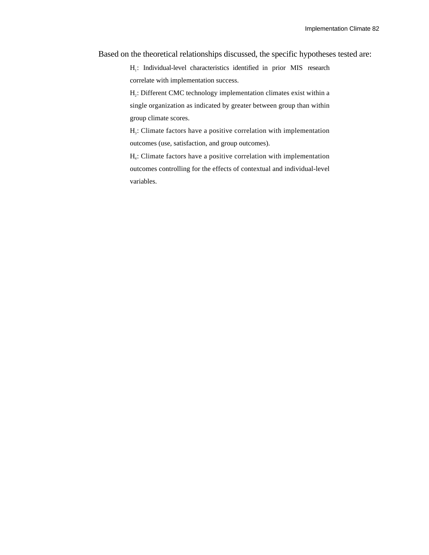Based on the theoretical relationships discussed, the specific hypotheses tested are:

H<sub>1</sub>: Individual-level characteristics identified in prior MIS research correlate with implementation success.

H<sub>2</sub>: Different CMC technology implementation climates exist within a single organization as indicated by greater between group than within group climate scores.

H<sub>3</sub>: Climate factors have a positive correlation with implementation outcomes (use, satisfaction, and group outcomes).

H4 : Climate factors have a positive correlation with implementation outcomes controlling for the effects of contextual and individual-level variables.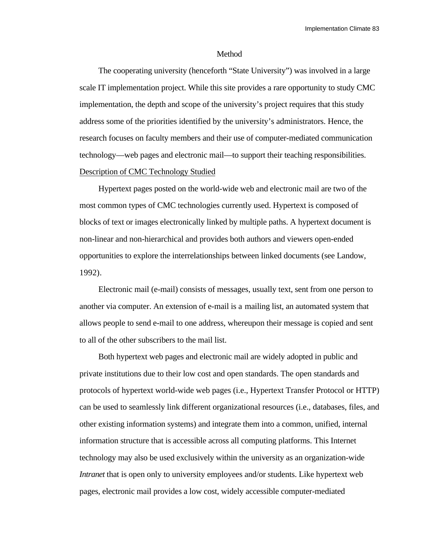### Method

The cooperating university (henceforth "State University") was involved in a large scale IT implementation project. While this site provides a rare opportunity to study CMC implementation, the depth and scope of the university's project requires that this study address some of the priorities identified by the university's administrators. Hence, the research focuses on faculty members and their use of computer-mediated communication technology—web pages and electronic mail—to support their teaching responsibilities. Description of CMC Technology Studied

Hypertext pages posted on the world-wide web and electronic mail are two of the most common types of CMC technologies currently used. Hypertext is composed of blocks of text or images electronically linked by multiple paths. A hypertext document is non-linear and non-hierarchical and provides both authors and viewers open-ended opportunities to explore the interrelationships between linked documents (see Landow, 1992).

Electronic mail (e-mail) consists of messages, usually text, sent from one person to another via computer. An extension of e-mail is a mailing list, an automated system that allows people to send e-mail to one address, whereupon their message is copied and sent to all of the other subscribers to the mail list.

Both hypertext web pages and electronic mail are widely adopted in public and private institutions due to their low cost and open standards. The open standards and protocols of hypertext world-wide web pages (i.e., Hypertext Transfer Protocol or HTTP) can be used to seamlessly link different organizational resources (i.e., databases, files, and other existing information systems) and integrate them into a common, unified, internal information structure that is accessible across all computing platforms. This Internet technology may also be used exclusively within the university as an organization-wide *Intranet* that is open only to university employees and/or students. Like hypertext web pages, electronic mail provides a low cost, widely accessible computer-mediated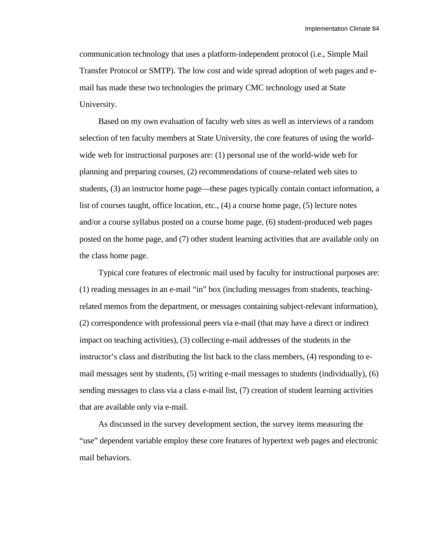communication technology that uses a platform-independent protocol (i.e., Simple Mail Transfer Protocol or SMTP). The low cost and wide spread adoption of web pages and email has made these two technologies the primary CMC technology used at State University.

Based on my own evaluation of faculty web sites as well as interviews of a random selection of ten faculty members at State University, the core features of using the worldwide web for instructional purposes are: (1) personal use of the world-wide web for planning and preparing courses, (2) recommendations of course-related web sites to students, (3) an instructor home page—these pages typically contain contact information, a list of courses taught, office location, etc., (4) a course home page, (5) lecture notes and/or a course syllabus posted on a course home page, (6) student-produced web pages posted on the home page, and (7) other student learning activities that are available only on the class home page.

Typical core features of electronic mail used by faculty for instructional purposes are: (1) reading messages in an e-mail "in" box (including messages from students, teachingrelated memos from the department, or messages containing subject-relevant information), (2) correspondence with professional peers via e-mail (that may have a direct or indirect impact on teaching activities), (3) collecting e-mail addresses of the students in the instructor's class and distributing the list back to the class members, (4) responding to email messages sent by students, (5) writing e-mail messages to students (individually), (6) sending messages to class via a class e-mail list, (7) creation of student learning activities that are available only via e-mail.

As discussed in the survey development section, the survey items measuring the "use" dependent variable employ these core features of hypertext web pages and electronic mail behaviors.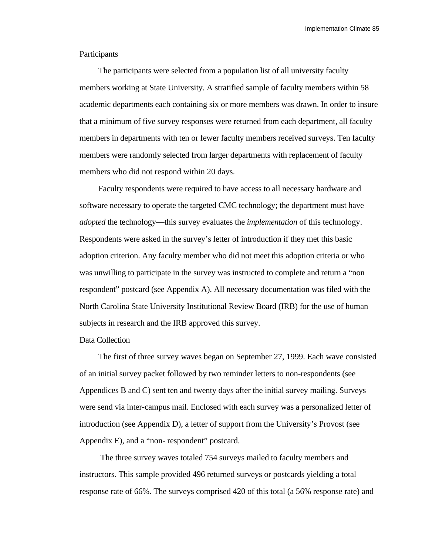Implementation Climate 85

### **Participants**

The participants were selected from a population list of all university faculty members working at State University. A stratified sample of faculty members within 58 academic departments each containing six or more members was drawn. In order to insure that a minimum of five survey responses were returned from each department, all faculty members in departments with ten or fewer faculty members received surveys. Ten faculty members were randomly selected from larger departments with replacement of faculty members who did not respond within 20 days.

Faculty respondents were required to have access to all necessary hardware and software necessary to operate the targeted CMC technology; the department must have *adopted* the technology—this survey evaluates the *implementation* of this technology. Respondents were asked in the survey's letter of introduction if they met this basic adoption criterion. Any faculty member who did not meet this adoption criteria or who was unwilling to participate in the survey was instructed to complete and return a "non respondent" postcard (see Appendix A). All necessary documentation was filed with the North Carolina State University Institutional Review Board (IRB) for the use of human subjects in research and the IRB approved this survey.

### Data Collection

The first of three survey waves began on September 27, 1999. Each wave consisted of an initial survey packet followed by two reminder letters to non-respondents (see Appendices B and C) sent ten and twenty days after the initial survey mailing. Surveys were send via inter-campus mail. Enclosed with each survey was a personalized letter of introduction (see Appendix D), a letter of support from the University's Provost (see Appendix E), and a "non- respondent" postcard.

 The three survey waves totaled 754 surveys mailed to faculty members and instructors. This sample provided 496 returned surveys or postcards yielding a total response rate of 66%. The surveys comprised 420 of this total (a 56% response rate) and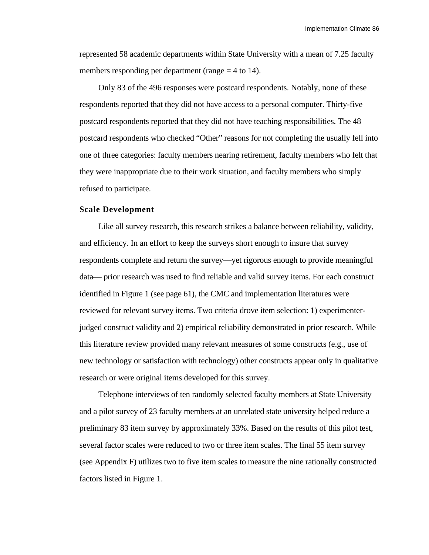represented 58 academic departments within State University with a mean of 7.25 faculty members responding per department (range  $=$  4 to 14).

Only 83 of the 496 responses were postcard respondents. Notably, none of these respondents reported that they did not have access to a personal computer. Thirty-five postcard respondents reported that they did not have teaching responsibilities. The 48 postcard respondents who checked "Other" reasons for not completing the usually fell into one of three categories: faculty members nearing retirement, faculty members who felt that they were inappropriate due to their work situation, and faculty members who simply refused to participate.

#### **Scale Development**

Like all survey research, this research strikes a balance between reliability, validity, and efficiency. In an effort to keep the surveys short enough to insure that survey respondents complete and return the survey—yet rigorous enough to provide meaningful data— prior research was used to find reliable and valid survey items. For each construct identified in Figure 1 (see page 61), the CMC and implementation literatures were reviewed for relevant survey items. Two criteria drove item selection: 1) experimenterjudged construct validity and 2) empirical reliability demonstrated in prior research. While this literature review provided many relevant measures of some constructs (e.g., use of new technology or satisfaction with technology) other constructs appear only in qualitative research or were original items developed for this survey.

Telephone interviews of ten randomly selected faculty members at State University and a pilot survey of 23 faculty members at an unrelated state university helped reduce a preliminary 83 item survey by approximately 33%. Based on the results of this pilot test, several factor scales were reduced to two or three item scales. The final 55 item survey (see Appendix F) utilizes two to five item scales to measure the nine rationally constructed factors listed in Figure 1.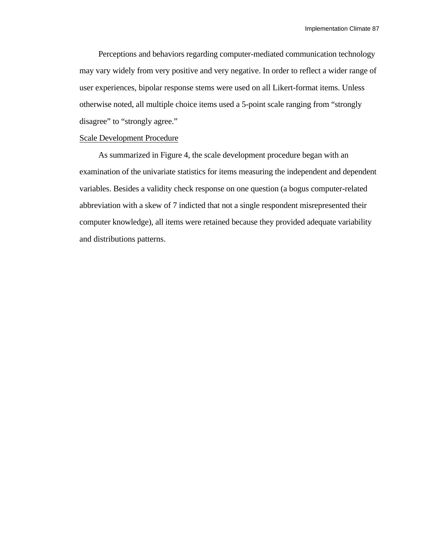Perceptions and behaviors regarding computer-mediated communication technology may vary widely from very positive and very negative. In order to reflect a wider range of user experiences, bipolar response stems were used on all Likert-format items. Unless otherwise noted, all multiple choice items used a 5-point scale ranging from "strongly disagree" to "strongly agree."

### Scale Development Procedure

As summarized in Figure 4, the scale development procedure began with an examination of the univariate statistics for items measuring the independent and dependent variables. Besides a validity check response on one question (a bogus computer-related abbreviation with a skew of 7 indicted that not a single respondent misrepresented their computer knowledge), all items were retained because they provided adequate variability and distributions patterns.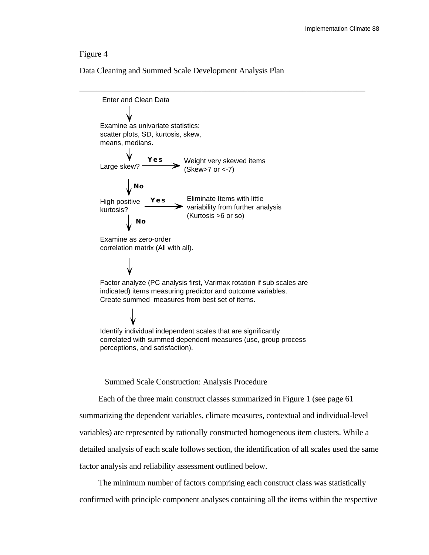### Figure 4

Data Cleaning and Summed Scale Development Analysis Plan



### Summed Scale Construction: Analysis Procedure

Each of the three main construct classes summarized in Figure 1 (see page 61 summarizing the dependent variables, climate measures, contextual and individual-level variables) are represented by rationally constructed homogeneous item clusters. While a detailed analysis of each scale follows section, the identification of all scales used the same factor analysis and reliability assessment outlined below.

The minimum number of factors comprising each construct class was statistically confirmed with principle component analyses containing all the items within the respective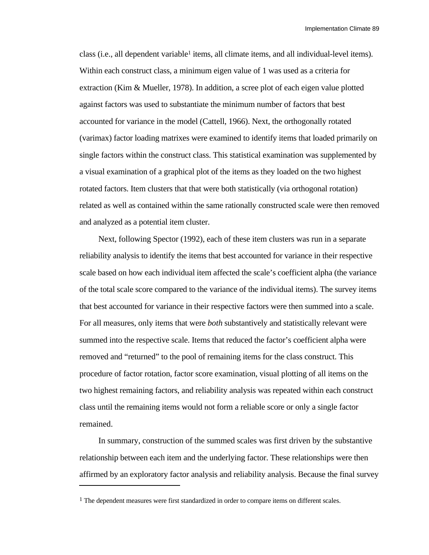class (i.e., all dependent variable<sup>1</sup> items, all climate items, and all individual-level items). Within each construct class, a minimum eigen value of 1 was used as a criteria for extraction (Kim & Mueller, 1978). In addition, a scree plot of each eigen value plotted against factors was used to substantiate the minimum number of factors that best accounted for variance in the model (Cattell, 1966). Next, the orthogonally rotated (varimax) factor loading matrixes were examined to identify items that loaded primarily on single factors within the construct class. This statistical examination was supplemented by a visual examination of a graphical plot of the items as they loaded on the two highest rotated factors. Item clusters that that were both statistically (via orthogonal rotation) related as well as contained within the same rationally constructed scale were then removed and analyzed as a potential item cluster.

Next, following Spector (1992), each of these item clusters was run in a separate reliability analysis to identify the items that best accounted for variance in their respective scale based on how each individual item affected the scale's coefficient alpha (the variance of the total scale score compared to the variance of the individual items). The survey items that best accounted for variance in their respective factors were then summed into a scale. For all measures, only items that were *both* substantively and statistically relevant were summed into the respective scale. Items that reduced the factor's coefficient alpha were removed and "returned" to the pool of remaining items for the class construct. This procedure of factor rotation, factor score examination, visual plotting of all items on the two highest remaining factors, and reliability analysis was repeated within each construct class until the remaining items would not form a reliable score or only a single factor remained.

In summary, construction of the summed scales was first driven by the substantive relationship between each item and the underlying factor. These relationships were then affirmed by an exploratory factor analysis and reliability analysis. Because the final survey

l

<sup>&</sup>lt;sup>1</sup> The dependent measures were first standardized in order to compare items on different scales.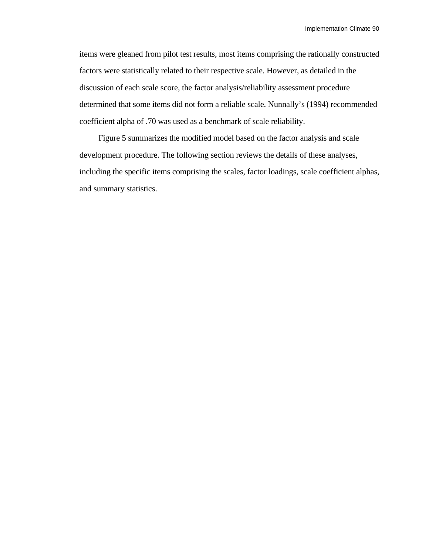items were gleaned from pilot test results, most items comprising the rationally constructed factors were statistically related to their respective scale. However, as detailed in the discussion of each scale score, the factor analysis/reliability assessment procedure determined that some items did not form a reliable scale. Nunnally's (1994) recommended coefficient alpha of .70 was used as a benchmark of scale reliability.

Figure 5 summarizes the modified model based on the factor analysis and scale development procedure. The following section reviews the details of these analyses, including the specific items comprising the scales, factor loadings, scale coefficient alphas, and summary statistics.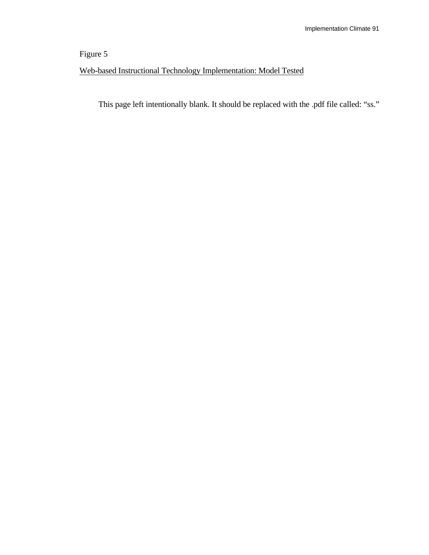# Figure 5

# Web-based Instructional Technology Implementation: Model Tested

This page left intentionally blank. It should be replaced with the .pdf file called: "ss."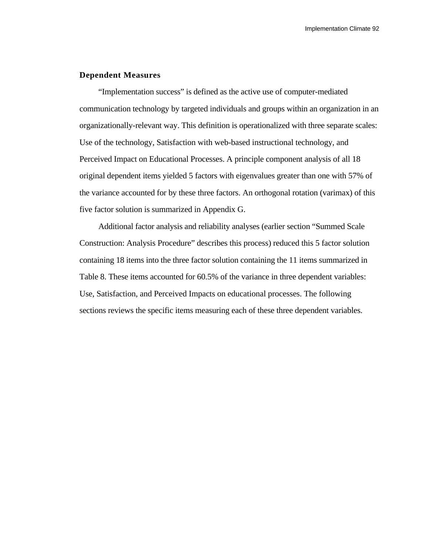### **Dependent Measures**

"Implementation success" is defined as the active use of computer-mediated communication technology by targeted individuals and groups within an organization in an organizationally-relevant way. This definition is operationalized with three separate scales: Use of the technology, Satisfaction with web-based instructional technology, and Perceived Impact on Educational Processes. A principle component analysis of all 18 original dependent items yielded 5 factors with eigenvalues greater than one with 57% of the variance accounted for by these three factors. An orthogonal rotation (varimax) of this five factor solution is summarized in Appendix G.

Additional factor analysis and reliability analyses (earlier section "Summed Scale Construction: Analysis Procedure" describes this process) reduced this 5 factor solution containing 18 items into the three factor solution containing the 11 items summarized in Table 8. These items accounted for 60.5% of the variance in three dependent variables: Use, Satisfaction, and Perceived Impacts on educational processes. The following sections reviews the specific items measuring each of these three dependent variables.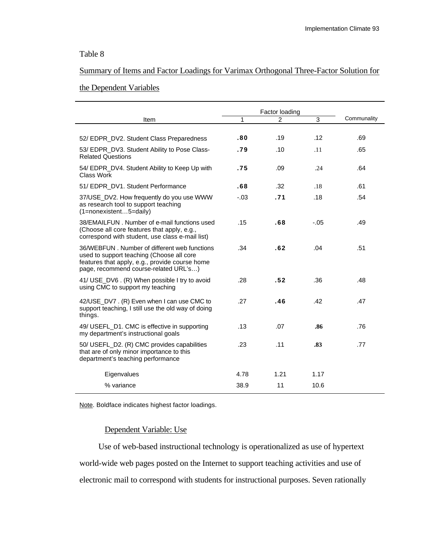### Table 8

### Summary of Items and Factor Loadings for Varimax Orthogonal Three-Factor Solution for

### the Dependent Variables

|                                                                                                                                                                                      | Factor loading |      |      |             |
|--------------------------------------------------------------------------------------------------------------------------------------------------------------------------------------|----------------|------|------|-------------|
| Item                                                                                                                                                                                 | 1              | 2    | 3    | Communality |
| 52/ EDPR_DV2. Student Class Preparedness                                                                                                                                             | .80            | .19  | .12  | .69         |
| 53/ EDPR_DV3. Student Ability to Pose Class-<br><b>Related Questions</b>                                                                                                             | .79            | .10  | .11  | .65         |
| 54/ EDPR_DV4. Student Ability to Keep Up with<br>Class Work                                                                                                                          | .75            | .09  | .24  | .64         |
| 51/ EDPR DV1. Student Performance                                                                                                                                                    | .68            | .32  | .18  | .61         |
| 37/USE_DV2. How frequently do you use WWW<br>as research tool to support teaching<br>$(1 = nonexistence5 = daily)$                                                                   | $-.03$         | .71  | .18  | .54         |
| 38/EMAILFUN. Number of e-mail functions used<br>(Choose all core features that apply, e.g.,<br>correspond with student, use class e-mail list)                                       | .15            | .68  | -.05 | .49         |
| 36/WEBFUN. Number of different web functions<br>used to support teaching (Choose all core<br>features that apply, e.g., provide course home<br>page, recommend course-related URL's) | .34            | .62  | .04  | .51         |
| 41/ USE_DV6 . (R) When possible I try to avoid<br>using CMC to support my teaching                                                                                                   | .28            | .52  | .36  | .48         |
| 42/USE DV7. (R) Even when I can use CMC to<br>support teaching, I still use the old way of doing<br>things.                                                                          | .27            | .46  | .42  | .47         |
| 49/ USEFL_D1. CMC is effective in supporting<br>my department's instructional goals                                                                                                  | .13            | .07  | .86  | .76         |
| 50/ USEFL_D2. (R) CMC provides capabilities<br>that are of only minor importance to this<br>department's teaching performance                                                        | .23            | .11  | .83  | .77         |
| Eigenvalues                                                                                                                                                                          | 4.78           | 1.21 | 1.17 |             |
| % variance                                                                                                                                                                           | 38.9           | 11   | 10.6 |             |

Note. Boldface indicates highest factor loadings.

### Dependent Variable: Use

Use of web-based instructional technology is operationalized as use of hypertext world-wide web pages posted on the Internet to support teaching activities and use of electronic mail to correspond with students for instructional purposes. Seven rationally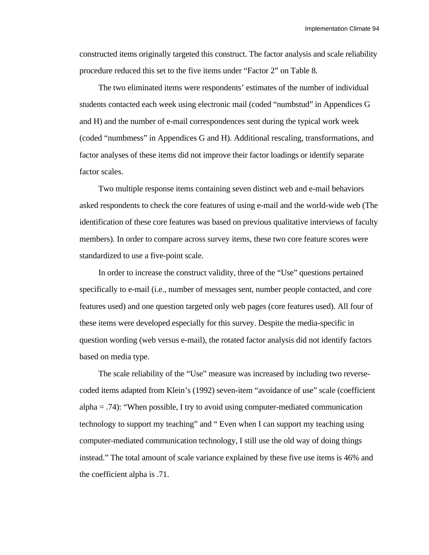Implementation Climate 94

constructed items originally targeted this construct. The factor analysis and scale reliability procedure reduced this set to the five items under "Factor 2" on Table 8.

The two eliminated items were respondents' estimates of the number of individual students contacted each week using electronic mail (coded "numbstud" in Appendices G and H) and the number of e-mail correspondences sent during the typical work week (coded "numbmess" in Appendices G and H). Additional rescaling, transformations, and factor analyses of these items did not improve their factor loadings or identify separate factor scales.

Two multiple response items containing seven distinct web and e-mail behaviors asked respondents to check the core features of using e-mail and the world-wide web (The identification of these core features was based on previous qualitative interviews of faculty members). In order to compare across survey items, these two core feature scores were standardized to use a five-point scale.

In order to increase the construct validity, three of the "Use" questions pertained specifically to e-mail (i.e., number of messages sent, number people contacted, and core features used) and one question targeted only web pages (core features used). All four of these items were developed especially for this survey. Despite the media-specific in question wording (web versus e-mail), the rotated factor analysis did not identify factors based on media type.

The scale reliability of the "Use" measure was increased by including two reversecoded items adapted from Klein's (1992) seven-item "avoidance of use" scale (coefficient alpha  $= .74$ : "When possible, I try to avoid using computer-mediated communication technology to support my teaching" and " Even when I can support my teaching using computer-mediated communication technology, I still use the old way of doing things instead." The total amount of scale variance explained by these five use items is 46% and the coefficient alpha is .71.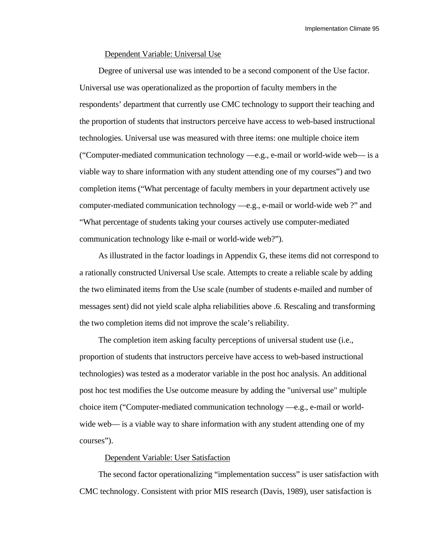### Dependent Variable: Universal Use

Degree of universal use was intended to be a second component of the Use factor. Universal use was operationalized as the proportion of faculty members in the respondents' department that currently use CMC technology to support their teaching and the proportion of students that instructors perceive have access to web-based instructional technologies. Universal use was measured with three items: one multiple choice item ("Computer-mediated communication technology —e.g., e-mail or world-wide web— is a viable way to share information with any student attending one of my courses") and two completion items ("What percentage of faculty members in your department actively use computer-mediated communication technology —e.g., e-mail or world-wide web ?" and "What percentage of students taking your courses actively use computer-mediated communication technology like e-mail or world-wide web?").

As illustrated in the factor loadings in Appendix G, these items did not correspond to a rationally constructed Universal Use scale. Attempts to create a reliable scale by adding the two eliminated items from the Use scale (number of students e-mailed and number of messages sent) did not yield scale alpha reliabilities above .6. Rescaling and transforming the two completion items did not improve the scale's reliability.

The completion item asking faculty perceptions of universal student use (i.e., proportion of students that instructors perceive have access to web-based instructional technologies) was tested as a moderator variable in the post hoc analysis. An additional post hoc test modifies the Use outcome measure by adding the "universal use" multiple choice item ("Computer-mediated communication technology —e.g., e-mail or worldwide web— is a viable way to share information with any student attending one of my courses").

### Dependent Variable: User Satisfaction

The second factor operationalizing "implementation success" is user satisfaction with CMC technology. Consistent with prior MIS research (Davis, 1989), user satisfaction is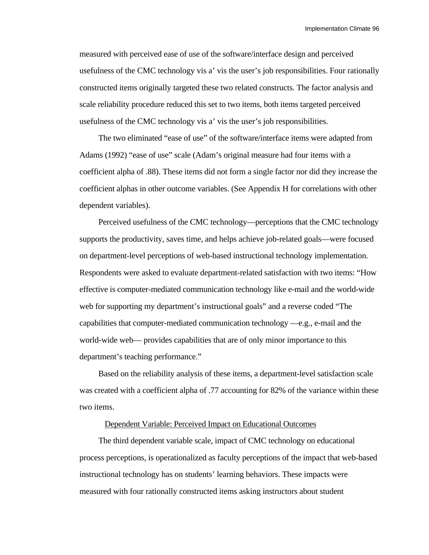Implementation Climate 96

measured with perceived ease of use of the software/interface design and perceived usefulness of the CMC technology vis a' vis the user's job responsibilities. Four rationally constructed items originally targeted these two related constructs. The factor analysis and scale reliability procedure reduced this set to two items, both items targeted perceived usefulness of the CMC technology vis a' vis the user's job responsibilities.

The two eliminated "ease of use" of the software/interface items were adapted from Adams (1992) "ease of use" scale (Adam's original measure had four items with a coefficient alpha of .88). These items did not form a single factor nor did they increase the coefficient alphas in other outcome variables. (See Appendix H for correlations with other dependent variables).

Perceived usefulness of the CMC technology—perceptions that the CMC technology supports the productivity, saves time, and helps achieve job-related goals—were focused on department-level perceptions of web-based instructional technology implementation. Respondents were asked to evaluate department-related satisfaction with two items: "How effective is computer-mediated communication technology like e-mail and the world-wide web for supporting my department's instructional goals" and a reverse coded "The capabilities that computer-mediated communication technology —e.g., e-mail and the world-wide web— provides capabilities that are of only minor importance to this department's teaching performance."

Based on the reliability analysis of these items, a department-level satisfaction scale was created with a coefficient alpha of .77 accounting for 82% of the variance within these two items.

### Dependent Variable: Perceived Impact on Educational Outcomes

The third dependent variable scale, impact of CMC technology on educational process perceptions, is operationalized as faculty perceptions of the impact that web-based instructional technology has on students' learning behaviors. These impacts were measured with four rationally constructed items asking instructors about student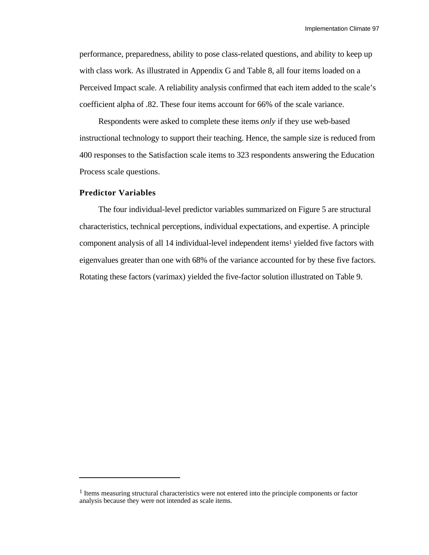performance, preparedness, ability to pose class-related questions, and ability to keep up with class work. As illustrated in Appendix G and Table 8, all four items loaded on a Perceived Impact scale. A reliability analysis confirmed that each item added to the scale's coefficient alpha of .82. These four items account for 66% of the scale variance.

Respondents were asked to complete these items *only* if they use web-based instructional technology to support their teaching. Hence, the sample size is reduced from 400 responses to the Satisfaction scale items to 323 respondents answering the Education Process scale questions.

### **Predictor Variables**

l

The four individual-level predictor variables summarized on Figure 5 are structural characteristics, technical perceptions, individual expectations, and expertise. A principle component analysis of all 14 individual-level independent items<sup>1</sup> yielded five factors with eigenvalues greater than one with 68% of the variance accounted for by these five factors. Rotating these factors (varimax) yielded the five-factor solution illustrated on Table 9.

<sup>&</sup>lt;sup>1</sup> Items measuring structural characteristics were not entered into the principle components or factor analysis because they were not intended as scale items.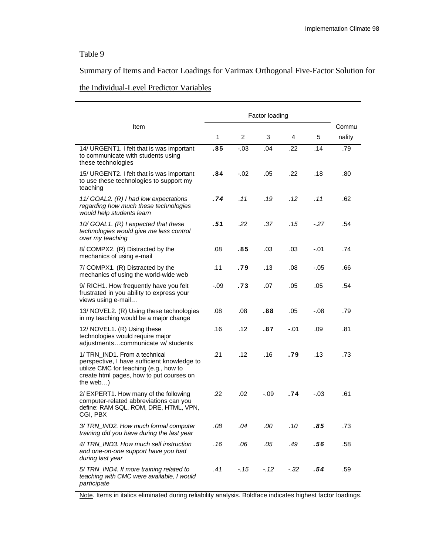# Table 9

# Summary of Items and Factor Loadings for Varimax Orthogonal Five-Factor Solution for

## the Individual-Level Predictor Variables

|                                                                                                                                                                                   | Factor loading |        |         |        |         |        |
|-----------------------------------------------------------------------------------------------------------------------------------------------------------------------------------|----------------|--------|---------|--------|---------|--------|
| Item                                                                                                                                                                              |                |        |         |        |         | Commu  |
|                                                                                                                                                                                   | $\mathbf{1}$   | 2      | 3       | 4      | 5       | nality |
| 14/ URGENT1. I felt that is was important<br>to communicate with students using<br>these technologies                                                                             | .85            | $-.03$ | .04     | .22    | .14     | .79    |
| 15/ URGENT2. I felt that is was important<br>to use these technologies to support my<br>teaching                                                                                  | .84            | $-.02$ | .05     | .22    | .18     | .80    |
| 11/ GOAL2. (R) I had low expectations<br>regarding how much these technologies<br>would help students learn                                                                       | . 74           | .11    | .19     | . 12   | .11     | .62    |
| 10/ GOAL1. (R) I expected that these<br>technologies would give me less control<br>over my teaching                                                                               | .51            | .22    | .37     | . 15   | $-27$   | .54    |
| 8/ COMPX2. (R) Distracted by the<br>mechanics of using e-mail                                                                                                                     | .08            | .85    | .03     | .03    | $-.01$  | .74    |
| 7/ COMPX1. (R) Distracted by the<br>mechanics of using the world-wide web                                                                                                         | .11            | .79    | .13     | .08    | -.05    | .66    |
| 9/ RICH1. How frequently have you felt<br>frustrated in you ability to express your<br>views using e-mail                                                                         | $-.09$         | .73    | .07     | .05    | .05     | .54    |
| 13/ NOVEL2. (R) Using these technologies<br>in my teaching would be a major change                                                                                                | .08            | .08    | .88     | .05    | $-0.08$ | .79    |
| 12/ NOVEL1. (R) Using these<br>technologies would require major<br>adjustmentscommunicate w/ students                                                                             | .16            | .12    | .87     | $-.01$ | .09     | .81    |
| 1/ TRN IND1. From a technical<br>perspective, I have sufficient knowledge to<br>utilize CMC for teaching (e.g., how to<br>create html pages, how to put courses on<br>the web $)$ | .21            | .12    | .16     | .79    | .13     | .73    |
| 2/ EXPERT1. How many of the following<br>computer-related abbreviations can you<br>define: RAM SQL, ROM, DRE, HTML, VPN,<br>CGI, PBX                                              | .22            | .02    | -.09    | .74    | $-.03$  | .61    |
| 3/ TRN_IND2. How much formal computer<br>training did you have during the last year                                                                                               | .08            | .04    | $.00\,$ | .10    | .85     | .73    |
| 4/ TRN_IND3. How much self instruction<br>and one-on-one support have you had<br>during last year                                                                                 | .16            | .06    | .05     | .49    | .56     | .58    |
| 5/ TRN_IND4. If more training related to<br>teaching with CMC were available, I would<br>participate                                                                              | .41            | $-.15$ | $-12$   | $-.32$ | .54     | .59    |

Note. Items in italics eliminated during reliability analysis. Boldface indicates highest factor loadings.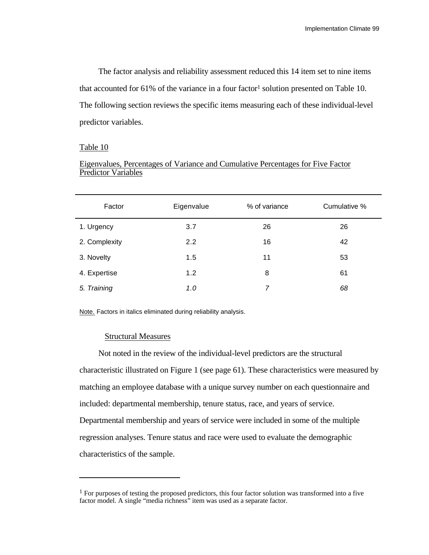The factor analysis and reliability assessment reduced this 14 item set to nine items that accounted for  $61\%$  of the variance in a four factor<sup>1</sup> solution presented on Table 10. The following section reviews the specific items measuring each of these individual-level predictor variables.

### Table 10

l

| <b>Predictor Variables</b> |  |  |
|----------------------------|--|--|
|                            |  |  |
|                            |  |  |

Eigenvalues, Percentages of Variance and Cumulative Percentages for Five Factor

| Factor        | Eigenvalue | % of variance | Cumulative % |
|---------------|------------|---------------|--------------|
| 1. Urgency    | 3.7        | 26            | 26           |
| 2. Complexity | 2.2        | 16            | 42           |
| 3. Novelty    | 1.5        | 11            | 53           |
| 4. Expertise  | 1.2        | 8             | 61           |
| 5. Training   | 1.0        | 7             | 68           |

Note. Factors in italics eliminated during reliability analysis.

### Structural Measures

Not noted in the review of the individual-level predictors are the structural characteristic illustrated on Figure 1 (see page 61). These characteristics were measured by matching an employee database with a unique survey number on each questionnaire and included: departmental membership, tenure status, race, and years of service. Departmental membership and years of service were included in some of the multiple regression analyses. Tenure status and race were used to evaluate the demographic characteristics of the sample.

<sup>&</sup>lt;sup>1</sup> For purposes of testing the proposed predictors, this four factor solution was transformed into a five factor model. A single "media richness" item was used as a separate factor.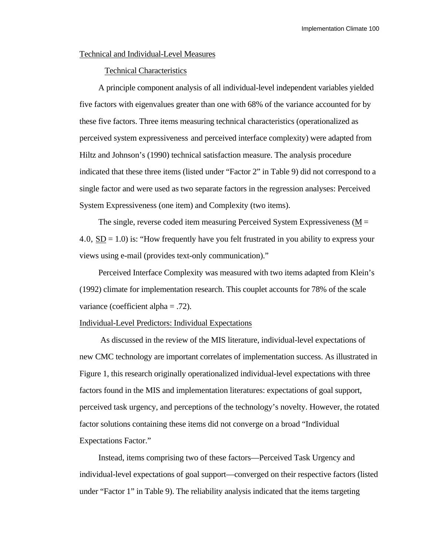### Technical and Individual-Level Measures

#### Technical Characteristics

A principle component analysis of all individual-level independent variables yielded five factors with eigenvalues greater than one with 68% of the variance accounted for by these five factors. Three items measuring technical characteristics (operationalized as perceived system expressiveness and perceived interface complexity) were adapted from Hiltz and Johnson's (1990) technical satisfaction measure. The analysis procedure indicated that these three items (listed under "Factor 2" in Table 9) did not correspond to a single factor and were used as two separate factors in the regression analyses: Perceived System Expressiveness (one item) and Complexity (two items).

The single, reverse coded item measuring Perceived System Expressiveness ( $M =$ 4.0,  $SD = 1.0$ ) is: "How frequently have you felt frustrated in you ability to express your views using e-mail (provides text-only communication)."

Perceived Interface Complexity was measured with two items adapted from Klein's (1992) climate for implementation research. This couplet accounts for 78% of the scale variance (coefficient alpha = .72).

### Individual-Level Predictors: Individual Expectations

 As discussed in the review of the MIS literature, individual-level expectations of new CMC technology are important correlates of implementation success. As illustrated in Figure 1, this research originally operationalized individual-level expectations with three factors found in the MIS and implementation literatures: expectations of goal support, perceived task urgency, and perceptions of the technology's novelty. However, the rotated factor solutions containing these items did not converge on a broad "Individual Expectations Factor."

Instead, items comprising two of these factors—Perceived Task Urgency and individual-level expectations of goal support—converged on their respective factors (listed under "Factor 1" in Table 9). The reliability analysis indicated that the items targeting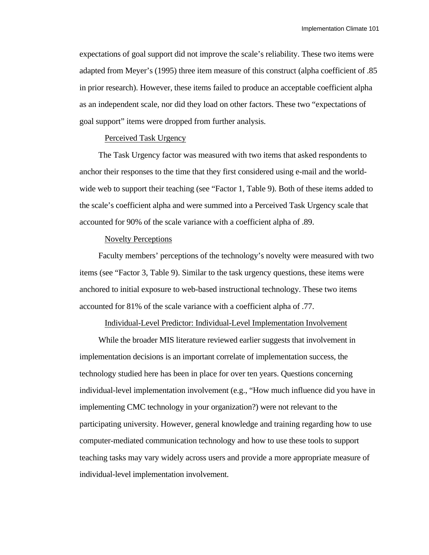expectations of goal support did not improve the scale's reliability. These two items were adapted from Meyer's (1995) three item measure of this construct (alpha coefficient of .85 in prior research). However, these items failed to produce an acceptable coefficient alpha as an independent scale, nor did they load on other factors. These two "expectations of goal support" items were dropped from further analysis.

#### Perceived Task Urgency

The Task Urgency factor was measured with two items that asked respondents to anchor their responses to the time that they first considered using e-mail and the worldwide web to support their teaching (see "Factor 1, Table 9). Both of these items added to the scale's coefficient alpha and were summed into a Perceived Task Urgency scale that accounted for 90% of the scale variance with a coefficient alpha of .89.

### Novelty Perceptions

Faculty members' perceptions of the technology's novelty were measured with two items (see "Factor 3, Table 9). Similar to the task urgency questions, these items were anchored to initial exposure to web-based instructional technology. These two items accounted for 81% of the scale variance with a coefficient alpha of .77.

### Individual-Level Predictor: Individual-Level Implementation Involvement

While the broader MIS literature reviewed earlier suggests that involvement in implementation decisions is an important correlate of implementation success, the technology studied here has been in place for over ten years. Questions concerning individual-level implementation involvement (e.g., "How much influence did you have in implementing CMC technology in your organization?) were not relevant to the participating university. However, general knowledge and training regarding how to use computer-mediated communication technology and how to use these tools to support teaching tasks may vary widely across users and provide a more appropriate measure of individual-level implementation involvement.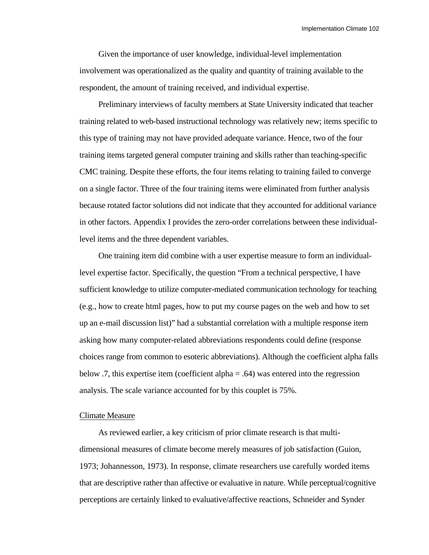Given the importance of user knowledge, individual-level implementation involvement was operationalized as the quality and quantity of training available to the respondent, the amount of training received, and individual expertise.

Preliminary interviews of faculty members at State University indicated that teacher training related to web-based instructional technology was relatively new; items specific to this type of training may not have provided adequate variance. Hence, two of the four training items targeted general computer training and skills rather than teaching-specific CMC training. Despite these efforts, the four items relating to training failed to converge on a single factor. Three of the four training items were eliminated from further analysis because rotated factor solutions did not indicate that they accounted for additional variance in other factors. Appendix I provides the zero-order correlations between these individuallevel items and the three dependent variables.

One training item did combine with a user expertise measure to form an individuallevel expertise factor. Specifically, the question "From a technical perspective, I have sufficient knowledge to utilize computer-mediated communication technology for teaching (e.g., how to create html pages, how to put my course pages on the web and how to set up an e-mail discussion list)" had a substantial correlation with a multiple response item asking how many computer-related abbreviations respondents could define (response choices range from common to esoteric abbreviations). Although the coefficient alpha falls below .7, this expertise item (coefficient alpha = .64) was entered into the regression analysis. The scale variance accounted for by this couplet is 75%.

#### Climate Measure

As reviewed earlier, a key criticism of prior climate research is that multidimensional measures of climate become merely measures of job satisfaction (Guion, 1973; Johannesson, 1973). In response, climate researchers use carefully worded items that are descriptive rather than affective or evaluative in nature. While perceptual/cognitive perceptions are certainly linked to evaluative/affective reactions, Schneider and Synder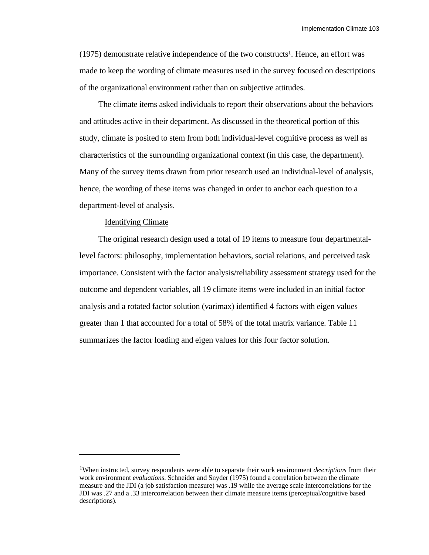(1975) demonstrate relative independence of the two constructs<sup>1</sup>. Hence, an effort was made to keep the wording of climate measures used in the survey focused on descriptions of the organizational environment rather than on subjective attitudes.

The climate items asked individuals to report their observations about the behaviors and attitudes active in their department. As discussed in the theoretical portion of this study, climate is posited to stem from both individual-level cognitive process as well as characteristics of the surrounding organizational context (in this case, the department). Many of the survey items drawn from prior research used an individual-level of analysis, hence, the wording of these items was changed in order to anchor each question to a department-level of analysis.

#### Identifying Climate

l

The original research design used a total of 19 items to measure four departmentallevel factors: philosophy, implementation behaviors, social relations, and perceived task importance. Consistent with the factor analysis/reliability assessment strategy used for the outcome and dependent variables, all 19 climate items were included in an initial factor analysis and a rotated factor solution (varimax) identified 4 factors with eigen values greater than 1 that accounted for a total of 58% of the total matrix variance. Table 11 summarizes the factor loading and eigen values for this four factor solution.

<sup>1</sup>When instructed, survey respondents were able to separate their work environment *descriptions* from their work environment *evaluations*. Schneider and Snyder (1975) found a correlation between the climate measure and the JDI (a job satisfaction measure) was .19 while the average scale intercorrelations for the JDI was .27 and a .33 intercorrelation between their climate measure items (perceptual/cognitive based descriptions).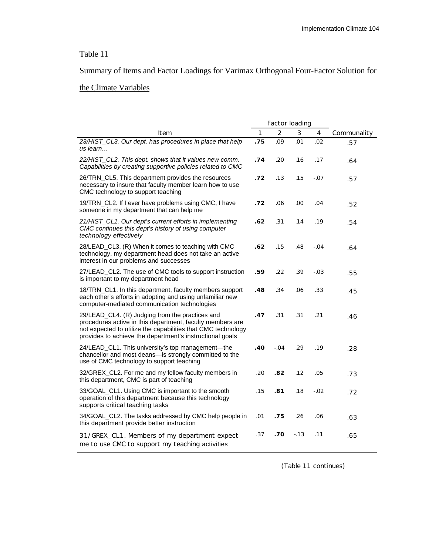# Table 11

# Summary of Items and Factor Loadings for Varimax Orthogonal Four-Factor Solution for

# the Climate Variables

|                                                                                                                                                                                                                                          | Factor loading |                |       |         |             |
|------------------------------------------------------------------------------------------------------------------------------------------------------------------------------------------------------------------------------------------|----------------|----------------|-------|---------|-------------|
| Item                                                                                                                                                                                                                                     | $\mathbf{1}$   | $\overline{2}$ | 3     | 4       | Communality |
| 23/HIST_CL3. Our dept. has procedures in place that help<br>us learn                                                                                                                                                                     | .75            | .09            | .01   | .02     | .57         |
| 22/HIST_CL2. This dept. shows that it values new comm.<br>Capabilities by creating supportive policies related to CMC                                                                                                                    | .74            | .20            | .16   | .17     | .64         |
| 26/TRN_CL5. This department provides the resources<br>necessary to insure that faculty member learn how to use<br>CMC technology to support teaching                                                                                     | .72            | .13            | .15   | -.07    | .57         |
| 19/TRN_CL2. If I ever have problems using CMC, I have<br>someone in my department that can help me                                                                                                                                       | .72            | .06            | .00   | .04     | .52         |
| 21/HIST_CL1. Our dept's current efforts in implementing<br>CMC continues this dept's history of using computer<br>technology effectively                                                                                                 | .62            | .31            | .14   | .19     | .54         |
| 28/LEAD_CL3. (R) When it comes to teaching with CMC<br>technology, my department head does not take an active<br>interest in our problems and successes                                                                                  | .62            | .15            | .48   | -.04    | .64         |
| 27/LEAD_CL2. The use of CMC tools to support instruction<br>is important to my department head                                                                                                                                           | .59            | .22            | .39   | $-.03$  | .55         |
| 18/TRN_CL1. In this department, faculty members support<br>each other's efforts in adopting and using unfamiliar new<br>computer-mediated communication technologies                                                                     | .48            | .34            | .06   | .33     | .45         |
| 29/LEAD_CL4. (R) Judging from the practices and<br>procedures active in this department, faculty members are<br>not expected to utilize the capabilities that CMC technology<br>provides to achieve the department's instructional goals | .47            | .31            | .31   | .21     | .46         |
| 24/LEAD_CL1. This university's top management—the<br>chancellor and most deans-is strongly committed to the<br>use of CMC technology to support teaching                                                                                 | .40            | $-.04$         | .29   | .19     | .28         |
| 32/GREX_CL2. For me and my fellow faculty members in<br>this department, CMC is part of teaching                                                                                                                                         | .20            | .82            | .12   | .05     | .73         |
| 33/GOAL_CL1. Using CMC is important to the smooth<br>operation of this department because this technology<br>supports critical teaching tasks                                                                                            | .15            | .81            | .18   | $-0.02$ | .72         |
| 34/GOAL_CL2. The tasks addressed by CMC help people in<br>this department provide better instruction                                                                                                                                     | .01            | .75            | .26   | .06     | .63         |
| 31/GREX_CL1. Members of my department expect<br>me to use CMC to support my teaching activities                                                                                                                                          | .37            | .70            | $-13$ | .11     | .65         |

(Table 11 continues)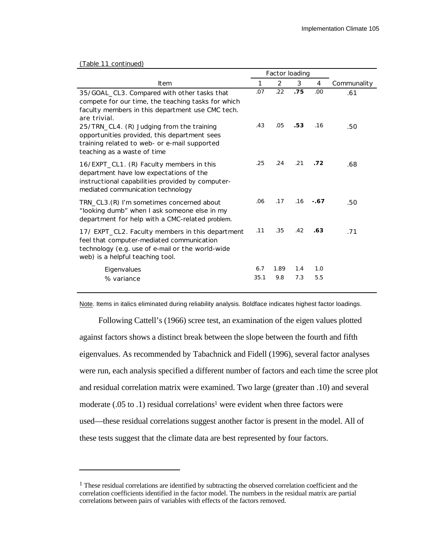#### (Table 11 continued)

l

|                                                                                                                                                                                       |             | Factor loading |            |            |             |
|---------------------------------------------------------------------------------------------------------------------------------------------------------------------------------------|-------------|----------------|------------|------------|-------------|
| Item                                                                                                                                                                                  | 1           | 2              | 3          | 4          | Communality |
| 35/GOAL_CL3. Compared with other tasks that<br>compete for our time, the teaching tasks for which<br>faculty members in this department use CMC tech.<br>are trivial.                 | .07         | .22            | .75        | .00        | .61         |
| 25/TRN_CL4. (R) Judging from the training<br>opportunities provided, this department sees<br>training related to web- or e-mail supported<br>teaching as a waste of time              | .43         | .05            | .53        | .16        | .50         |
| 16/EXPT_CL1. (R) Faculty members in this<br>department have low expectations of the<br>instructional capabilities provided by computer-<br>mediated communication technology          | .25         | .24            | .21        | .72        | .68         |
| TRN_CL3.(R) I'm sometimes concerned about<br>"looking dumb" when I ask someone else in my<br>department for help with a CMC-related problem.                                          | .06         | .17            | .16        | $-.67$     | .50         |
| 17/ EXPT_CL2. Faculty members in this department<br>feel that computer-mediated communication<br>technology (e.g. use of e-mail or the world-wide<br>web) is a helpful teaching tool. | .11         | .35            | .42        | .63        | .71         |
| Eigenvalues<br>% variance                                                                                                                                                             | 6.7<br>35.1 | 1.89<br>9.8    | 1.4<br>7.3 | 1.0<br>5.5 |             |

Note. Items in italics eliminated during reliability analysis. Boldface indicates highest factor loadings.

Following Cattell's (1966) scree test, an examination of the eigen values plotted against factors shows a distinct break between the slope between the fourth and fifth eigenvalues. As recommended by Tabachnick and Fidell (1996), several factor analyses were run, each analysis specified a different number of factors and each time the scree plot and residual correlation matrix were examined. Two large (greater than .10) and several moderate  $(.05 \text{ to } .1)$  residual correlations<sup>1</sup> were evident when three factors were used—these residual correlations suggest another factor is present in the model. All of these tests suggest that the climate data are best represented by four factors.

<sup>&</sup>lt;sup>1</sup> These residual correlations are identified by subtracting the observed correlation coefficient and the correlation coefficients identified in the factor model. The numbers in the residual matrix are partial correlations between pairs of variables with effects of the factors removed.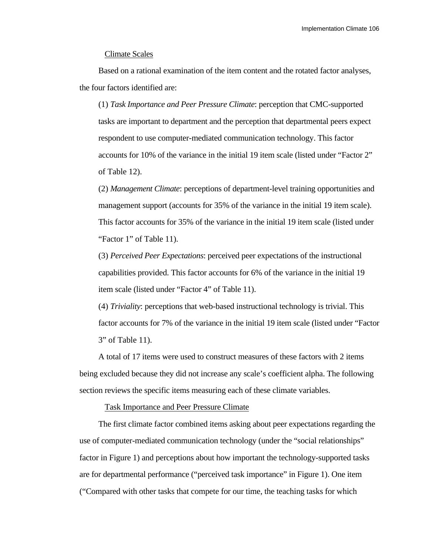### Climate Scales

Based on a rational examination of the item content and the rotated factor analyses, the four factors identified are:

(1) *Task Importance and Peer Pressure Climate*: perception that CMC-supported tasks are important to department and the perception that departmental peers expect respondent to use computer-mediated communication technology. This factor accounts for 10% of the variance in the initial 19 item scale (listed under "Factor 2" of Table 12).

(2) *Management Climate*: perceptions of department-level training opportunities and management support (accounts for 35% of the variance in the initial 19 item scale). This factor accounts for 35% of the variance in the initial 19 item scale (listed under "Factor 1" of Table 11).

(3) *Perceived Peer Expectations*: perceived peer expectations of the instructional capabilities provided. This factor accounts for 6% of the variance in the initial 19 item scale (listed under "Factor 4" of Table 11).

(4) *Triviality*: perceptions that web-based instructional technology is trivial. This factor accounts for 7% of the variance in the initial 19 item scale (listed under "Factor 3" of Table 11).

A total of 17 items were used to construct measures of these factors with 2 items being excluded because they did not increase any scale's coefficient alpha. The following section reviews the specific items measuring each of these climate variables.

Task Importance and Peer Pressure Climate

The first climate factor combined items asking about peer expectations regarding the use of computer-mediated communication technology (under the "social relationships" factor in Figure 1) and perceptions about how important the technology-supported tasks are for departmental performance ("perceived task importance" in Figure 1). One item ("Compared with other tasks that compete for our time, the teaching tasks for which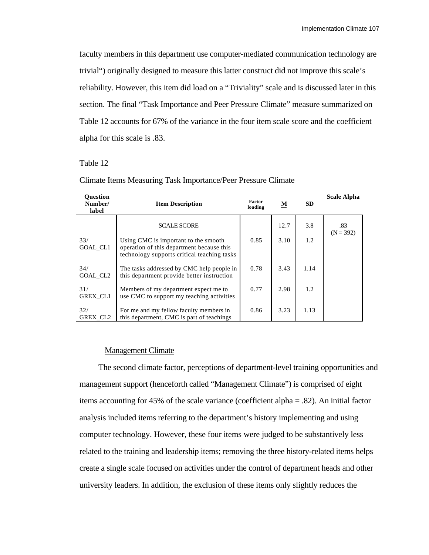faculty members in this department use computer-mediated communication technology are trivial") originally designed to measure this latter construct did not improve this scale's reliability. However, this item did load on a "Triviality" scale and is discussed later in this section. The final "Task Importance and Peer Pressure Climate" measure summarized on Table 12 accounts for 67% of the variance in the four item scale score and the coefficient alpha for this scale is .83.

# Table 12

| <b>Ouestion</b><br>Number/<br>label | <b>Item Description</b>                                                                                                          | Factor<br>loading | <u>M</u> | <b>SD</b> | <b>Scale Alpha</b> |
|-------------------------------------|----------------------------------------------------------------------------------------------------------------------------------|-------------------|----------|-----------|--------------------|
|                                     | <b>SCALE SCORE</b>                                                                                                               |                   | 12.7     | 3.8       | .83<br>$(N = 392)$ |
| 33/<br><b>GOAL CL1</b>              | Using CMC is important to the smooth<br>operation of this department because this<br>technology supports critical teaching tasks | 0.85              | 3.10     | 1.2       |                    |
| 34/<br>GOAL CL <sub>2</sub>         | The tasks addressed by CMC help people in<br>this department provide better instruction                                          | 0.78              | 3.43     | 1.14      |                    |
| 31/<br>GREX_CL1                     | Members of my department expect me to<br>use CMC to support my teaching activities                                               | 0.77              | 2.98     | 1.2       |                    |
| 32/<br><b>GREX CL2</b>              | For me and my fellow faculty members in<br>this department, CMC is part of teachings                                             | 0.86              | 3.23     | 1.13      |                    |

## Climate Items Measuring Task Importance/Peer Pressure Climate

#### Management Climate

The second climate factor, perceptions of department-level training opportunities and management support (henceforth called "Management Climate") is comprised of eight items accounting for 45% of the scale variance (coefficient alpha = .82). An initial factor analysis included items referring to the department's history implementing and using computer technology. However, these four items were judged to be substantively less related to the training and leadership items; removing the three history-related items helps create a single scale focused on activities under the control of department heads and other university leaders. In addition, the exclusion of these items only slightly reduces the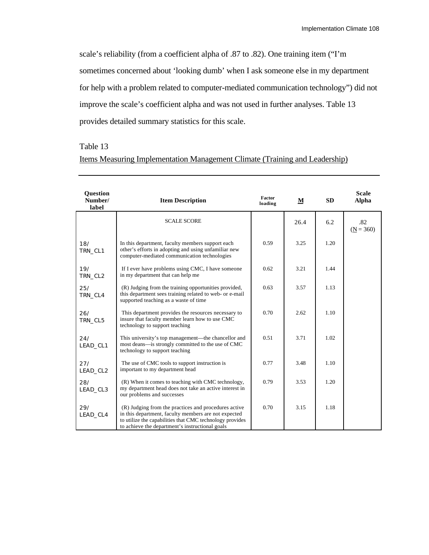scale's reliability (from a coefficient alpha of .87 to .82). One training item ("I'm sometimes concerned about 'looking dumb' when I ask someone else in my department for help with a problem related to computer-mediated communication technology") did not improve the scale's coefficient alpha and was not used in further analyses. Table 13 provides detailed summary statistics for this scale.

# Table 13

# Items Measuring Implementation Management Climate (Training and Leadership)

| Question<br>Number/<br>label | <b>Item Description</b>                                                                                                                                                                                                     | Factor<br>loading | M    | <b>SD</b> | <b>Scale</b><br><b>Alpha</b> |
|------------------------------|-----------------------------------------------------------------------------------------------------------------------------------------------------------------------------------------------------------------------------|-------------------|------|-----------|------------------------------|
|                              | <b>SCALE SCORE</b>                                                                                                                                                                                                          |                   | 26.4 | 6.2       | .82<br>$(N = 360)$           |
| 18/<br>TRN_CL1               | In this department, faculty members support each<br>other's efforts in adopting and using unfamiliar new<br>computer-mediated communication technologies                                                                    | 0.59              | 3.25 | 1.20      |                              |
| 19/<br>TRN_CL2               | If I ever have problems using CMC, I have someone<br>in my department that can help me                                                                                                                                      | 0.62              | 3.21 | 1.44      |                              |
| 25/<br>TRN_CL4               | (R) Judging from the training opportunities provided,<br>this department sees training related to web- or e-mail<br>supported teaching as a waste of time                                                                   |                   | 3.57 | 1.13      |                              |
| 26/<br>TRN_CL5               | This department provides the resources necessary to<br>insure that faculty member learn how to use CMC<br>technology to support teaching                                                                                    | 0.70              | 2.62 | 1.10      |                              |
| 24/<br>LEAD_CL1              | This university's top management—the chancellor and<br>most deans—is strongly committed to the use of CMC<br>technology to support teaching                                                                                 | 0.51              | 3.71 | 1.02      |                              |
| 27/<br>LEAD_CL2              | The use of CMC tools to support instruction is<br>important to my department head                                                                                                                                           | 0.77              | 3.48 | 1.10      |                              |
| 28/<br>LEAD_CL3              | (R) When it comes to teaching with CMC technology,<br>my department head does not take an active interest in<br>our problems and successes                                                                                  | 0.79              | 3.53 | 1.20      |                              |
| 29/<br>LEAD_CL4              | (R) Judging from the practices and procedures active<br>in this department, faculty members are not expected<br>to utilize the capabilities that CMC technology provides<br>to achieve the department's instructional goals | 0.70              | 3.15 | 1.18      |                              |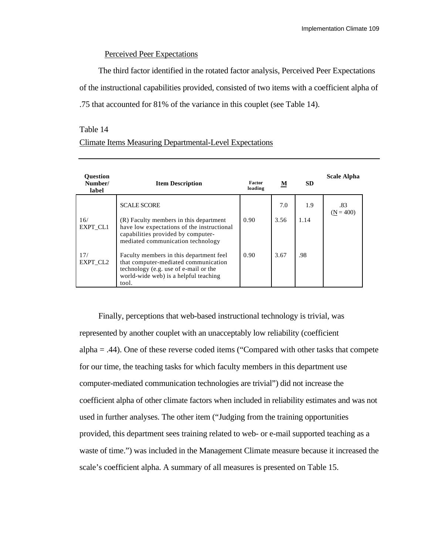### Perceived Peer Expectations

The third factor identified in the rotated factor analysis, Perceived Peer Expectations of the instructional capabilities provided, consisted of two items with a coefficient alpha of .75 that accounted for 81% of the variance in this couplet (see Table 14).

# Table 14

| <b>Ouestion</b><br>Number/<br>label | <b>Item Description</b>                                                                                                                                                    | Factor<br>loading | M    | SD.  | <b>Scale Alpha</b> |
|-------------------------------------|----------------------------------------------------------------------------------------------------------------------------------------------------------------------------|-------------------|------|------|--------------------|
|                                     | <b>SCALE SCORE</b>                                                                                                                                                         |                   | 7.0  | 1.9  | .83<br>$(N = 400)$ |
| 16/<br>EXPT_CL1                     | (R) Faculty members in this department<br>have low expectations of the instructional<br>capabilities provided by computer-<br>mediated communication technology            | 0.90              | 3.56 | 1.14 |                    |
| 17/<br>EXPT CL2                     | Faculty members in this department feel<br>that computer-mediated communication<br>technology (e.g. use of e-mail or the<br>world-wide web) is a helpful teaching<br>tool. | 0.90              | 3.67 | .98  |                    |

# Climate Items Measuring Departmental-Level Expectations

Finally, perceptions that web-based instructional technology is trivial, was represented by another couplet with an unacceptably low reliability (coefficient alpha  $=$  .44). One of these reverse coded items ("Compared with other tasks that compete for our time, the teaching tasks for which faculty members in this department use computer-mediated communication technologies are trivial") did not increase the coefficient alpha of other climate factors when included in reliability estimates and was not used in further analyses. The other item ("Judging from the training opportunities provided, this department sees training related to web- or e-mail supported teaching as a waste of time.") was included in the Management Climate measure because it increased the scale's coefficient alpha. A summary of all measures is presented on Table 15.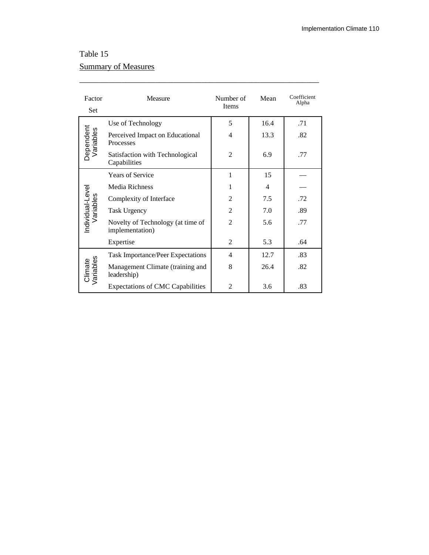# Table 15 Summary of Measures

| Factor<br>Set                                   | Measure                                              | Number of<br><b>Items</b> | Mean | Coefficient<br>Alpha |
|-------------------------------------------------|------------------------------------------------------|---------------------------|------|----------------------|
|                                                 | Use of Technology                                    | 5                         | 16.4 | .71                  |
| Dependent<br>Variables                          | Perceived Impact on Educational<br>Processes         | 4                         | 13.3 | .82                  |
| Satisfaction with Technological<br>Capabilities |                                                      | $\overline{c}$            | 6.9  | .77                  |
|                                                 | <b>Years of Service</b>                              | 1                         | 15   |                      |
|                                                 | Media Richness                                       | 1                         | 4    |                      |
|                                                 | Complexity of Interface                              | $\overline{c}$            | 7.5  | .72                  |
|                                                 | <b>Task Urgency</b>                                  | $\overline{2}$            | 7.0  | .89                  |
| Individual-Level<br>Variables                   | Novelty of Technology (at time of<br>implementation) | $\mathfrak{D}$            | 5.6  | .77                  |
|                                                 | Expertise                                            | 2                         | 5.3  | .64                  |
|                                                 | <b>Task Importance/Peer Expectations</b>             | 4                         | 12.7 | .83                  |
| Climate<br>/ariables                            | Management Climate (training and<br>leadership)      | 8                         | 26.4 | .82                  |
|                                                 | <b>Expectations of CMC Capabilities</b>              | 2                         | 3.6  | .83                  |

\_\_\_\_\_\_\_\_\_\_\_\_\_\_\_\_\_\_\_\_\_\_\_\_\_\_\_\_\_\_\_\_\_\_\_\_\_\_\_\_\_\_\_\_\_\_\_\_\_\_\_\_\_\_\_\_\_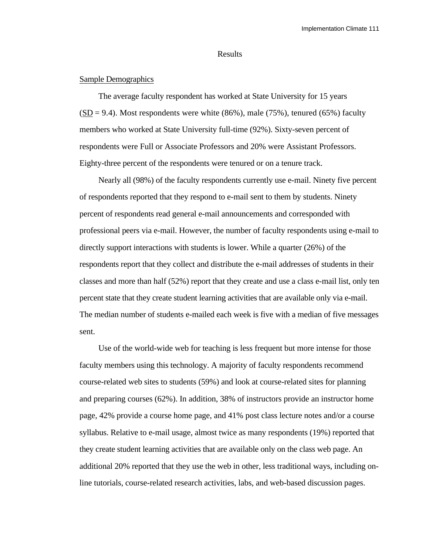### Results

#### Sample Demographics

The average faculty respondent has worked at State University for 15 years  $(SD = 9.4)$ . Most respondents were white  $(86\%)$ , male  $(75\%)$ , tenured  $(65\%)$  faculty members who worked at State University full-time (92%). Sixty-seven percent of respondents were Full or Associate Professors and 20% were Assistant Professors. Eighty-three percent of the respondents were tenured or on a tenure track.

Nearly all (98%) of the faculty respondents currently use e-mail. Ninety five percent of respondents reported that they respond to e-mail sent to them by students. Ninety percent of respondents read general e-mail announcements and corresponded with professional peers via e-mail. However, the number of faculty respondents using e-mail to directly support interactions with students is lower. While a quarter (26%) of the respondents report that they collect and distribute the e-mail addresses of students in their classes and more than half (52%) report that they create and use a class e-mail list, only ten percent state that they create student learning activities that are available only via e-mail. The median number of students e-mailed each week is five with a median of five messages sent.

Use of the world-wide web for teaching is less frequent but more intense for those faculty members using this technology. A majority of faculty respondents recommend course-related web sites to students (59%) and look at course-related sites for planning and preparing courses (62%). In addition, 38% of instructors provide an instructor home page, 42% provide a course home page, and 41% post class lecture notes and/or a course syllabus. Relative to e-mail usage, almost twice as many respondents (19%) reported that they create student learning activities that are available only on the class web page. An additional 20% reported that they use the web in other, less traditional ways, including online tutorials, course-related research activities, labs, and web-based discussion pages.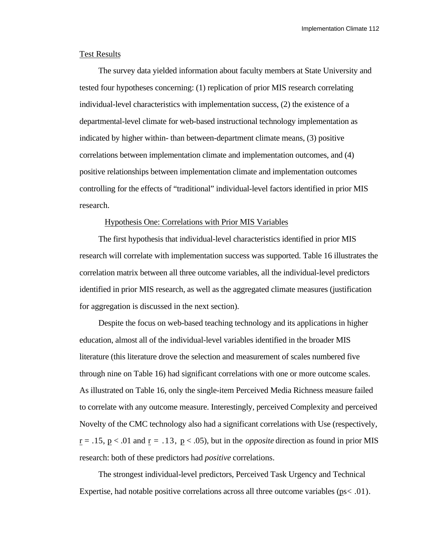# Test Results

The survey data yielded information about faculty members at State University and tested four hypotheses concerning: (1) replication of prior MIS research correlating individual-level characteristics with implementation success, (2) the existence of a departmental-level climate for web-based instructional technology implementation as indicated by higher within- than between-department climate means, (3) positive correlations between implementation climate and implementation outcomes, and (4) positive relationships between implementation climate and implementation outcomes controlling for the effects of "traditional" individual-level factors identified in prior MIS research.

#### Hypothesis One: Correlations with Prior MIS Variables

The first hypothesis that individual-level characteristics identified in prior MIS research will correlate with implementation success was supported. Table 16 illustrates the correlation matrix between all three outcome variables, all the individual-level predictors identified in prior MIS research, as well as the aggregated climate measures (justification for aggregation is discussed in the next section).

Despite the focus on web-based teaching technology and its applications in higher education, almost all of the individual-level variables identified in the broader MIS literature (this literature drove the selection and measurement of scales numbered five through nine on Table 16) had significant correlations with one or more outcome scales. As illustrated on Table 16, only the single-item Perceived Media Richness measure failed to correlate with any outcome measure. Interestingly, perceived Complexity and perceived Novelty of the CMC technology also had a significant correlations with Use (respectively,  $r = .15$ ,  $p < .01$  and  $r = .13$ ,  $p < .05$ ), but in the *opposite* direction as found in prior MIS research: both of these predictors had *positive* correlations.

The strongest individual-level predictors, Perceived Task Urgency and Technical Expertise, had notable positive correlations across all three outcome variables ( $ps < .01$ ).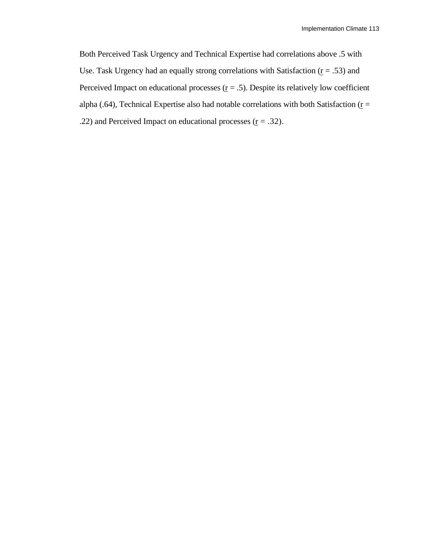Both Perceived Task Urgency and Technical Expertise had correlations above .5 with Use. Task Urgency had an equally strong correlations with Satisfaction ( $r = .53$ ) and Perceived Impact on educational processes ( $\underline{r} = .5$ ). Despite its relatively low coefficient alpha (.64), Technical Expertise also had notable correlations with both Satisfaction ( $\underline{r}$  = .22) and Perceived Impact on educational processes ( $r = .32$ ).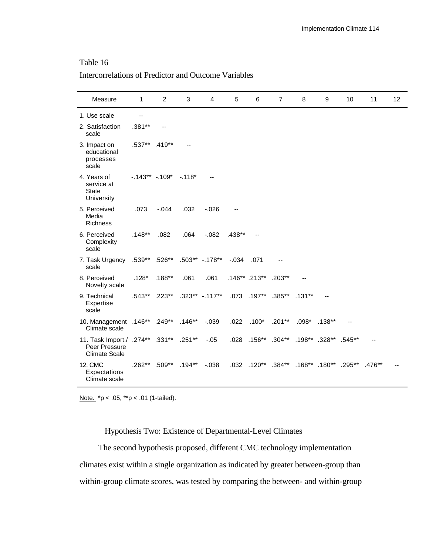# Table 16

# Intercorrelations of Predictor and Outcome Variables

| Measure                                                                         | 1             | 2                              | 3                    | 4                            | 5       | 6                    | $\overline{7}$            | 8        | 9                    | 10                   | 11       | 12 |
|---------------------------------------------------------------------------------|---------------|--------------------------------|----------------------|------------------------------|---------|----------------------|---------------------------|----------|----------------------|----------------------|----------|----|
| 1. Use scale                                                                    | $-$           |                                |                      |                              |         |                      |                           |          |                      |                      |          |    |
| 2. Satisfaction<br>scale                                                        | $.381**$      |                                |                      |                              |         |                      |                           |          |                      |                      |          |    |
| 3. Impact on<br>educational<br>processes<br>scale                               | .537** .419** |                                |                      |                              |         |                      |                           |          |                      |                      |          |    |
| 4. Years of<br>service at<br><b>State</b><br>University                         |               | $-0.143**$ $-0.109*$ $-0.118*$ |                      |                              |         |                      |                           |          |                      |                      |          |    |
| 5. Perceived<br>Media<br><b>Richness</b>                                        | .073          | $-.044$                        | .032                 | $-0.026$                     |         |                      |                           |          |                      |                      |          |    |
| 6. Perceived<br>Complexity<br>scale                                             | $.148**$      | .082                           | .064                 | $-082$                       | .438**  |                      |                           |          |                      |                      |          |    |
| 7. Task Urgency<br>scale                                                        |               |                                |                      | .539** .526** .503** -.178** | $-.034$ | .071                 |                           |          |                      |                      |          |    |
| 8. Perceived<br>Novelty scale                                                   | $.128*$       | $.188**$                       | .061                 | .061                         |         | .146** .213** .203** |                           |          |                      |                      |          |    |
| 9. Technical<br>Expertise<br>scale                                              |               | .543** .223**                  |                      | $.323***$ -.117**            |         |                      | .073 .197** .385** .131** |          |                      |                      |          |    |
| 10. Management .146** .249** .146**<br>Climate scale                            |               |                                |                      | $-0.39$                      | .022    | $.100*$              | $.201**$                  | $.098^*$ | $.138***$            |                      |          |    |
| 11. Task Import./ .274** .331** .251**<br>Peer Pressure<br><b>Climate Scale</b> |               |                                |                      | $-.05$                       |         |                      | .028 .156** .304**        |          | .198** .328** .545** |                      |          |    |
| 12. CMC<br>Expectations<br>Climate scale                                        |               |                                | .262** .509** .194** | $-0.038$                     |         |                      | .032 .120** .384**        |          |                      | .168** .180** .295** | $.476**$ |    |

Note. \*p < .05, \*\*p < .01 (1-tailed).

# Hypothesis Two: Existence of Departmental-Level Climates

The second hypothesis proposed, different CMC technology implementation climates exist within a single organization as indicated by greater between-group than within-group climate scores, was tested by comparing the between- and within-group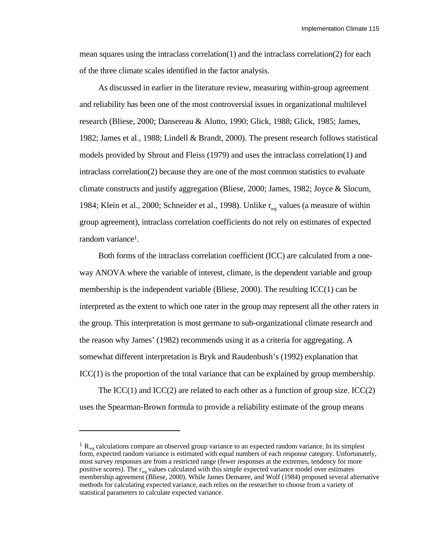Implementation Climate 115

mean squares using the intraclass correlation(1) and the intraclass correlation(2) for each of the three climate scales identified in the factor analysis.

As discussed in earlier in the literature review, measuring within-group agreement and reliability has been one of the most controversial issues in organizational multilevel research (Bliese, 2000; Dansereau & Alutto, 1990; Glick, 1988; Glick, 1985; James, 1982; James et al., 1988; Lindell & Brandt, 2000). The present research follows statistical models provided by Shrout and Fleiss (1979) and uses the intraclass correlation(1) and intraclass correlation(2) because they are one of the most common statistics to evaluate climate constructs and justify aggregation (Bliese, 2000; James, 1982; Joyce & Slocum, 1984; Klein et al., 2000; Schneider et al., 1998). Unlike  $r_{\text{wo}}$  values (a measure of within group agreement), intraclass correlation coefficients do not rely on estimates of expected random variance1.

Both forms of the intraclass correlation coefficient (ICC) are calculated from a oneway ANOVA where the variable of interest, climate, is the dependent variable and group membership is the independent variable (Bliese, 2000). The resulting  $\text{ICC}(1)$  can be interpreted as the extent to which one rater in the group may represent all the other raters in the group. This interpretation is most germane to sub-organizational climate research and the reason why James' (1982) recommends using it as a criteria for aggregating. A somewhat different interpretation is Bryk and Raudenbush's (1992) explanation that  $\text{ICC}(1)$  is the proportion of the total variance that can be explained by group membership.

The ICC(1) and ICC(2) are related to each other as a function of group size. ICC(2) uses the Spearman-Brown formula to provide a reliability estimate of the group means

l

 $1 R_{wg}$  calculations compare an observed group variance to an expected random variance. In its simplest form, expected random variance is estimated with equal numbers of each response category. Unfortunately, most survey responses are from a restricted range (fewer responses at the extremes, tendency for more positive scores). The  $r_{\text{w}g}$  values calculated with this simple expected variance model over estimates membership agreement (Bliese, 2000). While James Demaree, and Wolf (1984) proposed several alternative methods for calculating expected variance, each relies on the researcher to choose from a variety of statistical parameters to calculate expected variance.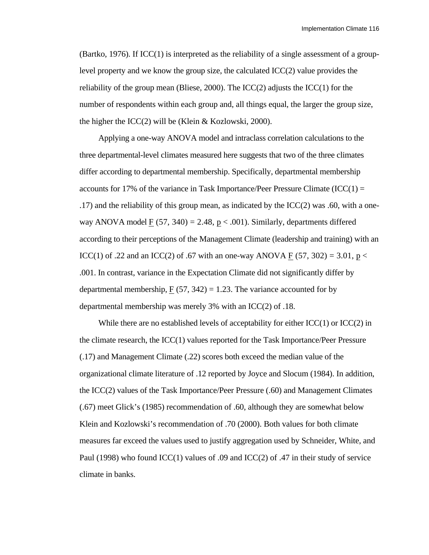(Bartko, 1976). If ICC(1) is interpreted as the reliability of a single assessment of a grouplevel property and we know the group size, the calculated ICC(2) value provides the reliability of the group mean (Bliese, 2000). The  $ICC(2)$  adjusts the  $ICC(1)$  for the number of respondents within each group and, all things equal, the larger the group size, the higher the  $ICC(2)$  will be (Klein & Kozlowski, 2000).

Applying a one-way ANOVA model and intraclass correlation calculations to the three departmental-level climates measured here suggests that two of the three climates differ according to departmental membership. Specifically, departmental membership accounts for 17% of the variance in Task Importance/Peer Pressure Climate  $(ICC(1) =$ .17) and the reliability of this group mean, as indicated by the ICC(2) was .60, with a oneway ANOVA model F  $(57, 340) = 2.48$ , p < .001). Similarly, departments differed according to their perceptions of the Management Climate (leadership and training) with an ICC(1) of .22 and an ICC(2) of .67 with an one-way ANOVA F (57, 302) = 3.01, p < .001. In contrast, variance in the Expectation Climate did not significantly differ by departmental membership,  $F(57, 342) = 1.23$ . The variance accounted for by departmental membership was merely 3% with an ICC(2) of .18.

While there are no established levels of acceptability for either  $ICC(1)$  or  $ICC(2)$  in the climate research, the ICC(1) values reported for the Task Importance/Peer Pressure (.17) and Management Climate (.22) scores both exceed the median value of the organizational climate literature of .12 reported by Joyce and Slocum (1984). In addition, the ICC(2) values of the Task Importance/Peer Pressure (.60) and Management Climates (.67) meet Glick's (1985) recommendation of .60, although they are somewhat below Klein and Kozlowski's recommendation of .70 (2000). Both values for both climate measures far exceed the values used to justify aggregation used by Schneider, White, and Paul (1998) who found ICC(1) values of .09 and ICC(2) of .47 in their study of service climate in banks.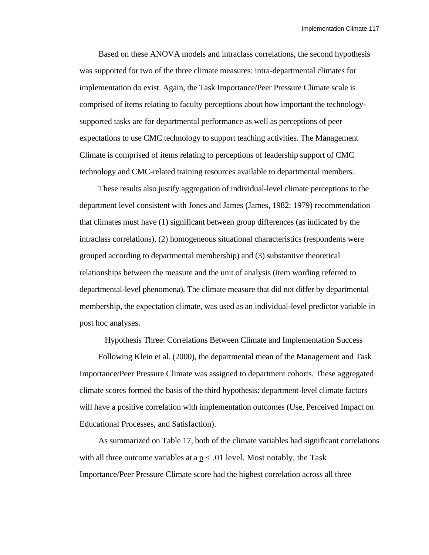Based on these ANOVA models and intraclass correlations, the second hypothesis was supported for two of the three climate measures: intra-departmental climates for implementation do exist. Again, the Task Importance/Peer Pressure Climate scale is comprised of items relating to faculty perceptions about how important the technologysupported tasks are for departmental performance as well as perceptions of peer expectations to use CMC technology to support teaching activities. The Management Climate is comprised of items relating to perceptions of leadership support of CMC technology and CMC-related training resources available to departmental members.

These results also justify aggregation of individual-level climate perceptions to the department level consistent with Jones and James (James, 1982; 1979) recommendation that climates must have (1) significant between group differences (as indicated by the intraclass correlations), (2) homogeneous situational characteristics (respondents were grouped according to departmental membership) and (3) substantive theoretical relationships between the measure and the unit of analysis (item wording referred to departmental-level phenomena). The climate measure that did not differ by departmental membership, the expectation climate, was used as an individual-level predictor variable in post hoc analyses.

### Hypothesis Three: Correlations Between Climate and Implementation Success

Following Klein et al. (2000), the departmental mean of the Management and Task Importance/Peer Pressure Climate was assigned to department cohorts. These aggregated climate scores formed the basis of the third hypothesis: department-level climate factors will have a positive correlation with implementation outcomes (Use, Perceived Impact on Educational Processes, and Satisfaction).

As summarized on Table 17, both of the climate variables had significant correlations with all three outcome variables at a  $p < .01$  level. Most notably, the Task Importance/Peer Pressure Climate score had the highest correlation across all three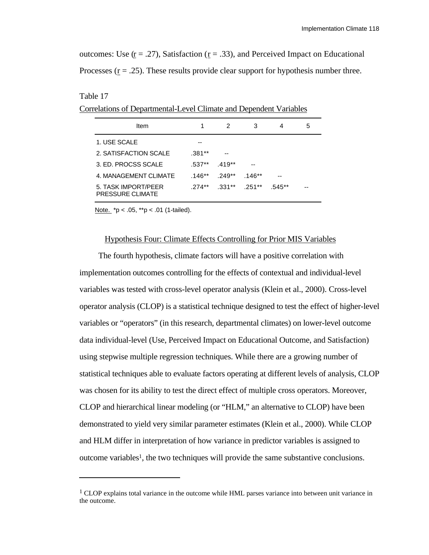outcomes: Use ( $r = .27$ ), Satisfaction ( $r = .33$ ), and Perceived Impact on Educational Processes  $(r = .25)$ . These results provide clear support for hypothesis number three.

#### Table 17

l

Correlations of Departmental-Level Climate and Dependent Variables

| Item                                           |          | 2         | 3        | 4        | 5 |
|------------------------------------------------|----------|-----------|----------|----------|---|
| 1. USE SCALE                                   |          |           |          |          |   |
| 2. SATISFACTION SCALE                          | .381**   |           |          |          |   |
| 3. ED. PROCSS SCALE                            | $.537**$ | $.419**$  |          |          |   |
| 4. MANAGEMENT CLIMATE                          | $.146**$ | $.249**$  | $.146**$ | --       |   |
| 5. TASK IMPORT/PEER<br><b>PRESSURE CLIMATE</b> | $274**$  | $.331***$ | .251**   | $.545**$ |   |

Note.  $*p < .05$ ,  $*p < .01$  (1-tailed).

#### Hypothesis Four: Climate Effects Controlling for Prior MIS Variables

The fourth hypothesis, climate factors will have a positive correlation with implementation outcomes controlling for the effects of contextual and individual-level variables was tested with cross-level operator analysis (Klein et al., 2000). Cross-level operator analysis (CLOP) is a statistical technique designed to test the effect of higher-level variables or "operators" (in this research, departmental climates) on lower-level outcome data individual-level (Use, Perceived Impact on Educational Outcome, and Satisfaction) using stepwise multiple regression techniques. While there are a growing number of statistical techniques able to evaluate factors operating at different levels of analysis, CLOP was chosen for its ability to test the direct effect of multiple cross operators. Moreover, CLOP and hierarchical linear modeling (or "HLM," an alternative to CLOP) have been demonstrated to yield very similar parameter estimates (Klein et al., 2000). While CLOP and HLM differ in interpretation of how variance in predictor variables is assigned to outcome variables1, the two techniques will provide the same substantive conclusions.

<sup>&</sup>lt;sup>1</sup> CLOP explains total variance in the outcome while HML parses variance into between unit variance in the outcome.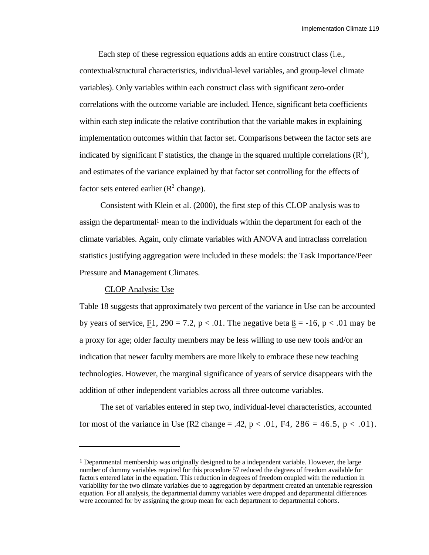Each step of these regression equations adds an entire construct class (i.e., contextual/structural characteristics, individual-level variables, and group-level climate variables). Only variables within each construct class with significant zero-order correlations with the outcome variable are included. Hence, significant beta coefficients within each step indicate the relative contribution that the variable makes in explaining implementation outcomes within that factor set. Comparisons between the factor sets are indicated by significant F statistics, the change in the squared multiple correlations  $(\mathbb{R}^2)$ , and estimates of the variance explained by that factor set controlling for the effects of factor sets entered earlier  $(R^2 \text{ change})$ .

 Consistent with Klein et al. (2000), the first step of this CLOP analysis was to assign the departmental1 mean to the individuals within the department for each of the climate variables. Again, only climate variables with ANOVA and intraclass correlation statistics justifying aggregation were included in these models: the Task Importance/Peer Pressure and Management Climates.

### CLOP Analysis: Use

l

Table 18 suggests that approximately two percent of the variance in Use can be accounted by years of service, F1, 290 = 7.2,  $p < .01$ . The negative beta  $\beta = -16$ ,  $p < .01$  may be a proxy for age; older faculty members may be less willing to use new tools and/or an indication that newer faculty members are more likely to embrace these new teaching technologies. However, the marginal significance of years of service disappears with the addition of other independent variables across all three outcome variables.

 The set of variables entered in step two, individual-level characteristics, accounted for most of the variance in Use (R2 change = .42,  $p < .01$ , F4, 286 = 46.5,  $p < .01$ ).

<sup>&</sup>lt;sup>1</sup> Departmental membership was originally designed to be a independent variable. However, the large number of dummy variables required for this procedure 57 reduced the degrees of freedom available for factors entered later in the equation. This reduction in degrees of freedom coupled with the reduction in variability for the two climate variables due to aggregation by department created an untenable regression equation. For all analysis, the departmental dummy variables were dropped and departmental differences were accounted for by assigning the group mean for each department to departmental cohorts.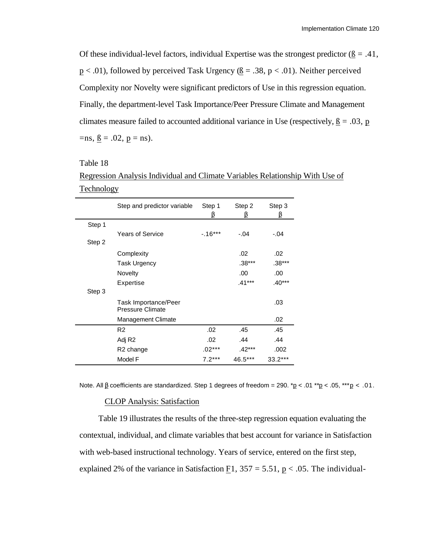Of these individual-level factors, individual Expertise was the strongest predictor ( $\beta = .41$ ,  $p < .01$ ), followed by perceived Task Urgency ( $\underline{B} = .38$ ,  $p < .01$ ). Neither perceived Complexity nor Novelty were significant predictors of Use in this regression equation. Finally, the department-level Task Importance/Peer Pressure Climate and Management climates measure failed to accounted additional variance in Use (respectively,  $\underline{B} = .03$ ,  $\underline{p}$  $=$ ns,  $\underline{B} = .02, \underline{p} =$ ns).

# Table 18

Regression Analysis Individual and Climate Variables Relationship With Use of Technology

|        | Step and predictor variable              | Step 1    | Step 2   | Step 3    |
|--------|------------------------------------------|-----------|----------|-----------|
| Step 1 |                                          |           |          |           |
|        | <b>Years of Service</b>                  | $-.16***$ | $-.04$   | $-.04$    |
| Step 2 |                                          |           |          |           |
|        | Complexity                               |           | .02      | .02       |
|        | Task Urgency                             |           | $.38***$ | .38***    |
|        | Novelty                                  |           | .00.     | .00       |
|        | Expertise                                |           | $.41***$ | $.40***$  |
| Step 3 |                                          |           |          |           |
|        | Task Importance/Peer<br>Pressure Climate |           |          | .03       |
|        | <b>Management Climate</b>                |           |          | .02       |
|        | R <sub>2</sub>                           | .02       | .45      | .45       |
|        | Adj R <sub>2</sub>                       | .02       | .44      | .44       |
|        | R <sub>2</sub> change                    | $.02***$  | .42***   | .002      |
|        | Model F                                  | $7.2***$  | 46.5***  | $33.2***$ |

Note. All \_ coefficients are standardized. Step 1 degrees of freedom = 290.  $p < .01$  \*\*p < .05, \*\*\*p < .01.

### CLOP Analysis: Satisfaction

Table 19 illustrates the results of the three-step regression equation evaluating the contextual, individual, and climate variables that best account for variance in Satisfaction with web-based instructional technology. Years of service, entered on the first step, explained 2% of the variance in Satisfaction  $E1$ , 357 = 5.51,  $p < .05$ . The individual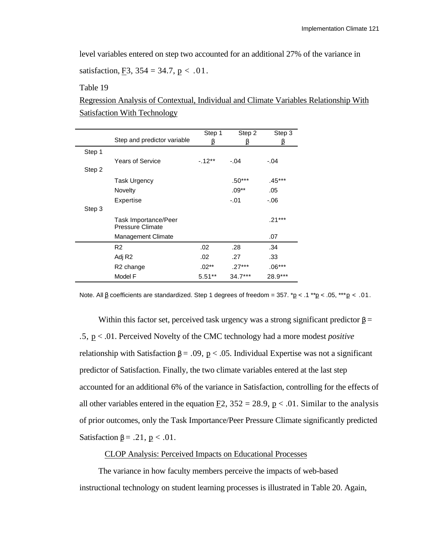level variables entered on step two accounted for an additional 27% of the variance in

satisfaction, F3,  $354 = 34.7$ , p < .01.

Table 19

Regression Analysis of Contextual, Individual and Climate Variables Relationship With Satisfaction With Technology

|        | Step and predictor variable              | Step 1   | Step 2    | Step 3   |
|--------|------------------------------------------|----------|-----------|----------|
| Step 1 |                                          |          |           |          |
|        | Years of Service                         | $-12**$  | $-.04$    | $-.04$   |
| Step 2 |                                          |          |           |          |
|        | <b>Task Urgency</b>                      |          | $.50***$  | .45***   |
|        | Novelty                                  |          | $.09***$  | .05      |
|        | Expertise                                |          | $-.01$    | -.06     |
| Step 3 |                                          |          |           |          |
|        | Task Importance/Peer<br>Pressure Climate |          |           | $.21***$ |
|        | <b>Management Climate</b>                |          |           | .07      |
|        | R <sub>2</sub>                           | .02      | .28       | .34      |
|        | Adj R <sub>2</sub>                       | .02      | .27       | .33      |
|        | R2 change                                | $.02***$ | .27***    | $.06***$ |
|        | Model F                                  | $5.51**$ | $34.7***$ | 28.9***  |

Note. All \_ coefficients are standardized. Step 1 degrees of freedom =  $357.$  \*p < .1 \*\*p < .05, \*\*\*p < .01.

Within this factor set, perceived task urgency was a strong significant predictor  $=$ .5, p< .01. Perceived Novelty of the CMC technology had a more modest *positive* relationship with Satisfaction  $=$  .09,  $p < 0.05$ . Individual Expertise was not a significant predictor of Satisfaction. Finally, the two climate variables entered at the last step accounted for an additional 6% of the variance in Satisfaction, controlling for the effects of all other variables entered in the equation  $E2$ ,  $352 = 28.9$ ,  $p < .01$ . Similar to the analysis of prior outcomes, only the Task Importance/Peer Pressure Climate significantly predicted Satisfaction = .21,  $p < .01$ .

### CLOP Analysis: Perceived Impacts on Educational Processes

The variance in how faculty members perceive the impacts of web-based instructional technology on student learning processes is illustrated in Table 20. Again,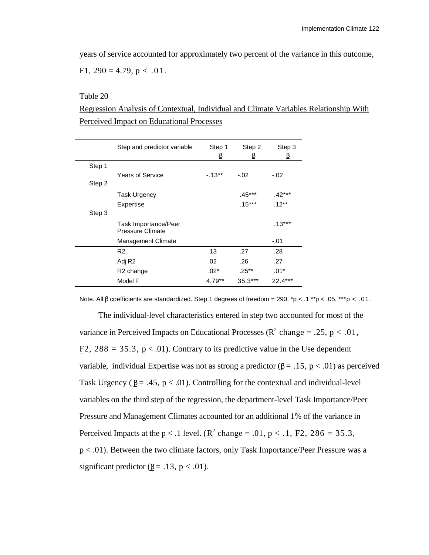years of service accounted for approximately two percent of the variance in this outcome, F1,  $290 = 4.79$ ,  $p < .01$ .

Table 20

Regression Analysis of Contextual, Individual and Climate Variables Relationship With Perceived Impact on Educational Processes

|        | Step and predictor variable                            | Step 1   | Step 2    | Step 3    |
|--------|--------------------------------------------------------|----------|-----------|-----------|
| Step 1 |                                                        |          |           |           |
|        | <b>Years of Service</b>                                | $-13**$  | $-.02$    | $-.02$    |
| Step 2 |                                                        |          |           |           |
|        | <b>Task Urgency</b>                                    |          | $.45***$  | .42***    |
|        | Expertise                                              |          | $.15***$  | $.12***$  |
| Step 3 |                                                        |          |           |           |
|        | <b>Task Importance/Peer</b><br><b>Pressure Climate</b> |          |           | $.13***$  |
|        | <b>Management Climate</b>                              |          |           | $-.01$    |
|        | R <sub>2</sub>                                         | .13      | .27       | .28       |
|        | Adj R <sub>2</sub>                                     | .02      | .26       | .27       |
|        | R <sub>2</sub> change                                  | $.02*$   | $.25***$  | $.01*$    |
|        | Model F                                                | $4.79**$ | $35.3***$ | $22.4***$ |

Note. All \_ coefficients are standardized. Step 1 degrees of freedom = 290.  $p < 0.1$  \*\*p < .05, \*\*\*p < .01.

The individual-level characteristics entered in step two accounted for most of the variance in Perceived Impacts on Educational Processes ( $\mathbb{R}^2$  change = .25, p < .01,  $E2$ , 288 = 35.3,  $p < .01$ ). Contrary to its predictive value in the Use dependent variable, individual Expertise was not as strong a predictor  $($  = .15,  $p$  < .01) as perceived Task Urgency ( $= .45$ ,  $p < .01$ ). Controlling for the contextual and individual-level variables on the third step of the regression, the department-level Task Importance/Peer Pressure and Management Climates accounted for an additional 1% of the variance in Perceived Impacts at the  $p < 0.1$  level. ( $\underline{R}^2$  change = .01,  $p < 0.1$ ,  $\underline{F}^2$ , 286 = 35.3, p < .01). Between the two climate factors, only Task Importance/Peer Pressure was a significant predictor ( $=$  .13,  $p < .01$ ).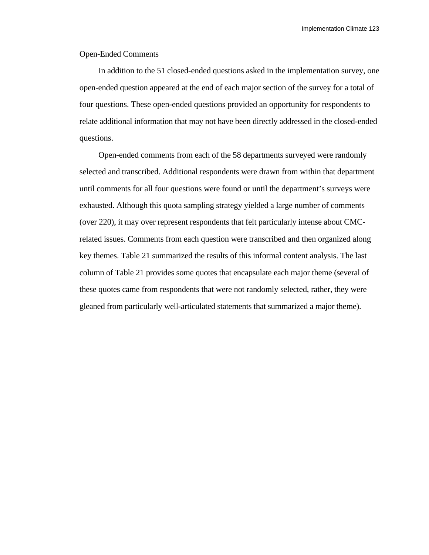# Open-Ended Comments

In addition to the 51 closed-ended questions asked in the implementation survey, one open-ended question appeared at the end of each major section of the survey for a total of four questions. These open-ended questions provided an opportunity for respondents to relate additional information that may not have been directly addressed in the closed-ended questions.

Open-ended comments from each of the 58 departments surveyed were randomly selected and transcribed. Additional respondents were drawn from within that department until comments for all four questions were found or until the department's surveys were exhausted. Although this quota sampling strategy yielded a large number of comments (over 220), it may over represent respondents that felt particularly intense about CMCrelated issues. Comments from each question were transcribed and then organized along key themes. Table 21 summarized the results of this informal content analysis. The last column of Table 21 provides some quotes that encapsulate each major theme (several of these quotes came from respondents that were not randomly selected, rather, they were gleaned from particularly well-articulated statements that summarized a major theme).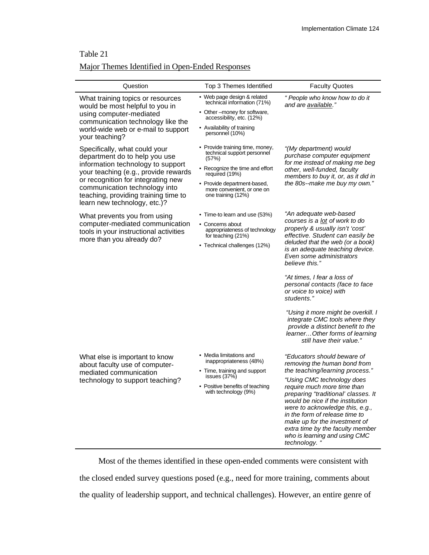# Table 21

# Major Themes Identified in Open-Ended Responses

| Question                                                                                                                                                                                                                                                                                   | Top 3 Themes Identified                                                                                                                                                                                         | <b>Faculty Quotes</b>                                                                                                                                                                                                                                                                                                                                                                                                                                                                                                                        |
|--------------------------------------------------------------------------------------------------------------------------------------------------------------------------------------------------------------------------------------------------------------------------------------------|-----------------------------------------------------------------------------------------------------------------------------------------------------------------------------------------------------------------|----------------------------------------------------------------------------------------------------------------------------------------------------------------------------------------------------------------------------------------------------------------------------------------------------------------------------------------------------------------------------------------------------------------------------------------------------------------------------------------------------------------------------------------------|
| What training topics or resources<br>would be most helpful to you in<br>using computer-mediated<br>communication technology like the<br>world-wide web or e-mail to support<br>your teaching?                                                                                              | • Web page design & related<br>technical information (71%)<br>• Other --money for software,<br>accessibility, etc. (12%)<br>• Availability of training<br>personnel (10%)                                       | " People who know how to do it<br>and are available."                                                                                                                                                                                                                                                                                                                                                                                                                                                                                        |
| Specifically, what could your<br>department do to help you use<br>information technology to support<br>your teaching (e.g., provide rewards<br>or recognition for integrating new<br>communication technology into<br>teaching, providing training time to<br>learn new technology, etc.)? | • Provide training time, money,<br>technical support personnel<br>(57%)<br>• Recognize the time and effort<br>required (19%)<br>• Provide department-based,<br>more convenient, or one on<br>one training (12%) | "(My department) would<br>purchase computer equipment<br>for me instead of making me beg<br>other, well-funded, faculty<br>members to buy it, or, as it did in<br>the 80s--make me buy my own."                                                                                                                                                                                                                                                                                                                                              |
| What prevents you from using<br>computer-mediated communication<br>tools in your instructional activities<br>more than you already do?                                                                                                                                                     | • Time-to learn and use (53%)<br>• Concerns about<br>appropriateness of technology<br>for teaching (21%)<br>• Technical challenges (12%)                                                                        | "An adequate web-based<br>courses is a lot of work to do<br>properly & usually isn't 'cost'<br>effective. Student can easily be<br>deluded that the web (or a book)<br>is an adequate teaching device.<br>Even some administrators<br>believe this."<br>"At times, I fear a loss of<br>personal contacts (face to face<br>or voice to voice) with<br>students."<br>"Using it more might be overkill. I<br>integrate CMC tools where they<br>provide a distinct benefit to the<br>learner Other forms of learning<br>still have their value." |
| What else is important to know<br>about faculty use of computer-<br>mediated communication<br>technology to support teaching?                                                                                                                                                              | • Media limitations and<br>inappropriateness (48%)<br>• Time, training and support<br>issues $(37%)$<br>• Positive benefits of teaching<br>with technology (9%)                                                 | "Educators should beware of<br>removing the human bond from<br>the teaching/learning process."<br>"Using CMC technology does<br>require much more time than<br>preparing "traditional' classes. It<br>would be nice if the institution<br>were to acknowledge this, e.g.,<br>in the form of release time to<br>make up for the investment of<br>extra time by the faculty member<br>who is learning and using CMC<br>technology. "                                                                                                           |

Most of the themes identified in these open-ended comments were consistent with the closed ended survey questions posed (e.g., need for more training, comments about the quality of leadership support, and technical challenges). However, an entire genre of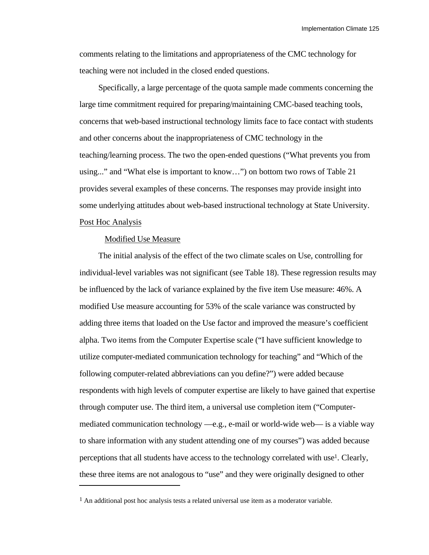comments relating to the limitations and appropriateness of the CMC technology for teaching were not included in the closed ended questions.

Specifically, a large percentage of the quota sample made comments concerning the large time commitment required for preparing/maintaining CMC-based teaching tools, concerns that web-based instructional technology limits face to face contact with students and other concerns about the inappropriateness of CMC technology in the teaching/learning process. The two the open-ended questions ("What prevents you from using..." and "What else is important to know…") on bottom two rows of Table 21 provides several examples of these concerns. The responses may provide insight into some underlying attitudes about web-based instructional technology at State University. Post Hoc Analysis

#### Modified Use Measure

l

The initial analysis of the effect of the two climate scales on Use, controlling for individual-level variables was not significant (see Table 18). These regression results may be influenced by the lack of variance explained by the five item Use measure: 46%. A modified Use measure accounting for 53% of the scale variance was constructed by adding three items that loaded on the Use factor and improved the measure's coefficient alpha. Two items from the Computer Expertise scale ("I have sufficient knowledge to utilize computer-mediated communication technology for teaching" and "Which of the following computer-related abbreviations can you define?") were added because respondents with high levels of computer expertise are likely to have gained that expertise through computer use. The third item, a universal use completion item ("Computermediated communication technology —e.g., e-mail or world-wide web— is a viable way to share information with any student attending one of my courses") was added because perceptions that all students have access to the technology correlated with use<sup>1</sup>. Clearly, these three items are not analogous to "use" and they were originally designed to other

<sup>&</sup>lt;sup>1</sup> An additional post hoc analysis tests a related universal use item as a moderator variable.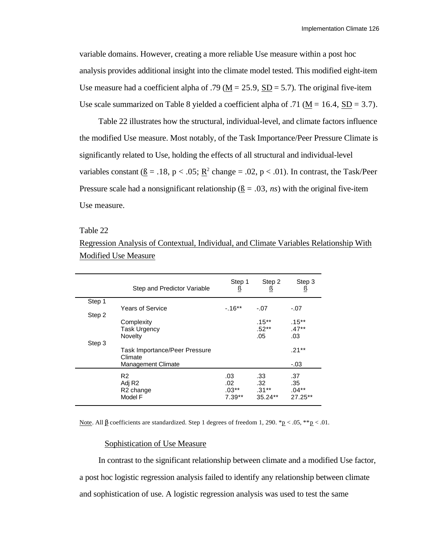variable domains. However, creating a more reliable Use measure within a post hoc analysis provides additional insight into the climate model tested. This modified eight-item Use measure had a coefficient alpha of .79 ( $\underline{M} = 25.9$ ,  $\underline{SD} = 5.7$ ). The original five-item Use scale summarized on Table 8 yielded a coefficient alpha of .71 ( $M = 16.4$ ,  $SD = 3.7$ ).

Table 22 illustrates how the structural, individual-level, and climate factors influence the modified Use measure. Most notably, of the Task Importance/Peer Pressure Climate is significantly related to Use, holding the effects of all structural and individual-level variables constant ( $\underline{B} = .18$ , p < .05;  $\underline{R}^2$  change = .02, p < .01). In contrast, the Task/Peer Pressure scale had a nonsignificant relationship  $( \beta = .03, ns)$  with the original five-item Use measure.

#### Table 22

Regression Analysis of Contextual, Individual, and Climate Variables Relationship With Modified Use Measure

|        | Step and Predictor Variable                                              | Step 1<br>ß                       | Step 2<br>ß                        | Step 3<br>ß                         |
|--------|--------------------------------------------------------------------------|-----------------------------------|------------------------------------|-------------------------------------|
| Step 1 | <b>Years of Service</b>                                                  | $-16**$                           |                                    |                                     |
| Step 2 |                                                                          |                                   | $-.07$                             | $-.07$                              |
|        | Complexity<br><b>Task Urgency</b><br>Novelty                             |                                   | $.15***$<br>$.52**$<br>.05         | $.15***$<br>$.47**$<br>.03          |
| Step 3 | Task Importance/Peer Pressure<br>Climate<br><b>Management Climate</b>    |                                   |                                    | $.21***$<br>$-.03$                  |
|        | R <sub>2</sub><br>Adj R <sub>2</sub><br>R <sub>2</sub> change<br>Model F | .03<br>.02<br>$.03**$<br>$7.39**$ | .33<br>.32<br>$.31**$<br>$35.24**$ | .37<br>.35<br>$.04***$<br>$27.25**$ |

Note. All \_ coefficients are standardized. Step 1 degrees of freedom 1, 290.  $p < .05$ ,  $p < .01$ .

#### Sophistication of Use Measure

In contrast to the significant relationship between climate and a modified Use factor, a post hoc logistic regression analysis failed to identify any relationship between climate and sophistication of use. A logistic regression analysis was used to test the same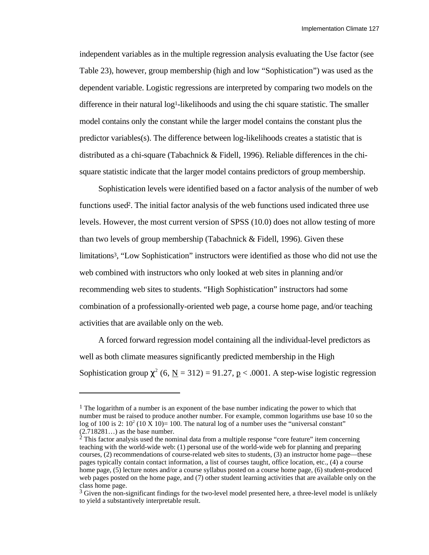independent variables as in the multiple regression analysis evaluating the Use factor (see Table 23), however, group membership (high and low "Sophistication") was used as the dependent variable. Logistic regressions are interpreted by comparing two models on the difference in their natural  $log<sup>1</sup>$ -likelihoods and using the chi square statistic. The smaller model contains only the constant while the larger model contains the constant plus the predictor variables(s). The difference between log-likelihoods creates a statistic that is distributed as a chi-square (Tabachnick & Fidell, 1996). Reliable differences in the chisquare statistic indicate that the larger model contains predictors of group membership.

Sophistication levels were identified based on a factor analysis of the number of web functions used2. The initial factor analysis of the web functions used indicated three use levels. However, the most current version of SPSS (10.0) does not allow testing of more than two levels of group membership (Tabachnick & Fidell, 1996). Given these limitations3, "Low Sophistication" instructors were identified as those who did not use the web combined with instructors who only looked at web sites in planning and/or recommending web sites to students. "High Sophistication" instructors had some combination of a professionally-oriented web page, a course home page, and/or teaching activities that are available only on the web.

A forced forward regression model containing all the individual-level predictors as well as both climate measures significantly predicted membership in the High Sophistication group <sup>2</sup> (6, <u>N</u> = 312) = 91.27, p < .0001. A step-wise logistic regression

l

<sup>&</sup>lt;sup>1</sup> The logarithm of a number is an exponent of the base number indicating the power to which that number must be raised to produce another number. For example, common logarithms use base 10 so the log of 100 is 2:  $10^2$  (10 X 10)= 100. The natural log of a number uses the "universal constant" (2.718281…) as the base number.

 $2$  This factor analysis used the nominal data from a multiple response "core feature" item concerning teaching with the world-wide web: (1) personal use of the world-wide web for planning and preparing courses, (2) recommendations of course-related web sites to students, (3) an instructor home page—these pages typically contain contact information, a list of courses taught, office location, etc., (4) a course home page, (5) lecture notes and/or a course syllabus posted on a course home page, (6) student-produced web pages posted on the home page, and (7) other student learning activities that are available only on the class home page.

<sup>&</sup>lt;sup>3</sup> Given the non-significant findings for the two-level model presented here, a three-level model is unlikely to yield a substantively interpretable result.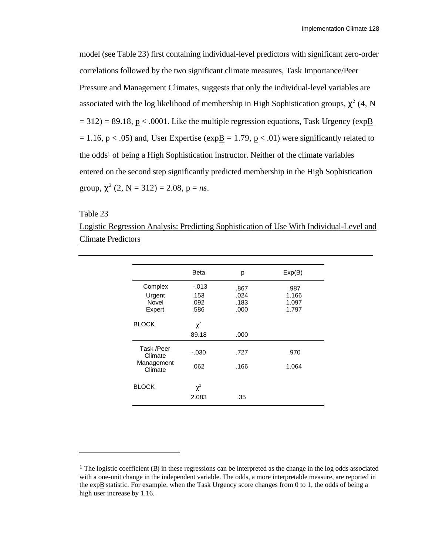model (see Table 23) first containing individual-level predictors with significant zero-order correlations followed by the two significant climate measures, Task Importance/Peer Pressure and Management Climates, suggests that only the individual-level variables are associated with the log likelihood of membership in High Sophistication groups,  $\frac{2}{4}$ , N  $= 312$ ) = 89.18, p < .0001. Like the multiple regression equations, Task Urgency (exp B  $= 1.16$ , p < .05) and, User Expertise (expB = 1.79, p < .01) were significantly related to the odds1 of being a High Sophistication instructor. Neither of the climate variables entered on the second step significantly predicted membership in the High Sophistication group,  $^{2}$  (2, <u>N</u> = 312) = 2.08, <u>p</u> = *ns*.

Table 23

l

Logistic Regression Analysis: Predicting Sophistication of Use With Individual-Level and Climate Predictors

|                       | Beta                    | р    | Exp(B) |
|-----------------------|-------------------------|------|--------|
| Complex               | $-0.013$                | .867 | .987   |
| Urgent                | .153                    | .024 | 1.166  |
| Novel                 | .092                    | .183 | 1.097  |
| Expert                | .586                    | .000 | 1.797  |
| <b>BLOCK</b>          | $\overline{c}$<br>89.18 | .000 |        |
| Task /Peer<br>Climate | $-.030$                 | .727 | .970   |
| Management<br>Climate | .062                    | .166 | 1.064  |
| <b>BLOCK</b>          | $\overline{c}$          |      |        |
|                       | 2.083                   | .35  |        |
|                       |                         |      |        |

<sup>&</sup>lt;sup>1</sup> The logistic coefficient  $(B)$  in these regressions can be interpreted as the change in the log odds associated with a one-unit change in the independent variable. The odds, a more interpretable measure, are reported in the expB statistic. For example, when the Task Urgency score changes from 0 to 1, the odds of being a high user increase by 1.16.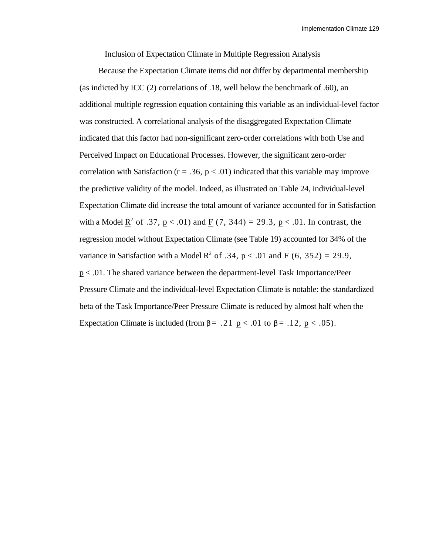#### Inclusion of Expectation Climate in Multiple Regression Analysis

Because the Expectation Climate items did not differ by departmental membership (as indicted by ICC (2) correlations of .18, well below the benchmark of .60), an additional multiple regression equation containing this variable as an individual-level factor was constructed. A correlational analysis of the disaggregated Expectation Climate indicated that this factor had non-significant zero-order correlations with both Use and Perceived Impact on Educational Processes. However, the significant zero-order correlation with Satisfaction ( $r = .36$ ,  $p < .01$ ) indicated that this variable may improve the predictive validity of the model. Indeed, as illustrated on Table 24, individual-level Expectation Climate did increase the total amount of variance accounted for in Satisfaction with a Model  $\underline{R}^2$  of .37,  $\underline{p} < .01$ ) and  $\underline{F}$  (7, 344) = 29.3,  $\underline{p} < .01$ . In contrast, the regression model without Expectation Climate (see Table 19) accounted for 34% of the variance in Satisfaction with a Model  $\underline{R}^2$  of .34,  $\underline{p} < .01$  and  $\underline{F}$  (6, 352) = 29.9, p < .01. The shared variance between the department-level Task Importance/Peer Pressure Climate and the individual-level Expectation Climate is notable: the standardized beta of the Task Importance/Peer Pressure Climate is reduced by almost half when the Expectation Climate is included (from  $z = .21$  p < .01 to  $z = .12$ , p < .05).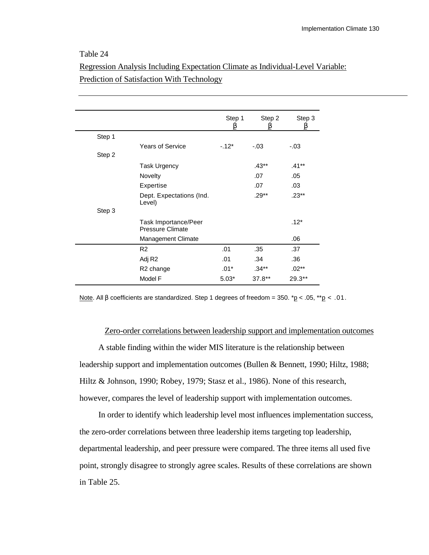# Table 24

|        |                                          | Step 1  | Step 2   | Step 3   |
|--------|------------------------------------------|---------|----------|----------|
| Step 1 |                                          |         |          |          |
|        | <b>Years of Service</b>                  | $-12*$  | $-.03$   | $-.03$   |
| Step 2 |                                          |         |          |          |
|        | <b>Task Urgency</b>                      |         | $.43**$  | $.41***$ |
|        | Novelty                                  |         | .07      | .05      |
|        | Expertise                                |         | .07      | .03      |
|        | Dept. Expectations (Ind.<br>Level)       |         | $.29**$  | $.23**$  |
| Step 3 |                                          |         |          |          |
|        | Task Importance/Peer<br>Pressure Climate |         |          | $.12*$   |
|        | Management Climate                       |         |          | .06      |
|        | R <sub>2</sub>                           | .01     | .35      | .37      |
|        | Adj R2                                   | .01     | .34      | .36      |
|        | R2 change                                | $.01*$  | .34**    | $.02***$ |
|        | Model F                                  | $5.03*$ | $37.8**$ | $29.3**$ |

# Regression Analysis Including Expectation Climate as Individual-Level Variable: Prediction of Satisfaction With Technology

Note. All coefficients are standardized. Step 1 degrees of freedom = 350. \* $p < .05$ , \*\* $p < .01$ .

### Zero-order correlations between leadership support and implementation outcomes

A stable finding within the wider MIS literature is the relationship between leadership support and implementation outcomes (Bullen & Bennett, 1990; Hiltz, 1988; Hiltz & Johnson, 1990; Robey, 1979; Stasz et al., 1986). None of this research, however, compares the level of leadership support with implementation outcomes.

In order to identify which leadership level most influences implementation success, the zero-order correlations between three leadership items targeting top leadership, departmental leadership, and peer pressure were compared. The three items all used five point, strongly disagree to strongly agree scales. Results of these correlations are shown in Table 25.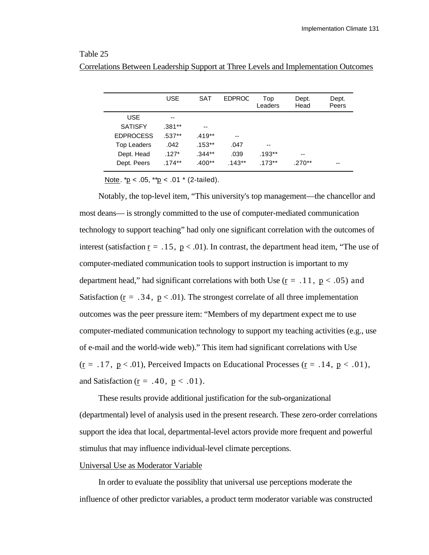### Table 25

|                    | <b>USE</b> | <b>SAT</b> | <b>EDPROC</b> | Top<br>Leaders | Dept.<br>Head | Dept.<br>Peers |
|--------------------|------------|------------|---------------|----------------|---------------|----------------|
| USE.               | $- -$      |            |               |                |               |                |
| <b>SATISFY</b>     | $.381**$   | --         |               |                |               |                |
| <b>EDPROCESS</b>   | $.537**$   | $.419**$   | --            |                |               |                |
| <b>Top Leaders</b> | .042       | $.153***$  | .047          | --             |               |                |
| Dept. Head         | $.127*$    | $.344**$   | .039          | $.193**$       | $-$           |                |
| Dept. Peers        | $.174**$   | $.400**$   | $.143**$      | $.173***$      | $.270**$      | --             |

Correlations Between Leadership Support at Three Levels and Implementation Outcomes

Note.  $p < .05$ ,  $p < .01$  \* (2-tailed).

Notably, the top-level item, "This university's top management—the chancellor and most deans— is strongly committed to the use of computer-mediated communication technology to support teaching" had only one significant correlation with the outcomes of interest (satisfaction  $\underline{r} = .15$ ,  $\underline{p} < .01$ ). In contrast, the department head item, "The use of computer-mediated communication tools to support instruction is important to my department head," had significant correlations with both Use ( $\underline{r} = .11$ ,  $\underline{p} < .05$ ) and Satisfaction ( $\underline{r} = .34$ ,  $\underline{p} < .01$ ). The strongest correlate of all three implementation outcomes was the peer pressure item: "Members of my department expect me to use computer-mediated communication technology to support my teaching activities (e.g., use of e-mail and the world-wide web)." This item had significant correlations with Use ( $\underline{r} = .17$ ,  $\underline{p} < .01$ ), Perceived Impacts on Educational Processes ( $\underline{r} = .14$ ,  $\underline{p} < .01$ ), and Satisfaction ( $\underline{r} = .40$ ,  $\underline{p} < .01$ ).

These results provide additional justification for the sub-organizational (departmental) level of analysis used in the present research. These zero-order correlations support the idea that local, departmental-level actors provide more frequent and powerful stimulus that may influence individual-level climate perceptions.

### Universal Use as Moderator Variable

In order to evaluate the possiblity that universal use perceptions moderate the influence of other predictor variables, a product term moderator variable was constructed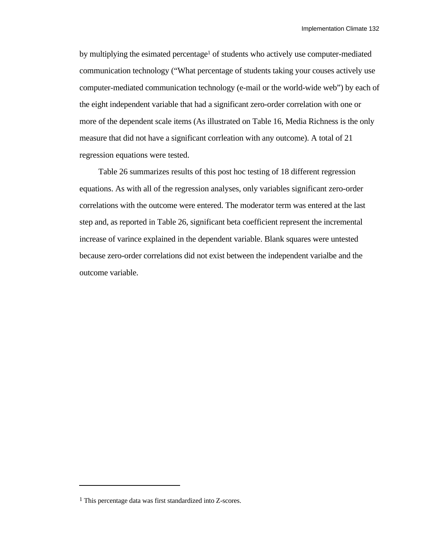by multiplying the esimated percentage<sup>1</sup> of students who actively use computer-mediated communication technology ("What percentage of students taking your couses actively use computer-mediated communication technology (e-mail or the world-wide web") by each of the eight independent variable that had a significant zero-order correlation with one or more of the dependent scale items (As illustrated on Table 16, Media Richness is the only measure that did not have a significant corrleation with any outcome). A total of 21 regression equations were tested.

Table 26 summarizes results of this post hoc testing of 18 different regression equations. As with all of the regression analyses, only variables significant zero-order correlations with the outcome were entered. The moderator term was entered at the last step and, as reported in Table 26, significant beta coefficient represent the incremental increase of varince explained in the dependent variable. Blank squares were untested because zero-order correlations did not exist between the independent varialbe and the outcome variable.

l

<sup>1</sup> This percentage data was first standardized into Z-scores.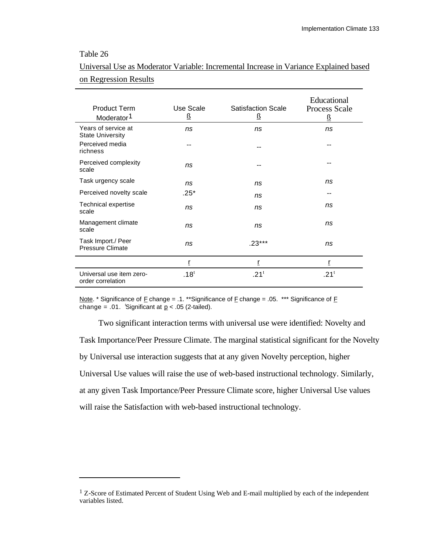# Table 26

l

| <b>Product Term</b><br>Moderator <sup>1</sup>  | Use Scale<br>ß   | <b>Satisfaction Scale</b><br>$\overline{R}$ | Educational<br><b>Process Scale</b><br>$\overline{6}$ |
|------------------------------------------------|------------------|---------------------------------------------|-------------------------------------------------------|
| Years of service at<br><b>State University</b> | ns               | ns                                          | ns                                                    |
| Perceived media<br>richness                    | --               | --                                          |                                                       |
| Perceived complexity<br>scale                  | ns               | --                                          |                                                       |
| Task urgency scale                             | ns               | ns                                          | ns                                                    |
| Perceived novelty scale                        | $.25*$           | ns                                          | --                                                    |
| <b>Technical expertise</b><br>scale            | ns               | ns                                          | ns                                                    |
| Management climate<br>scale                    | ns               | ns                                          | ns                                                    |
| Task Import./ Peer<br><b>Pressure Climate</b>  | ns               | $.23***$                                    | ns                                                    |
|                                                | ŗ                | ŗ                                           | ŗ                                                     |
| Universal use item zero-<br>order correlation  | .18 <sup>t</sup> | .21 <sup>t</sup>                            | .21 <sup>t</sup>                                      |

# Universal Use as Moderator Variable: Incremental Increase in Variance Explained based on Regression Results

Note. \* Significance of  $E$  change = .1. \*\* Significance of  $E$  change = .05. \*\*\* Significance of  $E$ change = .01. 'Significant at  $p < .05$  (2-tailed).

Two significant interaction terms with universal use were identified: Novelty and Task Importance/Peer Pressure Climate. The marginal statistical significant for the Novelty by Universal use interaction suggests that at any given Novelty perception, higher Universal Use values will raise the use of web-based instructional technology. Similarly, at any given Task Importance/Peer Pressure Climate score, higher Universal Use values will raise the Satisfaction with web-based instructional technology.

<sup>&</sup>lt;sup>1</sup> Z-Score of Estimated Percent of Student Using Web and E-mail multiplied by each of the independent variables listed.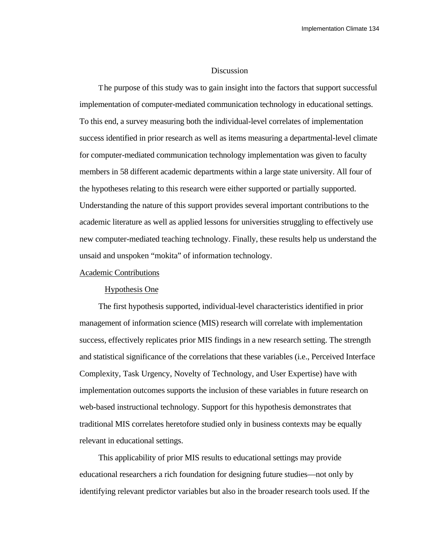### **Discussion**

The purpose of this study was to gain insight into the factors that support successful implementation of computer-mediated communication technology in educational settings. To this end, a survey measuring both the individual-level correlates of implementation success identified in prior research as well as items measuring a departmental-level climate for computer-mediated communication technology implementation was given to faculty members in 58 different academic departments within a large state university. All four of the hypotheses relating to this research were either supported or partially supported. Understanding the nature of this support provides several important contributions to the academic literature as well as applied lessons for universities struggling to effectively use new computer-mediated teaching technology. Finally, these results help us understand the unsaid and unspoken "mokita" of information technology.

#### Academic Contributions

#### Hypothesis One

The first hypothesis supported, individual-level characteristics identified in prior management of information science (MIS) research will correlate with implementation success, effectively replicates prior MIS findings in a new research setting. The strength and statistical significance of the correlations that these variables (i.e., Perceived Interface Complexity, Task Urgency, Novelty of Technology, and User Expertise) have with implementation outcomes supports the inclusion of these variables in future research on web-based instructional technology. Support for this hypothesis demonstrates that traditional MIS correlates heretofore studied only in business contexts may be equally relevant in educational settings.

This applicability of prior MIS results to educational settings may provide educational researchers a rich foundation for designing future studies—not only by identifying relevant predictor variables but also in the broader research tools used. If the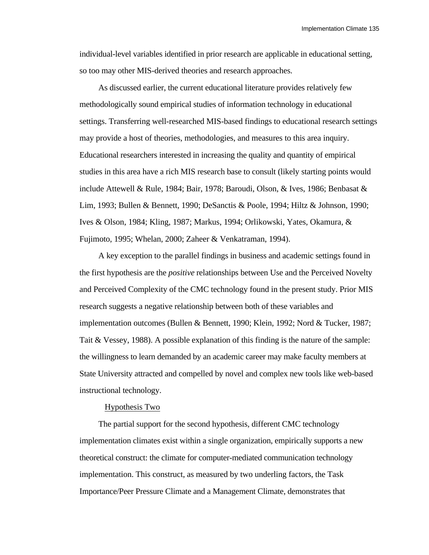individual-level variables identified in prior research are applicable in educational setting, so too may other MIS-derived theories and research approaches.

As discussed earlier, the current educational literature provides relatively few methodologically sound empirical studies of information technology in educational settings. Transferring well-researched MIS-based findings to educational research settings may provide a host of theories, methodologies, and measures to this area inquiry. Educational researchers interested in increasing the quality and quantity of empirical studies in this area have a rich MIS research base to consult (likely starting points would include Attewell & Rule, 1984; Bair, 1978; Baroudi, Olson, & Ives, 1986; Benbasat & Lim, 1993; Bullen & Bennett, 1990; DeSanctis & Poole, 1994; Hiltz & Johnson, 1990; Ives & Olson, 1984; Kling, 1987; Markus, 1994; Orlikowski, Yates, Okamura, & Fujimoto, 1995; Whelan, 2000; Zaheer & Venkatraman, 1994).

A key exception to the parallel findings in business and academic settings found in the first hypothesis are the *positive* relationships between Use and the Perceived Novelty and Perceived Complexity of the CMC technology found in the present study. Prior MIS research suggests a negative relationship between both of these variables and implementation outcomes (Bullen & Bennett, 1990; Klein, 1992; Nord & Tucker, 1987; Tait & Vessey, 1988). A possible explanation of this finding is the nature of the sample: the willingness to learn demanded by an academic career may make faculty members at State University attracted and compelled by novel and complex new tools like web-based instructional technology.

#### Hypothesis Two

The partial support for the second hypothesis, different CMC technology implementation climates exist within a single organization, empirically supports a new theoretical construct: the climate for computer-mediated communication technology implementation. This construct, as measured by two underling factors, the Task Importance/Peer Pressure Climate and a Management Climate, demonstrates that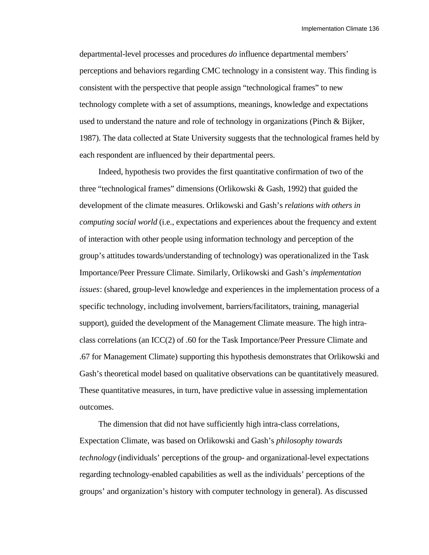departmental-level processes and procedures *do* influence departmental members' perceptions and behaviors regarding CMC technology in a consistent way. This finding is consistent with the perspective that people assign "technological frames" to new technology complete with a set of assumptions, meanings, knowledge and expectations used to understand the nature and role of technology in organizations (Pinch & Bijker, 1987). The data collected at State University suggests that the technological frames held by each respondent are influenced by their departmental peers.

Indeed, hypothesis two provides the first quantitative confirmation of two of the three "technological frames" dimensions (Orlikowski & Gash, 1992) that guided the development of the climate measures. Orlikowski and Gash's *relations with others in computing social world* (i.e., expectations and experiences about the frequency and extent of interaction with other people using information technology and perception of the group's attitudes towards/understanding of technology) was operationalized in the Task Importance/Peer Pressure Climate. Similarly, Orlikowski and Gash's *implementation issues*: (shared, group-level knowledge and experiences in the implementation process of a specific technology, including involvement, barriers/facilitators, training, managerial support), guided the development of the Management Climate measure. The high intraclass correlations (an ICC(2) of .60 for the Task Importance/Peer Pressure Climate and .67 for Management Climate) supporting this hypothesis demonstrates that Orlikowski and Gash's theoretical model based on qualitative observations can be quantitatively measured. These quantitative measures, in turn, have predictive value in assessing implementation outcomes.

The dimension that did not have sufficiently high intra-class correlations, Expectation Climate, was based on Orlikowski and Gash's *philosophy towards technology* (individuals' perceptions of the group- and organizational-level expectations regarding technology-enabled capabilities as well as the individuals' perceptions of the groups' and organization's history with computer technology in general). As discussed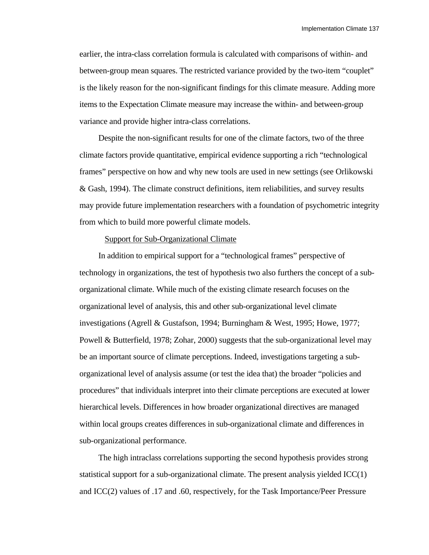earlier, the intra-class correlation formula is calculated with comparisons of within- and between-group mean squares. The restricted variance provided by the two-item "couplet" is the likely reason for the non-significant findings for this climate measure. Adding more items to the Expectation Climate measure may increase the within- and between-group variance and provide higher intra-class correlations.

Despite the non-significant results for one of the climate factors, two of the three climate factors provide quantitative, empirical evidence supporting a rich "technological frames" perspective on how and why new tools are used in new settings (see Orlikowski & Gash, 1994). The climate construct definitions, item reliabilities, and survey results may provide future implementation researchers with a foundation of psychometric integrity from which to build more powerful climate models.

#### Support for Sub-Organizational Climate

In addition to empirical support for a "technological frames" perspective of technology in organizations, the test of hypothesis two also furthers the concept of a suborganizational climate. While much of the existing climate research focuses on the organizational level of analysis, this and other sub-organizational level climate investigations (Agrell & Gustafson, 1994; Burningham & West, 1995; Howe, 1977; Powell & Butterfield, 1978; Zohar, 2000) suggests that the sub-organizational level may be an important source of climate perceptions. Indeed, investigations targeting a suborganizational level of analysis assume (or test the idea that) the broader "policies and procedures" that individuals interpret into their climate perceptions are executed at lower hierarchical levels. Differences in how broader organizational directives are managed within local groups creates differences in sub-organizational climate and differences in sub-organizational performance.

The high intraclass correlations supporting the second hypothesis provides strong statistical support for a sub-organizational climate. The present analysis yielded ICC(1) and ICC(2) values of .17 and .60, respectively, for the Task Importance/Peer Pressure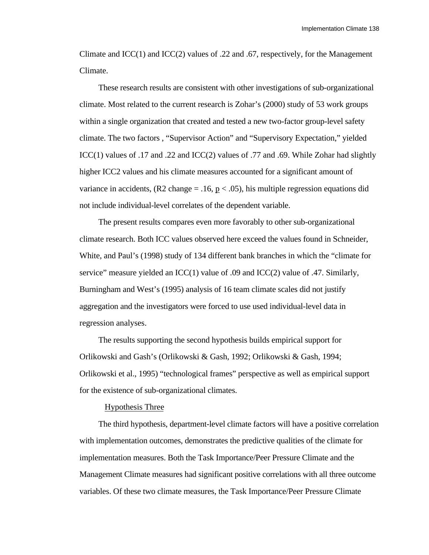Climate and  $ICC(1)$  and  $ICC(2)$  values of .22 and .67, respectively, for the Management Climate.

These research results are consistent with other investigations of sub-organizational climate. Most related to the current research is Zohar's (2000) study of 53 work groups within a single organization that created and tested a new two-factor group-level safety climate. The two factors , "Supervisor Action" and "Supervisory Expectation," yielded ICC(1) values of .17 and .22 and ICC(2) values of .77 and .69. While Zohar had slightly higher ICC2 values and his climate measures accounted for a significant amount of variance in accidents,  $(R2 \text{ change} = .16, p < .05)$ , his multiple regression equations did not include individual-level correlates of the dependent variable.

The present results compares even more favorably to other sub-organizational climate research. Both ICC values observed here exceed the values found in Schneider, White, and Paul's (1998) study of 134 different bank branches in which the "climate for service" measure yielded an ICC(1) value of .09 and ICC(2) value of .47. Similarly, Burningham and West's (1995) analysis of 16 team climate scales did not justify aggregation and the investigators were forced to use used individual-level data in regression analyses.

The results supporting the second hypothesis builds empirical support for Orlikowski and Gash's (Orlikowski & Gash, 1992; Orlikowski & Gash, 1994; Orlikowski et al., 1995) "technological frames" perspective as well as empirical support for the existence of sub-organizational climates.

#### Hypothesis Three

The third hypothesis, department-level climate factors will have a positive correlation with implementation outcomes, demonstrates the predictive qualities of the climate for implementation measures. Both the Task Importance/Peer Pressure Climate and the Management Climate measures had significant positive correlations with all three outcome variables. Of these two climate measures, the Task Importance/Peer Pressure Climate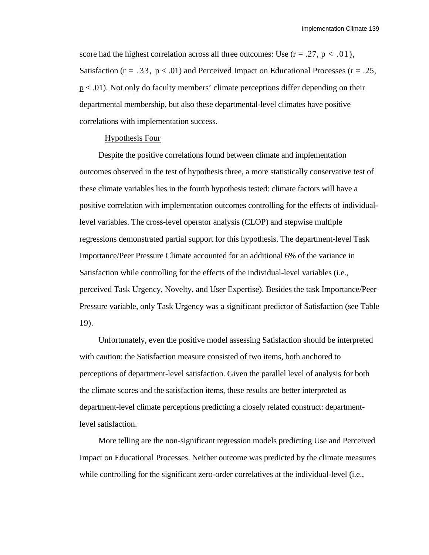score had the highest correlation across all three outcomes: Use  $(r = .27, p < .01)$ , Satisfaction ( $\underline{r} = .33$ ,  $\underline{p} < .01$ ) and Perceived Impact on Educational Processes ( $\underline{r} = .25$ ,  $p < .01$ ). Not only do faculty members' climate perceptions differ depending on their departmental membership, but also these departmental-level climates have positive correlations with implementation success.

#### Hypothesis Four

Despite the positive correlations found between climate and implementation outcomes observed in the test of hypothesis three, a more statistically conservative test of these climate variables lies in the fourth hypothesis tested: climate factors will have a positive correlation with implementation outcomes controlling for the effects of individuallevel variables. The cross-level operator analysis (CLOP) and stepwise multiple regressions demonstrated partial support for this hypothesis. The department-level Task Importance/Peer Pressure Climate accounted for an additional 6% of the variance in Satisfaction while controlling for the effects of the individual-level variables (i.e., perceived Task Urgency, Novelty, and User Expertise). Besides the task Importance/Peer Pressure variable, only Task Urgency was a significant predictor of Satisfaction (see Table 19).

Unfortunately, even the positive model assessing Satisfaction should be interpreted with caution: the Satisfaction measure consisted of two items, both anchored to perceptions of department-level satisfaction. Given the parallel level of analysis for both the climate scores and the satisfaction items, these results are better interpreted as department-level climate perceptions predicting a closely related construct: departmentlevel satisfaction.

More telling are the non-significant regression models predicting Use and Perceived Impact on Educational Processes. Neither outcome was predicted by the climate measures while controlling for the significant zero-order correlatives at the individual-level (i.e.,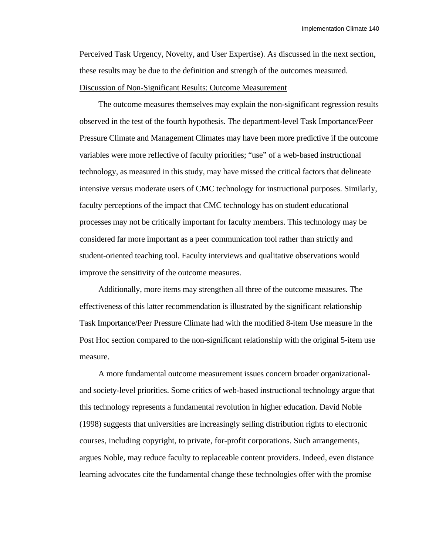Perceived Task Urgency, Novelty, and User Expertise). As discussed in the next section, these results may be due to the definition and strength of the outcomes measured. Discussion of Non-Significant Results: Outcome Measurement

The outcome measures themselves may explain the non-significant regression results observed in the test of the fourth hypothesis. The department-level Task Importance/Peer Pressure Climate and Management Climates may have been more predictive if the outcome variables were more reflective of faculty priorities; "use" of a web-based instructional technology, as measured in this study, may have missed the critical factors that delineate intensive versus moderate users of CMC technology for instructional purposes. Similarly, faculty perceptions of the impact that CMC technology has on student educational processes may not be critically important for faculty members. This technology may be considered far more important as a peer communication tool rather than strictly and student-oriented teaching tool. Faculty interviews and qualitative observations would improve the sensitivity of the outcome measures.

Additionally, more items may strengthen all three of the outcome measures. The effectiveness of this latter recommendation is illustrated by the significant relationship Task Importance/Peer Pressure Climate had with the modified 8-item Use measure in the Post Hoc section compared to the non-significant relationship with the original 5-item use measure.

A more fundamental outcome measurement issues concern broader organizationaland society-level priorities. Some critics of web-based instructional technology argue that this technology represents a fundamental revolution in higher education. David Noble (1998) suggests that universities are increasingly selling distribution rights to electronic courses, including copyright, to private, for-profit corporations. Such arrangements, argues Noble, may reduce faculty to replaceable content providers. Indeed, even distance learning advocates cite the fundamental change these technologies offer with the promise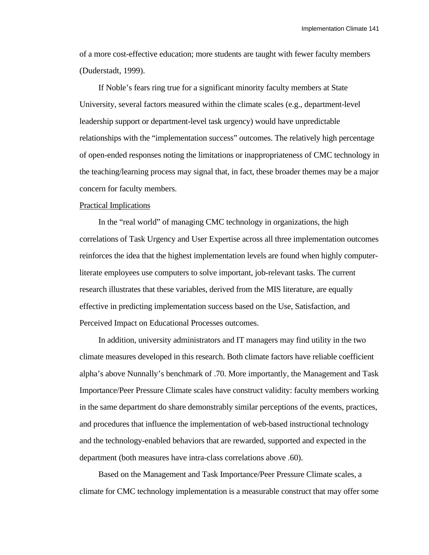of a more cost-effective education; more students are taught with fewer faculty members (Duderstadt, 1999).

If Noble's fears ring true for a significant minority faculty members at State University, several factors measured within the climate scales (e.g., department-level leadership support or department-level task urgency) would have unpredictable relationships with the "implementation success" outcomes. The relatively high percentage of open-ended responses noting the limitations or inappropriateness of CMC technology in the teaching/learning process may signal that, in fact, these broader themes may be a major concern for faculty members.

#### Practical Implications

In the "real world" of managing CMC technology in organizations, the high correlations of Task Urgency and User Expertise across all three implementation outcomes reinforces the idea that the highest implementation levels are found when highly computerliterate employees use computers to solve important, job-relevant tasks. The current research illustrates that these variables, derived from the MIS literature, are equally effective in predicting implementation success based on the Use, Satisfaction, and Perceived Impact on Educational Processes outcomes.

In addition, university administrators and IT managers may find utility in the two climate measures developed in this research. Both climate factors have reliable coefficient alpha's above Nunnally's benchmark of .70. More importantly, the Management and Task Importance/Peer Pressure Climate scales have construct validity: faculty members working in the same department do share demonstrably similar perceptions of the events, practices, and procedures that influence the implementation of web-based instructional technology and the technology-enabled behaviors that are rewarded, supported and expected in the department (both measures have intra-class correlations above .60).

Based on the Management and Task Importance/Peer Pressure Climate scales, a climate for CMC technology implementation is a measurable construct that may offer some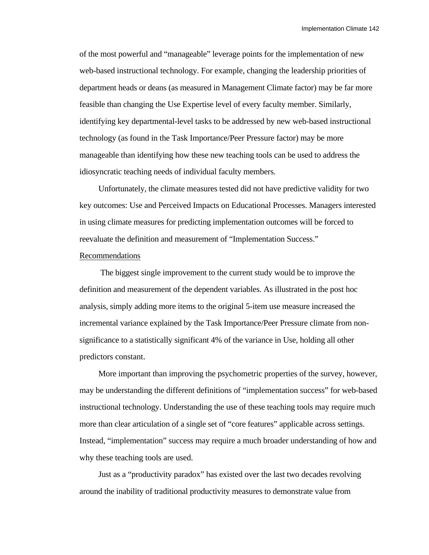of the most powerful and "manageable" leverage points for the implementation of new web-based instructional technology. For example, changing the leadership priorities of department heads or deans (as measured in Management Climate factor) may be far more feasible than changing the Use Expertise level of every faculty member. Similarly, identifying key departmental-level tasks to be addressed by new web-based instructional technology (as found in the Task Importance/Peer Pressure factor) may be more manageable than identifying how these new teaching tools can be used to address the idiosyncratic teaching needs of individual faculty members.

Unfortunately, the climate measures tested did not have predictive validity for two key outcomes: Use and Perceived Impacts on Educational Processes. Managers interested in using climate measures for predicting implementation outcomes will be forced to reevaluate the definition and measurement of "Implementation Success."

# Recommendations

 The biggest single improvement to the current study would be to improve the definition and measurement of the dependent variables. As illustrated in the post hoc analysis, simply adding more items to the original 5-item use measure increased the incremental variance explained by the Task Importance/Peer Pressure climate from nonsignificance to a statistically significant 4% of the variance in Use, holding all other predictors constant.

More important than improving the psychometric properties of the survey, however, may be understanding the different definitions of "implementation success" for web-based instructional technology. Understanding the use of these teaching tools may require much more than clear articulation of a single set of "core features" applicable across settings. Instead, "implementation" success may require a much broader understanding of how and why these teaching tools are used.

Just as a "productivity paradox" has existed over the last two decades revolving around the inability of traditional productivity measures to demonstrate value from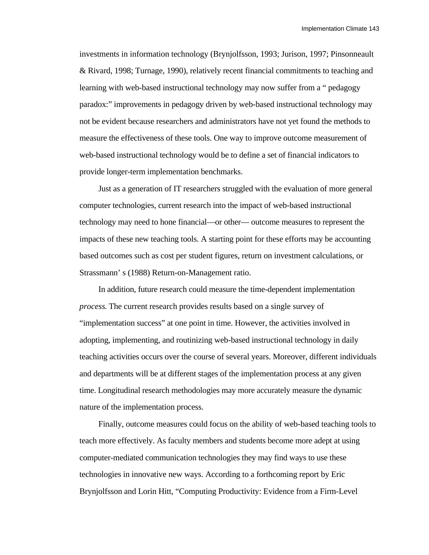investments in information technology (Brynjolfsson, 1993; Jurison, 1997; Pinsonneault & Rivard, 1998; Turnage, 1990), relatively recent financial commitments to teaching and learning with web-based instructional technology may now suffer from a " pedagogy paradox:" improvements in pedagogy driven by web-based instructional technology may not be evident because researchers and administrators have not yet found the methods to measure the effectiveness of these tools. One way to improve outcome measurement of web-based instructional technology would be to define a set of financial indicators to provide longer-term implementation benchmarks.

Just as a generation of IT researchers struggled with the evaluation of more general computer technologies, current research into the impact of web-based instructional technology may need to hone financial—or other— outcome measures to represent the impacts of these new teaching tools. A starting point for these efforts may be accounting based outcomes such as cost per student figures, return on investment calculations, or Strassmann' s (1988) Return-on-Management ratio.

In addition, future research could measure the time-dependent implementation *process*. The current research provides results based on a single survey of "implementation success" at one point in time. However, the activities involved in adopting, implementing, and routinizing web-based instructional technology in daily teaching activities occurs over the course of several years. Moreover, different individuals and departments will be at different stages of the implementation process at any given time. Longitudinal research methodologies may more accurately measure the dynamic nature of the implementation process.

Finally, outcome measures could focus on the ability of web-based teaching tools to teach more effectively. As faculty members and students become more adept at using computer-mediated communication technologies they may find ways to use these technologies in innovative new ways. According to a forthcoming report by Eric Brynjolfsson and Lorin Hitt, "Computing Productivity: Evidence from a Firm-Level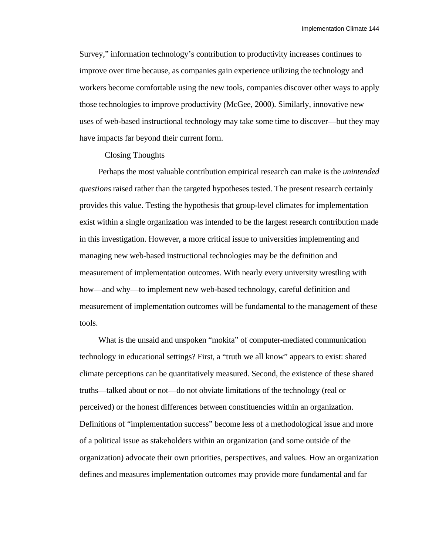Survey," information technology's contribution to productivity increases continues to improve over time because, as companies gain experience utilizing the technology and workers become comfortable using the new tools, companies discover other ways to apply those technologies to improve productivity (McGee, 2000). Similarly, innovative new uses of web-based instructional technology may take some time to discover—but they may have impacts far beyond their current form.

#### Closing Thoughts

Perhaps the most valuable contribution empirical research can make is the *unintended questions* raised rather than the targeted hypotheses tested. The present research certainly provides this value. Testing the hypothesis that group-level climates for implementation exist within a single organization was intended to be the largest research contribution made in this investigation. However, a more critical issue to universities implementing and managing new web-based instructional technologies may be the definition and measurement of implementation outcomes. With nearly every university wrestling with how—and why—to implement new web-based technology, careful definition and measurement of implementation outcomes will be fundamental to the management of these tools.

What is the unsaid and unspoken "mokita" of computer-mediated communication technology in educational settings? First, a "truth we all know" appears to exist: shared climate perceptions can be quantitatively measured. Second, the existence of these shared truths—talked about or not—do not obviate limitations of the technology (real or perceived) or the honest differences between constituencies within an organization. Definitions of "implementation success" become less of a methodological issue and more of a political issue as stakeholders within an organization (and some outside of the organization) advocate their own priorities, perspectives, and values. How an organization defines and measures implementation outcomes may provide more fundamental and far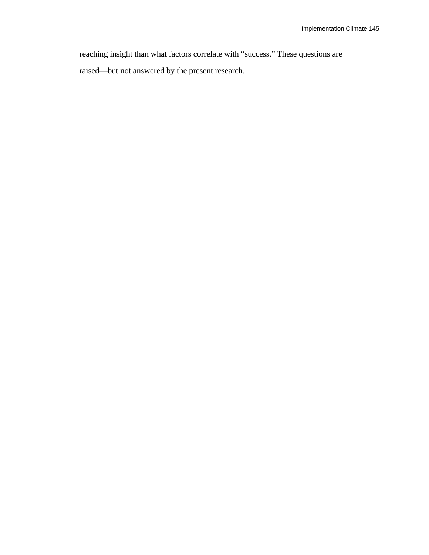reaching insight than what factors correlate with "success." These questions are raised—but not answered by the present research.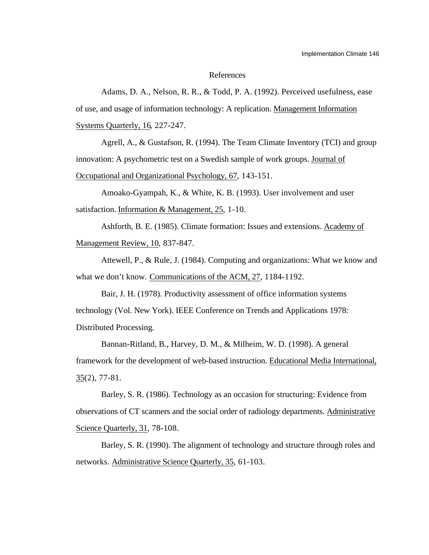#### References

Adams, D. A., Nelson, R. R., & Todd, P. A. (1992). Perceived usefulness, ease of use, and usage of information technology: A replication. Management Information Systems Quarterly, 16, 227-247.

Agrell, A., & Gustafson, R. (1994). The Team Climate Inventory (TCI) and group innovation: A psychometric test on a Swedish sample of work groups. Journal of Occupational and Organizational Psychology, 67, 143-151.

Amoako-Gyampah, K., & White, K. B. (1993). User involvement and user satisfaction. Information & Management, 25, 1-10.

Ashforth, B. E. (1985). Climate formation: Issues and extensions. Academy of Management Review, 10, 837-847.

Attewell, P., & Rule, J. (1984). Computing and organizations: What we know and what we don't know. Communications of the ACM, 27, 1184-1192.

Bair, J. H. (1978). Productivity assessment of office information systems technology (Vol. New York). IEEE Conference on Trends and Applications 1978: Distributed Processing.

Bannan-Ritland, B., Harvey, D. M., & Milheim, W. D. (1998). A general framework for the development of web-based instruction. Educational Media International, 35 (2), 77-81.

Barley, S. R. (1986). Technology as an occasion for structuring: Evidence from observations of CT scanners and the social order of radiology departments. Administrative Science Quarterly, 31, 78-108.

Barley, S. R. (1990). The alignment of technology and structure through roles and networks. Administrative Science Quarterly, 35, 61-103.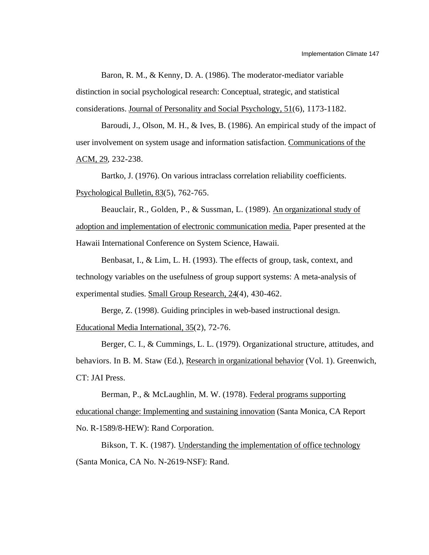Baron, R. M., & Kenny, D. A. (1986). The moderator-mediator variable distinction in social psychological research: Conceptual, strategic, and statistical considerations. Journal of Personality and Social Psychology, 51(6), 1173-1182.

Baroudi, J., Olson, M. H., & Ives, B. (1986). An empirical study of the impact of user involvement on system usage and information satisfaction. Communications of the ACM, 29, 232-238.

Bartko, J. (1976). On various intraclass correlation reliability coefficients. Psychological Bulletin, 83(5), 762-765.

Beauclair, R., Golden, P., & Sussman, L. (1989). An organizational study of adoption and implementation of electronic communication media. Paper presented at the Hawaii International Conference on System Science, Hawaii.

Benbasat, I., & Lim, L. H. (1993). The effects of group, task, context, and technology variables on the usefulness of group support systems: A meta-analysis of experimental studies. Small Group Research, 24(4), 430-462.

Berge, Z. (1998). Guiding principles in web-based instructional design. Educational Media International, 35(2), 72-76.

Berger, C. I., & Cummings, L. L. (1979). Organizational structure, attitudes, and behaviors. In B. M. Staw (Ed.), Research in organizational behavior (Vol. 1). Greenwich, CT: JAI Press.

Berman, P., & McLaughlin, M. W. (1978). Federal programs supporting educational change: Implementing and sustaining innovation (Santa Monica, CA Report No. R-1589/8-HEW): Rand Corporation.

Bikson, T. K. (1987). Understanding the implementation of office technology (Santa Monica, CA No. N-2619-NSF): Rand.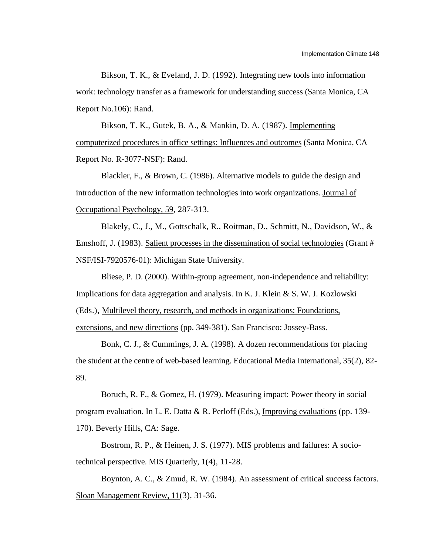Bikson, T. K., & Eveland, J. D. (1992). Integrating new tools into information work: technology transfer as a framework for understanding success (Santa Monica, CA Report No.106): Rand.

Bikson, T. K., Gutek, B. A., & Mankin, D. A. (1987). Implementing computerized procedures in office settings: Influences and outcomes (Santa Monica, CA Report No. R-3077-NSF): Rand.

Blackler, F., & Brown, C. (1986). Alternative models to guide the design and introduction of the new information technologies into work organizations. Journal of Occupational Psychology, 59, 287-313.

Blakely, C., J., M., Gottschalk, R., Roitman, D., Schmitt, N., Davidson, W., & Emshoff, J. (1983). Salient processes in the dissemination of social technologies (Grant # NSF/ISI-7920576-01): Michigan State University.

Bliese, P. D. (2000). Within-group agreement, non-independence and reliability: Implications for data aggregation and analysis. In K. J. Klein & S. W. J. Kozlowski (Eds.), Multilevel theory, research, and methods in organizations: Foundations, extensions, and new directions (pp. 349-381). San Francisco: Jossey-Bass.

Bonk, C. J., & Cummings, J. A. (1998). A dozen recommendations for placing the student at the centre of web-based learning. Educational Media International,  $35(2)$ ,  $82-$ 89.

Boruch, R. F., & Gomez, H. (1979). Measuring impact: Power theory in social program evaluation. In L. E. Datta & R. Perloff (Eds.), Improving evaluations (pp. 139- 170). Beverly Hills, CA: Sage.

Bostrom, R. P., & Heinen, J. S. (1977). MIS problems and failures: A sociotechnical perspective. MIS Quarterly, 1(4), 11-28.

Boynton, A. C., & Zmud, R. W. (1984). An assessment of critical success factors. Sloan Management Review, 11(3), 31-36.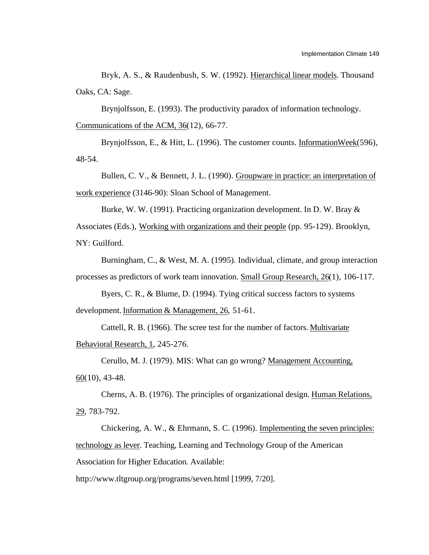Bryk, A. S., & Raudenbush, S. W. (1992). Hierarchical linear models. Thousand Oaks, CA: Sage.

Brynjolfsson, E. (1993). The productivity paradox of information technology. Communications of the ACM,  $36(12)$ , 66-77.

Brynjolfsson, E., & Hitt, L. (1996). The customer counts. InformationWeek (596), 48-54.

Bullen, C. V., & Bennett, J. L. (1990). Groupware in practice: an interpretation of work experience (3146-90): Sloan School of Management.

Burke, W. W. (1991). Practicing organization development. In D. W. Bray & Associates (Eds.), Working with organizations and their people (pp. 95-129). Brooklyn, NY: Guilford.

Burningham, C., & West, M. A. (1995). Individual, climate, and group interaction processes as predictors of work team innovation. Small Group Research, 26(1), 106-117.

Byers, C. R., & Blume, D. (1994). Tying critical success factors to systems development. Information & Management, 26, 51-61.

Cattell, R. B. (1966). The scree test for the number of factors. Multivariate Behavioral Research, 1, 245-276.

Cerullo, M. J. (1979). MIS: What can go wrong? Management Accounting,  $60(10)$ , 43-48.

Cherns, A. B. (1976). The principles of organizational design. Human Relations, 29 , 783-792.

Chickering, A. W., & Ehrmann, S. C. (1996). Implementing the seven principles: technology as lever . Teaching, Learning and Technology Group of the American Association for Higher Education. Available:

http://www.tltgroup.org/programs/seven.html [1999, 7/20].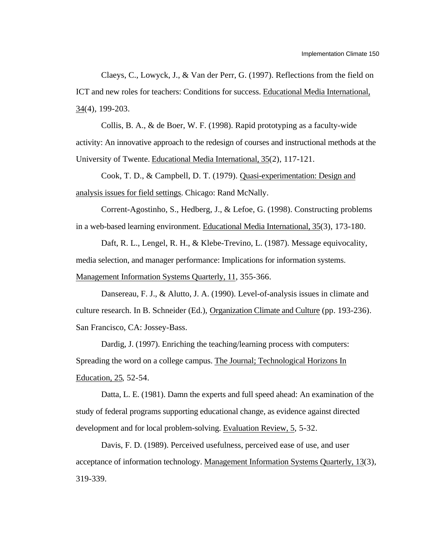Claeys, C., Lowyck, J., & Van der Perr, G. (1997). Reflections from the field on ICT and new roles for teachers: Conditions for success. Educational Media International, 34 (4), 199-203.

Collis, B. A., & de Boer, W. F. (1998). Rapid prototyping as a faculty-wide activity: An innovative approach to the redesign of courses and instructional methods at the University of Twente. Educational Media International, 35(2), 117-121.

Cook, T. D., & Campbell, D. T. (1979). Quasi-experimentation: Design and analysis issues for field settings . Chicago: Rand McNally.

Corrent-Agostinho, S., Hedberg, J., & Lefoe, G. (1998). Constructing problems in a web-based learning environment. Educational Media International, 35(3), 173-180.

Daft, R. L., Lengel, R. H., & Klebe-Trevino, L. (1987). Message equivocality, media selection, and manager performance: Implications for information systems. Management Information Systems Quarterly, 11, 355-366.

Dansereau, F. J., & Alutto, J. A. (1990). Level-of-analysis issues in climate and culture research. In B. Schneider (Ed.), Organization Climate and Culture (pp. 193-236). San Francisco, CA: Jossey-Bass.

Dardig, J. (1997). Enriching the teaching/learning process with computers: Spreading the word on a college campus. The Journal; Technological Horizons In Education, 25 , 52-54.

Datta, L. E. (1981). Damn the experts and full speed ahead: An examination of the study of federal programs supporting educational change, as evidence against directed development and for local problem-solving. Evaluation Review, 5, 5-32.

Davis, F. D. (1989). Perceived usefulness, perceived ease of use, and user acceptance of information technology. Management Information Systems Quarterly, 13(3), 319-339.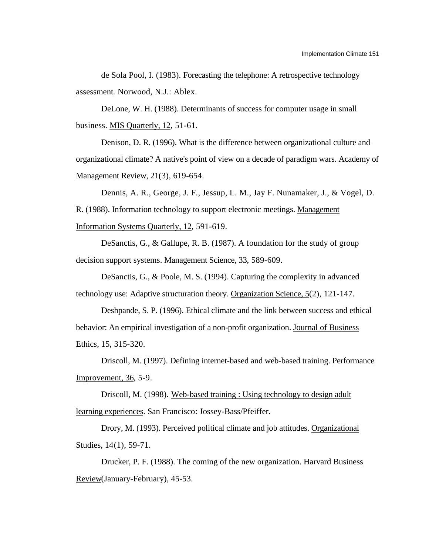de Sola Pool, I. (1983). Forecasting the telephone: A retrospective technology assessment. Norwood, N.J.: Ablex.

DeLone, W. H. (1988). Determinants of success for computer usage in small business. MIS Quarterly, 12, 51-61.

Denison, D. R. (1996). What is the difference between organizational culture and organizational climate? A native's point of view on a decade of paradigm wars. Academy of Management Review, 21(3), 619-654.

Dennis, A. R., George, J. F., Jessup, L. M., Jay F. Nunamaker, J., & Vogel, D. R. (1988). Information technology to support electronic meetings. Management Information Systems Quarterly, 12, 591-619.

DeSanctis, G., & Gallupe, R. B. (1987). A foundation for the study of group decision support systems. Management Science, 33, 589-609.

DeSanctis, G., & Poole, M. S. (1994). Capturing the complexity in advanced technology use: Adaptive structuration theory. Organization Science,  $5(2)$ ,  $121-147$ .

Deshpande, S. P. (1996). Ethical climate and the link between success and ethical behavior: An empirical investigation of a non-profit organization. Journal of Business Ethics, 15 , 315-320.

Driscoll, M. (1997). Defining internet-based and web-based training. Performance Improvement, 36 , 5-9.

Driscoll, M. (1998). Web-based training : Using technology to design adult learning experiences . San Francisco: Jossey-Bass/Pfeiffer.

Drory, M. (1993). Perceived political climate and job attitudes. Organizational Studies, 14(1), 59-71.

Drucker, P. F. (1988). The coming of the new organization. Harvard Business Review (January-February), 45-53.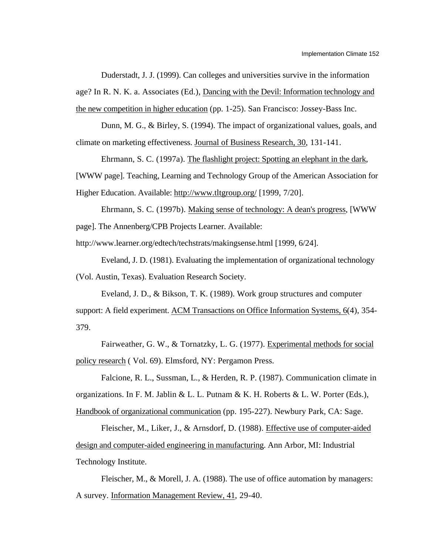Duderstadt, J. J. (1999). Can colleges and universities survive in the information age? In R. N. K. a. Associates (Ed.), Dancing with the Devil: Information technology and the new competition in higher education (pp. 1-25). San Francisco: Jossey-Bass Inc.

Dunn, M. G., & Birley, S. (1994). The impact of organizational values, goals, and climate on marketing effectiveness. Journal of Business Research, 30, 131-141.

Ehrmann, S. C. (1997a). The flashlight project: Spotting an elephant in the dark , [WWW page]. Teaching, Learning and Technology Group of the American Association for Higher Education. Available: http://www.tltgroup.org/ [1999, 7/20].

Ehrmann, S. C. (1997b). Making sense of technology: A dean's progress , [WWW page]. The Annenberg/CPB Projects Learner. Available:

http://www.learner.org/edtech/techstrats/makingsense.html [1999, 6/24].

Eveland, J. D. (1981). Evaluating the implementation of organizational technology (Vol. Austin, Texas). Evaluation Research Society.

Eveland, J. D., & Bikson, T. K. (1989). Work group structures and computer support: A field experiment. ACM Transactions on Office Information Systems, 6(4), 354-379.

Fairweather, G. W., & Tornatzky, L. G. (1977). Experimental methods for social policy research ( Vol. 69). Elmsford, NY: Pergamon Press.

Falcione, R. L., Sussman, L., & Herden, R. P. (1987). Communication climate in

organizations. In F. M. Jablin & L. L. Putnam & K. H. Roberts & L. W. Porter (Eds.),

Handbook of organizational communication (pp. 195-227). Newbury Park, CA: Sage.

Fleischer, M., Liker, J., & Arnsdorf, D. (1988). Effective use of computer-aided design and computer-aided engineering in manufacturing . Ann Arbor, MI: Industrial Technology Institute.

Fleischer, M., & Morell, J. A. (1988). The use of office automation by managers: A survey. Information Management Review, 41 , 29-40.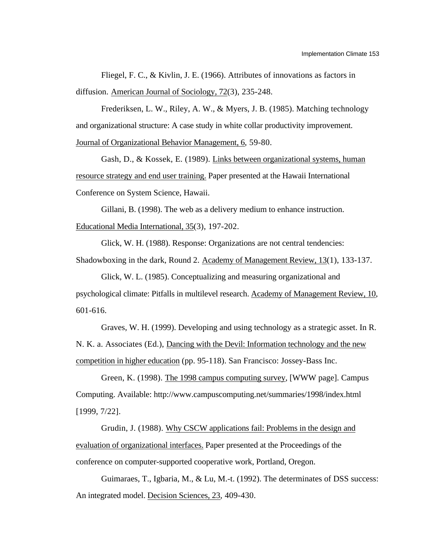Fliegel, F. C., & Kivlin, J. E. (1966). Attributes of innovations as factors in diffusion. American Journal of Sociology, 72(3), 235-248.

Frederiksen, L. W., Riley, A. W., & Myers, J. B. (1985). Matching technology and organizational structure: A case study in white collar productivity improvement. Journal of Organizational Behavior Management, 6, 59-80.

Gash, D., & Kossek, E. (1989). Links between organizational systems, human resource strategy and end user training. Paper presented at the Hawaii International Conference on System Science, Hawaii.

Gillani, B. (1998). The web as a delivery medium to enhance instruction. Educational Media International, 35(3), 197-202.

Glick, W. H. (1988). Response: Organizations are not central tendencies: Shadowboxing in the dark, Round 2. Academy of Management Review, 13(1), 133-137.

Glick, W. L. (1985). Conceptualizing and measuring organizational and psychological climate: Pitfalls in multilevel research. Academy of Management Review, 10 , 601-616.

Graves, W. H. (1999). Developing and using technology as a strategic asset. In R. N. K. a. Associates (Ed.), Dancing with the Devil: Information technology and the new competition in higher education (pp. 95-118). San Francisco: Jossey-Bass Inc.

Green, K. (1998). The 1998 campus computing survey , [WWW page]. Campus Computing. Available: http://www.campuscomputing.net/summaries/1998/index.html [1999, 7/22].

Grudin, J. (1988). Why CSCW applications fail: Problems in the design and evaluation of organizational interfaces. Paper presented at the Proceedings of the conference on computer-supported cooperative work, Portland, Oregon.

Guimaraes, T., Igbaria, M., & Lu, M.-t. (1992). The determinates of DSS success: An integrated model. Decision Sciences, 23, 409-430.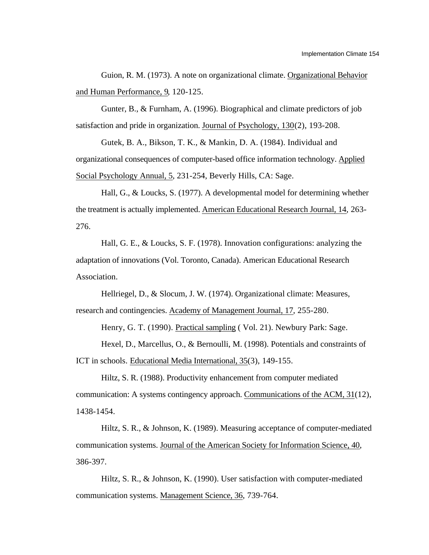Guion, R. M. (1973). A note on organizational climate. Organizational Behavior and Human Performance, 9, 120-125.

Gunter, B., & Furnham, A. (1996). Biographical and climate predictors of job satisfaction and pride in organization. Journal of Psychology, 130(2), 193-208.

Gutek, B. A., Bikson, T. K., & Mankin, D. A. (1984). Individual and organizational consequences of computer-based office information technology. Applied Social Psychology Annual, 5, 231-254, Beverly Hills, CA: Sage.

Hall, G., & Loucks, S. (1977). A developmental model for determining whether the treatment is actually implemented. American Educational Research Journal, 14 , 263- 276.

Hall, G. E., & Loucks, S. F. (1978). Innovation configurations: analyzing the adaptation of innovations (Vol. Toronto, Canada). American Educational Research Association.

Hellriegel, D., & Slocum, J. W. (1974). Organizational climate: Measures, research and contingencies. Academy of Management Journal, 17 , 255-280.

Henry, G. T. (1990). Practical sampling ( Vol. 21). Newbury Park: Sage.

Hexel, D., Marcellus, O., & Bernoulli, M. (1998). Potentials and constraints of ICT in schools. Educational Media International, 35(3), 149-155.

Hiltz, S. R. (1988). Productivity enhancement from computer mediated communication: A systems contingency approach. Communications of the ACM, 31(12), 1438-1454.

Hiltz, S. R., & Johnson, K. (1989). Measuring acceptance of computer-mediated communication systems. Journal of the American Society for Information Science, 40, 386-397.

Hiltz, S. R., & Johnson, K. (1990). User satisfaction with computer-mediated communication systems. Management Science, 36 , 739-764.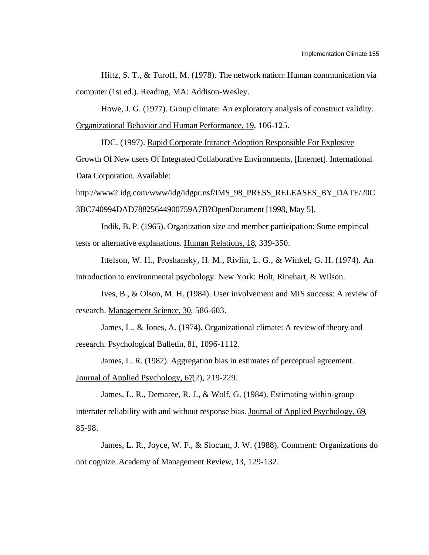Hiltz, S. T., & Turoff, M. (1978). The network nation: Human communication via computer (1st ed.). Reading, MA: Addison-Wesley.

Howe, J. G. (1977). Group climate: An exploratory analysis of construct validity. Organizational Behavior and Human Performance, 19 , 106-125.

IDC. (1997). Rapid Corporate Intranet Adoption Responsible For Explosive Growth Of New users Of Integrated Collaborative Environments , [Internet]. International Data Corporation. Available:

http://www2.idg.com/www/idg/idgpr.nsf/IMS\_98\_PRESS\_RELEASES\_BY\_DATE/20C 3BC740994DAD78825644900759A7B?OpenDocument [1998, May 5].

Indik, B. P. (1965). Organization size and member participation: Some empirical tests or alternative explanations. Human Relations, 18 , 339-350.

Ittelson, W. H., Proshansky, H. M., Rivlin, L. G., & Winkel, G. H. (1974). An introduction to environmental psychology . New York: Holt, Rinehart, & Wilson.

Ives, B., & Olson, M. H. (1984). User involvement and MIS success: A review of research. Management Science, 30, 586-603.

James, L., & Jones, A. (1974). Organizational climate: A review of theory and research. Psychological Bulletin, 81, 1096-1112.

James, L. R. (1982). Aggregation bias in estimates of perceptual agreement. Journal of Applied Psychology, 67(2), 219-229.

James, L. R., Demaree, R. J., & Wolf, G. (1984). Estimating within-group interrater reliability with and without response bias. Journal of Applied Psychology, 69, 85-98.

James, L. R., Joyce, W. F., & Slocum, J. W. (1988). Comment: Organizations do not cognize. Academy of Management Review, 13, 129-132.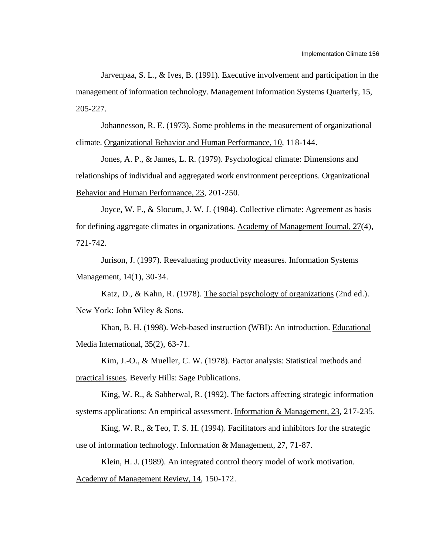Jarvenpaa, S. L., & Ives, B. (1991). Executive involvement and participation in the management of information technology. Management Information Systems Quarterly, 15, 205-227.

Johannesson, R. E. (1973). Some problems in the measurement of organizational climate. Organizational Behavior and Human Performance, 10, 118-144.

Jones, A. P., & James, L. R. (1979). Psychological climate: Dimensions and relationships of individual and aggregated work environment perceptions. Organizational Behavior and Human Performance, 23, 201-250.

Joyce, W. F., & Slocum, J. W. J. (1984). Collective climate: Agreement as basis for defining aggregate climates in organizations. Academy of Management Journal, 27(4), 721-742.

Jurison, J. (1997). Reevaluating productivity measures. Information Systems Management, 14(1), 30-34.

Katz, D., & Kahn, R. (1978). The social psychology of organizations (2nd ed.). New York: John Wiley & Sons.

Khan, B. H. (1998). Web-based instruction (WBI): An introduction. Educational Media International,  $35(2)$ ,  $63-71$ .

Kim, J.-O., & Mueller, C. W. (1978). Factor analysis: Statistical methods and practical issues . Beverly Hills: Sage Publications.

King, W. R., & Sabherwal, R. (1992). The factors affecting strategic information systems applications: An empirical assessment. Information & Management, 23, 217-235.

King, W. R., & Teo, T. S. H. (1994). Facilitators and inhibitors for the strategic use of information technology. Information & Management, 27 , 71-87.

Klein, H. J. (1989). An integrated control theory model of work motivation. Academy of Management Review, 14, 150-172.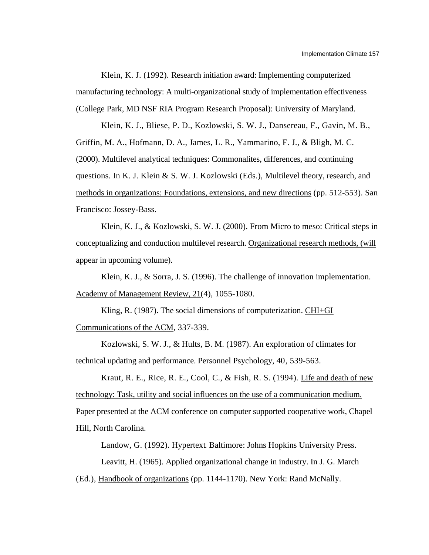Klein, K. J. (1992). Research initiation award: Implementing computerized manufacturing technology: A multi-organizational study of implementation effectiveness (College Park, MD NSF RIA Program Research Proposal): University of Maryland.

Klein, K. J., Bliese, P. D., Kozlowski, S. W. J., Dansereau, F., Gavin, M. B., Griffin, M. A., Hofmann, D. A., James, L. R., Yammarino, F. J., & Bligh, M. C. (2000). Multilevel analytical techniques: Commonalites, differences, and continuing questions. In K. J. Klein & S. W. J. Kozlowski (Eds.), Multilevel theory, research, and methods in organizations: Foundations, extensions, and new directions (pp. 512-553). San Francisco: Jossey-Bass.

Klein, K. J., & Kozlowski, S. W. J. (2000). From Micro to meso: Critical steps in conceptualizing and conduction multilevel research. Organizational research methods, (will appear in upcoming volume).

Klein, K. J., & Sorra, J. S. (1996). The challenge of innovation implementation. Academy of Management Review, 21(4), 1055-1080.

Kling, R. (1987). The social dimensions of computerization. CHI+GI Communications of the ACM, 337-339.

Kozlowski, S. W. J., & Hults, B. M. (1987). An exploration of climates for technical updating and performance. Personnel Psychology, 40, 539-563.

Kraut, R. E., Rice, R. E., Cool, C., & Fish, R. S. (1994). Life and death of new technology: Task, utility and social influences on the use of a communication medium. Paper presented at the ACM conference on computer supported cooperative work, Chapel Hill, North Carolina.

Landow, G. (1992). Hypertext. Baltimore: Johns Hopkins University Press.

Leavitt, H. (1965). Applied organizational change in industry. In J. G. March

(Ed.), Handbook of organizations (pp. 1144-1170). New York: Rand McNally.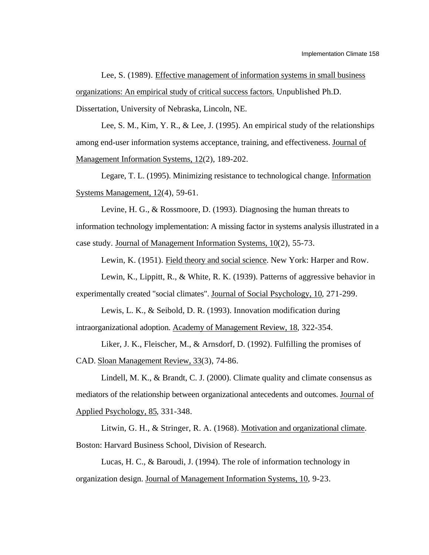Lee, S. (1989). Effective management of information systems in small business organizations: An empirical study of critical success factors. Unpublished Ph.D. Dissertation, University of Nebraska, Lincoln, NE.

Lee, S. M., Kim, Y. R., & Lee, J. (1995). An empirical study of the relationships among end-user information systems acceptance, training, and effectiveness. Journal of Management Information Systems, 12(2), 189-202.

Legare, T. L. (1995). Minimizing resistance to technological change. Information Systems Management,  $12(4)$ , 59-61.

Levine, H. G., & Rossmoore, D. (1993). Diagnosing the human threats to information technology implementation: A missing factor in systems analysis illustrated in a case study. Journal of Management Information Systems, 10(2), 55-73.

Lewin, K. (1951). Field theory and social science . New York: Harper and Row.

Lewin, K., Lippitt, R., & White, R. K. (1939). Patterns of aggressive behavior in experimentally created "social climates". Journal of Social Psychology, 10 , 271-299.

Lewis, L. K., & Seibold, D. R. (1993). Innovation modification during intraorganizational adoption. Academy of Management Review, 18, 322-354.

Liker, J. K., Fleischer, M., & Arnsdorf, D. (1992). Fulfilling the promises of CAD. Sloan Management Review, 33(3), 74-86.

Lindell, M. K., & Brandt, C. J. (2000). Climate quality and climate consensus as mediators of the relationship between organizational antecedents and outcomes. Journal of Applied Psychology, 85, 331-348.

Litwin, G. H., & Stringer, R. A. (1968). Motivation and organizational climate . Boston: Harvard Business School, Division of Research.

Lucas, H. C., & Baroudi, J. (1994). The role of information technology in organization design. Journal of Management Information Systems, 10, 9-23.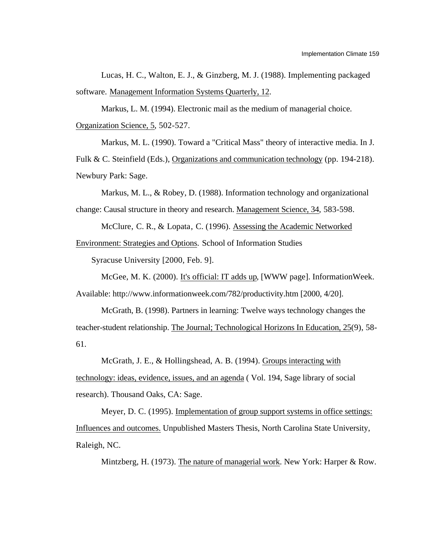Lucas, H. C., Walton, E. J., & Ginzberg, M. J. (1988). Implementing packaged software. Management Information Systems Quarterly, 12.

Markus, L. M. (1994). Electronic mail as the medium of managerial choice. Organization Science, 5, 502-527.

Markus, M. L. (1990). Toward a "Critical Mass" theory of interactive media. In J. Fulk & C. Steinfield (Eds.), Organizations and communication technology (pp. 194-218). Newbury Park: Sage.

Markus, M. L., & Robey, D. (1988). Information technology and organizational change: Causal structure in theory and research. Management Science, 34 , 583-598.

McClure, C. R., & Lopata, C. (1996). Assessing the Academic Networked Environment: Strategies and Options . School of Information Studies

Syracuse University [2000, Feb. 9].

McGee, M. K. (2000). It's official: IT adds up, [WWW page]. InformationWeek. Available: http://www.informationweek.com/782/productivity.htm [2000, 4/20].

McGrath, B. (1998). Partners in learning: Twelve ways technology changes the teacher-student relationship. The Journal; Technological Horizons In Education, 25(9), 58-61.

McGrath, J. E., & Hollingshead, A. B. (1994). Groups interacting with technology: ideas, evidence, issues, and an agenda ( Vol. 194, Sage library of social research). Thousand Oaks, CA: Sage.

Meyer, D. C. (1995). Implementation of group support systems in office settings: Influences and outcomes. Unpublished Masters Thesis, North Carolina State University, Raleigh, NC.

Mintzberg, H. (1973). The nature of managerial work. New York: Harper & Row.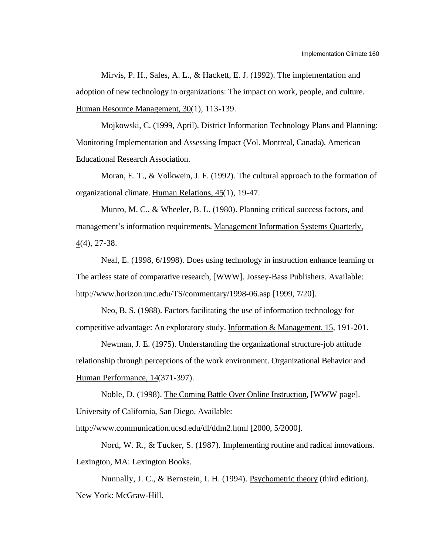Mirvis, P. H., Sales, A. L., & Hackett, E. J. (1992). The implementation and adoption of new technology in organizations: The impact on work, people, and culture. Human Resource Management, 30(1), 113-139.

Mojkowski, C. (1999, April). District Information Technology Plans and Planning: Monitoring Implementation and Assessing Impact (Vol. Montreal, Canada). American Educational Research Association.

Moran, E. T., & Volkwein, J. F. (1992). The cultural approach to the formation of organizational climate. Human Relations, 45(1), 19-47.

Munro, M. C., & Wheeler, B. L. (1980). Planning critical success factors, and management's information requirements. Management Information Systems Quarterly,  $4(4)$ , 27-38.

Neal, E. (1998, 6/1998). Does using technology in instruction enhance learning or The artless state of comparative research, [WWW]. Jossey-Bass Publishers. Available: http://www.horizon.unc.edu/TS/commentary/1998-06.asp [1999, 7/20].

Neo, B. S. (1988). Factors facilitating the use of information technology for competitive advantage: An exploratory study. Information & Management, 15, 191-201.

Newman, J. E. (1975). Understanding the organizational structure-job attitude relationship through perceptions of the work environment. Organizational Behavior and Human Performance, 14(371-397).

Noble, D. (1998). The Coming Battle Over Online Instruction, [WWW page]. University of California, San Diego. Available:

http://www.communication.ucsd.edu/dl/ddm2.html [2000, 5/2000].

Nord, W. R., & Tucker, S. (1987). Implementing routine and radical innovations. Lexington, MA: Lexington Books.

Nunnally, J. C., & Bernstein, I. H. (1994). Psychometric theory (third edition). New York: McGraw-Hill.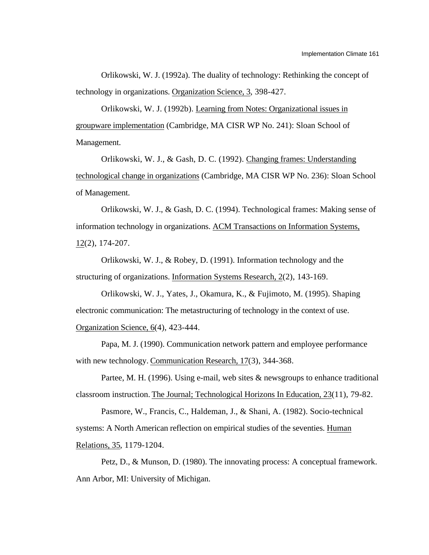Orlikowski, W. J. (1992a). The duality of technology: Rethinking the concept of technology in organizations. Organization Science, 3, 398-427.

Orlikowski, W. J. (1992b). Learning from Notes: Organizational issues in groupware implementation (Cambridge, MA CISR WP No. 241): Sloan School of Management.

Orlikowski, W. J., & Gash, D. C. (1992). Changing frames: Understanding technological change in organizations (Cambridge, MA CISR WP No. 236): Sloan School of Management.

Orlikowski, W. J., & Gash, D. C. (1994). Technological frames: Making sense of information technology in organizations. ACM Transactions on Information Systems,  $12(2)$ ,  $174-207$ .

Orlikowski, W. J., & Robey, D. (1991). Information technology and the structuring of organizations. Information Systems Research, 2(2), 143-169.

Orlikowski, W. J., Yates, J., Okamura, K., & Fujimoto, M. (1995). Shaping electronic communication: The metastructuring of technology in the context of use. Organization Science, 6(4), 423-444.

Papa, M. J. (1990). Communication network pattern and employee performance with new technology. Communication Research, 17(3), 344-368.

Partee, M. H. (1996). Using e-mail, web sites & newsgroups to enhance traditional classroom instruction. The Journal; Technological Horizons In Education, 23(11), 79-82.

Pasmore, W., Francis, C., Haldeman, J., & Shani, A. (1982). Socio-technical systems: A North American reflection on empirical studies of the seventies. Human Relations, 35, 1179-1204.

Petz, D., & Munson, D. (1980). The innovating process: A conceptual framework. Ann Arbor, MI: University of Michigan.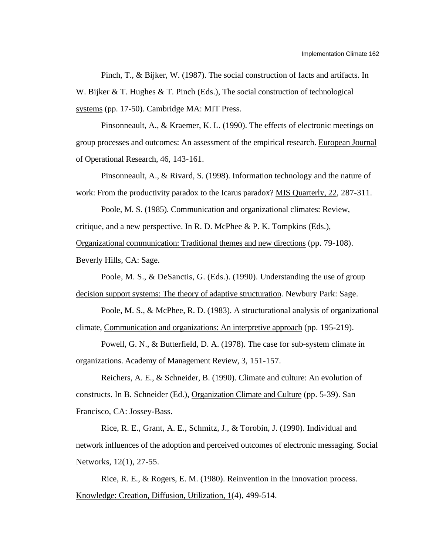Pinch, T., & Bijker, W. (1987). The social construction of facts and artifacts. In W. Bijker & T. Hughes & T. Pinch (Eds.), The social construction of technological systems (pp. 17-50). Cambridge MA: MIT Press.

Pinsonneault, A., & Kraemer, K. L. (1990). The effects of electronic meetings on group processes and outcomes: An assessment of the empirical research. European Journal of Operational Research, 46 , 143-161.

Pinsonneault, A., & Rivard, S. (1998). Information technology and the nature of work: From the productivity paradox to the Icarus paradox? MIS Quarterly, 22, 287-311.

Poole, M. S. (1985). Communication and organizational climates: Review, critique, and a new perspective. In R. D. McPhee & P. K. Tompkins (Eds.),

Organizational communication: Traditional themes and new directions (pp. 79-108).

Beverly Hills, CA: Sage.

Poole, M. S., & DeSanctis, G. (Eds.). (1990). Understanding the use of group decision support systems: The theory of adaptive structuration . Newbury Park: Sage.

Poole, M. S., & McPhee, R. D. (1983). A structurational analysis of organizational climate, Communication and organizations: An interpretive approach (pp. 195-219).

Powell, G. N., & Butterfield, D. A. (1978). The case for sub-system climate in organizations. Academy of Management Review, 3, 151-157.

Reichers, A. E., & Schneider, B. (1990). Climate and culture: An evolution of constructs. In B. Schneider (Ed.), Organization Climate and Culture (pp. 5-39). San Francisco, CA: Jossey-Bass.

Rice, R. E., Grant, A. E., Schmitz, J., & Torobin, J. (1990). Individual and network influences of the adoption and perceived outcomes of electronic messaging. Social Networks, 12(1), 27-55.

Rice, R. E., & Rogers, E. M. (1980). Reinvention in the innovation process. Knowledge: Creation, Diffusion, Utilization, 1(4), 499-514.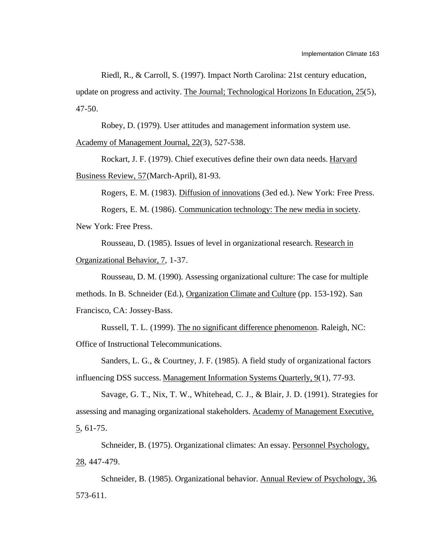Riedl, R., & Carroll, S. (1997). Impact North Carolina: 21st century education,

update on progress and activity. The Journal; Technological Horizons In Education, 25(5), 47-50.

Robey, D. (1979). User attitudes and management information system use. Academy of Management Journal, 22(3), 527-538.

Rockart, J. F. (1979). Chief executives define their own data needs. Harvard Business Review, 57 (March-April), 81-93.

Rogers, E. M. (1983). Diffusion of innovations (3ed ed.). New York: Free Press.

Rogers, E. M. (1986). Communication technology: The new media in society . New York: Free Press.

Rousseau, D. (1985). Issues of level in organizational research. Research in Organizational Behavior, 7, 1-37.

Rousseau, D. M. (1990). Assessing organizational culture: The case for multiple

methods. In B. Schneider (Ed.), Organization Climate and Culture (pp. 153-192). San

Francisco, CA: Jossey-Bass.

Russell, T. L. (1999). The no significant difference phenomenon . Raleigh, NC: Office of Instructional Telecommunications.

Sanders, L. G., & Courtney, J. F. (1985). A field study of organizational factors influencing DSS success. Management Information Systems Quarterly, 9(1), 77-93.

Savage, G. T., Nix, T. W., Whitehead, C. J., & Blair, J. D. (1991). Strategies for assessing and managing organizational stakeholders. Academy of Management Executive, 5 , 61-75.

Schneider, B. (1975). Organizational climates: An essay. Personnel Psychology, 28 , 447-479.

Schneider, B. (1985). Organizational behavior. Annual Review of Psychology, 36 , 573-611.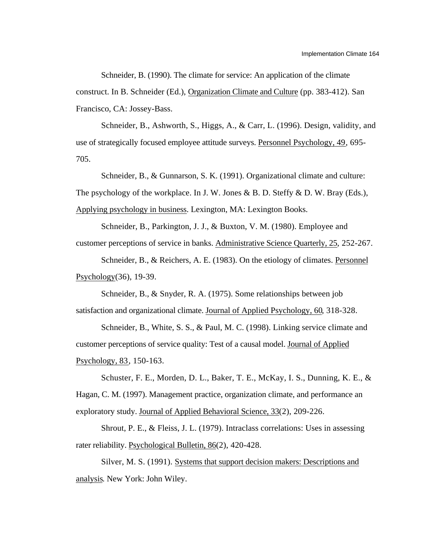Schneider, B. (1990). The climate for service: An application of the climate construct. In B. Schneider (Ed.), Organization Climate and Culture (pp. 383-412). San Francisco, CA: Jossey-Bass.

Schneider, B., Ashworth, S., Higgs, A., & Carr, L. (1996). Design, validity, and use of strategically focused employee attitude surveys. Personnel Psychology, 49 , 695- 705.

Schneider, B., & Gunnarson, S. K. (1991). Organizational climate and culture: The psychology of the workplace. In J. W. Jones & B. D. Steffy & D. W. Bray (Eds.), Applying psychology in business . Lexington, MA: Lexington Books.

Schneider, B., Parkington, J. J., & Buxton, V. M. (1980). Employee and customer perceptions of service in banks. Administrative Science Quarterly, 25 , 252-267.

Schneider, B., & Reichers, A. E. (1983). On the etiology of climates. Personnel Psychology (36), 19-39.

Schneider, B., & Snyder, R. A. (1975). Some relationships between job satisfaction and organizational climate. Journal of Applied Psychology, 60, 318-328.

Schneider, B., White, S. S., & Paul, M. C. (1998). Linking service climate and customer perceptions of service quality: Test of a causal model. Journal of Applied Psychology, 83 , 150-163.

Schuster, F. E., Morden, D. L., Baker, T. E., McKay, I. S., Dunning, K. E., & Hagan, C. M. (1997). Management practice, organization climate, and performance an exploratory study. Journal of Applied Behavioral Science, 33(2), 209-226.

Shrout, P. E., & Fleiss, J. L. (1979). Intraclass correlations: Uses in assessing rater reliability. Psychological Bulletin, 86(2), 420-428.

Silver, M. S. (1991). Systems that support decision makers: Descriptions and analysis . New York: John Wiley.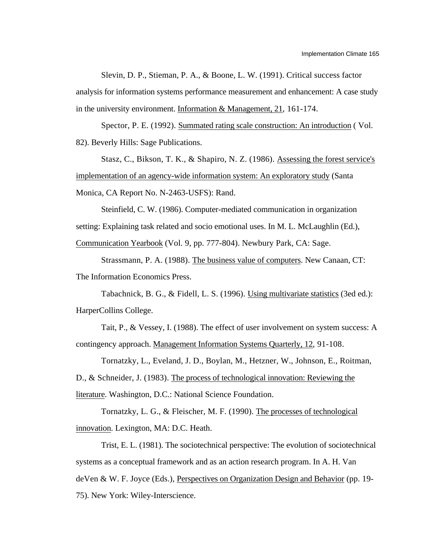Slevin, D. P., Stieman, P. A., & Boone, L. W. (1991). Critical success factor analysis for information systems performance measurement and enhancement: A case study in the university environment. Information  $&$  Management, 21, 161-174.

Spector, P. E. (1992). Summated rating scale construction: An introduction ( Vol. 82). Beverly Hills: Sage Publications.

Stasz, C., Bikson, T. K., & Shapiro, N. Z. (1986). Assessing the forest service's implementation of an agency-wide information system: An exploratory study (Santa Monica, CA Report No. N-2463-USFS): Rand.

Steinfield, C. W. (1986). Computer-mediated communication in organization setting: Explaining task related and socio emotional uses. In M. L. McLaughlin (Ed.), Communication Yearbook (Vol. 9, pp. 777-804). Newbury Park, CA: Sage.

Strassmann, P. A. (1988). The business value of computers . New Canaan, CT: The Information Economics Press.

Tabachnick, B. G., & Fidell, L. S. (1996). Using multivariate statistics (3ed ed.): HarperCollins College.

Tait, P., & Vessey, I. (1988). The effect of user involvement on system success: A contingency approach. Management Information Systems Quarterly, 12, 91-108.

Tornatzky, L., Eveland, J. D., Boylan, M., Hetzner, W., Johnson, E., Roitman, D., & Schneider, J. (1983). The process of technological innovation: Reviewing the literature. Washington, D.C.: National Science Foundation.

Tornatzky, L. G., & Fleischer, M. F. (1990). The processes of technological innovation. Lexington, MA: D.C. Heath.

Trist, E. L. (1981). The sociotechnical perspective: The evolution of sociotechnical systems as a conceptual framework and as an action research program. In A. H. Van deVen & W. F. Joyce (Eds.), Perspectives on Organization Design and Behavior (pp. 19- 75). New York: Wiley-Interscience.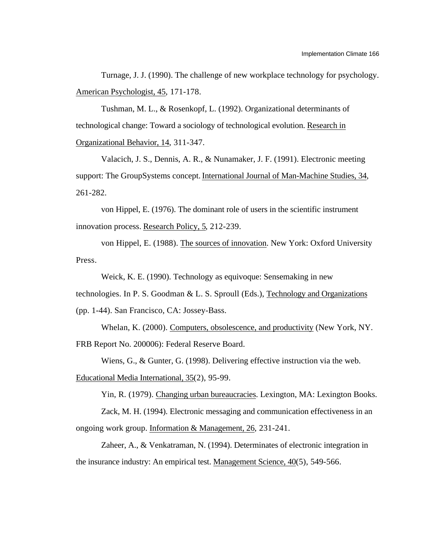Turnage, J. J. (1990). The challenge of new workplace technology for psychology. American Psychologist, 45, 171-178.

Tushman, M. L., & Rosenkopf, L. (1992). Organizational determinants of technological change: Toward a sociology of technological evolution. Research in Organizational Behavior, 14, 311-347.

Valacich, J. S., Dennis, A. R., & Nunamaker, J. F. (1991). Electronic meeting support: The GroupSystems concept. International Journal of Man-Machine Studies, 34 , 261-282.

von Hippel, E. (1976). The dominant role of users in the scientific instrument innovation process. Research Policy, 5, 212-239.

von Hippel, E. (1988). The sources of innovation . New York: Oxford University Press.

Weick, K. E. (1990). Technology as equivoque: Sensemaking in new

technologies. In P. S. Goodman & L. S. Sproull (Eds.), Technology and Organizations

(pp. 1-44). San Francisco, CA: Jossey-Bass.

Whelan, K. (2000). Computers, obsolescence, and productivity (New York, NY. FRB Report No. 200006): Federal Reserve Board.

Wiens, G., & Gunter, G. (1998). Delivering effective instruction via the web.

Educational Media International, 35(2), 95-99.

Yin, R. (1979). Changing urban bureaucracies . Lexington, MA: Lexington Books.

Zack, M. H. (1994). Electronic messaging and communication effectiveness in an ongoing work group. Information & Management, 26 , 231-241.

Zaheer, A., & Venkatraman, N. (1994). Determinates of electronic integration in the insurance industry: An empirical test. Management Science, 40(5), 549-566.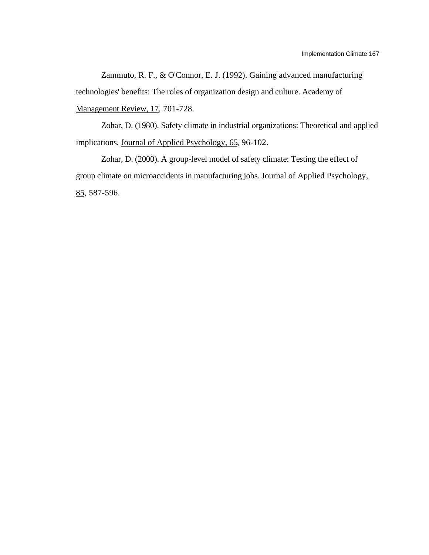Zammuto, R. F., & O'Connor, E. J. (1992). Gaining advanced manufacturing technologies' benefits: The roles of organization design and culture. Academy of Management Review, 17, 701-728.

Zohar, D. (1980). Safety climate in industrial organizations: Theoretical and applied implications. Journal of Applied Psychology, 65, 96-102.

Zohar, D. (2000). A group-level model of safety climate: Testing the effect of group climate on microaccidents in manufacturing jobs. Journal of Applied Psychology, 85 , 587-596.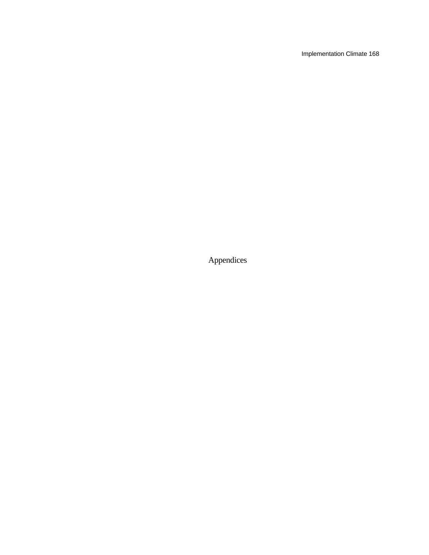Implementation Climate 168

Appendices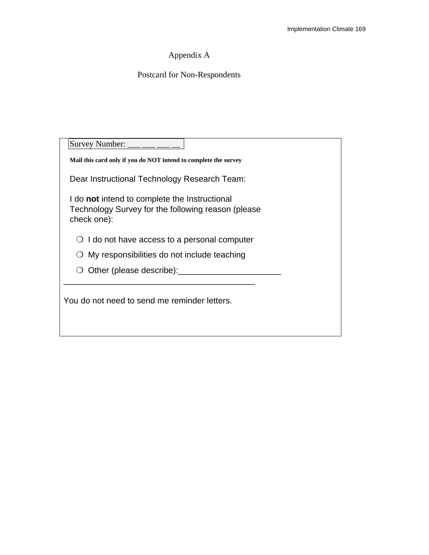# Appendix A

# Postcard for Non-Respondents

| Survey Number: _____                                                                                               |
|--------------------------------------------------------------------------------------------------------------------|
| Mail this card only if you do NOT intend to complete the survey                                                    |
| Dear Instructional Technology Research Team:                                                                       |
| I do not intend to complete the Instructional<br>Technology Survey for the following reason (please<br>check one): |
| $\bigcirc$ I do not have access to a personal computer                                                             |
| $\bigcirc$ My responsibilities do not include teaching                                                             |
| Other (please describe):                                                                                           |
| You do not need to send me reminder letters.                                                                       |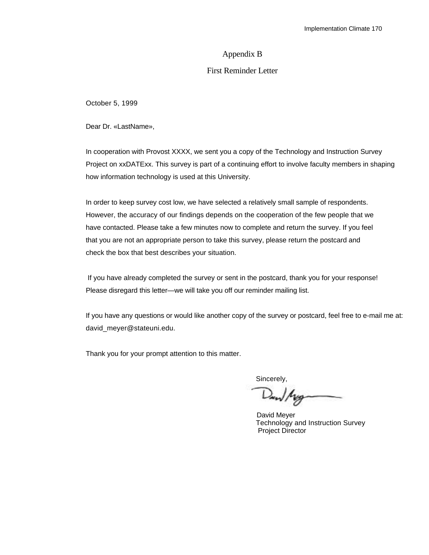# Appendix B

# First Reminder Letter

October 5, 1999

Dear Dr. «LastName»,

In cooperation with Provost XXXX, we sent you a copy of the Technology and Instruction Survey Project on xxDATExx. This survey is part of a continuing effort to involve faculty members in shaping how information technology is used at this University.

In order to keep survey cost low, we have selected a relatively small sample of respondents. However, the accuracy of our findings depends on the cooperation of the few people that we have contacted. Please take a few minutes now to complete and return the survey. If you feel that you are not an appropriate person to take this survey, please return the postcard and check the box that best describes your situation.

 If you have already completed the survey or sent in the postcard, thank you for your response! Please disregard this letter—we will take you off our reminder mailing list.

If you have any questions or would like another copy of the survey or postcard, feel free to e-mail me at: david\_meyer@stateuni.edu.

Thank you for your prompt attention to this matter.

sincerely,<br>Daw/Agg

David Meyer Technology and Instruction Survey Project Director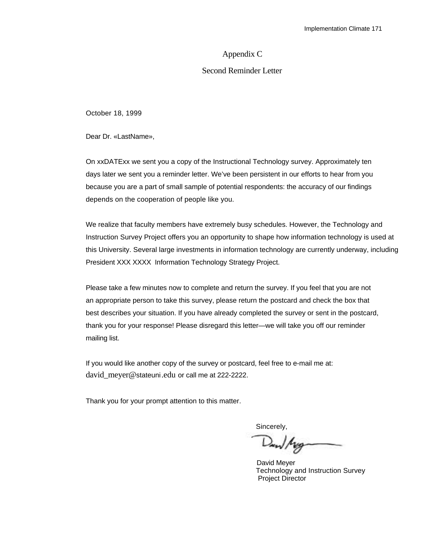#### Appendix C

### Second Reminder Letter

October 18, 1999

Dear Dr. «LastName»,

On xxDATExx we sent you a copy of the Instructional Technology survey. Approximately ten days later we sent you a reminder letter. We've been persistent in our efforts to hear from you because you are a part of small sample of potential respondents: the accuracy of our findings depends on the cooperation of people like you.

We realize that faculty members have extremely busy schedules. However, the Technology and Instruction Survey Project offers you an opportunity to shape how information technology is used at this University. Several large investments in information technology are currently underway, including President XXX XXXX Information Technology Strategy Project.

Please take a few minutes now to complete and return the survey. If you feel that you are not an appropriate person to take this survey, please return the postcard and check the box that best describes your situation. If you have already completed the survey or sent in the postcard, thank you for your response! Please disregard this letter—we will take you off our reminder mailing list.

If you would like another copy of the survey or postcard, feel free to e-mail me at: david\_meyer@stateuni.edu or call me at 222-2222.

Thank you for your prompt attention to this matter.

Sincerely,<br>Dam/Mag-

David Meyer Technology and Instruction Survey Project Director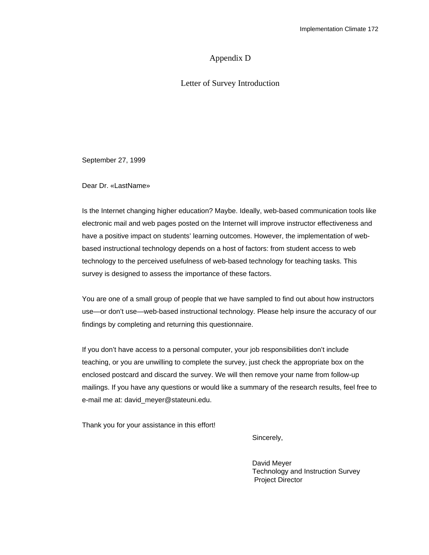# Appendix D

Letter of Survey Introduction

September 27, 1999

Dear Dr. «LastName»

Is the Internet changing higher education? Maybe. Ideally, web-based communication tools like electronic mail and web pages posted on the Internet will improve instructor effectiveness and have a positive impact on students' learning outcomes. However, the implementation of webbased instructional technology depends on a host of factors: from student access to web technology to the perceived usefulness of web-based technology for teaching tasks. This survey is designed to assess the importance of these factors.

You are one of a small group of people that we have sampled to find out about how instructors use—or don't use—web-based instructional technology. Please help insure the accuracy of our findings by completing and returning this questionnaire.

If you don't have access to a personal computer, your job responsibilities don't include teaching, or you are unwilling to complete the survey, just check the appropriate box on the enclosed postcard and discard the survey. We will then remove your name from follow-up mailings. If you have any questions or would like a summary of the research results, feel free to e-mail me at: david\_meyer@stateuni.edu.

Thank you for your assistance in this effort!

Sincerely,

David Meyer Technology and Instruction Survey Project Director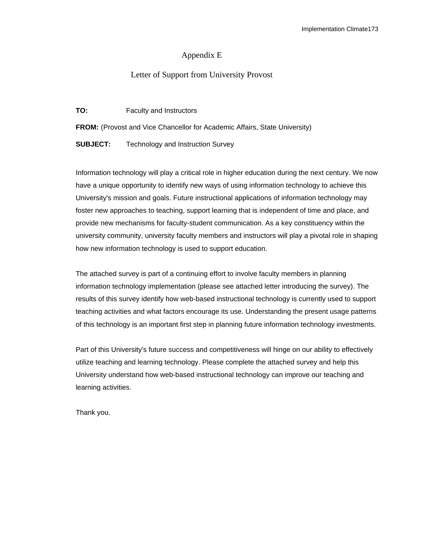# Appendix E

# Letter of Support from University Provost

**TO:** Faculty and Instructors

FROM: (Provost and Vice Chancellor for Academic Affairs, State University)

**SUBJECT:** Technology and Instruction Survey

Information technology will play a critical role in higher education during the next century. We now have a unique opportunity to identify new ways of using information technology to achieve this University's mission and goals. Future instructional applications of information technology may foster new approaches to teaching, support learning that is independent of time and place, and provide new mechanisms for faculty-student communication. As a key constituency within the university community, university faculty members and instructors will play a pivotal role in shaping how new information technology is used to support education.

The attached survey is part of a continuing effort to involve faculty members in planning information technology implementation (please see attached letter introducing the survey). The results of this survey identify how web-based instructional technology is currently used to support teaching activities and what factors encourage its use. Understanding the present usage patterns of this technology is an important first step in planning future information technology investments.

Part of this University's future success and competitiveness will hinge on our ability to effectively utilize teaching and learning technology. Please complete the attached survey and help this University understand how web-based instructional technology can improve our teaching and learning activities.

Thank you.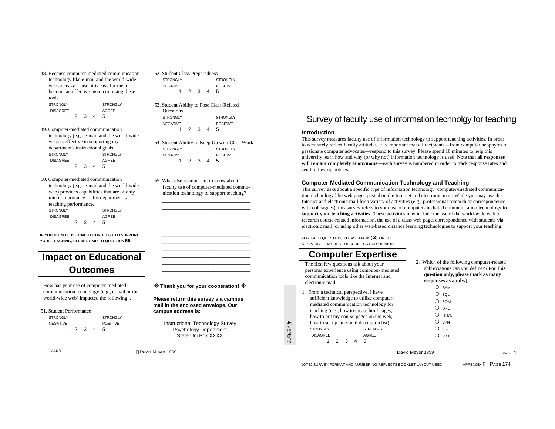- 48. Because computer-mediated communication technology like e-mail and the world-wide web are easy to use, it is easy for me to become an effective instructor using these tools. STRONGLY STRONGLY DISAGREE AGREE 1 2 3 4 5
- 49. Computer-mediated communication technology (e.g., e-mail and the world-wide web) is effective in supporting my department's instructional goals. STRONGLY STRONGLY DISAGREE AGREE 1 2 3 4 5
- 50. Computer-mediated communication technology (e.g., e-mail and the world-wide web) provides capabilities that are of only minor importance to this department's teaching performance. STRONGLY STRONGLY DISAGREE AGREE 1 2 3 4 5

**IF YOU DO NOT USE CMC TECHNOLOGY TO SUPPORT YOUR TEACHING, PLEASE SKIP TO QUESTION 55.**

# **Impact on Educational Outcomes**

How has your use of computer-mediated communication technology (e.g., e-mail or the world-wide web) impacted the following...

51. Student Performance

STRONGLY STRONGLY NEGATIVE POSITIVE 1 2 3 4 5

PAGE 8

52. Student Class Preparedness STRONGLY STRONGLY NEGATIVE POSITIVE 1 2 3 4 5

> 53. Student Ability to Pose Class-Related **Questions** STRONGLY STRONGLY NEGATIVE POSITIVE 1 2 3 4 5

54. Student Ability to Keep Up with Class Work STRONGLY STRONGLY NEGATIVE POSITIVE 1 2 3 4 5

55. What else is important to know about faculty use of computer-mediated communication technology to support teaching?

 $\overline{\phantom{a}}$  ,  $\overline{\phantom{a}}$  ,  $\overline{\phantom{a}}$  ,  $\overline{\phantom{a}}$  ,  $\overline{\phantom{a}}$  ,  $\overline{\phantom{a}}$  ,  $\overline{\phantom{a}}$  ,  $\overline{\phantom{a}}$  ,  $\overline{\phantom{a}}$  ,  $\overline{\phantom{a}}$  ,  $\overline{\phantom{a}}$  ,  $\overline{\phantom{a}}$  ,  $\overline{\phantom{a}}$  ,  $\overline{\phantom{a}}$  ,  $\overline{\phantom{a}}$  ,  $\overline{\phantom{a}}$  $\overline{\phantom{a}}$  ,  $\overline{\phantom{a}}$  ,  $\overline{\phantom{a}}$  ,  $\overline{\phantom{a}}$  ,  $\overline{\phantom{a}}$  ,  $\overline{\phantom{a}}$  ,  $\overline{\phantom{a}}$  ,  $\overline{\phantom{a}}$  ,  $\overline{\phantom{a}}$  ,  $\overline{\phantom{a}}$  ,  $\overline{\phantom{a}}$  ,  $\overline{\phantom{a}}$  ,  $\overline{\phantom{a}}$  ,  $\overline{\phantom{a}}$  ,  $\overline{\phantom{a}}$  ,  $\overline{\phantom{a}}$  $\overline{\phantom{a}}$  ,  $\overline{\phantom{a}}$  ,  $\overline{\phantom{a}}$  ,  $\overline{\phantom{a}}$  ,  $\overline{\phantom{a}}$  ,  $\overline{\phantom{a}}$  ,  $\overline{\phantom{a}}$  ,  $\overline{\phantom{a}}$  ,  $\overline{\phantom{a}}$  ,  $\overline{\phantom{a}}$  ,  $\overline{\phantom{a}}$  ,  $\overline{\phantom{a}}$  ,  $\overline{\phantom{a}}$  ,  $\overline{\phantom{a}}$  ,  $\overline{\phantom{a}}$  ,  $\overline{\phantom{a}}$  $\overline{\phantom{a}}$  ,  $\overline{\phantom{a}}$  ,  $\overline{\phantom{a}}$  ,  $\overline{\phantom{a}}$  ,  $\overline{\phantom{a}}$  ,  $\overline{\phantom{a}}$  ,  $\overline{\phantom{a}}$  ,  $\overline{\phantom{a}}$  ,  $\overline{\phantom{a}}$  ,  $\overline{\phantom{a}}$  ,  $\overline{\phantom{a}}$  ,  $\overline{\phantom{a}}$  ,  $\overline{\phantom{a}}$  ,  $\overline{\phantom{a}}$  ,  $\overline{\phantom{a}}$  ,  $\overline{\phantom{a}}$ \_\_\_\_\_\_\_\_\_\_\_\_\_\_\_\_\_\_\_\_\_\_\_\_\_\_\_\_\_\_\_ \_\_\_\_\_\_\_\_\_\_\_\_\_\_\_\_\_\_\_\_\_\_\_\_\_\_\_\_\_\_\_ \_\_\_\_\_\_\_\_\_\_\_\_\_\_\_\_\_\_\_\_\_\_\_\_\_\_\_\_\_\_\_  $\overline{\phantom{a}}$  ,  $\overline{\phantom{a}}$  ,  $\overline{\phantom{a}}$  ,  $\overline{\phantom{a}}$  ,  $\overline{\phantom{a}}$  ,  $\overline{\phantom{a}}$  ,  $\overline{\phantom{a}}$  ,  $\overline{\phantom{a}}$  ,  $\overline{\phantom{a}}$  ,  $\overline{\phantom{a}}$  ,  $\overline{\phantom{a}}$  ,  $\overline{\phantom{a}}$  ,  $\overline{\phantom{a}}$  ,  $\overline{\phantom{a}}$  ,  $\overline{\phantom{a}}$  ,  $\overline{\phantom{a}}$  $\overline{\phantom{a}}$  ,  $\overline{\phantom{a}}$  ,  $\overline{\phantom{a}}$  ,  $\overline{\phantom{a}}$  ,  $\overline{\phantom{a}}$  ,  $\overline{\phantom{a}}$  ,  $\overline{\phantom{a}}$  ,  $\overline{\phantom{a}}$  ,  $\overline{\phantom{a}}$  ,  $\overline{\phantom{a}}$  ,  $\overline{\phantom{a}}$  ,  $\overline{\phantom{a}}$  ,  $\overline{\phantom{a}}$  ,  $\overline{\phantom{a}}$  ,  $\overline{\phantom{a}}$  ,  $\overline{\phantom{a}}$  $\overline{\phantom{a}}$  ,  $\overline{\phantom{a}}$  ,  $\overline{\phantom{a}}$  ,  $\overline{\phantom{a}}$  ,  $\overline{\phantom{a}}$  ,  $\overline{\phantom{a}}$  ,  $\overline{\phantom{a}}$  ,  $\overline{\phantom{a}}$  ,  $\overline{\phantom{a}}$  ,  $\overline{\phantom{a}}$  ,  $\overline{\phantom{a}}$  ,  $\overline{\phantom{a}}$  ,  $\overline{\phantom{a}}$  ,  $\overline{\phantom{a}}$  ,  $\overline{\phantom{a}}$  ,  $\overline{\phantom{a}}$  $\overline{\phantom{a}}$  ,  $\overline{\phantom{a}}$  ,  $\overline{\phantom{a}}$  ,  $\overline{\phantom{a}}$  ,  $\overline{\phantom{a}}$  ,  $\overline{\phantom{a}}$  ,  $\overline{\phantom{a}}$  ,  $\overline{\phantom{a}}$  ,  $\overline{\phantom{a}}$  ,  $\overline{\phantom{a}}$  ,  $\overline{\phantom{a}}$  ,  $\overline{\phantom{a}}$  ,  $\overline{\phantom{a}}$  ,  $\overline{\phantom{a}}$  ,  $\overline{\phantom{a}}$  ,  $\overline{\phantom{a}}$  $\overline{\phantom{a}}$  ,  $\overline{\phantom{a}}$  ,  $\overline{\phantom{a}}$  ,  $\overline{\phantom{a}}$  ,  $\overline{\phantom{a}}$  ,  $\overline{\phantom{a}}$  ,  $\overline{\phantom{a}}$  ,  $\overline{\phantom{a}}$  ,  $\overline{\phantom{a}}$  ,  $\overline{\phantom{a}}$  ,  $\overline{\phantom{a}}$  ,  $\overline{\phantom{a}}$  ,  $\overline{\phantom{a}}$  ,  $\overline{\phantom{a}}$  ,  $\overline{\phantom{a}}$  ,  $\overline{\phantom{a}}$ 

❊ **Thank you for your cooperation!** ❊

**Please return this survey via campus mail in the enclosed envelope. Our campus address is:**

> Instructional Technology Survey Psychology Department State Uni Box XXXX

### Survey of faculty use of information technolgy for teaching

#### **Introduction**

This survey measures faculty use of information technology to support teaching activities. In order to accurately reflect faculty attitudes, it is important that all recipients—from computer neophytes to passionate computer advocates—respond to this survey. Please spend 10 minutes to help this university learn how and why (or why not) information technology is used. Note that **all responses will remain completely anonymous**—each survey is numbered in order to track response rates and send follow-up notices.

#### **Computer-Mediated Communication Technology and Teaching**

This survey asks about a specific type of information technology: computer-mediated communication technology like web pages posted on the Internet and electronic mail. While you may use the Internet and electronic mail for a variety of activities (e.g., professional research or correspondence with colleagues), this survey refers to your use of computer-mediated communication technology **to support your teaching activities**. These activities may include the use of the world-wide web to research course-related information, the use of a class web page, correspondence with students via electronic mail, or using other web-based distance learning technologies to support your teaching.

FOR EACH QUESTION, PLEASE MARK (✘) ON THE RESPONSE THAT BEST DESCRIBES YOUR OPINION.

# **Computer Expertise**

The first few questions ask about your personal experience using computer-mediated communication tools like the Internet and electronic mail.

1. From a technical perspective, I have sufficient knowledge to utilize computermediated communication technology for teaching (e.g., how to create html pages, how to put my course pages on the web, how to set up an e-mail discussion list). STRONGLY STRONGLY DISAGREE AGREE 1 2 3 4 5

SURVEY#

2. Which of the following computer-related abbreviations can you define? (**For this question only, please mark as many responses as apply.**)

| RAM                 |
|---------------------|
| ) SOL               |
| ) ROM               |
| DRE                 |
| $\blacksquare$ HTML |
| ) VPN               |
| ) CGI               |
| PBX                 |
|                     |

#### David Meyer 1999 David Meyer 1999 PAGE 1

NOTE: SURVEY FORMAT AND NUMBERING REFLECTS BOOKLET LAYOUT USED. APPENDIX F PAGE 174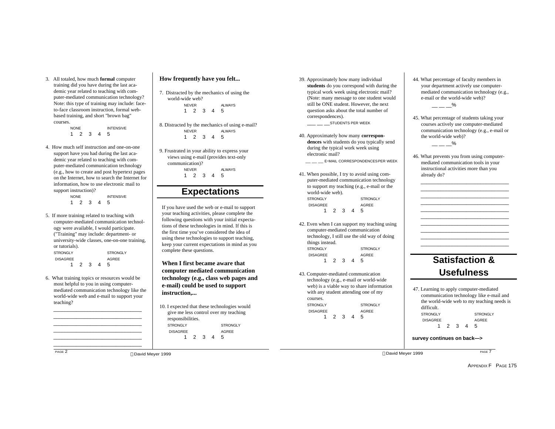3. All totaled, how much **formal** computer training did you have during the last academic year related to teaching with computer-mediated communication technology? Note: this type of training may include: faceto-face classroom instruction, formal webbased training, and short "brown bag" courses.

> NONE INTENSIVE 1 2 3 4 5

4. How much self instruction and one-on-one support have you had during the last academic year related to teaching with computer-mediated communication technology (e.g., how to create and post hypertext pages on the Internet, how to search the Internet for information, how to use electronic mail to support instruction)?

NONE INTENSIVE 1 2 3 4 5

- 5. If more training related to teaching with computer-mediated communication technology were available, I would participate. ("Training" may include: department- or university-wide classes, one-on-one training, or tutorials). STRONGLY STRONGLY DISAGREE AGREE 1 2 3 4 5
- 6. What training topics or resources would be most helpful to you in using computermediated communication technology like the world-wide web and e-mail to support your teaching?

 $\overline{\phantom{a}}$  ,  $\overline{\phantom{a}}$  ,  $\overline{\phantom{a}}$  ,  $\overline{\phantom{a}}$  ,  $\overline{\phantom{a}}$  ,  $\overline{\phantom{a}}$  ,  $\overline{\phantom{a}}$  ,  $\overline{\phantom{a}}$  ,  $\overline{\phantom{a}}$  ,  $\overline{\phantom{a}}$  ,  $\overline{\phantom{a}}$  ,  $\overline{\phantom{a}}$  ,  $\overline{\phantom{a}}$  ,  $\overline{\phantom{a}}$  ,  $\overline{\phantom{a}}$  ,  $\overline{\phantom{a}}$  $\overline{\phantom{a}}$  ,  $\overline{\phantom{a}}$  ,  $\overline{\phantom{a}}$  ,  $\overline{\phantom{a}}$  ,  $\overline{\phantom{a}}$  ,  $\overline{\phantom{a}}$  ,  $\overline{\phantom{a}}$  ,  $\overline{\phantom{a}}$  ,  $\overline{\phantom{a}}$  ,  $\overline{\phantom{a}}$  ,  $\overline{\phantom{a}}$  ,  $\overline{\phantom{a}}$  ,  $\overline{\phantom{a}}$  ,  $\overline{\phantom{a}}$  ,  $\overline{\phantom{a}}$  ,  $\overline{\phantom{a}}$  $\overline{\phantom{a}}$  ,  $\overline{\phantom{a}}$  ,  $\overline{\phantom{a}}$  ,  $\overline{\phantom{a}}$  ,  $\overline{\phantom{a}}$  ,  $\overline{\phantom{a}}$  ,  $\overline{\phantom{a}}$  ,  $\overline{\phantom{a}}$  ,  $\overline{\phantom{a}}$  ,  $\overline{\phantom{a}}$  ,  $\overline{\phantom{a}}$  ,  $\overline{\phantom{a}}$  ,  $\overline{\phantom{a}}$  ,  $\overline{\phantom{a}}$  ,  $\overline{\phantom{a}}$  ,  $\overline{\phantom{a}}$  $\overline{\phantom{a}}$  ,  $\overline{\phantom{a}}$  ,  $\overline{\phantom{a}}$  ,  $\overline{\phantom{a}}$  ,  $\overline{\phantom{a}}$  ,  $\overline{\phantom{a}}$  ,  $\overline{\phantom{a}}$  ,  $\overline{\phantom{a}}$  ,  $\overline{\phantom{a}}$  ,  $\overline{\phantom{a}}$  ,  $\overline{\phantom{a}}$  ,  $\overline{\phantom{a}}$  ,  $\overline{\phantom{a}}$  ,  $\overline{\phantom{a}}$  ,  $\overline{\phantom{a}}$  ,  $\overline{\phantom{a}}$ \_\_\_\_\_\_\_\_\_\_\_\_\_\_\_\_\_\_\_\_\_\_\_\_\_\_\_\_\_\_\_ \_\_\_\_\_\_\_\_\_\_\_\_\_\_\_\_\_\_\_\_\_\_\_\_\_\_\_\_\_\_\_

PAGE 2

#### **How frequently have you felt...**

7. Distracted by the mechanics of using the world-wide web? NEVER ALWAYS 1 2 3 4 5

8. Distracted by the mechanics of using e-mail? NEVER ALWAYS 1 2 3 4 5

9. Frustrated in your ability to express your views using e-mail (provides text-only communication)? NEVER ALWAYS 1 2 3 4 5

#### **Expectations**

If you have used the web or e-mail to support your teaching activities, please complete the following questions with your initial expectations of these technologies in mind. If this is the first time you've considered the idea of using these technologies to support teaching, keep your current expectations in mind as you complete these questions.

**When I first became aware that computer mediated communication technology (e.g., class web pages and e-mail) could be used to support instruction,...**

10. I expected that these technologies would give me less control over my teaching responsibilities. STRONGLY STRONGLY DISAGREE AGREE 1 2 3 4 5

39. Approximately how many individual **students** do you correspond with during the typical work week using electronic mail? (Note: many message to one student would still be ONE student. However, the next question asks about the total number of correspondences).

\_\_\_ \_\_ \_\_STUDENTS PER WEEK

40. Approximately how many **correspondences** with students do you typically send during the typical work week using electronic mail?

 $\_\_\_\_\_\_\_\$ E-MAIL CORRESPONDENCESPER WEEK

- 41. When possible, I try to avoid using computer-mediated communication technology to support my teaching (e.g., e-mail or the world-wide web). STRONGLY STRONGLY DISAGREE AGREE 1 2 3 4 5
- 42. Even when I can support my teaching using computer-mediated communication technology, I still use the old way of doing things instead. STRONGLY STRONGLY DISAGREE AGREE 1 2 3 4 5
- 43. Computer-mediated communication technology (e.g., e-mail or world-wide web) is a viable way to share information with any student attending one of my courses. STRONGLY STRONGLY DISAGREE AGREE 1 2 3 4 5
- 44. What percentage of faculty members in your department actively use computermediated communication technology (e.g., e-mail or the world-wide web)?  $-- -$ %
- 45. What percentage of students taking your courses actively use computer-mediated communication technology (e.g., e-mail or the world-wide web)?
	- $---$ %
- 46. What prevents you from using computermediated communication tools in your instructional activities more than you already do?

 $\overline{\phantom{a}}$  , and the set of the set of the set of the set of the set of the set of the set of the set of the set of the set of the set of the set of the set of the set of the set of the set of the set of the set of the s  $\overline{\phantom{a}}$  , and the set of the set of the set of the set of the set of the set of the set of the set of the set of the set of the set of the set of the set of the set of the set of the set of the set of the set of the s  $\overline{\phantom{a}}$  , and the set of the set of the set of the set of the set of the set of the set of the set of the set of the set of the set of the set of the set of the set of the set of the set of the set of the set of the s  $\overline{\phantom{a}}$  , and the set of the set of the set of the set of the set of the set of the set of the set of the set of the set of the set of the set of the set of the set of the set of the set of the set of the set of the s \_\_\_\_\_\_\_\_\_\_\_\_\_\_\_\_\_\_\_\_\_\_\_\_\_\_\_\_\_\_\_ \_\_\_\_\_\_\_\_\_\_\_\_\_\_\_\_\_\_\_\_\_\_\_\_\_\_\_\_\_\_\_ \_\_\_\_\_\_\_\_\_\_\_\_\_\_\_\_\_\_\_\_\_\_\_\_\_\_\_\_\_\_\_  $\overline{\phantom{a}}$  , and the set of the set of the set of the set of the set of the set of the set of the set of the set of the set of the set of the set of the set of the set of the set of the set of the set of the set of the s  $\overline{\phantom{a}}$  , and the set of the set of the set of the set of the set of the set of the set of the set of the set of the set of the set of the set of the set of the set of the set of the set of the set of the set of the s  $\overline{\phantom{a}}$  , and the set of the set of the set of the set of the set of the set of the set of the set of the set of the set of the set of the set of the set of the set of the set of the set of the set of the set of the s

# **Satisfaction & Usefulness**

|                                            |  |  |     |  | 47. Learning to apply computer-mediated |  |  |  |  |  |  |
|--------------------------------------------|--|--|-----|--|-----------------------------------------|--|--|--|--|--|--|
| communication technology like e-mail and   |  |  |     |  |                                         |  |  |  |  |  |  |
| the world-wide web to my teaching needs is |  |  |     |  |                                         |  |  |  |  |  |  |
| difficult.                                 |  |  |     |  |                                         |  |  |  |  |  |  |
| <b>STRONGLY</b>                            |  |  |     |  | <b>STRONGLY</b>                         |  |  |  |  |  |  |
| <b>DISAGREE</b>                            |  |  |     |  | AGREE                                   |  |  |  |  |  |  |
|                                            |  |  | 2 3 |  | -5                                      |  |  |  |  |  |  |
|                                            |  |  |     |  |                                         |  |  |  |  |  |  |

#### **survey continues on back—>**

David Meyer 1999 David Meyer 1999

PAGE 7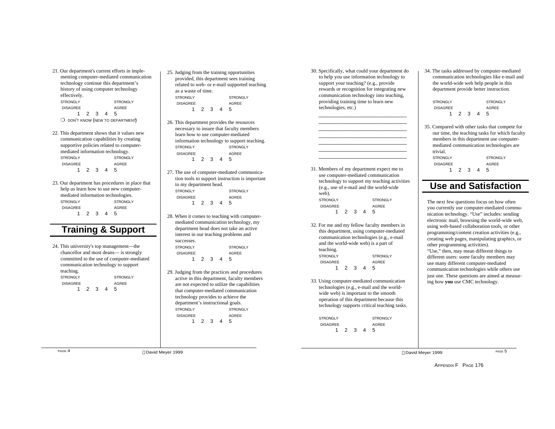- 21. Our department's current efforts in implementing computer-mediated communication technology continue this department's history of using computer technology effectively. STRONGLY STRONGLY DISAGREE AGREE 1 2 3 4 5 O DON'T KNOW (NEW TO DEPARTMENT)
- 22. This department shows that it values new communication capabilities by creating supportive policies related to computermediated information technology. STRONGLY STRONGLY DISAGREE AGREE 1 2 3 4 5
- 23. Our department has procedures in place that help us learn how to use new computermediated information technologies. STRONGLY STRONGLY DISAGREE AGREE 1 2 3 4 5

### **Training & Support**

24. This university's top management—the chancellor and most deans— is strongly committed to the use of computer-mediated communication technology to support teaching. STRONGLY STRONGLY DISAGREE AGREE 1 2 3 4 5

- 25. Judging from the training opportunities provided, this department sees training related to web- or e-mail supported teaching as a waste of time. STRONGLY STRONGLY DISAGREE AGREE 1 2 3 4 5
- 26. This department provides the resources necessary to insure that faculty members learn how to use computer-mediated information technology to support teaching. STRONGLY STRONGLY DISAGREE AGREE 1 2 3 4 5
- 27. The use of computer-mediated communication tools to support instruction is important to my department head. STRONGLY STRONGLY DISAGREE AGREE 1 2 3 4 5
- 28. When it comes to teaching with computermediated communication technology, my department head does not take an active interest in our teaching problems and successes. STRONGLY STRONGLY DISAGREE AGREE 1 2 3 4 5
- 29. Judging from the practices and procedures active in this department, faculty members are not expected to utilize the capabilities that computer-mediated communication technology provides to achieve the department's instructional goals. STRONGLY STRONGLY DISAGREE AGREE 1 2 3 4 5

30. Specifically, what could your department do to help you use information technology to support your teaching? (e.g., provide rewards or recognition for integrating new communication technology into teaching, providing training time to learn new technologies, etc.)

 $\frac{1}{2}$  ,  $\frac{1}{2}$  ,  $\frac{1}{2}$  ,  $\frac{1}{2}$  ,  $\frac{1}{2}$  ,  $\frac{1}{2}$  ,  $\frac{1}{2}$  ,  $\frac{1}{2}$  ,  $\frac{1}{2}$  ,  $\frac{1}{2}$  ,  $\frac{1}{2}$  ,  $\frac{1}{2}$  ,  $\frac{1}{2}$  ,  $\frac{1}{2}$  ,  $\frac{1}{2}$  ,  $\frac{1}{2}$  ,  $\frac{1}{2}$  ,  $\frac{1}{2}$  ,  $\frac{1$ 

| 31. Members of my department expect me to<br>use computer-mediated communication |  |  |  |  |  |
|----------------------------------------------------------------------------------|--|--|--|--|--|
|                                                                                  |  |  |  |  |  |
|                                                                                  |  |  |  |  |  |
|                                                                                  |  |  |  |  |  |
|                                                                                  |  |  |  |  |  |
|                                                                                  |  |  |  |  |  |
|                                                                                  |  |  |  |  |  |

- technology to support my teaching activities (e.g., use of e-mail and the world-wide web). STRONGLY STRONGLY DISAGREE AGREE
- 32. For me and my fellow faculty members in this department, using computer-mediated communication technologies (e.g., e-mail and the world-wide web) is a part of teaching. STRONGLY STRONGLY DISAGREE AGREE 1 2 3 4 5

1 2 3 4 5

33. Using computer-mediated communication technologies (e.g., e-mail and the worldwide web) is important to the smooth operation of this department because this technology supports critical teaching tasks.

STRONGLY STRONGLY DISAGREE AGREE 1 2 3 4 5

34. The tasks addressed by computer-mediated communication technologies like e-mail and the world-wide web help people in this department provide better instruction.

| STRONGLY        |     |   |   | <b>STRONGLY</b> |
|-----------------|-----|---|---|-----------------|
| <b>DISAGREE</b> |     |   |   | AGREE           |
|                 | - 2 | 3 | 4 | 5               |

35. Compared with other tasks that compete for our time, the teaching tasks for which faculty members in this department use computermediated communication technologies are trivial. STRONGLY STRONGLY DISAGREE AGREE 1 2 3 4 5

### **Use and Satisfaction**

The next few questions focus on how often you currently use computer-mediated communication technology. "Use" includes: sending electronic mail, browsing the world-wide web, using web-based collaboration tools, or other programming/content creation activities (e.g., creating web pages, manipulating graphics, or other programming activities). "Use," then, may mean different things to different users: some faculty members may use many different computer-mediated communication technologies while others use just one. These questions are aimed at measuring how **you** use CMC technology.

PAGE 4 **David Meyer 1999** PAGE 5 **David Meyer 1999** PAGE 5 **PAGE 5 David Meyer 1999** PAGE 5

APPENDIX F PAGE 176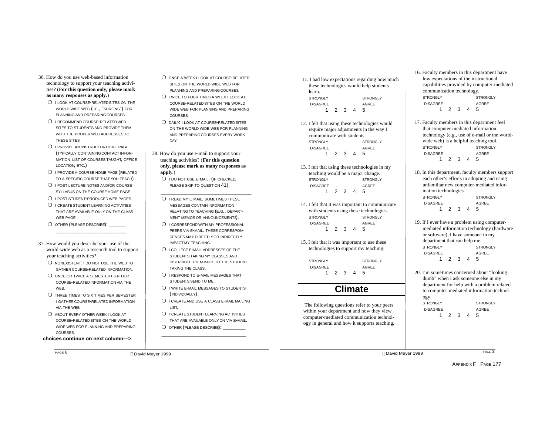- 36. How do you use web-based information technology to support your teaching activities? (**For this question only, please mark as many responses as apply.**)
	- O I LOOK AT COURSE-RELATED SITES ON THE WORLD WIDE WEB (I.E., "SURFING") FOR PLANNING AND PREPARING COURSES
	- ❍ I RECOMMEND COURSE-RELATED WEB SITES TO STUDENTS AND PROVIDE THEM WITH THE PROPER WEB ADDRESSES TO THESE SITES
	- O I PROVIDE AN INSTRUCTOR HOME PAGE (TYPICALLY CONTAININGCONTACT INFOR-MATION, LIST OF COURSES TAUGHT, OFFICE LOCATION, ETC.)
	- ❍ I PROVIDE A COURSE HOME PAGE (RELATED TO A SPECIFIC COURSE THAT YOU TEACH)
	- O I POST LECTURE NOTES AND/OR COURSE SYLLABUS ON THE COURSE HOME PAGE
	- O I POST STUDENT-PRODUCED WEB PAGES
	- O I CREATE STUDENT LEARNING ACTIVITIES THAT ARE AVAILABLE ONLY ON THE CLASS WEB PAGE

 $\frac{1}{2}$  ,  $\frac{1}{2}$  ,  $\frac{1}{2}$  ,  $\frac{1}{2}$  ,  $\frac{1}{2}$  ,  $\frac{1}{2}$  ,  $\frac{1}{2}$  ,  $\frac{1}{2}$  ,  $\frac{1}{2}$  ,  $\frac{1}{2}$  ,  $\frac{1}{2}$  ,  $\frac{1}{2}$  ,  $\frac{1}{2}$  ,  $\frac{1}{2}$  ,  $\frac{1}{2}$  ,  $\frac{1}{2}$  ,  $\frac{1}{2}$  ,  $\frac{1}{2}$  ,  $\frac{1$ 

- O OTHER (PLEASE DESCRIBE):
- 37. How would you describe your use of the world-wide web as a research tool to support your teaching activities?
	- O NONEXISTENT: I DO NOT USE THE WEB TO GATHER COURSE-RELATED INFORMATION.
	- O ONCE OR TWICE A SEMESTER I GATHER COURSE-RELATED INFORMATIONVIA THE WEB.
	- ❍ THREE TIMES TO SIX TIMES PER SEMESTER I GATHER COURSE-RELATED INFORMATION VIA THE WEB.
	- ❍ ABOUT EVERY OTHER WEEK I LOOK AT COURSE-RELATED SITES ON THE WORLD WIDE WEB FOR PLANNING AND PREPARING COURSES.

#### **choices continue on next column—>**

PAGE 6

O ONCE A WEEK I LOOK AT COURSE-RELATED SITES ON THE WORLD WIDE WEB FOR PLANNING AND PREPARING COURSES.

- ❍ TWICE TO FOUR TIMES A WEEK I LOOK AT COURSE-RELATED SITES ON THE WORLD WIDE WEB FOR PLANNING AND PREPARING COURSES.
- ❍ DAILY: I LOOK AT COURSE-RELATED SITES ON THE WORLD WIDE WEB FOR PLANNING AND PREPARING COURSES EVERY WORK DAY.
- 38. How do you use e-mail to support your teaching activities? (**For this question only, please mark as many responses as apply**.)
	- O I DO NOT USE E-MAIL. (IF CHECKED. PLEASE SKIP TO QUESTION 41).
	- O I READ MY E-MAIL. SOMETIMES THESE MESSAGES CONTAIN INFORMATION RELATING TO TEACHING (E.G., DEPART-MENT MEMOS OR ANNOUNCEMENTS).

 $\overline{\phantom{a}}$  ,  $\overline{\phantom{a}}$  ,  $\overline{\phantom{a}}$  ,  $\overline{\phantom{a}}$  ,  $\overline{\phantom{a}}$  ,  $\overline{\phantom{a}}$  ,  $\overline{\phantom{a}}$  ,  $\overline{\phantom{a}}$  ,  $\overline{\phantom{a}}$  ,  $\overline{\phantom{a}}$  ,  $\overline{\phantom{a}}$  ,  $\overline{\phantom{a}}$  ,  $\overline{\phantom{a}}$  ,  $\overline{\phantom{a}}$  ,  $\overline{\phantom{a}}$  ,  $\overline{\phantom{a}}$ 

- ❍ I CORRESPOND WITH MY PROFESSIONAL PEERS VIA E-MAIL. THESE CORRESPON-DENCES MAY DIRECTLYOR INDIRECTLY IMPACT MY TEACHING.
- ❍ I COLLECT E-MAIL ADDRESSES OF THE STUDENTS TAKING MY CLASSES AND DISTRIBUTE THEM BACK TO THE STUDENT TAKING THE CLASS.
- O I RESPOND TO E-MAIL MESSAGES THAT STUDENTS SEND TO ME.
- ❍ I WRITE E-MAIL MESSAGES TO STUDENTS (INDIVIDUALLY).
- ❍ I CREATE AND USE A CLASS E-MAIL MAILING LIST.
- O I CREATE STUDENT LEARNING ACTIVITIES THAT ARE AVAILABLE ONLY ON VIA E-MAIL.
- O OTHER (PLEASE DESCRIBE):  $\frac{1}{2}$  ,  $\frac{1}{2}$  ,  $\frac{1}{2}$  ,  $\frac{1}{2}$  ,  $\frac{1}{2}$  ,  $\frac{1}{2}$  ,  $\frac{1}{2}$  ,  $\frac{1}{2}$  ,  $\frac{1}{2}$  ,  $\frac{1}{2}$  ,  $\frac{1}{2}$  ,  $\frac{1}{2}$  ,  $\frac{1}{2}$  ,  $\frac{1}{2}$  ,  $\frac{1}{2}$  ,  $\frac{1}{2}$  ,  $\frac{1}{2}$  ,  $\frac{1}{2}$  ,  $\frac{1$

 11. I had low expectations regarding how much these technologies would help students learn. STRONGLY STRONGLY DISAGREE AGREE 1 2 3 4 5

- 12. I felt that using these technologies would require major adjustments in the way I communicate with students. STRONGLY STRONGLY DISAGREE AGREE<br>1 2 3 4 5  $1 \t2 \t3 \t4$
- 13. I felt that using these technologies in my teaching would be a major change. STRONGLY STRONGLY DISAGREE AGREE 1 2 3 4 5
- 14. I felt that it was important to communicate with students using these technologies. STRONGLY STRONGLY DISAGREE AGREE 1 2 3 4 5
- 15. I felt that it was important to use these technologies to support my teaching.

STRONGLY STRONGLY DISAGREE AGREE 1 2 3 4 5

## **Climate**

 The following questions refer to your peers within your department and how they view computer-mediated communication technology in general and how it supports teaching.

- 16. Faculty members in this department have low expectations of the instructional capabilities provided by computer-mediated communication technology. STRONGLY STRONGLY DISAGREE AGREE 1 2 3 4 5
- 17. Faculty members in this department feel that computer-mediated information technology (e.g., use of e-mail or the worldwide web) is a helpful teaching tool. STRONGLY STRONGLY DISAGREE AGREE 1 2 3 4 5
- 18. In this department, faculty members support each other's efforts in adopting and using unfamiliar new computer-mediated information technologies. STRONGLY STRONGLY DISAGREE AGREE 1 2 3 4 5
- 19. If I ever have a problem using computermediated information technology (hardware or software), I have someone in my department that can help me. STRONGLY STRONGLY DISAGREE AGREE 1 2 3 4 5
- 20. I'm sometimes concerned about "looking dumb" when I ask someone else in my department for help with a problem related to computer-mediated information technology. STRONGLY STRONGLY DISAGREE AGREE 1 2 3 4 5

David Meyer 1999 David Meyer 1999

PAGE<sub>3</sub>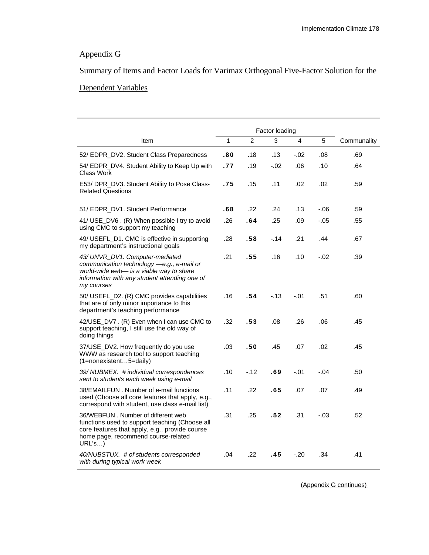### Appendix G

## Summary of Items and Factor Loads for Varimax Orthogonal Five-Factor Solution for the

#### Dependent Variables

|                                                                                                                                                                                         |     |                | Factor loading |         |                |             |
|-----------------------------------------------------------------------------------------------------------------------------------------------------------------------------------------|-----|----------------|----------------|---------|----------------|-------------|
| Item                                                                                                                                                                                    | 1   | $\overline{2}$ | $\overline{3}$ | 4       | $\overline{5}$ | Communality |
| 52/ EDPR_DV2. Student Class Preparedness                                                                                                                                                | .80 | .18            | .13            | $-0.02$ | .08            | .69         |
| 54/ EDPR_DV4. Student Ability to Keep Up with<br>Class Work                                                                                                                             | .77 | .19            | $-.02$         | .06     | .10            | .64         |
| E53/ DPR_DV3. Student Ability to Pose Class-<br><b>Related Questions</b>                                                                                                                | .75 | .15            | .11            | .02     | .02            | .59         |
| 51/ EDPR_DV1. Student Performance                                                                                                                                                       | .68 | .22            | .24            | .13     | $-06$          | .59         |
| 41/ USE_DV6 . (R) When possible I try to avoid<br>using CMC to support my teaching                                                                                                      | .26 | .64            | .25            | .09     | $-.05$         | .55         |
| 49/ USEFL_D1. CMC is effective in supporting<br>my department's instructional goals                                                                                                     | .28 | .58            | $-.14$         | .21     | .44            | .67         |
| 43/ UNVR_DV1. Computer-mediated<br>communication technology -e.g., e-mail or<br>world-wide web- is a viable way to share<br>information with any student attending one of<br>my courses | .21 | .55            | .16            | .10     | $-.02$         | .39         |
| 50/ USEFL_D2. (R) CMC provides capabilities<br>that are of only minor importance to this<br>department's teaching performance                                                           | .16 | .54            | $-13$          | $-.01$  | .51            | .60         |
| 42/USE_DV7. (R) Even when I can use CMC to<br>support teaching, I still use the old way of<br>doing things                                                                              | .32 | .53            | .08            | .26     | .06            | .45         |
| 37/USE_DV2. How frequently do you use<br>WWW as research tool to support teaching<br>(1=nonexistent5=daily)                                                                             | .03 | .50            | .45            | .07     | .02            | .45         |
| 39/ NUBMEX. # individual correspondences<br>sent to students each week using e-mail                                                                                                     | .10 | $-.12$         | .69            | $-.01$  | $-.04$         | .50         |
| 38/EMAILFUN, Number of e-mail functions<br>used (Choose all core features that apply, e.g.,<br>correspond with student, use class e-mail list)                                          | .11 | .22            | .65            | .07     | .07            | .49         |
| 36/WEBFUN. Number of different web<br>functions used to support teaching (Choose all<br>core features that apply, e.g., provide course<br>home page, recommend course-related<br>URL's  | .31 | .25            | .52            | .31     | $-.03$         | .52         |
| 40/NUBSTUX. # of students corresponded<br>with during typical work week                                                                                                                 | .04 | .22            | .45            | $-.20$  | .34            | .41         |

(Appendix G continues)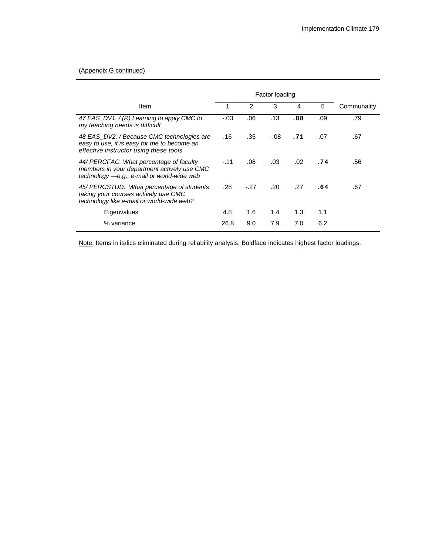#### (Appendix G continued)

|                                                                                                                                        |        |       | Factor loading |                  |     |             |
|----------------------------------------------------------------------------------------------------------------------------------------|--------|-------|----------------|------------------|-----|-------------|
| Item                                                                                                                                   |        | 2     | 3              | 4                | 5   | Communality |
| 47 EAS_DV1. / (R) Learning to apply CMC to<br>my teaching needs is difficult                                                           | $-.03$ | .06   | .13            | .88              | .09 | .79         |
| 48 EAS_DV2. / Because CMC technologies are<br>easy to use, it is easy for me to become an<br>effective instructor using these tools    | .16    | .35   | $-.08$         | .71              | .07 | .67         |
| 44/ PERCFAC. What percentage of faculty<br>members in your department actively use CMC<br>technology $-e.g., e-mail$ or world-wide web | $-.11$ | .08   | .03            | .02 <sub>0</sub> | .74 | .56         |
| 45/ PERCSTUD. What percentage of students<br>taking your courses actively use CMC<br>technology like e-mail or world-wide web?         | .28    | $-27$ | .20            | .27              | .64 | .67         |
| Eigenvalues                                                                                                                            | 4.8    | 1.6   | 1.4            | 1.3              | 1.1 |             |
| % variance                                                                                                                             | 26.8   | 9.0   | 7.9            | 7.0              | 6.2 |             |

Note. Items in italics eliminated during reliability analysis. Boldface indicates highest factor loadings.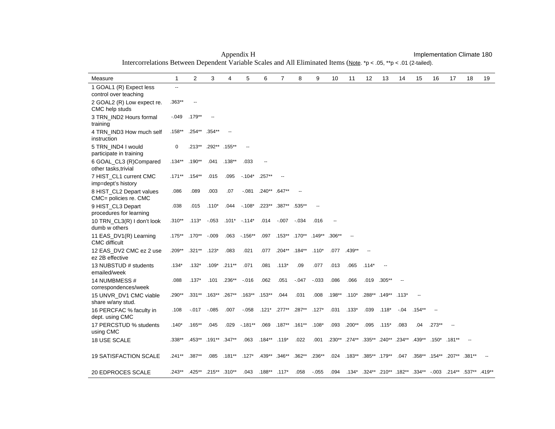| Measure                                           | $\mathbf{1}$             | 2         | 3                | 4         | 5         | 6                        | 7         | 8             | 9                        | 10       | 11                                 | 12            | 13        | 14     | 15        | 16       | 17                                              | 18       | 19       |
|---------------------------------------------------|--------------------------|-----------|------------------|-----------|-----------|--------------------------|-----------|---------------|--------------------------|----------|------------------------------------|---------------|-----------|--------|-----------|----------|-------------------------------------------------|----------|----------|
| 1 GOAL1 (R) Expect less<br>control over teaching  | $\overline{\phantom{a}}$ |           |                  |           |           |                          |           |               |                          |          |                                    |               |           |        |           |          |                                                 |          |          |
| 2 GOAL2 (R) Low expect re.<br>CMC help studs      | .363**                   |           |                  |           |           |                          |           |               |                          |          |                                    |               |           |        |           |          |                                                 |          |          |
| 3 TRN_IND2 Hours formal<br>training               | $-0.49$                  | $.179***$ |                  |           |           |                          |           |               |                          |          |                                    |               |           |        |           |          |                                                 |          |          |
| 4 TRN IND3 How much self<br>instruction           | $.158**$                 | $.254***$ | $.354***$        |           |           |                          |           |               |                          |          |                                    |               |           |        |           |          |                                                 |          |          |
| 5 TRN IND4 I would<br>participate in training     | 0                        | $.213**$  | .292**           | $.155***$ |           |                          |           |               |                          |          |                                    |               |           |        |           |          |                                                 |          |          |
| 6 GOAL_CL3 (R)Compared<br>other tasks, trivial    | $.134**$                 | $.190**$  | .041             | $.138***$ | .033      | $\overline{\phantom{a}}$ |           |               |                          |          |                                    |               |           |        |           |          |                                                 |          |          |
| 7 HIST_CL1 current CMC<br>imp=dept's history      | $.171***$                | $.154***$ | .015             | .095      | $-104*$   | $.257**$                 |           |               |                          |          |                                    |               |           |        |           |          |                                                 |          |          |
| 8 HIST_CL2 Depart values<br>CMC= policies re. CMC | .086                     | .089      | .003             | .07       | $-0.081$  | $.240**$                 | $.647**$  |               |                          |          |                                    |               |           |        |           |          |                                                 |          |          |
| 9 HIST_CL3 Depart<br>procedures for learning      | .038                     | .015      | $.110*$          | .044      | $-108*$   | $.223***$                | $.387**$  | $.535***$     | $\overline{\phantom{a}}$ |          |                                    |               |           |        |           |          |                                                 |          |          |
| 10 TRN_CL3(R) I don't look<br>dumb w others       | $.310**$                 | $.113*$   | $-.053$          | $.101*$   | $-114*$   | .014                     | $-.007$   | $-.034$       | .016                     |          |                                    |               |           |        |           |          |                                                 |          |          |
| 11 EAS_DV1(R) Learning<br><b>CMC</b> difficult    | $.175***$                | $.170**$  | $-009$           | .063      | $-156**$  | .097                     | $.153***$ | $.170***$     | $.149**$                 | $.306**$ | $\sim$                             |               |           |        |           |          |                                                 |          |          |
| 12 EAS DV2 CMC ez 2 use<br>ez 2B effective        | .209**                   | $.321***$ | $.123*$          | .083      | .021      | .077                     | $.204***$ | $.184***$     | $.110*$                  | .077     | .439**                             |               |           |        |           |          |                                                 |          |          |
| 13 NUBSTUD # students<br>emailed/week             | $.134*$                  | $.132*$   | $.109*$          | $.211***$ | .071      | .081                     | $.113*$   | .09           | .077                     | .013     | .065                               | $.114*$       |           |        |           |          |                                                 |          |          |
| 14 NUMBMESS #<br>correspondences/week             | .088                     | $.137*$   | .101             | $.236***$ | $-0.016$  | .062                     | .051      | $-0.047$      | $-0.033$                 | .086     | .066                               | .019          | $.305***$ |        |           |          |                                                 |          |          |
| 15 UNVR_DV1 CMC viable<br>share w/any stud.       | .290**                   | $.331**$  | $.163***$        | $.267**$  | $.163***$ | $.153***$                | .044      | .031          | .008                     | $.198**$ | $.110*$                            | .288**        | $.149**$  | .113*  |           |          |                                                 |          |          |
| 16 PERCFAC % faculty in<br>dept. using CMC        | .108                     | $-017$    | $-0.085$         | .007      | $-0.058$  | $.121*$                  | $.277***$ | $.287**$      | $.127*$                  | .031     | $.133*$                            | .039          | $.118*$   | $-.04$ | $.154***$ |          |                                                 |          |          |
| 17 PERCSTUD % students<br>using CMC               | $.140*$                  | $.165***$ | .045             | .029      | $-181**$  | .069                     |           | .187** .161** | $.108*$                  | .093     | $.200**$                           | .095          | $.115*$   | .083   | .04       | $.273**$ | $\overline{\phantom{a}}$                        |          |          |
| 18 USE SCALE                                      | .338**                   | $.453***$ | $.191***$ .347** |           | .063      | $.184**$                 | $.119*$   | .022          | .001                     |          | .230** .274** .335** .240** .234** |               |           |        | $.439**$  |          | $.150^*$ .181**                                 | $\sim$   |          |
| 19 SATISFACTION SCALE                             | $.241**$                 | .387**    | .085             | $.181***$ | $.127*$   | $.439**$                 | $.346**$  | $.362**$      | $.236**$                 | .024     | $.183***$                          | .385** .179** |           | .047   |           |          | .358** .154** .207**                            | $.381**$ |          |
| 20 EDPROCES SCALE                                 | $.243***$                | $.425***$ | .215** .310**    |           | .043      | $.188***$                | $.117*$   | .058          | $-0.055$                 | .094     | $.134*$                            |               |           |        |           |          | .324** .210** .182** .334** -.003 .214** .537** |          | $.419**$ |

Appendix H **Implementation Climate 180** Intercorrelations Between Dependent Variable Scales and All Eliminated Items (Note. \*p < .05, \*\*p < .01 (2-tailed).